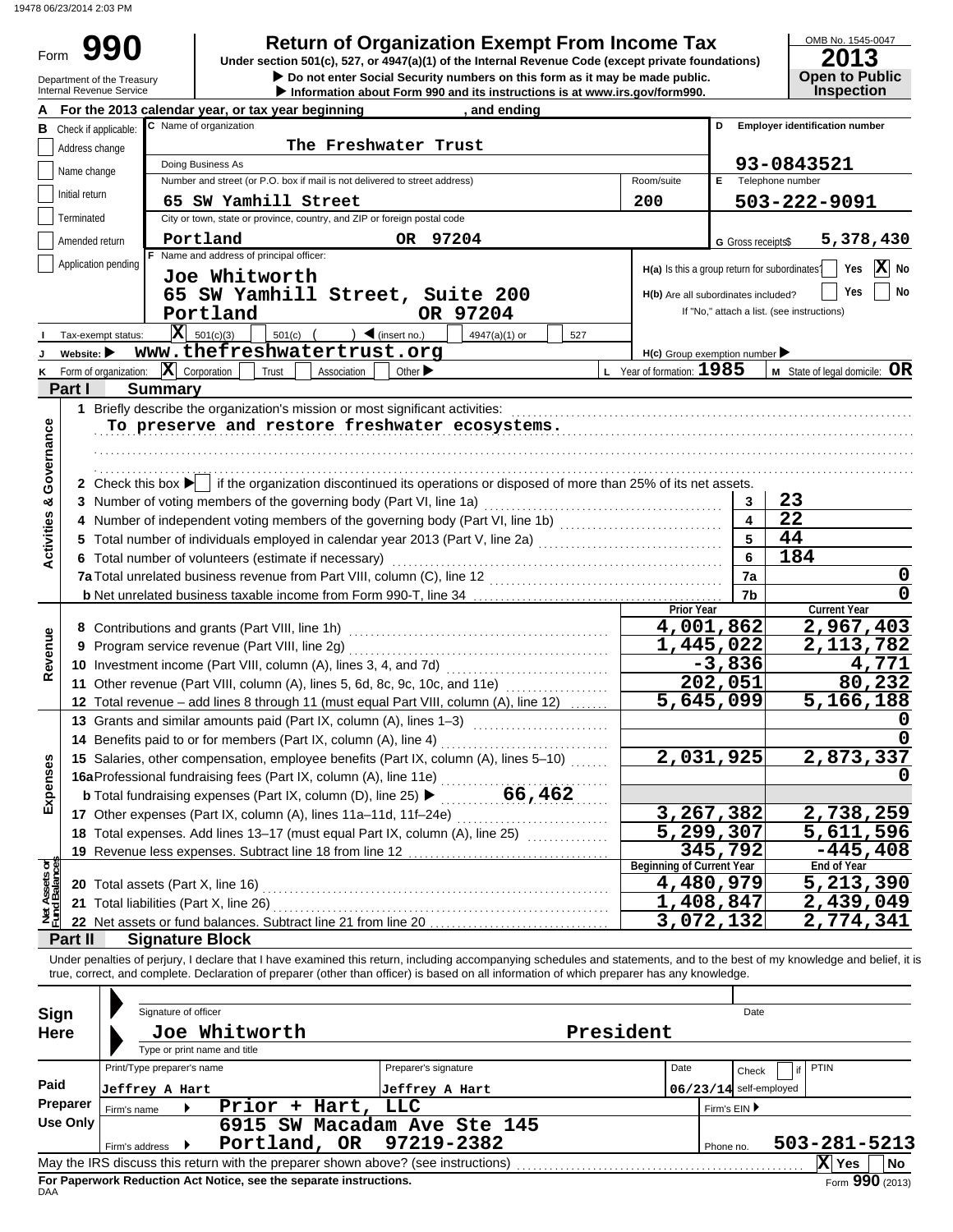19478 06/23/2014 2:03 PM

Form 990

**• Do not enter Social Security numbers on this form as it may be made public. Qpen to Public 990 a 2013 2014 2015 2014 Depend on Exempt From Income Tax 2013 2013** 

| OMB No. 1545-0047     |
|-----------------------|
| 2013                  |
|                       |
| <b>Open to Public</b> |
| Inspection            |

|                                |                                                   | Department of the Treasury<br>Internal Revenue Service |                            |                                        |                                                 |                                                                                          |                                                                                   | $\blacktriangleright$ Do not enter Social Security numbers on this form as it may be made public.<br>Information about Form 990 and its instructions is at www.irs.gov/form990. |           |           |                                               |              |                          |                                            | <b>Open to Public</b><br><b>Inspection</b> |
|--------------------------------|---------------------------------------------------|--------------------------------------------------------|----------------------------|----------------------------------------|-------------------------------------------------|------------------------------------------------------------------------------------------|-----------------------------------------------------------------------------------|---------------------------------------------------------------------------------------------------------------------------------------------------------------------------------|-----------|-----------|-----------------------------------------------|--------------|--------------------------|--------------------------------------------|--------------------------------------------|
|                                |                                                   |                                                        |                            |                                        |                                                 | For the 2013 calendar year, or tax year beginning                                        |                                                                                   | , and ending                                                                                                                                                                    |           |           |                                               |              |                          |                                            |                                            |
| в                              | Check if applicable:                              |                                                        |                            | C Name of organization                 |                                                 |                                                                                          |                                                                                   |                                                                                                                                                                                 |           |           |                                               |              |                          | <b>Employer identification number</b>      |                                            |
|                                | Address change                                    |                                                        |                            |                                        |                                                 |                                                                                          | The Freshwater Trust                                                              |                                                                                                                                                                                 |           |           |                                               |              |                          |                                            |                                            |
|                                |                                                   |                                                        |                            | Doing Business As                      |                                                 |                                                                                          |                                                                                   |                                                                                                                                                                                 |           |           |                                               |              |                          | 93-0843521                                 |                                            |
|                                | Name change                                       |                                                        |                            |                                        |                                                 |                                                                                          | Number and street (or P.O. box if mail is not delivered to street address)        |                                                                                                                                                                                 |           |           | Room/suite                                    | E.           |                          | Telephone number                           |                                            |
|                                | Initial return                                    |                                                        |                            |                                        | 65 SW Yamhill Street                            |                                                                                          |                                                                                   |                                                                                                                                                                                 |           |           | 200                                           |              |                          | 503-222-9091                               |                                            |
|                                | Terminated                                        |                                                        |                            |                                        |                                                 |                                                                                          | City or town, state or province, country, and ZIP or foreign postal code          |                                                                                                                                                                                 |           |           |                                               |              |                          |                                            |                                            |
|                                | Amended return                                    |                                                        |                            | Portland                               |                                                 |                                                                                          | OR 97204                                                                          |                                                                                                                                                                                 |           |           |                                               |              |                          |                                            | 5,378,430                                  |
|                                |                                                   |                                                        |                            |                                        | F Name and address of principal officer:        |                                                                                          |                                                                                   |                                                                                                                                                                                 |           |           |                                               |              | G Gross receipts\$       |                                            |                                            |
|                                |                                                   | Application pending                                    |                            |                                        | Joe Whitworth                                   |                                                                                          |                                                                                   |                                                                                                                                                                                 |           |           | H(a) Is this a group return for subordinates? |              |                          |                                            | X No<br>Yes                                |
|                                |                                                   |                                                        |                            |                                        |                                                 |                                                                                          |                                                                                   | 65 SW Yamhill Street, Suite 200                                                                                                                                                 |           |           | H(b) Are all subordinates included?           |              |                          |                                            | Yes<br>No                                  |
|                                |                                                   |                                                        |                            | Portland                               |                                                 |                                                                                          |                                                                                   | OR 97204                                                                                                                                                                        |           |           |                                               |              |                          | If "No," attach a list. (see instructions) |                                            |
|                                |                                                   |                                                        |                            |                                        |                                                 |                                                                                          |                                                                                   |                                                                                                                                                                                 |           |           |                                               |              |                          |                                            |                                            |
|                                |                                                   | Tax-exempt status:                                     |                            | $ \mathbf{X} $ 501(c)(3)               | $501(c)$ (                                      |                                                                                          | $\sum$ (insert no.)                                                               | 4947(a)(1) or                                                                                                                                                                   |           | 527       |                                               |              |                          |                                            |                                            |
|                                | Website: $\blacktriangleright$                    |                                                        |                            |                                        |                                                 | www.thefreshwatertrust.org                                                               |                                                                                   |                                                                                                                                                                                 |           |           | H(c) Group exemption number                   |              |                          |                                            |                                            |
| Κ                              |                                                   | Form of organization:                                  | $ \mathbf{X} $ Corporation |                                        | Trust                                           | Association                                                                              | Other $\blacktriangleright$                                                       |                                                                                                                                                                                 |           |           | L Year of formation: 1985                     |              |                          |                                            | M State of legal domicile: OR              |
|                                | Part I                                            |                                                        | <b>Summary</b>             |                                        |                                                 |                                                                                          |                                                                                   |                                                                                                                                                                                 |           |           |                                               |              |                          |                                            |                                            |
|                                |                                                   |                                                        |                            |                                        |                                                 |                                                                                          | 1 Briefly describe the organization's mission or most significant activities:     |                                                                                                                                                                                 |           |           |                                               |              |                          |                                            |                                            |
|                                |                                                   |                                                        |                            |                                        |                                                 |                                                                                          |                                                                                   | To preserve and restore freshwater ecosystems.                                                                                                                                  |           |           |                                               |              |                          |                                            |                                            |
|                                |                                                   |                                                        |                            |                                        |                                                 |                                                                                          |                                                                                   |                                                                                                                                                                                 |           |           |                                               |              |                          |                                            |                                            |
|                                |                                                   |                                                        |                            |                                        |                                                 |                                                                                          |                                                                                   |                                                                                                                                                                                 |           |           |                                               |              |                          |                                            |                                            |
|                                |                                                   |                                                        |                            |                                        |                                                 |                                                                                          |                                                                                   | 2 Check this box $\blacktriangleright$ if the organization discontinued its operations or disposed of more than 25% of its net assets.                                          |           |           |                                               |              |                          |                                            |                                            |
|                                |                                                   |                                                        |                            |                                        |                                                 |                                                                                          | 3 Number of voting members of the governing body (Part VI, line 1a)               |                                                                                                                                                                                 |           |           |                                               |              | 3                        | 23                                         |                                            |
|                                |                                                   |                                                        |                            |                                        |                                                 |                                                                                          |                                                                                   |                                                                                                                                                                                 |           |           |                                               |              | 4                        | $\overline{22}$                            |                                            |
| Activities & Governance        |                                                   |                                                        |                            |                                        |                                                 |                                                                                          |                                                                                   |                                                                                                                                                                                 |           |           |                                               |              | 5                        | 44                                         |                                            |
|                                |                                                   |                                                        |                            |                                        |                                                 | 6 Total number of volunteers (estimate if necessary)                                     |                                                                                   |                                                                                                                                                                                 |           |           |                                               |              | 6                        | 184                                        |                                            |
|                                |                                                   |                                                        |                            |                                        |                                                 |                                                                                          |                                                                                   |                                                                                                                                                                                 |           |           |                                               |              | 7a                       |                                            | 0                                          |
|                                |                                                   |                                                        |                            |                                        |                                                 |                                                                                          |                                                                                   |                                                                                                                                                                                 |           |           |                                               |              | 7b                       |                                            | $\mathbf 0$                                |
|                                |                                                   |                                                        |                            |                                        |                                                 |                                                                                          |                                                                                   |                                                                                                                                                                                 |           |           | <b>Prior Year</b>                             |              |                          |                                            | <b>Current Year</b>                        |
|                                |                                                   |                                                        |                            |                                        | 8 Contributions and grants (Part VIII, line 1h) |                                                                                          |                                                                                   |                                                                                                                                                                                 |           |           | 4,001,862                                     |              |                          |                                            | 2,967,403                                  |
| Revenue                        | Program service revenue (Part VIII, line 2g)<br>9 |                                                        |                            |                                        |                                                 |                                                                                          |                                                                                   |                                                                                                                                                                                 | 1,445,022 |           |                                               |              | 2,113,782                |                                            |                                            |
|                                |                                                   |                                                        |                            |                                        |                                                 |                                                                                          |                                                                                   |                                                                                                                                                                                 |           |           |                                               |              | $-3,836$                 |                                            | 4,771                                      |
|                                |                                                   |                                                        |                            |                                        |                                                 |                                                                                          |                                                                                   | 11 Other revenue (Part VIII, column (A), lines 5, 6d, 8c, 9c, 10c, and 11e)                                                                                                     |           |           |                                               |              | 202,051                  |                                            | 80,232                                     |
|                                |                                                   |                                                        |                            |                                        |                                                 |                                                                                          |                                                                                   | 12 Total revenue - add lines 8 through 11 (must equal Part VIII, column (A), line 12)                                                                                           |           |           | 5,645,099                                     |              |                          |                                            | 5,166,188                                  |
|                                |                                                   |                                                        |                            |                                        |                                                 |                                                                                          | 13 Grants and similar amounts paid (Part IX, column (A), lines 1-3)               |                                                                                                                                                                                 |           |           |                                               |              |                          |                                            |                                            |
|                                |                                                   |                                                        |                            |                                        |                                                 | 14 Benefits paid to or for members (Part IX, column (A), line 4)                         |                                                                                   |                                                                                                                                                                                 |           |           |                                               |              |                          |                                            |                                            |
| E                              |                                                   |                                                        |                            |                                        |                                                 |                                                                                          |                                                                                   | 15 Salaries, other compensation, employee benefits (Part IX, column (A), lines 5-10)                                                                                            |           |           | 2,031,925                                     |              |                          |                                            | 2,873,337                                  |
|                                |                                                   |                                                        |                            |                                        |                                                 | 16aProfessional fundraising fees (Part IX, column (A), line 11e)                         |                                                                                   |                                                                                                                                                                                 |           |           |                                               |              |                          |                                            | U                                          |
| Expense                        |                                                   |                                                        |                            |                                        |                                                 | <b>b</b> Total fundraising expenses (Part IX, column (D), line 25) $\blacktriangleright$ |                                                                                   | 66,462                                                                                                                                                                          |           |           |                                               |              |                          |                                            |                                            |
|                                |                                                   |                                                        |                            |                                        |                                                 |                                                                                          | 17 Other expenses (Part IX, column (A), lines 11a-11d, 11f-24e)                   |                                                                                                                                                                                 |           |           | <u>3,267,382</u>                              |              |                          |                                            | <u>2,738,259</u>                           |
|                                |                                                   |                                                        |                            |                                        |                                                 |                                                                                          |                                                                                   | 18 Total expenses. Add lines 13-17 (must equal Part IX, column (A), line 25)                                                                                                    |           |           | $\overline{5,299,307}$                        |              |                          |                                            | 5,611,596                                  |
|                                |                                                   |                                                        |                            |                                        |                                                 | 19 Revenue less expenses. Subtract line 18 from line 12                                  |                                                                                   |                                                                                                                                                                                 |           |           |                                               |              | 345,792                  |                                            | $-445, 408$                                |
| Net Assets or<br>Fund Balances |                                                   |                                                        |                            |                                        |                                                 |                                                                                          |                                                                                   |                                                                                                                                                                                 |           |           | <b>Beginning of Current Year</b>              |              |                          |                                            | <b>End of Year</b>                         |
|                                |                                                   |                                                        |                            |                                        |                                                 |                                                                                          |                                                                                   |                                                                                                                                                                                 |           |           | 4,480,979                                     |              |                          |                                            | 5,213,390                                  |
|                                |                                                   |                                                        |                            | 21 Total liabilities (Part X, line 26) |                                                 |                                                                                          |                                                                                   |                                                                                                                                                                                 |           |           | 1,408,847                                     |              |                          |                                            | $\overline{2,}$ 439,049                    |
|                                |                                                   |                                                        |                            |                                        |                                                 | 22 Net assets or fund balances. Subtract line 21 from line 20                            |                                                                                   |                                                                                                                                                                                 |           |           | 3,072,132                                     |              |                          |                                            | 2,774,341                                  |
|                                | Part II                                           |                                                        | <b>Signature Block</b>     |                                        |                                                 |                                                                                          |                                                                                   |                                                                                                                                                                                 |           |           |                                               |              |                          |                                            |                                            |
|                                |                                                   |                                                        |                            |                                        |                                                 |                                                                                          |                                                                                   | Under penalties of perjury, I declare that I have examined this return, including accompanying schedules and statements, and to the best of my knowledge and belief, it is      |           |           |                                               |              |                          |                                            |                                            |
|                                |                                                   |                                                        |                            |                                        |                                                 |                                                                                          |                                                                                   | true, correct, and complete. Declaration of preparer (other than officer) is based on all information of which preparer has any knowledge.                                      |           |           |                                               |              |                          |                                            |                                            |
|                                |                                                   |                                                        |                            |                                        |                                                 |                                                                                          |                                                                                   |                                                                                                                                                                                 |           |           |                                               |              |                          |                                            |                                            |
|                                | Sign                                              |                                                        | Signature of officer       |                                        |                                                 |                                                                                          |                                                                                   |                                                                                                                                                                                 |           |           |                                               |              | Date                     |                                            |                                            |
|                                | <b>Here</b>                                       |                                                        |                            | Joe Whitworth                          |                                                 |                                                                                          |                                                                                   |                                                                                                                                                                                 |           | President |                                               |              |                          |                                            |                                            |
|                                |                                                   |                                                        |                            | Type or print name and title           |                                                 |                                                                                          |                                                                                   |                                                                                                                                                                                 |           |           |                                               |              |                          |                                            |                                            |
|                                |                                                   |                                                        | Print/Type preparer's name |                                        |                                                 |                                                                                          | Preparer's signature                                                              |                                                                                                                                                                                 |           |           | Date                                          |              | Check                    | PTIN<br>if                                 |                                            |
| Paid                           |                                                   |                                                        | Jeffrey A Hart             |                                        |                                                 |                                                                                          | Jeffrey A Hart                                                                    |                                                                                                                                                                                 |           |           |                                               |              | $06/23/14$ self-employed |                                            |                                            |
|                                | <b>Preparer</b>                                   | Firm's name                                            |                            |                                        |                                                 | Prior + Hart,                                                                            | LLC                                                                               |                                                                                                                                                                                 |           |           |                                               | Firm's EIN ▶ |                          |                                            |                                            |
|                                | <b>Use Only</b>                                   |                                                        |                            |                                        |                                                 |                                                                                          |                                                                                   | 6915 SW Macadam Ave Ste 145                                                                                                                                                     |           |           |                                               |              |                          |                                            |                                            |
|                                |                                                   | Firm's address                                         |                            |                                        |                                                 | Portland, OR                                                                             | 97219-2382                                                                        |                                                                                                                                                                                 |           |           |                                               | Phone no.    |                          |                                            | 503-281-5213                               |
|                                |                                                   |                                                        |                            |                                        |                                                 |                                                                                          | May the IRS discuss this return with the preparer shown above? (see instructions) |                                                                                                                                                                                 |           |           |                                               |              |                          |                                            | X Yes<br>No                                |

| Sign        | Signature of officer       |                                                                                   |                             |              | Date                     |                       |  |  |  |  |
|-------------|----------------------------|-----------------------------------------------------------------------------------|-----------------------------|--------------|--------------------------|-----------------------|--|--|--|--|
| <b>Here</b> |                            | Joe Whitworth<br>Type or print name and title                                     | President                   |              |                          |                       |  |  |  |  |
|             | Print/Type preparer's name |                                                                                   | Preparer's signature        | Date         | Check                    | <b>PTIN</b>           |  |  |  |  |
| Paid        | Jeffrey A Hart             |                                                                                   | Jeffrey A Hart              |              | $06/23/14$ self-employed |                       |  |  |  |  |
| Preparer    | Firm's name                | Hart,<br>Prior<br>÷                                                               | LLC                         | Firm's EIN ▶ |                          |                       |  |  |  |  |
| Use Only    |                            |                                                                                   | 6915 SW Macadam Ave Ste 145 |              |                          |                       |  |  |  |  |
|             | Firm's address             | Portland, OR 97219-2382                                                           |                             |              | Phone no.                | $503 - 281 - 5213$    |  |  |  |  |
|             |                            | May the IRS discuss this return with the preparer shown above? (see instructions) |                             |              |                          | X<br>No<br><b>Yes</b> |  |  |  |  |
|             |                            | For Paperwork Reduction Act Notice, see the separate instructions.                |                             |              |                          | Form 990 (2013)       |  |  |  |  |

DAA **For Paperwork Reduction Act Notice, see the separate instructions.**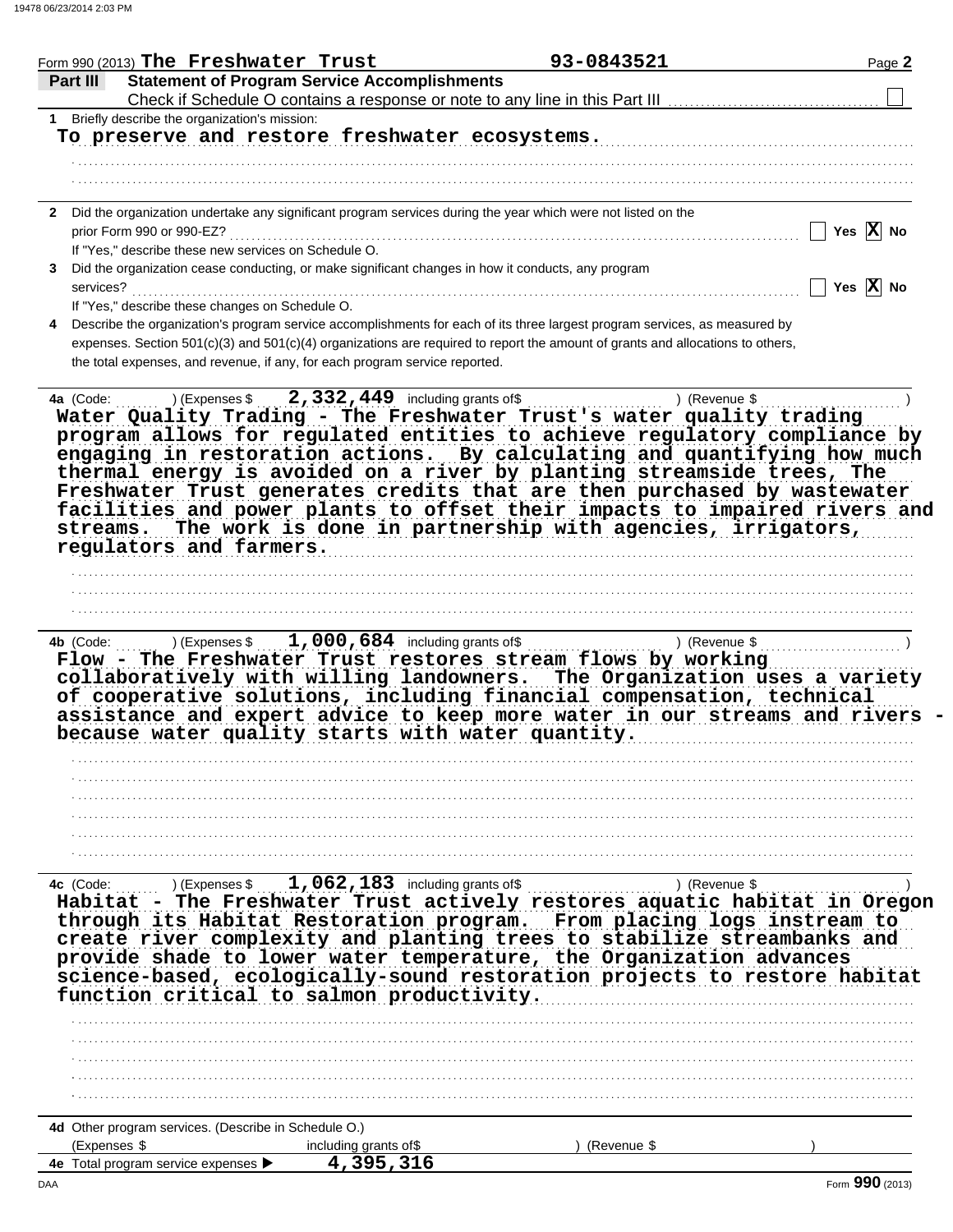| Form 990 (2013) The Freshwater Trust                                                                                                                                                                                                                                                                                                                                                                                                                                        | 93-0843521                                                 | Page 2                |
|-----------------------------------------------------------------------------------------------------------------------------------------------------------------------------------------------------------------------------------------------------------------------------------------------------------------------------------------------------------------------------------------------------------------------------------------------------------------------------|------------------------------------------------------------|-----------------------|
| <b>Statement of Program Service Accomplishments</b><br>Part III                                                                                                                                                                                                                                                                                                                                                                                                             |                                                            |                       |
| Check if Schedule O contains a response or note to any line in this Part III                                                                                                                                                                                                                                                                                                                                                                                                |                                                            |                       |
| Briefly describe the organization's mission:                                                                                                                                                                                                                                                                                                                                                                                                                                |                                                            |                       |
| To preserve and restore freshwater ecosystems.                                                                                                                                                                                                                                                                                                                                                                                                                              |                                                            |                       |
|                                                                                                                                                                                                                                                                                                                                                                                                                                                                             |                                                            |                       |
|                                                                                                                                                                                                                                                                                                                                                                                                                                                                             |                                                            |                       |
| 2 Did the organization undertake any significant program services during the year which were not listed on the                                                                                                                                                                                                                                                                                                                                                              |                                                            |                       |
| prior Form 990 or 990-EZ?                                                                                                                                                                                                                                                                                                                                                                                                                                                   |                                                            | Yes $\overline{X}$ No |
| If "Yes," describe these new services on Schedule O.                                                                                                                                                                                                                                                                                                                                                                                                                        |                                                            |                       |
| Did the organization cease conducting, or make significant changes in how it conducts, any program                                                                                                                                                                                                                                                                                                                                                                          |                                                            |                       |
| services?                                                                                                                                                                                                                                                                                                                                                                                                                                                                   |                                                            | Yes $\overline{X}$ No |
| If "Yes," describe these changes on Schedule O.<br>Describe the organization's program service accomplishments for each of its three largest program services, as measured by                                                                                                                                                                                                                                                                                               |                                                            |                       |
| expenses. Section 501(c)(3) and 501(c)(4) organizations are required to report the amount of grants and allocations to others,                                                                                                                                                                                                                                                                                                                                              |                                                            |                       |
| the total expenses, and revenue, if any, for each program service reported.                                                                                                                                                                                                                                                                                                                                                                                                 |                                                            |                       |
|                                                                                                                                                                                                                                                                                                                                                                                                                                                                             |                                                            |                       |
| 4a (Code:                                                                                                                                                                                                                                                                                                                                                                                                                                                                   | ) (Revenue \$                                              |                       |
| engaging in restoration actions. By calculating and quantifying how much<br>thermal energy is avoided on a river by planting streamside trees, The<br>Freshwater Trust generates credits that are then purchased by wastewater<br>facilities and power plants to offset their impacts to impaired rivers and<br>streams.                                                                                                                                                    | The work is done in partnership with agencies, irrigators, |                       |
| regulators and farmers.                                                                                                                                                                                                                                                                                                                                                                                                                                                     |                                                            |                       |
|                                                                                                                                                                                                                                                                                                                                                                                                                                                                             |                                                            |                       |
|                                                                                                                                                                                                                                                                                                                                                                                                                                                                             |                                                            |                       |
|                                                                                                                                                                                                                                                                                                                                                                                                                                                                             |                                                            |                       |
| Flow - The Freshwater Trust restores stream flows by working<br>collaboratively with willing landowners. The Organization uses a variety<br>of cooperative solutions, including financial compensation, technical<br>assistance and expert advice to keep more water in our streams and rivers<br>because water quality starts with water quantity.                                                                                                                         |                                                            |                       |
|                                                                                                                                                                                                                                                                                                                                                                                                                                                                             |                                                            |                       |
|                                                                                                                                                                                                                                                                                                                                                                                                                                                                             |                                                            |                       |
|                                                                                                                                                                                                                                                                                                                                                                                                                                                                             |                                                            |                       |
|                                                                                                                                                                                                                                                                                                                                                                                                                                                                             |                                                            |                       |
|                                                                                                                                                                                                                                                                                                                                                                                                                                                                             |                                                            |                       |
|                                                                                                                                                                                                                                                                                                                                                                                                                                                                             |                                                            |                       |
|                                                                                                                                                                                                                                                                                                                                                                                                                                                                             |                                                            |                       |
| $1,062,183$ including grants of \$<br>) (Expenses \$                                                                                                                                                                                                                                                                                                                                                                                                                        | ) (Revenue \$                                              |                       |
| - The Freshwater Trust actively restores aquatic habitat in Oregon                                                                                                                                                                                                                                                                                                                                                                                                          |                                                            |                       |
|                                                                                                                                                                                                                                                                                                                                                                                                                                                                             |                                                            |                       |
|                                                                                                                                                                                                                                                                                                                                                                                                                                                                             |                                                            |                       |
|                                                                                                                                                                                                                                                                                                                                                                                                                                                                             |                                                            |                       |
|                                                                                                                                                                                                                                                                                                                                                                                                                                                                             |                                                            |                       |
|                                                                                                                                                                                                                                                                                                                                                                                                                                                                             |                                                            |                       |
|                                                                                                                                                                                                                                                                                                                                                                                                                                                                             |                                                            |                       |
|                                                                                                                                                                                                                                                                                                                                                                                                                                                                             |                                                            |                       |
|                                                                                                                                                                                                                                                                                                                                                                                                                                                                             |                                                            |                       |
|                                                                                                                                                                                                                                                                                                                                                                                                                                                                             |                                                            |                       |
|                                                                                                                                                                                                                                                                                                                                                                                                                                                                             |                                                            |                       |
| 4c (Code:<br>Habitat<br>through its Habitat Restoration program. From placing logs instream to<br>create river complexity and planting trees to stabilize streambanks and<br>provide shade to lower water temperature, the Organization advances<br>science-based, ecologically-sound restoration projects to restore habitat<br>function critical to salmon productivity.<br>4d Other program services. (Describe in Schedule O.)<br>(Expenses \$<br>including grants of\$ | (Revenue \$                                                |                       |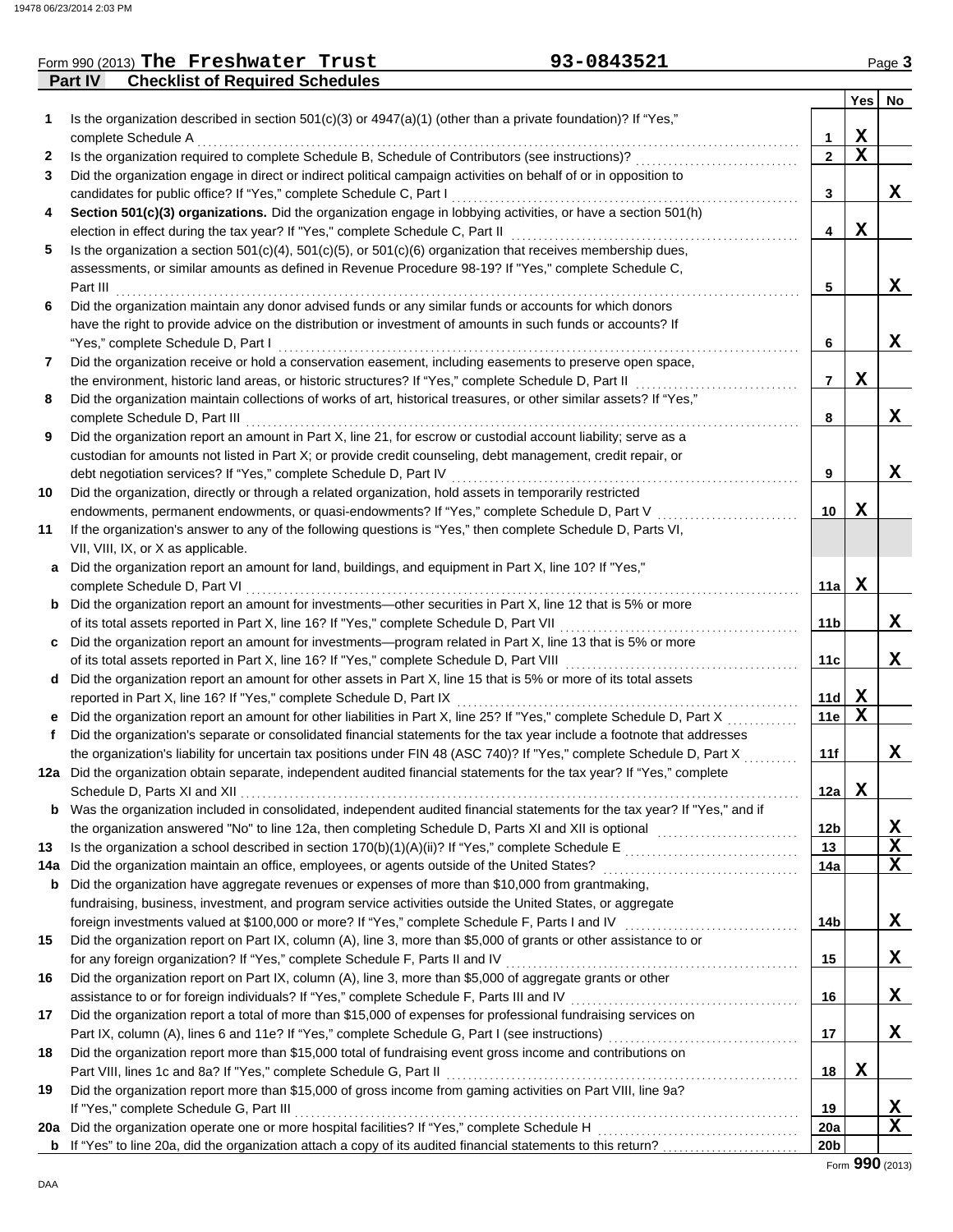### **Part IV Checklist of Required Schedules** Form 990 (2013) The Freshwater Trust **93-0843521** Page 3

| 1   | Is the organization described in section $501(c)(3)$ or $4947(a)(1)$ (other than a private foundation)? If "Yes,"                                                                         |                 | <b>Yes</b>  | No          |
|-----|-------------------------------------------------------------------------------------------------------------------------------------------------------------------------------------------|-----------------|-------------|-------------|
|     | complete Schedule A                                                                                                                                                                       | 1               | X           |             |
| 2   | Is the organization required to complete Schedule B, Schedule of Contributors (see instructions)?                                                                                         | $\mathbf{2}$    | $\mathbf x$ |             |
| 3   | Did the organization engage in direct or indirect political campaign activities on behalf of or in opposition to                                                                          |                 |             |             |
|     | candidates for public office? If "Yes," complete Schedule C, Part I                                                                                                                       | 3               |             | X.          |
| 4   | Section 501(c)(3) organizations. Did the organization engage in lobbying activities, or have a section 501(h)                                                                             |                 |             |             |
|     | election in effect during the tax year? If "Yes," complete Schedule C, Part II                                                                                                            | 4               | x           |             |
| 5   | Is the organization a section $501(c)(4)$ , $501(c)(5)$ , or $501(c)(6)$ organization that receives membership dues,                                                                      |                 |             |             |
|     | assessments, or similar amounts as defined in Revenue Procedure 98-19? If "Yes," complete Schedule C,                                                                                     |                 |             |             |
|     | Part III                                                                                                                                                                                  | 5               |             | X           |
| 6   | Did the organization maintain any donor advised funds or any similar funds or accounts for which donors                                                                                   |                 |             |             |
|     | have the right to provide advice on the distribution or investment of amounts in such funds or accounts? If                                                                               |                 |             |             |
|     | "Yes," complete Schedule D, Part I                                                                                                                                                        | 6               |             | X.          |
| 7   | Did the organization receive or hold a conservation easement, including easements to preserve open space,                                                                                 |                 |             |             |
|     | the environment, historic land areas, or historic structures? If "Yes," complete Schedule D, Part II                                                                                      | 7               | x           |             |
| 8   | Did the organization maintain collections of works of art, historical treasures, or other similar assets? If "Yes,"                                                                       |                 |             |             |
|     | complete Schedule D, Part III                                                                                                                                                             | 8               |             | x           |
| 9   | Did the organization report an amount in Part X, line 21, for escrow or custodial account liability; serve as a                                                                           |                 |             |             |
|     | custodian for amounts not listed in Part X; or provide credit counseling, debt management, credit repair, or                                                                              |                 |             |             |
|     | debt negotiation services? If "Yes," complete Schedule D, Part IV                                                                                                                         | 9               |             | X           |
| 10  | Did the organization, directly or through a related organization, hold assets in temporarily restricted                                                                                   |                 |             |             |
|     | endowments, permanent endowments, or quasi-endowments? If "Yes," complete Schedule D, Part V                                                                                              | 10              | x           |             |
| 11  | If the organization's answer to any of the following questions is "Yes," then complete Schedule D, Parts VI,                                                                              |                 |             |             |
|     | VII, VIII, IX, or X as applicable.                                                                                                                                                        |                 |             |             |
| a   | Did the organization report an amount for land, buildings, and equipment in Part X, line 10? If "Yes,"                                                                                    |                 |             |             |
|     | complete Schedule D, Part VI                                                                                                                                                              | 11a             | X           |             |
|     | <b>b</b> Did the organization report an amount for investments—other securities in Part X, line 12 that is 5% or more                                                                     |                 |             |             |
|     | of its total assets reported in Part X, line 16? If "Yes," complete Schedule D, Part VII                                                                                                  | 11 <sub>b</sub> |             | x           |
|     | c Did the organization report an amount for investments—program related in Part X, line 13 that is 5% or more                                                                             |                 |             |             |
|     | of its total assets reported in Part X, line 16? If "Yes," complete Schedule D, Part VIII                                                                                                 | 11c             |             | X           |
|     | d Did the organization report an amount for other assets in Part X, line 15 that is 5% or more of its total assets<br>reported in Part X, line 16? If "Yes," complete Schedule D, Part IX | 11d             | X           |             |
| е   | Did the organization report an amount for other liabilities in Part X, line 25? If "Yes," complete Schedule D, Part X                                                                     | 11e             | $\mathbf x$ |             |
| f   | Did the organization's separate or consolidated financial statements for the tax year include a footnote that addresses                                                                   |                 |             |             |
|     | the organization's liability for uncertain tax positions under FIN 48 (ASC 740)? If "Yes," complete Schedule D, Part X                                                                    | 11f             |             | x           |
|     | 12a Did the organization obtain separate, independent audited financial statements for the tax year? If "Yes," complete                                                                   |                 |             |             |
|     | Schedule D, Parts XI and XII                                                                                                                                                              | 12a             | x           |             |
| b   | Was the organization included in consolidated, independent audited financial statements for the tax year? If "Yes," and if                                                                |                 |             |             |
|     | the organization answered "No" to line 12a, then completing Schedule D, Parts XI and XII is optional [[[[[[[[[                                                                            | 12 <sub>b</sub> |             | X           |
| 13  |                                                                                                                                                                                           | 13              |             | X           |
| 14a | Did the organization maintain an office, employees, or agents outside of the United States?                                                                                               | 14a             |             | $\mathbf x$ |
| b   | Did the organization have aggregate revenues or expenses of more than \$10,000 from grantmaking,                                                                                          |                 |             |             |
|     | fundraising, business, investment, and program service activities outside the United States, or aggregate                                                                                 |                 |             |             |
|     |                                                                                                                                                                                           | 14b             |             | X           |
| 15  | Did the organization report on Part IX, column (A), line 3, more than \$5,000 of grants or other assistance to or                                                                         |                 |             |             |
|     | for any foreign organization? If "Yes," complete Schedule F, Parts II and IV                                                                                                              | 15              |             | X.          |
| 16  | Did the organization report on Part IX, column (A), line 3, more than \$5,000 of aggregate grants or other                                                                                |                 |             |             |
|     |                                                                                                                                                                                           | 16              |             | X.          |
| 17  | Did the organization report a total of more than \$15,000 of expenses for professional fundraising services on                                                                            |                 |             |             |
|     |                                                                                                                                                                                           | 17              |             | X,          |
| 18  | Did the organization report more than \$15,000 total of fundraising event gross income and contributions on                                                                               |                 |             |             |
|     | Part VIII, lines 1c and 8a? If "Yes," complete Schedule G, Part II                                                                                                                        | 18              | X           |             |
| 19  | Did the organization report more than \$15,000 of gross income from gaming activities on Part VIII, line 9a?                                                                              |                 |             |             |
|     | If "Yes," complete Schedule G, Part III                                                                                                                                                   | 19              |             | X           |
| 20a | Did the organization operate one or more hospital facilities? If "Yes," complete Schedule H                                                                                               | 20a             |             | $\mathbf x$ |
| b   |                                                                                                                                                                                           | 20 <sub>b</sub> |             |             |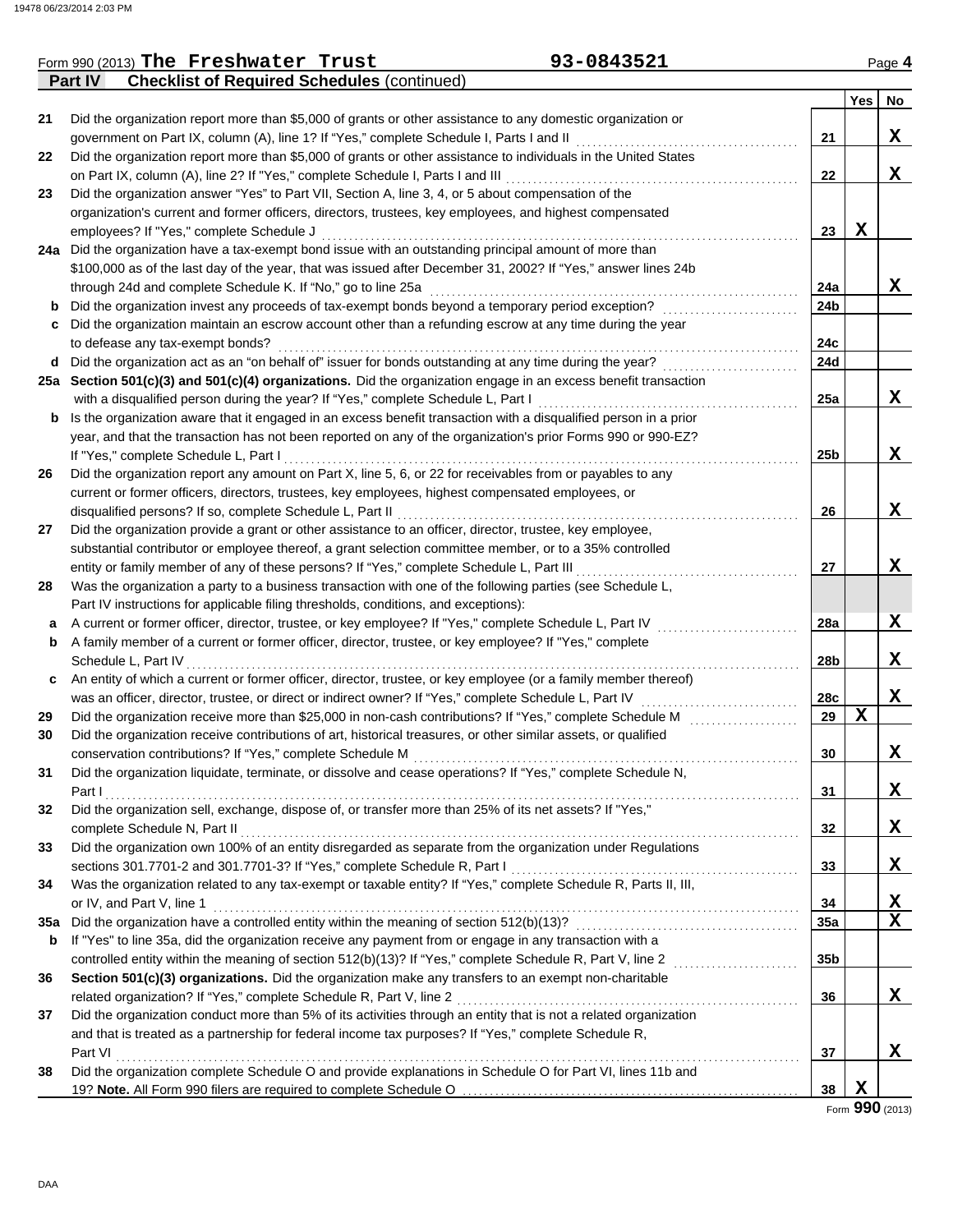|     | 93-0843521<br>Form 990 (2013) The Freshwater Trust                                                                                                                          |                 |             | Page 4      |
|-----|-----------------------------------------------------------------------------------------------------------------------------------------------------------------------------|-----------------|-------------|-------------|
|     | <b>Checklist of Required Schedules (continued)</b><br><b>Part IV</b>                                                                                                        |                 |             |             |
|     |                                                                                                                                                                             |                 | Yes No      |             |
| 21  | Did the organization report more than \$5,000 of grants or other assistance to any domestic organization or                                                                 |                 |             |             |
|     | government on Part IX, column (A), line 1? If "Yes," complete Schedule I, Parts I and II                                                                                    | 21              |             | X           |
| 22  | Did the organization report more than \$5,000 of grants or other assistance to individuals in the United States                                                             |                 |             |             |
|     | on Part IX, column (A), line 2? If "Yes," complete Schedule I, Parts I and III                                                                                              | 22              |             | $\mathbf x$ |
| 23  | Did the organization answer "Yes" to Part VII, Section A, line 3, 4, or 5 about compensation of the                                                                         |                 |             |             |
|     | organization's current and former officers, directors, trustees, key employees, and highest compensated                                                                     |                 |             |             |
|     | employees? If "Yes," complete Schedule J                                                                                                                                    | 23              | $\mathbf x$ |             |
|     | 24a Did the organization have a tax-exempt bond issue with an outstanding principal amount of more than                                                                     |                 |             |             |
|     | \$100,000 as of the last day of the year, that was issued after December 31, 2002? If "Yes," answer lines 24b                                                               |                 |             |             |
|     | through 24d and complete Schedule K. If "No," go to line 25a                                                                                                                | 24a             |             | X           |
| b   | Did the organization invest any proceeds of tax-exempt bonds beyond a temporary period exception?                                                                           | 24b             |             |             |
| С   | Did the organization maintain an escrow account other than a refunding escrow at any time during the year                                                                   |                 |             |             |
|     | to defease any tax-exempt bonds?                                                                                                                                            | 24c             |             |             |
| d   | Did the organization act as an "on behalf of" issuer for bonds outstanding at any time during the year?                                                                     | 24d             |             |             |
|     | 25a Section 501(c)(3) and 501(c)(4) organizations. Did the organization engage in an excess benefit transaction                                                             |                 |             |             |
|     | with a disqualified person during the year? If "Yes," complete Schedule L, Part I                                                                                           | 25a             |             | X           |
| b   | Is the organization aware that it engaged in an excess benefit transaction with a disqualified person in a prior                                                            |                 |             |             |
|     | year, and that the transaction has not been reported on any of the organization's prior Forms 990 or 990-EZ?                                                                |                 |             |             |
|     | If "Yes," complete Schedule L, Part I                                                                                                                                       | 25 <sub>b</sub> |             | X           |
| 26  | Did the organization report any amount on Part X, line 5, 6, or 22 for receivables from or payables to any                                                                  |                 |             |             |
|     | current or former officers, directors, trustees, key employees, highest compensated employees, or                                                                           |                 |             |             |
|     | disqualified persons? If so, complete Schedule L, Part II                                                                                                                   | 26              |             | X           |
| 27  | Did the organization provide a grant or other assistance to an officer, director, trustee, key employee,                                                                    |                 |             |             |
|     | substantial contributor or employee thereof, a grant selection committee member, or to a 35% controlled                                                                     |                 |             |             |
|     | entity or family member of any of these persons? If "Yes," complete Schedule L, Part III                                                                                    | 27              |             | X           |
| 28  | Was the organization a party to a business transaction with one of the following parties (see Schedule L,                                                                   |                 |             |             |
|     | Part IV instructions for applicable filing thresholds, conditions, and exceptions):                                                                                         |                 |             |             |
| а   | A current or former officer, director, trustee, or key employee? If "Yes," complete Schedule L, Part IV                                                                     | 28a             |             | X           |
| b   | A family member of a current or former officer, director, trustee, or key employee? If "Yes," complete                                                                      |                 |             |             |
|     | Schedule L, Part IV                                                                                                                                                         | 28b             |             | X           |
| c   | An entity of which a current or former officer, director, trustee, or key employee (or a family member thereof)                                                             |                 |             |             |
|     | was an officer, director, trustee, or direct or indirect owner? If "Yes," complete Schedule L, Part IV                                                                      | 28c             |             | X           |
|     | Did the organization receive more than \$25,000 in non-cash contributions? If "Yes," complete Schedule M                                                                    | 29              | $\mathbf x$ |             |
| 29  |                                                                                                                                                                             |                 |             |             |
| 30  | Did the organization receive contributions of art, historical treasures, or other similar assets, or qualified<br>conservation contributions? If "Yes," complete Schedule M | 30              |             | X           |
|     |                                                                                                                                                                             |                 |             |             |
| 31  | Did the organization liquidate, terminate, or dissolve and cease operations? If "Yes," complete Schedule N,                                                                 | 31              |             | X           |
|     | Part I                                                                                                                                                                      |                 |             |             |
| 32  | Did the organization sell, exchange, dispose of, or transfer more than 25% of its net assets? If "Yes,"                                                                     |                 |             |             |
|     | complete Schedule N, Part II                                                                                                                                                | 32              |             | X           |
| 33  | Did the organization own 100% of an entity disregarded as separate from the organization under Regulations                                                                  |                 |             |             |
|     | sections 301.7701-2 and 301.7701-3? If "Yes," complete Schedule R, Part I                                                                                                   | 33              |             | X           |
| 34  | Was the organization related to any tax-exempt or taxable entity? If "Yes," complete Schedule R, Parts II, III,                                                             |                 |             |             |
|     | or IV, and Part V, line 1                                                                                                                                                   | 34              |             | X           |
| 35a | Did the organization have a controlled entity within the meaning of section 512(b)(13)?                                                                                     | 35a             |             | $\mathbf X$ |
| b   | If "Yes" to line 35a, did the organization receive any payment from or engage in any transaction with a                                                                     |                 |             |             |
|     | controlled entity within the meaning of section 512(b)(13)? If "Yes," complete Schedule R, Part V, line 2                                                                   | 35 <sub>b</sub> |             |             |
| 36  | Section 501(c)(3) organizations. Did the organization make any transfers to an exempt non-charitable                                                                        |                 |             |             |
|     | related organization? If "Yes," complete Schedule R, Part V, line 2                                                                                                         | 36              |             | X           |
| 37  | Did the organization conduct more than 5% of its activities through an entity that is not a related organization                                                            |                 |             |             |
|     | and that is treated as a partnership for federal income tax purposes? If "Yes," complete Schedule R,                                                                        |                 |             |             |
|     | Part VI                                                                                                                                                                     | 37              |             | x           |
| 38  | Did the organization complete Schedule O and provide explanations in Schedule O for Part VI, lines 11b and                                                                  |                 |             |             |
|     | 19? Note. All Form 990 filers are required to complete Schedule O                                                                                                           | 38              | X           |             |

Form **990** (2013)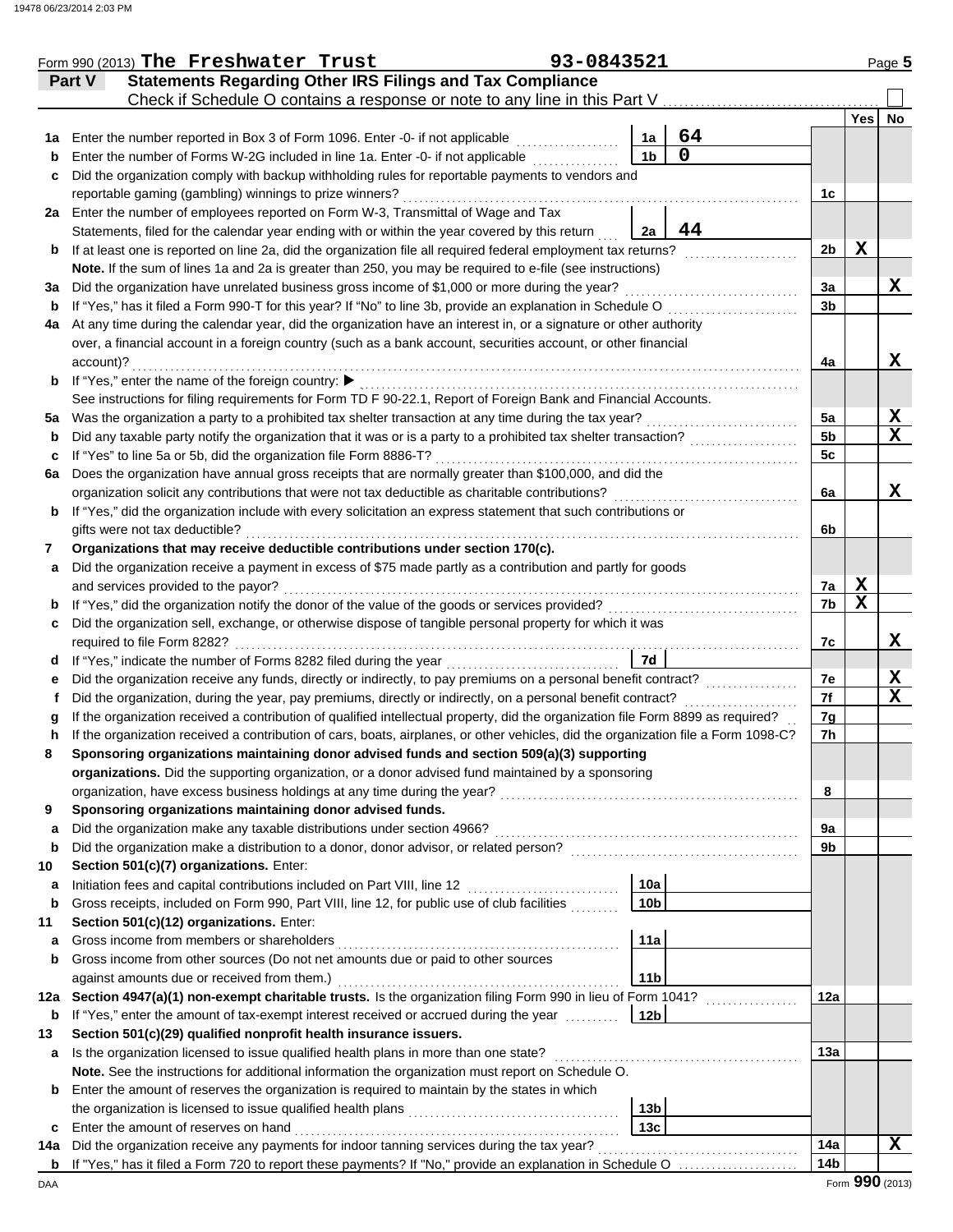|        | Form 990 (2013) The Freshwater Trust                                                                                               | 93-0843521 |                 |    |                 |     | Page 5          |
|--------|------------------------------------------------------------------------------------------------------------------------------------|------------|-----------------|----|-----------------|-----|-----------------|
|        | <b>Statements Regarding Other IRS Filings and Tax Compliance</b><br>Part V                                                         |            |                 |    |                 |     |                 |
|        | Check if Schedule O contains a response or note to any line in this Part V                                                         |            |                 |    |                 |     |                 |
|        |                                                                                                                                    |            |                 |    |                 | Yes | No              |
| 1a     | Enter the number reported in Box 3 of Form 1096. Enter -0- if not applicable                                                       |            | 1a              | 64 |                 |     |                 |
| b      | Enter the number of Forms W-2G included in line 1a. Enter -0- if not applicable                                                    |            | 1 <sub>b</sub>  | 0  |                 |     |                 |
| c      | Did the organization comply with backup withholding rules for reportable payments to vendors and                                   |            |                 |    |                 |     |                 |
|        | reportable gaming (gambling) winnings to prize winners?                                                                            |            |                 |    | 1c              |     |                 |
|        | 2a Enter the number of employees reported on Form W-3, Transmittal of Wage and Tax                                                 |            |                 |    |                 |     |                 |
|        | Statements, filed for the calendar year ending with or within the year covered by this return                                      |            | 2a              | 44 |                 |     |                 |
| b      | If at least one is reported on line 2a, did the organization file all required federal employment tax returns?                     |            |                 |    | 2 <sub>b</sub>  | X   |                 |
|        | Note. If the sum of lines 1a and 2a is greater than 250, you may be required to e-file (see instructions)                          |            |                 |    |                 |     |                 |
| За     | Did the organization have unrelated business gross income of \$1,000 or more during the year?                                      |            |                 |    | За              |     | X               |
| b      | If "Yes," has it filed a Form 990-T for this year? If "No" to line 3b, provide an explanation in Schedule O                        |            |                 |    | 3b              |     |                 |
| 4a     | At any time during the calendar year, did the organization have an interest in, or a signature or other authority                  |            |                 |    |                 |     |                 |
|        | over, a financial account in a foreign country (such as a bank account, securities account, or other financial                     |            |                 |    |                 |     |                 |
|        | account)?                                                                                                                          |            |                 |    | 4a              |     | x               |
| b      | If "Yes," enter the name of the foreign country: ▶                                                                                 |            |                 |    |                 |     |                 |
|        | See instructions for filing requirements for Form TD F 90-22.1, Report of Foreign Bank and Financial Accounts.                     |            |                 |    |                 |     |                 |
| 5а     | Was the organization a party to a prohibited tax shelter transaction at any time during the tax year?                              |            |                 |    | 5a              |     | X               |
| b      | Did any taxable party notify the organization that it was or is a party to a prohibited tax shelter transaction?                   |            |                 |    | 5 <sub>b</sub>  |     | $\mathbf x$     |
| c      | If "Yes" to line 5a or 5b, did the organization file Form 8886-T?                                                                  |            |                 |    | 5c              |     |                 |
| 6a     | Does the organization have annual gross receipts that are normally greater than \$100,000, and did the                             |            |                 |    |                 |     |                 |
|        | organization solicit any contributions that were not tax deductible as charitable contributions?                                   |            |                 |    | 6a              |     | X               |
| b      | If "Yes," did the organization include with every solicitation an express statement that such contributions or                     |            |                 |    |                 |     |                 |
|        | gifts were not tax deductible?                                                                                                     |            |                 |    | 6b              |     |                 |
| 7      | Organizations that may receive deductible contributions under section 170(c).                                                      |            |                 |    |                 |     |                 |
| a      | Did the organization receive a payment in excess of \$75 made partly as a contribution and partly for goods                        |            |                 |    |                 |     |                 |
|        | and services provided to the payor?                                                                                                |            |                 |    | 7a              | X   |                 |
| b      | If "Yes," did the organization notify the donor of the value of the goods or services provided?                                    |            |                 |    | 7b              | X   |                 |
| c      | Did the organization sell, exchange, or otherwise dispose of tangible personal property for which it was                           |            |                 |    |                 |     |                 |
|        | required to file Form 8282?                                                                                                        |            | 7d              |    | 7c              |     | X               |
| d      | Did the organization receive any funds, directly or indirectly, to pay premiums on a personal benefit contract?                    |            |                 |    | 7e              |     | X               |
| е<br>Ť | Did the organization, during the year, pay premiums, directly or indirectly, on a personal benefit contract?                       |            |                 |    | 7f              |     | X               |
| a      | If the organization received a contribution of qualified intellectual property, did the organization file Form 8899 as required?   |            |                 |    | 7g              |     |                 |
|        | If the organization received a contribution of cars, boats, airplanes, or other vehicles, did the organization file a Form 1098-C? |            |                 |    | 7h              |     |                 |
|        | Sponsoring organizations maintaining donor advised funds and section 509(a)(3) supporting                                          |            |                 |    |                 |     |                 |
|        | organizations. Did the supporting organization, or a donor advised fund maintained by a sponsoring                                 |            |                 |    |                 |     |                 |
|        | organization, have excess business holdings at any time during the year?                                                           |            |                 |    | 8               |     |                 |
| 9      | Sponsoring organizations maintaining donor advised funds.                                                                          |            |                 |    |                 |     |                 |
| a      | Did the organization make any taxable distributions under section 4966?                                                            |            |                 |    | 9а              |     |                 |
| b      | Did the organization make a distribution to a donor, donor advisor, or related person?                                             |            |                 |    | 9b              |     |                 |
| 10     | Section 501(c)(7) organizations. Enter:                                                                                            |            |                 |    |                 |     |                 |
| а      | Initiation fees and capital contributions included on Part VIII, line 12                                                           |            | 10a             |    |                 |     |                 |
| b      | Gross receipts, included on Form 990, Part VIII, line 12, for public use of club facilities                                        |            | 10 <sub>b</sub> |    |                 |     |                 |
| 11     | Section 501(c)(12) organizations. Enter:                                                                                           |            |                 |    |                 |     |                 |
| a      | Gross income from members or shareholders                                                                                          |            | 11a             |    |                 |     |                 |
| b      | Gross income from other sources (Do not net amounts due or paid to other sources                                                   |            |                 |    |                 |     |                 |
|        | against amounts due or received from them.)                                                                                        |            | 11 <sub>b</sub> |    |                 |     |                 |
| 12a    | Section 4947(a)(1) non-exempt charitable trusts. Is the organization filing Form 990 in lieu of Form 1041?                         |            |                 |    | 12a             |     |                 |
| b      | If "Yes," enter the amount of tax-exempt interest received or accrued during the year                                              |            | 12 <sub>b</sub> |    |                 |     |                 |
| 13     | Section 501(c)(29) qualified nonprofit health insurance issuers.                                                                   |            |                 |    |                 |     |                 |
| a      | Is the organization licensed to issue qualified health plans in more than one state?                                               |            |                 |    | 13a             |     |                 |
|        | Note. See the instructions for additional information the organization must report on Schedule O.                                  |            |                 |    |                 |     |                 |
| b      | Enter the amount of reserves the organization is required to maintain by the states in which                                       |            |                 |    |                 |     |                 |
|        | the organization is licensed to issue qualified health plans                                                                       |            | 13 <sub>b</sub> |    |                 |     |                 |
| c      | Enter the amount of reserves on hand                                                                                               |            | 13c             |    |                 |     |                 |
| 14a    | Did the organization receive any payments for indoor tanning services during the tax year?                                         |            |                 |    | 14a             |     | X               |
| b      | If "Yes," has it filed a Form 720 to report these payments? If "No," provide an explanation in Schedule O                          |            |                 |    | 14 <sub>b</sub> |     |                 |
| DAA    |                                                                                                                                    |            |                 |    |                 |     | Form 990 (2013) |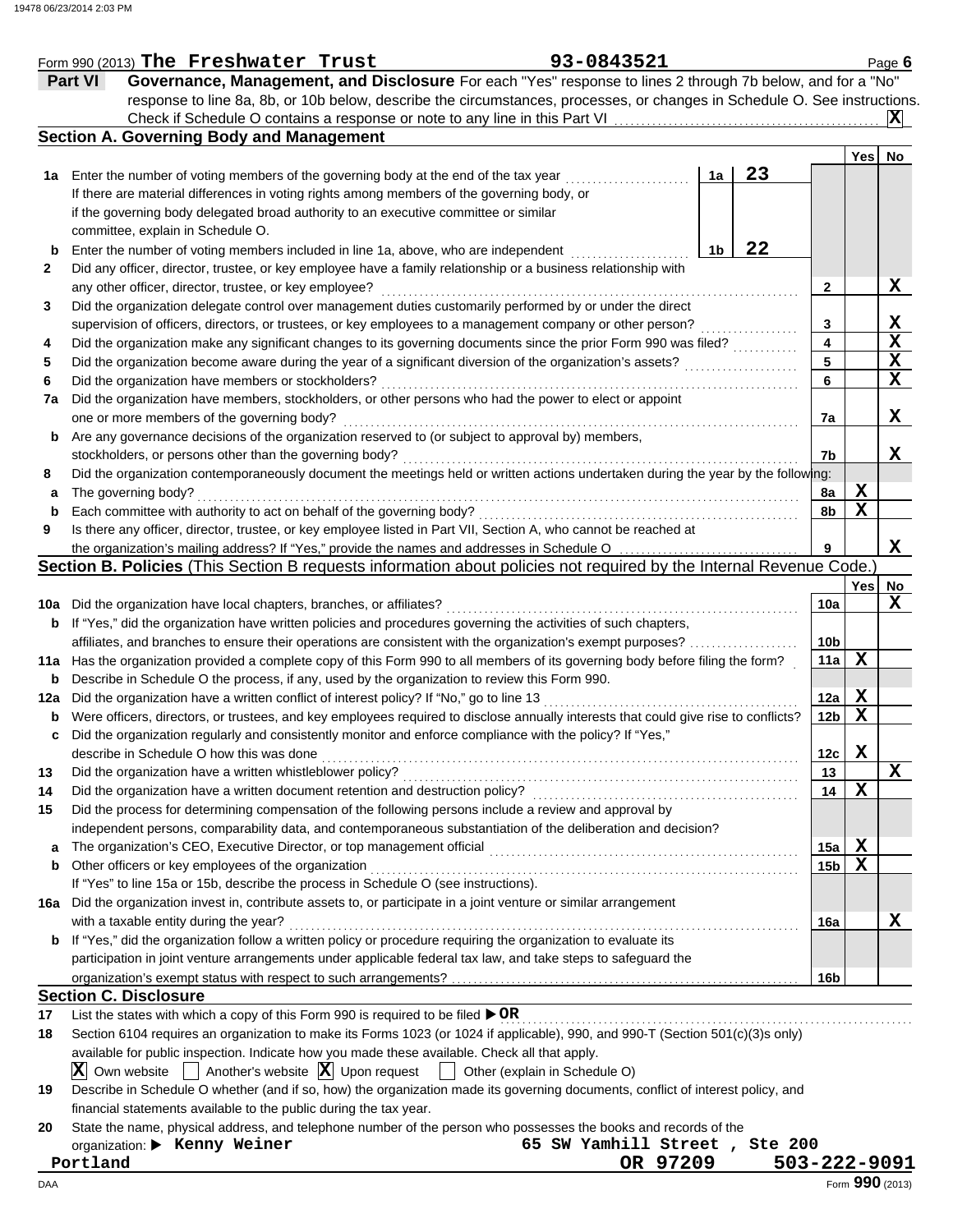|     | Form 990 (2013) The Freshwater Trust                                                                                                | 93-0843521                    |                |    |                 |             | Page $6$        |  |  |  |
|-----|-------------------------------------------------------------------------------------------------------------------------------------|-------------------------------|----------------|----|-----------------|-------------|-----------------|--|--|--|
|     | Governance, Management, and Disclosure For each "Yes" response to lines 2 through 7b below, and for a "No"<br><b>Part VI</b>        |                               |                |    |                 |             |                 |  |  |  |
|     | response to line 8a, 8b, or 10b below, describe the circumstances, processes, or changes in Schedule O. See instructions.           |                               |                |    |                 |             |                 |  |  |  |
|     |                                                                                                                                     |                               |                |    |                 |             | $ {\bf X} $     |  |  |  |
|     | <b>Section A. Governing Body and Management</b>                                                                                     |                               |                |    |                 |             |                 |  |  |  |
|     |                                                                                                                                     |                               |                |    |                 | Yes         | No              |  |  |  |
|     | 1a Enter the number of voting members of the governing body at the end of the tax year                                              |                               | 1a             | 23 |                 |             |                 |  |  |  |
|     | If there are material differences in voting rights among members of the governing body, or                                          |                               |                |    |                 |             |                 |  |  |  |
|     | if the governing body delegated broad authority to an executive committee or similar                                                |                               |                |    |                 |             |                 |  |  |  |
|     | committee, explain in Schedule O.                                                                                                   |                               |                |    |                 |             |                 |  |  |  |
|     |                                                                                                                                     |                               | 1 <sub>b</sub> | 22 |                 |             |                 |  |  |  |
| b   | Enter the number of voting members included in line 1a, above, who are independent                                                  |                               |                |    |                 |             |                 |  |  |  |
| 2   | Did any officer, director, trustee, or key employee have a family relationship or a business relationship with                      |                               |                |    |                 |             |                 |  |  |  |
|     | any other officer, director, trustee, or key employee?                                                                              |                               |                |    | 2               |             | X               |  |  |  |
| 3   | Did the organization delegate control over management duties customarily performed by or under the direct                           |                               |                |    |                 |             |                 |  |  |  |
|     | supervision of officers, directors, or trustees, or key employees to a management company or other person?                          |                               |                |    | 3               |             | X               |  |  |  |
| 4   | Did the organization make any significant changes to its governing documents since the prior Form 990 was filed?                    |                               |                |    | 4               |             | $\mathbf x$     |  |  |  |
| 5   | Did the organization become aware during the year of a significant diversion of the organization's assets?                          |                               |                |    | 5               |             | X               |  |  |  |
| 6   | Did the organization have members or stockholders?                                                                                  |                               |                |    | 6               |             | $\mathbf{x}$    |  |  |  |
| 7a  | Did the organization have members, stockholders, or other persons who had the power to elect or appoint                             |                               |                |    |                 |             |                 |  |  |  |
|     | one or more members of the governing body?                                                                                          |                               |                |    | 7a              |             | X               |  |  |  |
| b   | Are any governance decisions of the organization reserved to (or subject to approval by) members,                                   |                               |                |    |                 |             |                 |  |  |  |
|     | stockholders, or persons other than the governing body?                                                                             |                               |                |    | 7b              |             | x               |  |  |  |
| 8   | Did the organization contemporaneously document the meetings held or written actions undertaken during the year by the following:   |                               |                |    |                 |             |                 |  |  |  |
| a   | The governing body?                                                                                                                 |                               |                |    | 8a              | X           |                 |  |  |  |
| b   | Each committee with authority to act on behalf of the governing body?                                                               |                               |                |    | 8b              | $\mathbf x$ |                 |  |  |  |
| 9   | Is there any officer, director, trustee, or key employee listed in Part VII, Section A, who cannot be reached at                    |                               |                |    |                 |             |                 |  |  |  |
|     | the organization's mailing address? If "Yes," provide the names and addresses in Schedule O                                         |                               |                |    | 9               |             | X               |  |  |  |
|     | Section B. Policies (This Section B requests information about policies not required by the Internal Revenue Code.)                 |                               |                |    |                 |             |                 |  |  |  |
|     |                                                                                                                                     |                               |                |    |                 | Yes         | No              |  |  |  |
|     |                                                                                                                                     |                               |                |    | 10a             |             | X               |  |  |  |
| 10a | Did the organization have local chapters, branches, or affiliates?                                                                  |                               |                |    |                 |             |                 |  |  |  |
| b   | If "Yes," did the organization have written policies and procedures governing the activities of such chapters,                      |                               |                |    |                 |             |                 |  |  |  |
|     | affiliates, and branches to ensure their operations are consistent with the organization's exempt purposes?                         |                               |                |    | 10 <sub>b</sub> |             |                 |  |  |  |
| 11a | Has the organization provided a complete copy of this Form 990 to all members of its governing body before filing the form?         |                               |                |    | 11a             | X           |                 |  |  |  |
| b   | Describe in Schedule O the process, if any, used by the organization to review this Form 990.                                       |                               |                |    |                 |             |                 |  |  |  |
| 12a | Did the organization have a written conflict of interest policy? If "No," go to line 13                                             |                               |                |    | 12a             | X           |                 |  |  |  |
| b   | Were officers, directors, or trustees, and key employees required to disclose annually interests that could give rise to conflicts? |                               |                |    | 12 <sub>b</sub> | $\mathbf X$ |                 |  |  |  |
|     | Did the organization regularly and consistently monitor and enforce compliance with the policy? If "Yes,"                           |                               |                |    |                 |             |                 |  |  |  |
|     | describe in Schedule O how this was done                                                                                            |                               |                |    | 12c             | X           |                 |  |  |  |
| 13  | Did the organization have a written whistleblower policy?                                                                           |                               |                |    | 13              |             | X               |  |  |  |
| 14  | Did the organization have a written document retention and destruction policy?                                                      |                               |                |    | 14              | $\mathbf X$ |                 |  |  |  |
| 15  | Did the process for determining compensation of the following persons include a review and approval by                              |                               |                |    |                 |             |                 |  |  |  |
|     | independent persons, comparability data, and contemporaneous substantiation of the deliberation and decision?                       |                               |                |    |                 |             |                 |  |  |  |
| a   | The organization's CEO, Executive Director, or top management official                                                              |                               |                |    | 15a             | X           |                 |  |  |  |
| b   | Other officers or key employees of the organization                                                                                 |                               |                |    | 15 <sub>b</sub> | $\mathbf x$ |                 |  |  |  |
|     | If "Yes" to line 15a or 15b, describe the process in Schedule O (see instructions).                                                 |                               |                |    |                 |             |                 |  |  |  |
|     | 16a Did the organization invest in, contribute assets to, or participate in a joint venture or similar arrangement                  |                               |                |    |                 |             |                 |  |  |  |
|     | with a taxable entity during the year?                                                                                              |                               |                |    | 16a             |             | X               |  |  |  |
| b   | If "Yes," did the organization follow a written policy or procedure requiring the organization to evaluate its                      |                               |                |    |                 |             |                 |  |  |  |
|     | participation in joint venture arrangements under applicable federal tax law, and take steps to safeguard the                       |                               |                |    |                 |             |                 |  |  |  |
|     |                                                                                                                                     |                               |                |    |                 |             |                 |  |  |  |
|     | <b>Section C. Disclosure</b>                                                                                                        |                               |                |    | 16b             |             |                 |  |  |  |
|     |                                                                                                                                     |                               |                |    |                 |             |                 |  |  |  |
| 17  | List the states with which a copy of this Form 990 is required to be filed $\triangleright$ OR                                      |                               |                |    |                 |             |                 |  |  |  |
| 18  | Section 6104 requires an organization to make its Forms 1023 (or 1024 if applicable), 990, and 990-T (Section 501(c)(3)s only)      |                               |                |    |                 |             |                 |  |  |  |
|     | available for public inspection. Indicate how you made these available. Check all that apply.                                       |                               |                |    |                 |             |                 |  |  |  |
|     | $ \mathbf{X} $ Own website $ \cdot $ Another's website $ \mathbf{X} $ Upon request<br>Other (explain in Schedule O)                 |                               |                |    |                 |             |                 |  |  |  |
| 19  | Describe in Schedule O whether (and if so, how) the organization made its governing documents, conflict of interest policy, and     |                               |                |    |                 |             |                 |  |  |  |
|     | financial statements available to the public during the tax year.                                                                   |                               |                |    |                 |             |                 |  |  |  |
| 20  | State the name, physical address, and telephone number of the person who possesses the books and records of the                     |                               |                |    |                 |             |                 |  |  |  |
|     | organization: > Kenny Weiner                                                                                                        | 65 SW Yamhill Street, Ste 200 |                |    |                 |             |                 |  |  |  |
|     | Portland                                                                                                                            | OR 97209                      |                |    | 503-222-9091    |             |                 |  |  |  |
| DAA |                                                                                                                                     |                               |                |    |                 |             | Form 990 (2013) |  |  |  |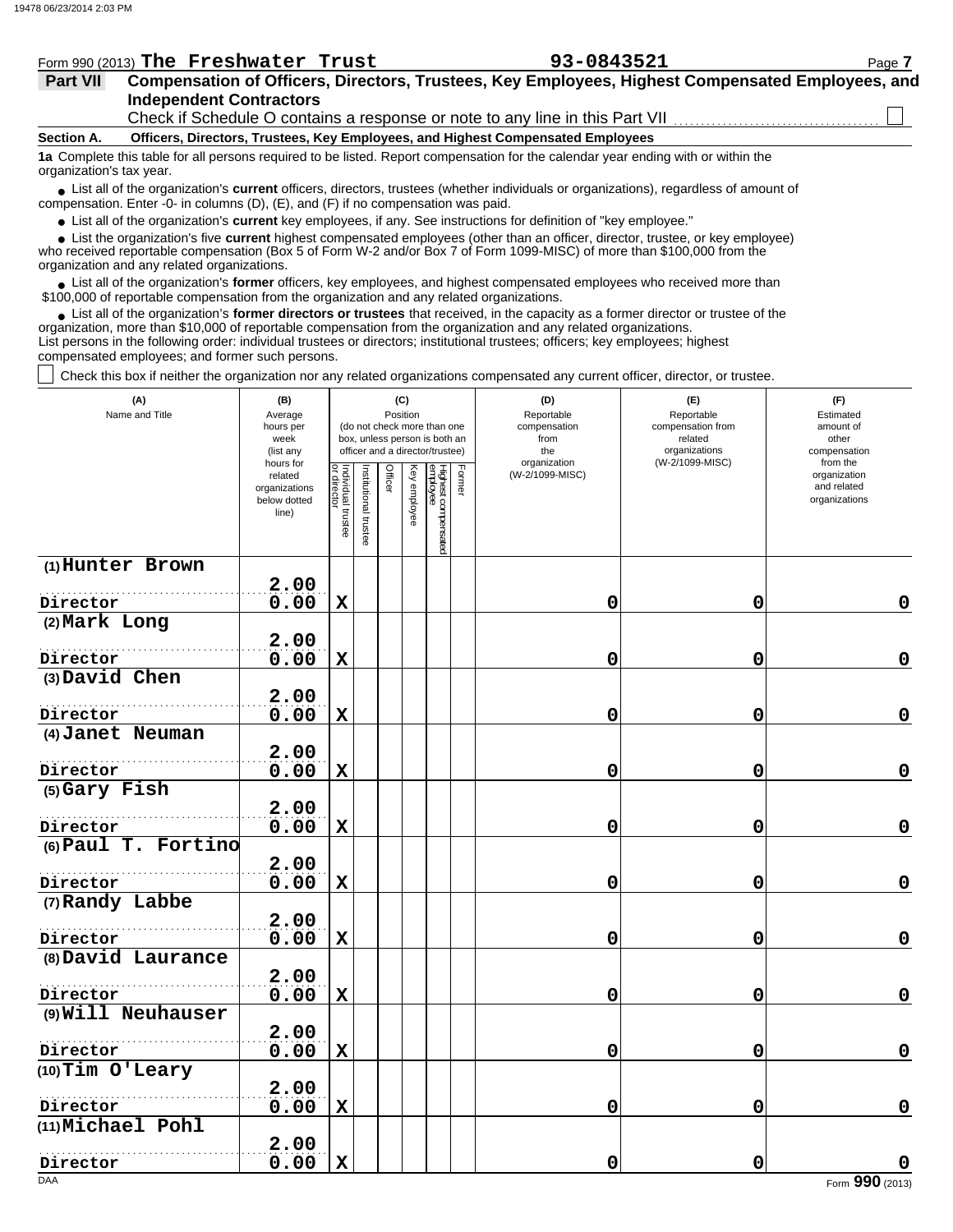|  | Form 990 (2013) The Freshwater Trust | 93-0843521 | Page |
|--|--------------------------------------|------------|------|
|  |                                      |            |      |

| <b>Part VII</b> | Compensation of Officers, Directors, Trustees, Key Employees, Highest Compensated Employees, and |
|-----------------|--------------------------------------------------------------------------------------------------|
|                 | <b>Independent Contractors</b>                                                                   |
|                 | Check if Schedule O contains a response or note to any line in this Part VII                     |

#### **Section A. Officers, Directors, Trustees, Key Employees, and Highest Compensated Employees**

**1a** Complete this table for all persons required to be listed. Report compensation for the calendar year ending with or within the organization's tax year.

■ List all of the organization's **current** officers, directors, trustees (whether individuals or organizations), regardless of amount of compensation. Enter -0- in columns (D), (E), and (F) if no compensation was paid.

● List all of the organization's **current** key employees, if any. See instructions for definition of "key employee."

 $\bullet$  List the organization's five **current** highest compensated employees (other than an officer, director, trustee, or key employee)<br>a received reportable compensation (Box 5 of Form  $M-2$  and/or Box 7 of Form 1000-MISC)

who received reportable compensation (Box 5 of Form W-2 and/or Box 7 of Form 1099-MISC) of more than \$100,000 from the organization and any related organizations.

● List all of the organization's **former** officers, key employees, and highest compensated employees who received more than<br>00,000 of reportable compensation from the erganization and any related erganizations. \$100,000 of reportable compensation from the organization and any related organizations.

• List all of the organization's **former directors or trustees** that received, in the capacity as a former director or trustee of the organization, more than \$10,000 of reportable compensation from the organization and any related organizations. List persons in the following order: individual trustees or directors; institutional trustees; officers; key employees; highest compensated employees; and former such persons.

Check this box if neither the organization nor any related organizations compensated any current officer, director, or trustee.

| (A)<br>Name and Title          | (C)<br>(B)<br>Position<br>Average<br>hours per<br>(do not check more than one<br>week<br>box, unless person is both an<br>officer and a director/trustee)<br>(list any<br>hours for |                                   |                      |         |              |                                           |  | (D)<br>Reportable<br>compensation<br>from<br>the<br>organization | (E)<br>Reportable<br>compensation from<br>related<br>organizations<br>(W-2/1099-MISC) | (F)<br>Estimated<br>amount of<br>other<br>compensation<br>from the |  |  |
|--------------------------------|-------------------------------------------------------------------------------------------------------------------------------------------------------------------------------------|-----------------------------------|----------------------|---------|--------------|-------------------------------------------|--|------------------------------------------------------------------|---------------------------------------------------------------------------------------|--------------------------------------------------------------------|--|--|
|                                | related<br>organizations<br>below dotted<br>line)                                                                                                                                   | Individual trustee<br>or director | nstitutional trustee | Officer | Key employee | Highest compensated<br>employee<br>Former |  | (W-2/1099-MISC)                                                  |                                                                                       | organization<br>and related<br>organizations                       |  |  |
| (1) Hunter Brown               | 2.00                                                                                                                                                                                |                                   |                      |         |              |                                           |  |                                                                  |                                                                                       |                                                                    |  |  |
| Director                       | 0.00                                                                                                                                                                                | $\mathbf x$                       |                      |         |              |                                           |  | 0                                                                | 0                                                                                     | $\mathbf 0$                                                        |  |  |
| (2) Mark Long                  |                                                                                                                                                                                     |                                   |                      |         |              |                                           |  |                                                                  |                                                                                       |                                                                    |  |  |
|                                | 2.00                                                                                                                                                                                |                                   |                      |         |              |                                           |  |                                                                  |                                                                                       |                                                                    |  |  |
| Director                       | 0.00                                                                                                                                                                                | $\mathbf X$                       |                      |         |              |                                           |  | 0                                                                | 0                                                                                     | $\mathbf 0$                                                        |  |  |
| (3) David Chen                 |                                                                                                                                                                                     |                                   |                      |         |              |                                           |  |                                                                  |                                                                                       |                                                                    |  |  |
|                                | 2.00                                                                                                                                                                                |                                   |                      |         |              |                                           |  |                                                                  |                                                                                       |                                                                    |  |  |
| Director                       | 0.00                                                                                                                                                                                | $\mathbf X$                       |                      |         |              |                                           |  | 0                                                                | 0                                                                                     | 0                                                                  |  |  |
| (4) Janet Neuman               | 2.00                                                                                                                                                                                |                                   |                      |         |              |                                           |  |                                                                  |                                                                                       |                                                                    |  |  |
| Director                       | 0.00                                                                                                                                                                                | $\mathbf x$                       |                      |         |              |                                           |  | 0                                                                | 0                                                                                     | $\mathbf 0$                                                        |  |  |
| (5) Gary Fish                  |                                                                                                                                                                                     |                                   |                      |         |              |                                           |  |                                                                  |                                                                                       |                                                                    |  |  |
|                                | 2.00                                                                                                                                                                                |                                   |                      |         |              |                                           |  |                                                                  |                                                                                       |                                                                    |  |  |
| Director                       | 0.00                                                                                                                                                                                | $\mathbf x$                       |                      |         |              |                                           |  | 0                                                                | $\mathbf 0$                                                                           | $\mathbf 0$                                                        |  |  |
| (6) Paul T. Fortino            |                                                                                                                                                                                     |                                   |                      |         |              |                                           |  |                                                                  |                                                                                       |                                                                    |  |  |
|                                | 2.00                                                                                                                                                                                |                                   |                      |         |              |                                           |  |                                                                  |                                                                                       |                                                                    |  |  |
| Director                       | 0.00                                                                                                                                                                                | X                                 |                      |         |              |                                           |  | 0                                                                | 0                                                                                     | $\mathbf 0$                                                        |  |  |
| (7) Randy Labbe                |                                                                                                                                                                                     |                                   |                      |         |              |                                           |  |                                                                  |                                                                                       |                                                                    |  |  |
|                                | 2.00                                                                                                                                                                                |                                   |                      |         |              |                                           |  |                                                                  |                                                                                       |                                                                    |  |  |
| Director<br>(8) David Laurance | 0.00                                                                                                                                                                                | $\mathbf X$                       |                      |         |              |                                           |  | 0                                                                | 0                                                                                     | $\mathbf 0$                                                        |  |  |
|                                | 2.00                                                                                                                                                                                |                                   |                      |         |              |                                           |  |                                                                  |                                                                                       |                                                                    |  |  |
| Director                       | 0.00                                                                                                                                                                                | $\mathbf X$                       |                      |         |              |                                           |  | 0                                                                | 0                                                                                     | $\mathbf 0$                                                        |  |  |
| (9) Will Neuhauser             |                                                                                                                                                                                     |                                   |                      |         |              |                                           |  |                                                                  |                                                                                       |                                                                    |  |  |
|                                | 2.00                                                                                                                                                                                |                                   |                      |         |              |                                           |  |                                                                  |                                                                                       |                                                                    |  |  |
| Director                       | 0.00                                                                                                                                                                                | $\mathbf X$                       |                      |         |              |                                           |  | 0                                                                | 0                                                                                     | $\mathbf 0$                                                        |  |  |
| (10) Tim O'Leary               |                                                                                                                                                                                     |                                   |                      |         |              |                                           |  |                                                                  |                                                                                       |                                                                    |  |  |
|                                | 2.00                                                                                                                                                                                |                                   |                      |         |              |                                           |  |                                                                  |                                                                                       |                                                                    |  |  |
| Director                       | 0.00                                                                                                                                                                                | $\mathbf x$                       |                      |         |              |                                           |  | 0                                                                | 0                                                                                     | $\pmb{0}$                                                          |  |  |
| (11) Michael Pohl              |                                                                                                                                                                                     |                                   |                      |         |              |                                           |  |                                                                  |                                                                                       |                                                                    |  |  |
|                                | 2.00                                                                                                                                                                                | $\mathbf X$                       |                      |         |              |                                           |  |                                                                  | 0                                                                                     |                                                                    |  |  |
| Director                       | 0.00                                                                                                                                                                                |                                   |                      |         |              |                                           |  | 0                                                                |                                                                                       | 0                                                                  |  |  |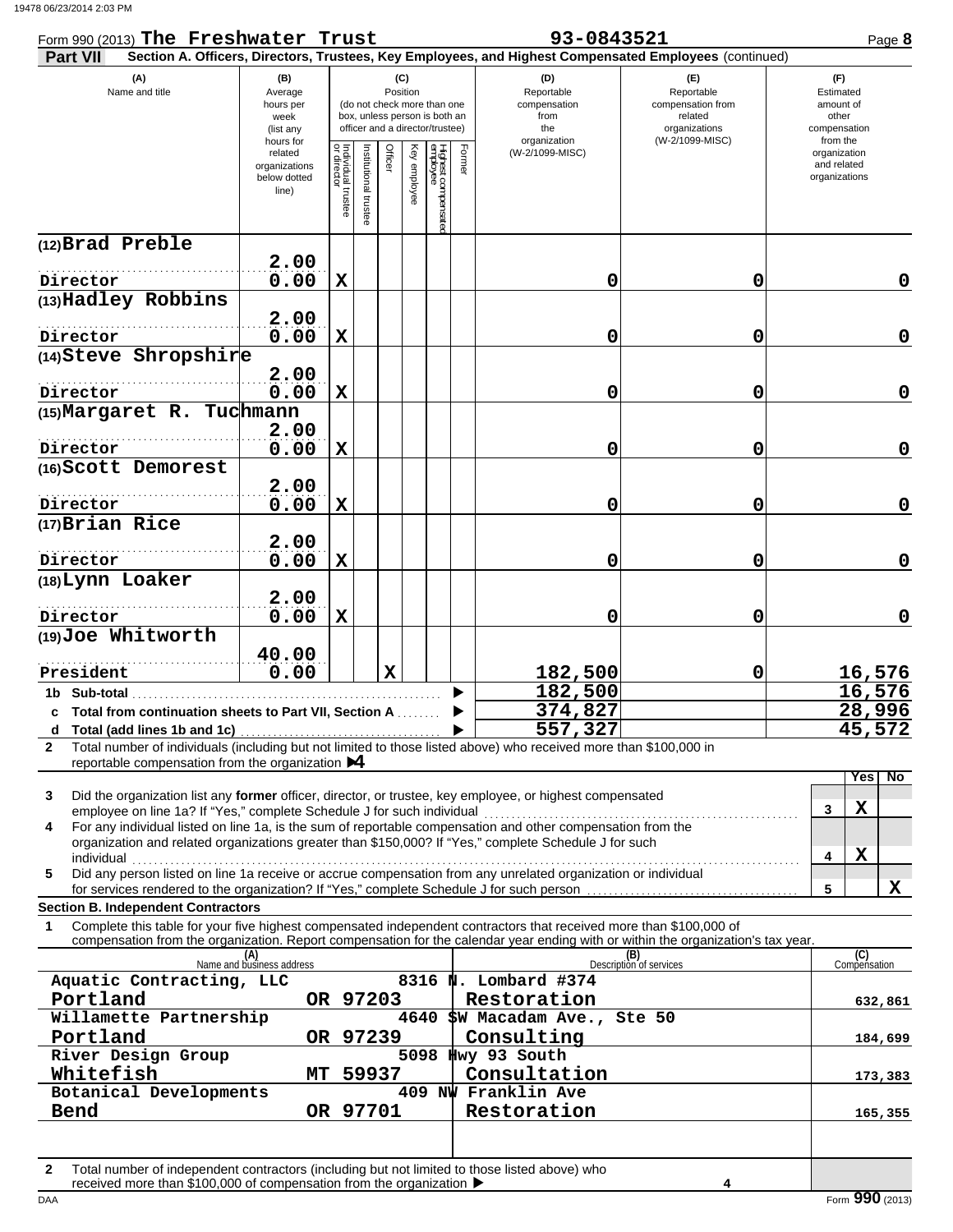| Form 990 (2013) The Freshwater Trust                                                                                                                                                                                                                                                                              |                                                                                                                                                                                     |                                   |                      |             |                                                | 93-0843521 | Page 8                                                                                                 |                                                                                       |                                                                    |
|-------------------------------------------------------------------------------------------------------------------------------------------------------------------------------------------------------------------------------------------------------------------------------------------------------------------|-------------------------------------------------------------------------------------------------------------------------------------------------------------------------------------|-----------------------------------|----------------------|-------------|------------------------------------------------|------------|--------------------------------------------------------------------------------------------------------|---------------------------------------------------------------------------------------|--------------------------------------------------------------------|
| <b>Part VII</b>                                                                                                                                                                                                                                                                                                   |                                                                                                                                                                                     |                                   |                      |             |                                                |            | Section A. Officers, Directors, Trustees, Key Employees, and Highest Compensated Employees (continued) |                                                                                       |                                                                    |
| (A)<br>Name and title                                                                                                                                                                                                                                                                                             | (B)<br>(C)<br>Position<br>Average<br>(do not check more than one<br>hours per<br>box, unless person is both an<br>week<br>officer and a director/trustee)<br>(list any<br>hours for |                                   |                      |             |                                                |            | (D)<br>Reportable<br>compensation<br>from<br>the<br>organization                                       | (F)<br>Reportable<br>compensation from<br>related<br>organizations<br>(W-2/1099-MISC) | (F)<br>Estimated<br>amount of<br>other<br>compensation<br>from the |
|                                                                                                                                                                                                                                                                                                                   | related<br>organizations<br>below dotted<br>line)                                                                                                                                   | Individual trustee<br>or director | Institutional truste | Officer     | Key employee<br>Highest compensate<br>employee | Form       | (W-2/1099-MISC)                                                                                        |                                                                                       | organization<br>and related<br>organizations                       |
| (12)Brad Preble                                                                                                                                                                                                                                                                                                   |                                                                                                                                                                                     |                                   |                      |             |                                                |            |                                                                                                        |                                                                                       |                                                                    |
| Director                                                                                                                                                                                                                                                                                                          | 2.00<br>0.00                                                                                                                                                                        | $\mathbf X$                       |                      |             |                                                |            | 0                                                                                                      | 0                                                                                     | 0                                                                  |
| (13) Hadley Robbins                                                                                                                                                                                                                                                                                               |                                                                                                                                                                                     |                                   |                      |             |                                                |            |                                                                                                        |                                                                                       |                                                                    |
|                                                                                                                                                                                                                                                                                                                   | 2.00                                                                                                                                                                                |                                   |                      |             |                                                |            |                                                                                                        |                                                                                       |                                                                    |
| Director<br>(14) Steve Shropshire                                                                                                                                                                                                                                                                                 | 0.00                                                                                                                                                                                | $\mathbf X$                       |                      |             |                                                |            | 0                                                                                                      | 0                                                                                     | 0                                                                  |
| Director                                                                                                                                                                                                                                                                                                          | 2.00<br>0.00                                                                                                                                                                        | $\mathbf x$                       |                      |             |                                                |            | 0                                                                                                      | 0                                                                                     | 0                                                                  |
| (15) Margaret R. Tuchmann                                                                                                                                                                                                                                                                                         |                                                                                                                                                                                     |                                   |                      |             |                                                |            |                                                                                                        |                                                                                       |                                                                    |
|                                                                                                                                                                                                                                                                                                                   | 2.00                                                                                                                                                                                |                                   |                      |             |                                                |            |                                                                                                        |                                                                                       |                                                                    |
| Director<br>(16) Scott Demorest                                                                                                                                                                                                                                                                                   | 0.00                                                                                                                                                                                | $\mathbf x$                       |                      |             |                                                |            | 0                                                                                                      | 0                                                                                     | 0                                                                  |
| Director                                                                                                                                                                                                                                                                                                          | 2.00<br>0.00                                                                                                                                                                        | $\mathbf x$                       |                      |             |                                                |            | 0                                                                                                      | 0                                                                                     | 0                                                                  |
| (17) Brian Rice                                                                                                                                                                                                                                                                                                   |                                                                                                                                                                                     |                                   |                      |             |                                                |            |                                                                                                        |                                                                                       |                                                                    |
| Director                                                                                                                                                                                                                                                                                                          | 2.00<br>0.00                                                                                                                                                                        | $\mathbf x$                       |                      |             |                                                |            | 0                                                                                                      | 0                                                                                     | $\mathbf 0$                                                        |
| (18) Lynn Loaker                                                                                                                                                                                                                                                                                                  | 2.00                                                                                                                                                                                |                                   |                      |             |                                                |            |                                                                                                        |                                                                                       |                                                                    |
| Director                                                                                                                                                                                                                                                                                                          | 0.00                                                                                                                                                                                | $\mathbf x$                       |                      |             |                                                |            | 0                                                                                                      | 0                                                                                     | $\mathbf 0$                                                        |
| (19) Joe Whitworth                                                                                                                                                                                                                                                                                                | 40.00                                                                                                                                                                               |                                   |                      |             |                                                |            |                                                                                                        |                                                                                       |                                                                    |
| President                                                                                                                                                                                                                                                                                                         | 0.00                                                                                                                                                                                |                                   |                      | $\mathbf x$ |                                                |            | 182,500                                                                                                | 0                                                                                     | <u>16,576</u>                                                      |
| 1b Sub-total                                                                                                                                                                                                                                                                                                      |                                                                                                                                                                                     |                                   |                      |             |                                                |            | 182,500<br>374,827                                                                                     |                                                                                       | 16,576<br>28,996                                                   |
| c Total from continuation sheets to Part VII, Section A                                                                                                                                                                                                                                                           |                                                                                                                                                                                     |                                   |                      |             |                                                |            | 557,327                                                                                                |                                                                                       | 45,572                                                             |
| Total number of individuals (including but not limited to those listed above) who received more than \$100,000 in<br>$\mathbf{2}$                                                                                                                                                                                 |                                                                                                                                                                                     |                                   |                      |             |                                                |            |                                                                                                        |                                                                                       |                                                                    |
| reportable compensation from the organization $\blacktriangleright$ 4                                                                                                                                                                                                                                             |                                                                                                                                                                                     |                                   |                      |             |                                                |            |                                                                                                        |                                                                                       | No<br>Yes                                                          |
| Did the organization list any former officer, director, or trustee, key employee, or highest compensated<br>3                                                                                                                                                                                                     |                                                                                                                                                                                     |                                   |                      |             |                                                |            |                                                                                                        |                                                                                       |                                                                    |
| employee on line 1a? If "Yes," complete Schedule J for such individual<br>For any individual listed on line 1a, is the sum of reportable compensation and other compensation from the<br>4<br>organization and related organizations greater than \$150,000? If "Yes," complete Schedule J for such<br>individual |                                                                                                                                                                                     |                                   |                      |             |                                                |            |                                                                                                        |                                                                                       | X<br>3<br>X<br>4                                                   |
| Did any person listed on line 1a receive or accrue compensation from any unrelated organization or individual<br>5                                                                                                                                                                                                |                                                                                                                                                                                     |                                   |                      |             |                                                |            |                                                                                                        |                                                                                       | X<br>5                                                             |
| for services rendered to the organization? If "Yes," complete Schedule J for such person.<br><b>Section B. Independent Contractors</b>                                                                                                                                                                            |                                                                                                                                                                                     |                                   |                      |             |                                                |            |                                                                                                        |                                                                                       |                                                                    |
| Complete this table for your five highest compensated independent contractors that received more than \$100,000 of<br>1<br>compensation from the organization. Report compensation for the calendar year ending with or within the organization's tax year.                                                       |                                                                                                                                                                                     |                                   |                      |             |                                                |            |                                                                                                        |                                                                                       |                                                                    |
|                                                                                                                                                                                                                                                                                                                   | (A)<br>Name and business address                                                                                                                                                    |                                   |                      |             |                                                |            |                                                                                                        | (B)<br>Description of services                                                        | (C)<br>Compensation                                                |
| Aquatic Contracting, LLC<br>Portland                                                                                                                                                                                                                                                                              | OR 97203                                                                                                                                                                            |                                   |                      |             |                                                |            | 8316 N. Lombard #374<br>Restoration                                                                    |                                                                                       | 632,861                                                            |
| Willamette Partnership                                                                                                                                                                                                                                                                                            |                                                                                                                                                                                     |                                   |                      |             | 4640                                           |            | \$W Macadam Ave., Ste 50                                                                               |                                                                                       |                                                                    |
| Portland                                                                                                                                                                                                                                                                                                          |                                                                                                                                                                                     |                                   | OR 97239             |             |                                                |            | Consulting                                                                                             |                                                                                       | 184,699                                                            |
| River Design Group<br>Whitefish                                                                                                                                                                                                                                                                                   | MT                                                                                                                                                                                  |                                   | 59937                |             |                                                |            | 5098 Hwy 93 South<br>Consultation                                                                      |                                                                                       |                                                                    |
| Botanical Developments                                                                                                                                                                                                                                                                                            |                                                                                                                                                                                     |                                   |                      |             |                                                |            | 409 NW Franklin Ave                                                                                    |                                                                                       | 173,383                                                            |
| Bend                                                                                                                                                                                                                                                                                                              |                                                                                                                                                                                     |                                   | OR 97701             |             |                                                |            | Restoration                                                                                            |                                                                                       | 165,355                                                            |
|                                                                                                                                                                                                                                                                                                                   |                                                                                                                                                                                     |                                   |                      |             |                                                |            |                                                                                                        |                                                                                       |                                                                    |
| Total number of independent contractors (including but not limited to those listed above) who<br>$\mathbf{2}$                                                                                                                                                                                                     |                                                                                                                                                                                     |                                   |                      |             |                                                |            |                                                                                                        |                                                                                       |                                                                    |

| Total number of independent contractors (including but not limited to those listed above) wr |
|----------------------------------------------------------------------------------------------|
| received more than \$100,000 of compensation from the organization $\blacktriangleright$     |

**4**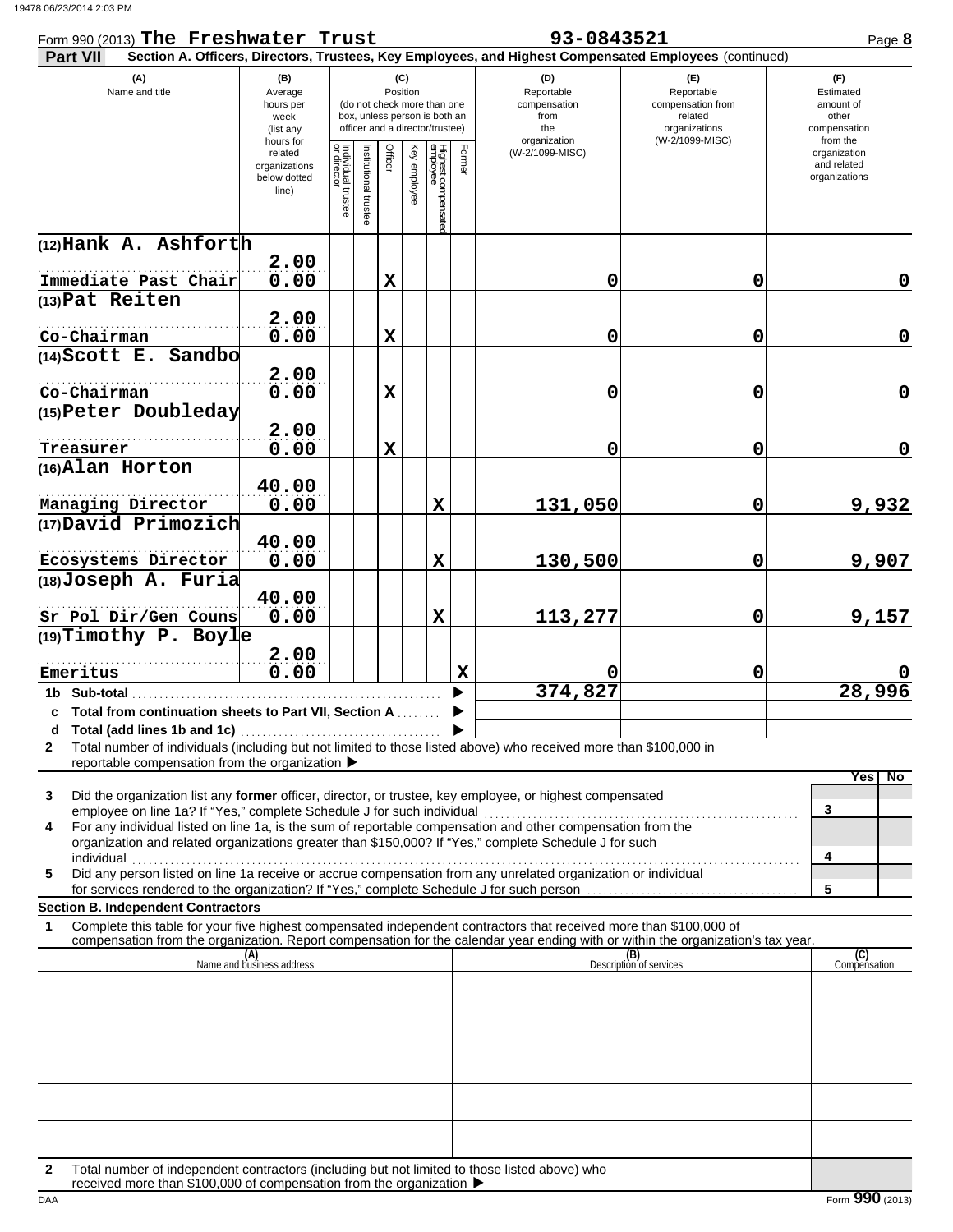| Form 990 (2013) The Freshwater Trust                                                                                                                                                                                                                                                                        |                                                                |                                   |                                                                                                 |                 |              |                                |             | 93-0843521                                                                                             |                                                                    | Page 8                                                   |
|-------------------------------------------------------------------------------------------------------------------------------------------------------------------------------------------------------------------------------------------------------------------------------------------------------------|----------------------------------------------------------------|-----------------------------------|-------------------------------------------------------------------------------------------------|-----------------|--------------|--------------------------------|-------------|--------------------------------------------------------------------------------------------------------|--------------------------------------------------------------------|----------------------------------------------------------|
| Part VII                                                                                                                                                                                                                                                                                                    |                                                                |                                   |                                                                                                 |                 |              |                                |             | Section A. Officers, Directors, Trustees, Key Employees, and Highest Compensated Employees (continued) |                                                                    |                                                          |
| (A)<br>Name and title                                                                                                                                                                                                                                                                                       | (B)<br>Average<br>hours per<br>week<br>(list any               |                                   | (do not check more than one<br>box, unless person is both an<br>officer and a director/trustee) | (C)<br>Position |              |                                |             | (D)<br>Reportable<br>compensation<br>from<br>the                                                       | (E)<br>Reportable<br>compensation from<br>related<br>organizations | (F)<br>Estimated<br>amount of<br>other<br>compensation   |
|                                                                                                                                                                                                                                                                                                             | hours for<br>related<br>organizations<br>below dotted<br>line) | Individual trustee<br>or director | nstitutional truste                                                                             | Officer         | Key employee | Highest compensate<br>employee | Form        | organization<br>(W-2/1099-MISC)                                                                        | (W-2/1099-MISC)                                                    | from the<br>organization<br>and related<br>organizations |
| (12) Hank A. Ashforth                                                                                                                                                                                                                                                                                       |                                                                |                                   |                                                                                                 |                 |              |                                |             |                                                                                                        |                                                                    |                                                          |
|                                                                                                                                                                                                                                                                                                             | 2.00                                                           |                                   |                                                                                                 |                 |              |                                |             |                                                                                                        |                                                                    |                                                          |
| Immediate Past Chair<br>(13) Pat Reiten                                                                                                                                                                                                                                                                     | 0.00                                                           |                                   |                                                                                                 | $\mathbf x$     |              |                                |             | 0                                                                                                      | $\mathbf 0$                                                        | 0                                                        |
|                                                                                                                                                                                                                                                                                                             | 2.00                                                           |                                   |                                                                                                 |                 |              |                                |             |                                                                                                        |                                                                    |                                                          |
| Co-Chairman                                                                                                                                                                                                                                                                                                 | 0.00                                                           |                                   |                                                                                                 | $\mathbf x$     |              |                                |             | 0                                                                                                      | $\mathbf 0$                                                        | $\mathbf 0$                                              |
| (14) Scott E. Sandbo                                                                                                                                                                                                                                                                                        |                                                                |                                   |                                                                                                 |                 |              |                                |             |                                                                                                        |                                                                    |                                                          |
|                                                                                                                                                                                                                                                                                                             | 2.00                                                           |                                   |                                                                                                 |                 |              |                                |             |                                                                                                        |                                                                    |                                                          |
| Co-Chairman<br>(15) Peter Doubleday                                                                                                                                                                                                                                                                         | 0.00                                                           |                                   |                                                                                                 | $\mathbf x$     |              |                                |             | 0                                                                                                      | $\mathbf 0$                                                        | $\mathbf 0$                                              |
|                                                                                                                                                                                                                                                                                                             | 2.00                                                           |                                   |                                                                                                 |                 |              |                                |             |                                                                                                        |                                                                    |                                                          |
| Treasurer                                                                                                                                                                                                                                                                                                   | 0.00                                                           |                                   |                                                                                                 | $\mathbf x$     |              |                                |             | 0                                                                                                      | $\mathbf 0$                                                        | 0                                                        |
| (16) Alan Horton                                                                                                                                                                                                                                                                                            |                                                                |                                   |                                                                                                 |                 |              |                                |             |                                                                                                        |                                                                    |                                                          |
|                                                                                                                                                                                                                                                                                                             | 40.00                                                          |                                   |                                                                                                 |                 |              |                                |             |                                                                                                        |                                                                    |                                                          |
| Managing Director                                                                                                                                                                                                                                                                                           | 0.00                                                           |                                   |                                                                                                 |                 |              | X                              |             | 131,050                                                                                                | $\mathbf 0$                                                        | 9,932                                                    |
| (17) David Primozich                                                                                                                                                                                                                                                                                        | 40.00                                                          |                                   |                                                                                                 |                 |              |                                |             |                                                                                                        |                                                                    |                                                          |
| Ecosystems Director                                                                                                                                                                                                                                                                                         | 0.00                                                           |                                   |                                                                                                 |                 |              | X                              |             | 130,500                                                                                                | $\mathbf 0$                                                        | 9,907                                                    |
| (18) Joseph A. Furia                                                                                                                                                                                                                                                                                        |                                                                |                                   |                                                                                                 |                 |              |                                |             |                                                                                                        |                                                                    |                                                          |
|                                                                                                                                                                                                                                                                                                             | 40.00                                                          |                                   |                                                                                                 |                 |              |                                |             |                                                                                                        |                                                                    |                                                          |
| Sr Pol Dir/Gen Couns<br>$(19)$ Timothy P. Boyle                                                                                                                                                                                                                                                             | 0.00                                                           |                                   |                                                                                                 |                 |              | X                              |             | 113,277                                                                                                | $\mathbf 0$                                                        | 9,157                                                    |
|                                                                                                                                                                                                                                                                                                             | 2.00                                                           |                                   |                                                                                                 |                 |              |                                |             |                                                                                                        |                                                                    |                                                          |
| Emeritus                                                                                                                                                                                                                                                                                                    | 0.00                                                           |                                   |                                                                                                 |                 |              |                                | $\mathbf X$ |                                                                                                        | $\mathbf 0$                                                        |                                                          |
| 1b Sub-total                                                                                                                                                                                                                                                                                                |                                                                |                                   |                                                                                                 |                 |              |                                |             | 374,827                                                                                                |                                                                    | 28,996                                                   |
| c Total from continuation sheets to Part VII, Section A                                                                                                                                                                                                                                                     |                                                                |                                   |                                                                                                 |                 |              |                                |             |                                                                                                        |                                                                    |                                                          |
| Total number of individuals (including but not limited to those listed above) who received more than \$100,000 in<br>$\mathbf{2}$                                                                                                                                                                           |                                                                |                                   |                                                                                                 |                 |              |                                |             |                                                                                                        |                                                                    |                                                          |
| reportable compensation from the organization ▶                                                                                                                                                                                                                                                             |                                                                |                                   |                                                                                                 |                 |              |                                |             |                                                                                                        |                                                                    |                                                          |
| Did the organization list any former officer, director, or trustee, key employee, or highest compensated<br>3<br>employee on line 1a? If "Yes," complete Schedule J for such individual<br>For any individual listed on line 1a, is the sum of reportable compensation and other compensation from the<br>4 |                                                                |                                   |                                                                                                 |                 |              |                                |             |                                                                                                        |                                                                    | Yes<br>No.<br>3                                          |
| organization and related organizations greater than \$150,000? If "Yes," complete Schedule J for such                                                                                                                                                                                                       |                                                                |                                   |                                                                                                 |                 |              |                                |             |                                                                                                        |                                                                    | 4                                                        |
| Did any person listed on line 1a receive or accrue compensation from any unrelated organization or individual<br>5                                                                                                                                                                                          |                                                                |                                   |                                                                                                 |                 |              |                                |             |                                                                                                        |                                                                    |                                                          |
| <b>Section B. Independent Contractors</b>                                                                                                                                                                                                                                                                   |                                                                |                                   |                                                                                                 |                 |              |                                |             |                                                                                                        |                                                                    | 5                                                        |
| Complete this table for your five highest compensated independent contractors that received more than \$100,000 of<br>1                                                                                                                                                                                     |                                                                |                                   |                                                                                                 |                 |              |                                |             |                                                                                                        |                                                                    |                                                          |
| compensation from the organization. Report compensation for the calendar year ending with or within the organization's tax year.                                                                                                                                                                            |                                                                |                                   |                                                                                                 |                 |              |                                |             |                                                                                                        |                                                                    |                                                          |
|                                                                                                                                                                                                                                                                                                             | (A)<br>Name and business address                               |                                   |                                                                                                 |                 |              |                                |             |                                                                                                        | (B)<br>Description of services                                     | (C)<br>Compensation                                      |
|                                                                                                                                                                                                                                                                                                             |                                                                |                                   |                                                                                                 |                 |              |                                |             |                                                                                                        |                                                                    |                                                          |
|                                                                                                                                                                                                                                                                                                             |                                                                |                                   |                                                                                                 |                 |              |                                |             |                                                                                                        |                                                                    |                                                          |
|                                                                                                                                                                                                                                                                                                             |                                                                |                                   |                                                                                                 |                 |              |                                |             |                                                                                                        |                                                                    |                                                          |
|                                                                                                                                                                                                                                                                                                             |                                                                |                                   |                                                                                                 |                 |              |                                |             |                                                                                                        |                                                                    |                                                          |
|                                                                                                                                                                                                                                                                                                             |                                                                |                                   |                                                                                                 |                 |              |                                |             |                                                                                                        |                                                                    |                                                          |
|                                                                                                                                                                                                                                                                                                             |                                                                |                                   |                                                                                                 |                 |              |                                |             |                                                                                                        |                                                                    |                                                          |
|                                                                                                                                                                                                                                                                                                             |                                                                |                                   |                                                                                                 |                 |              |                                |             |                                                                                                        |                                                                    |                                                          |
|                                                                                                                                                                                                                                                                                                             |                                                                |                                   |                                                                                                 |                 |              |                                |             |                                                                                                        |                                                                    |                                                          |
| Total number of independent contractors (including but not limited to those listed above) who<br>received more than \$100,000 of compensation from the organization ▶                                                                                                                                       |                                                                |                                   |                                                                                                 |                 |              |                                |             |                                                                                                        |                                                                    |                                                          |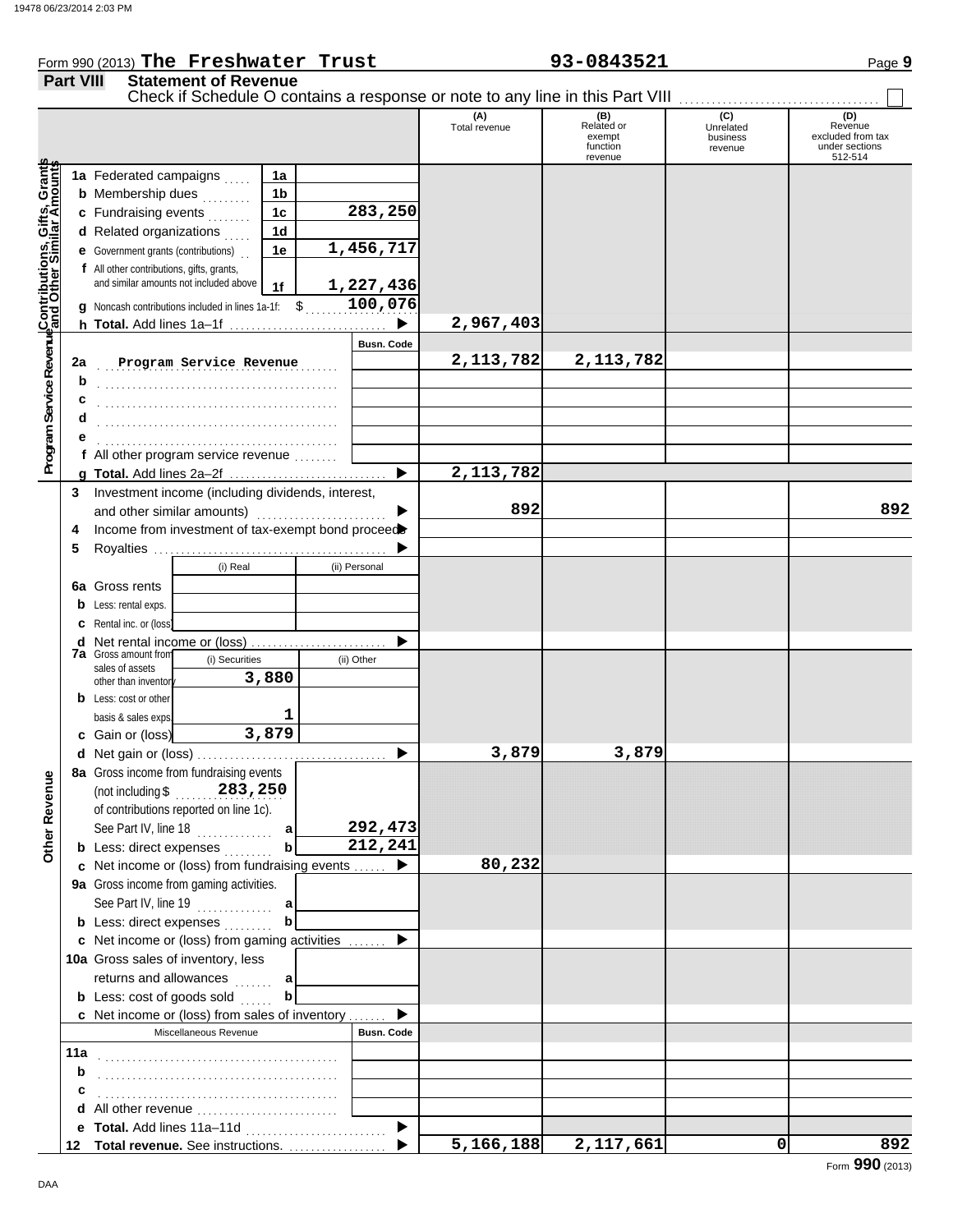#### Form 990 (2013) The Freshwater Trust 93-0843521 Page 9 **Part VIII Statement of Revenue** Check if Schedule O contains a response or note to any line in this Part VIII (A) (B) (C) (O) (D)<br>Total revenue Related or Unrelated Reven Total revenue Related or Unrelated Revenue excluded from tax exempt business function under sections revenue 512-514 revenue **Contributions, Gifts, Grants and Other Similar Amounts Program Service Revenue** Grant **1a 1a** Federated campaigns  $\ldots$ **1b b** Membership dues  $\ldots$ ট্ৰ **283,250 1c c** Fundraising events <sub>.</sub> . . . . . .  $\overline{\overline{5}}$ **1d d** Related organizations  $\ldots$ **1,456,717** Program Service RevenueContributions, **1e e** Government grants (contributions) . . **f** All other contributions, gifts, grants, and similar amounts not included above **1,227,436 1f** \$ . . . . . . . . . . . . . . . . . . . . . **100,076 g** Noncash contributions included in lines 1a-1f: **2,967,403** ▶ **h Total.** Add lines 1a–1f . . . . . . . . . . . . . . . . . . . . . . . . . . . . . **Busn. Code Program Service Revenue 12,113,782 2,113,782 2a b** . . . . . . . . . . . . . . . . . . . . . . . . . . . . . . . . . . . . . . . . . . . . **c** . . . . . . . . . . . . . . . . . . . . . . . . . . . . . . . . . . . . . . . . . . . . **d** . . . . . . . . . . . . . . . . . . . . . . . . . . . . . . . . . . . . . . . . . . . . **e** . . . . . . . . . . . . . . . . . . . . . . . . . . . . . . . . . . . . . . . . . . . . **f** All other program service revenue . . . . . . . . **2,113,782 g Total.** Add lines 2a–2f . . . . . . . . . . . . . . . . . . . . . . . . . . . . . **3** Investment income (including dividends, interest, and other similar amounts) ................ **892 892**  $\blacksquare$ Income from investment of tax-exempt bond proceed **4 5** Royalties ... b (i) Real (ii) Personal **6a** Gross rents **b** Less: rental exps. **c** Rental inc. or (loss) ь **d** Net rental income or (loss) .......................... **7a** Gross amount from (i) Securities (ii) Other sales of assets **3,880** other than inventor **b** Less: cost or other **1** basis & sales exps. **3,879 c** Gain or (loss) **3,879 3,879 d** Net gain or (loss) . . . . . . . . . . . . . . . . . . . . . . . . . . . . . . . . . . . **8a** Gross income from fundraising events **Other Revenue Other Revenue** (not including \$ . . . . . . . . . . . . . . . . . . . . **283,250** of contributions reported on line 1c). See Part IV, line 18 . . . . . . . . . . . . . . **292,473 a b 212,241 b** Less: direct expenses . . . . . . . . **80,232 c** Net income or (loss) from fundraising events . . . . . . ь **9a** Gross income from gaming activities. See Part IV, line 19 . . . . . . . . . . . . . . **a b b** Less: direct expenses . . . . . . . . ▶ Net income or (loss) from gaming activities . . . . . . . **c** 10a Gross sales of inventory, less returns and allowances **a b b** Less: cost of goods sold  $\ldots$ ь Net income or (loss) from sales of inventory . . . . . . . **c** Miscellaneous Revenue **Busn. Code 11a** . . . . . . . . . . . . . . . . . . . . . . . . . . . . . . . . . . . . . . . . . . . . **b c** . . . . . . . . . . . . . . . . . . . . . . . . . . . . . . . . . . . . . . . . . . . .

**d** All other revenue ..........................

**e Total.** Add lines 11a–11d . . . . . . . . . . . . . . . . . . . . . . . . . . **Total revenue.** See instructions. . . . . . . . . . . . . . . . . . . **12**

ь

 $\blacktriangleright$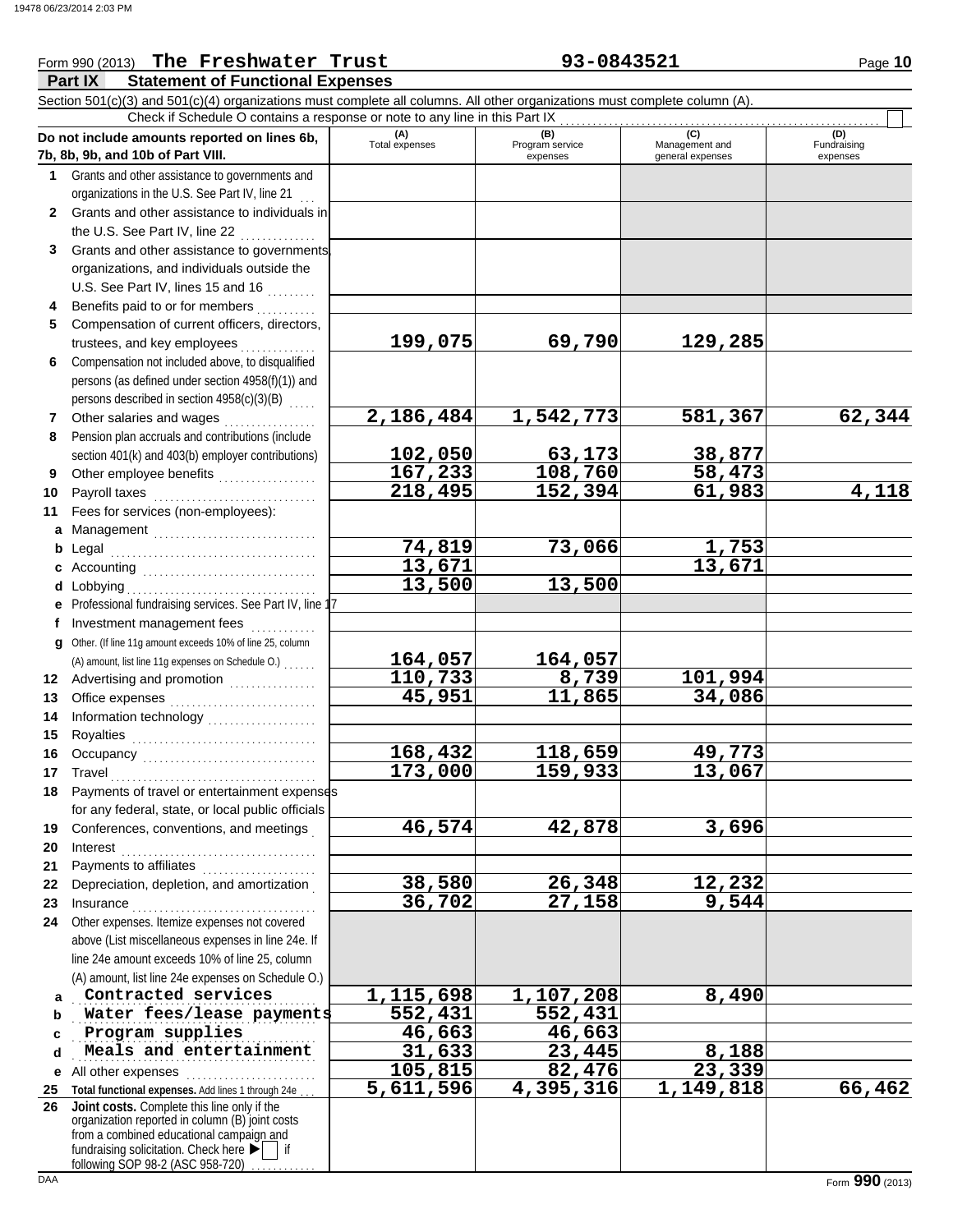#### **Part IX Statement of Functional Expenses** Form 990 (2013) The Freshwater Trust **93-0843521** Page 10 Section 501(c)(3) and 501(c)(4) organizations must complete all columns. All other organizations must complete column (A). **Do not include amounts reported on lines 6b, 7b, 8b, 9b, and 10b of Part VIII. 1 2 3 4 5 6 7 8 9 10 11 a** Management .............................. **b** Legal **c** Accounting . . . . . . . . . . . . . . . . . . . . . . . . . . . . . . . . **d** Lobbying . . . . . . . . . . . . . . . . . . . . . . . . . . . . . . . . . . . **e f g** Other. (If line 11g amount exceeds 10% of line 25, column **12** Advertising and promotion . . . . . . . . . . . . . . **13 14 15 16 17 18 19 20 21 22 23 24 a b c d e** All other expenses . . . . . . . . . . . . . . . . . . . . . . . . Grants and other assistance to governments and organizations in the U.S. See Part IV, line 21 Grants and other assistance to individuals in the U.S. See Part IV, line  $22$  .............. Grants and other assistance to governments, organizations, and individuals outside the U.S. See Part IV, lines 15 and 16  $\ldots$ Benefits paid to or for members . . . . . . . . . . Compensation of current officers, directors, trustees, and key employees . . . . . . . . Compensation not included above, to disqualified persons (as defined under section 4958(f)(1)) and persons described in section 4958(c)(3)(B) Other salaries and wages .................. Pension plan accruals and contributions (include section 401(k) and 403(b) employer contributions) Other employee benefits .................. Payroll taxes . . . . . . . . . . . . . . . . . . . . . . . . . . . . . . Fees for services (non-employees): Legal . . . . . . . . . . . . . . . . . . . . . . . . . . . . . . . . . . . . . . Professional fundraising services. See Part IV, line 17 Investment management fees ............. Office expenses . . . . . . . . . . . . . . . . . . . . . . . . . . . Information technology . . . . . . . . . . . . . . . . . . . . Royalties . . . . . . . . . . . . . . . . . . . . . . . . . . . . . . . . . . Occupancy . . . . . . . . . . . . . . . . . . . . . . . . . . . . . . . . Travel . . . . . . . . . . . . . . . . . . . . . . . . . . . . . . . . . . . . . . Payments of travel or entertainment expenses for any federal, state, or local public officials Conferences, conventions, and meetings . Interest . . . . . . . . . . . . . . . . . . . . . . . . . . . . . . . . . . . . Payments to affiliates ...................... Depreciation, depletion, and amortization . Insurance . . . . . . . . . . . . . . . . . . . . . . . . . . . . . . . . . . Other expenses. Itemize expenses not covered above (List miscellaneous expenses in line 24e. If line 24e amount exceeds 10% of line 25, column (A) amount, list line 24e expenses on Schedule O.) **(A) (B) (B)** (C) (C) (D)<br>Total expenses Program service Management and Fundrai expenses general expenses (D)<br>Fundraising expenses **Contracted services 1,115,698 1,107,208 8,490 Water fees/lease payments** 552,431 552,431 . . . . . . . . . . . . . . . . . . . . . . . . . . . . . . . . . . . . . . . . . . . . . **Program supplies 46,663 46,663 Meals and entertainment 31,633 23,445** 8,188 Check if Schedule O contains a response or note to any line in this Part IX (A) amount, list line 11g expenses on Schedule O.) . . . . . . . **199,075 69,790 129,285 2,186,484 1,542,773 581,367 62,344 102,050 63,173 38,877 167,233 108,760 58,473 218,495 152,394 61,983 4,118 74,819 73,066 1,753 13,671 13,671 13,500 13,500 164,057 164,057 110,733 8,739 101,994 45,951 11,865 34,086 168,432 118,659 49,773 173,000 159,933 13,067 46,574 42,878 3,696 38,580 26,348 12,232 36,702 27,158 9,544 105,815 82,476 23,339**

**5,611,596 4,395,316 1,149,818 66,462**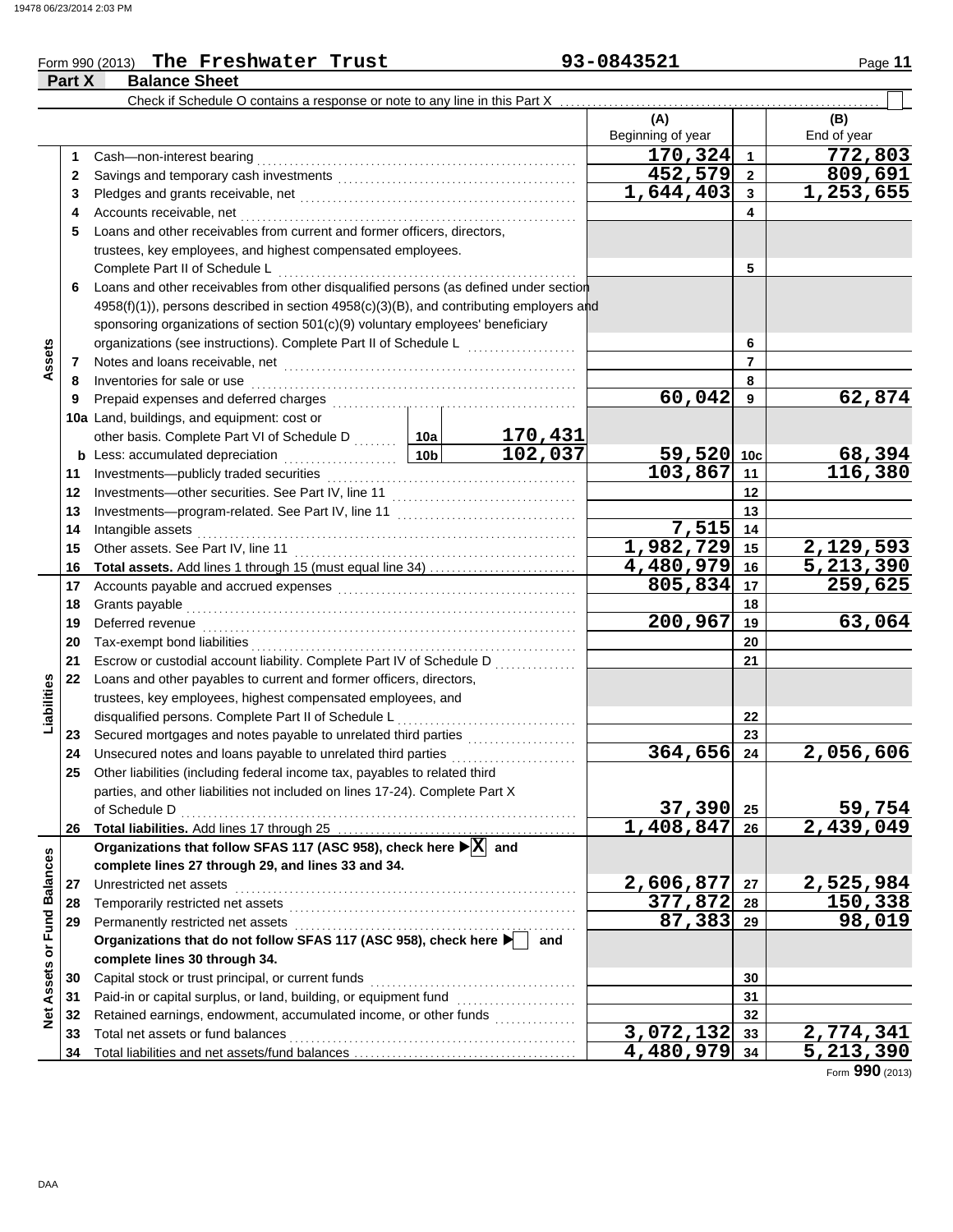### Form 990 (2013) The Freshwater Trust **1996 11 93-0843521** Page 11

|                         | Part X | <b>Balance Sheet</b>                                                                                 |                           |                   |                  |                          |
|-------------------------|--------|------------------------------------------------------------------------------------------------------|---------------------------|-------------------|------------------|--------------------------|
|                         |        | Check if Schedule O contains a response or note to any line in this Part X                           |                           |                   |                  |                          |
|                         |        |                                                                                                      |                           | (A)               |                  | (B)                      |
|                         |        |                                                                                                      |                           | Beginning of year |                  | End of year              |
|                         | 1      | Cash-non-interest bearing                                                                            |                           | 170,324           | $\mathbf{1}$     | $\overline{772}$ ,803    |
|                         | 2      |                                                                                                      |                           | 452,579           | $\boldsymbol{2}$ | 809,691                  |
|                         | 3      |                                                                                                      | 1,644,403                 | 3                 | 1,253,655        |                          |
|                         | 4      | Accounts receivable, net                                                                             |                           | 4                 |                  |                          |
|                         | 5      | Loans and other receivables from current and former officers, directors,                             |                           |                   |                  |                          |
|                         |        | trustees, key employees, and highest compensated employees.                                          |                           |                   |                  |                          |
|                         |        | Complete Part II of Schedule L                                                                       |                           |                   | 5                |                          |
|                         | 6      | Loans and other receivables from other disqualified persons (as defined under section                |                           |                   |                  |                          |
|                         |        | 4958(f)(1)), persons described in section 4958(c)(3)(B), and contributing employers and              |                           |                   |                  |                          |
|                         |        | sponsoring organizations of section 501(c)(9) voluntary employees' beneficiary                       |                           |                   |                  |                          |
|                         |        | organizations (see instructions). Complete Part II of Schedule L                                     |                           |                   | 6                |                          |
| Assets                  | 7      |                                                                                                      |                           |                   | $\overline{7}$   |                          |
|                         | 8      | Inventories for sale or use                                                                          |                           |                   | 8                |                          |
|                         | 9      | Prepaid expenses and deferred charges                                                                |                           | 60,042            | 9                | 62,874                   |
|                         |        | 10a Land, buildings, and equipment: cost or                                                          |                           |                   |                  |                          |
|                         |        | other basis. Complete Part VI of Schedule D  10a                                                     | $\frac{170,431}{102,037}$ |                   |                  |                          |
|                         |        | <b>b</b> Less: accumulated depreciation                                                              | 59,520                    | 10 <sub>c</sub>   |                  |                          |
|                         | 11     | Investments-publicly traded securities                                                               |                           | 103,867           | 11               | $\frac{68,394}{116,380}$ |
|                         | 12     |                                                                                                      |                           | 12                |                  |                          |
|                         | 13     |                                                                                                      |                           | 13                |                  |                          |
|                         | 14     | Intangible assets                                                                                    | 7,515                     | 14                |                  |                          |
|                         | 15     | Other assets. See Part IV, line 11                                                                   | 1,982,729                 | 15                | 2,129,593        |                          |
|                         | 16     | Total assets. Add lines 1 through 15 (must equal line 34)                                            |                           | 4,480,979         | 16               | 5,213,390                |
|                         | 17     |                                                                                                      |                           | 805,834           | 17               | $\overline{259,625}$     |
|                         | 18     | Grants payable                                                                                       |                           |                   | 18               |                          |
|                         | 19     | Deferred revenue                                                                                     |                           | 200,967           | 19               | 63,064                   |
|                         | 20     | Tax-exempt bond liabilities                                                                          |                           |                   | 20               |                          |
|                         | 21     | Escrow or custodial account liability. Complete Part IV of Schedule D                                |                           |                   | 21               |                          |
|                         | 22     | Loans and other payables to current and former officers, directors,                                  |                           |                   |                  |                          |
| Liabilities             |        | trustees, key employees, highest compensated employees, and                                          |                           |                   |                  |                          |
|                         |        | disqualified persons. Complete Part II of Schedule L                                                 |                           | 22                |                  |                          |
|                         | 23     |                                                                                                      |                           |                   | 23               |                          |
|                         | 24     | Unsecured notes and loans payable to unrelated third parties [[[[[[[[[[[[[[[[[[[[[[[[[]]]]]]]]]      |                           | 364,656           | 24               | 2,056,606                |
|                         | 25     | Other liabilities (including federal income tax, payables to related third                           |                           |                   |                  |                          |
|                         |        | parties, and other liabilities not included on lines 17-24). Complete Part X                         |                           |                   |                  |                          |
|                         |        | of Schedule D                                                                                        |                           | 37,390            | 25               | 59,754                   |
|                         | 26     |                                                                                                      |                           | 1,408,847         | 26               | 2,439,049                |
|                         |        | Organizations that follow SFAS 117 (ASC 958), check here $\blacktriangleright$ $\boxed{X}$ and       |                           |                   |                  |                          |
|                         |        | complete lines 27 through 29, and lines 33 and 34.                                                   |                           |                   |                  |                          |
|                         | 27     | Unrestricted net assets                                                                              | 2,606,877                 | 27                | 2,525,984        |                          |
|                         | 28     | Temporarily restricted net assets                                                                    | 377,872                   | 28                | 150,338          |                          |
|                         | 29     |                                                                                                      |                           | 87,383            | 29               | 98,019                   |
| Assets or Fund Balances |        | Organizations that do not follow SFAS 117 (ASC 958), check here ▶   and                              |                           |                   |                  |                          |
|                         |        | complete lines 30 through 34.                                                                        |                           |                   |                  |                          |
|                         | 30     | Capital stock or trust principal, or current funds                                                   |                           |                   | 30               |                          |
|                         | 31     | Paid-in or capital surplus, or land, building, or equipment fund [[[[[[[[[[[[[[[[[[[[[[[[[[[[[[[[[[[ |                           |                   | 31               |                          |
| $\frac{1}{2}$           | 32     | Retained earnings, endowment, accumulated income, or other funds                                     |                           |                   | 32               |                          |
|                         | 33     | Total net assets or fund balances                                                                    |                           | 3,072,132         | 33               | 2,774,341                |
|                         | 34     |                                                                                                      |                           | 4,480,979         | 34               | 5,213,390                |

**The Freshwater Trust 93-0843521**

Form **990** (2013)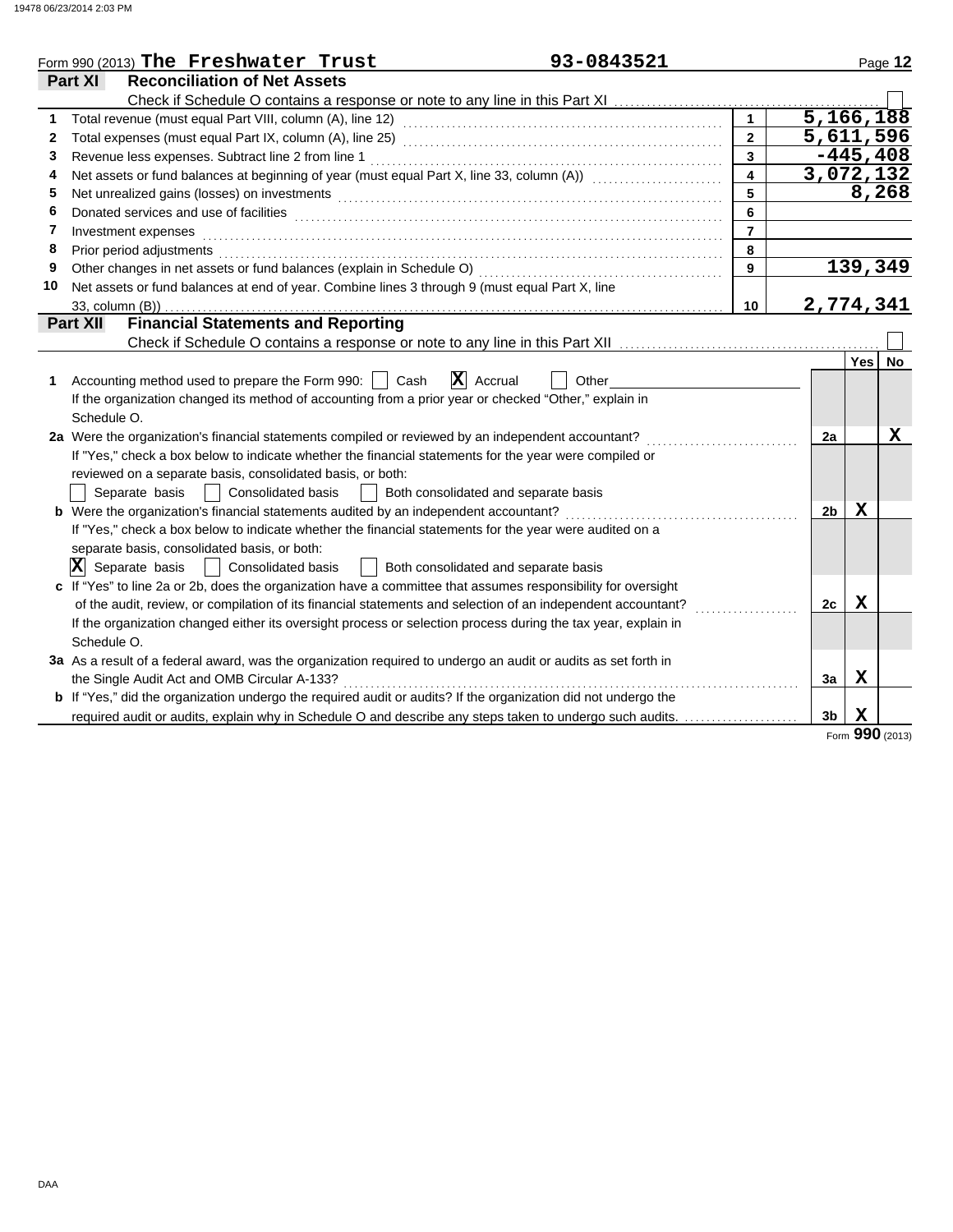|    | 93-0843521<br>Form 990 (2013) The Freshwater Trust                                                                    |                |                |             | Page 12     |
|----|-----------------------------------------------------------------------------------------------------------------------|----------------|----------------|-------------|-------------|
|    | <b>Reconciliation of Net Assets</b><br>Part XI                                                                        |                |                |             |             |
|    | Check if Schedule O contains a response or note to any line in this Part XI                                           |                |                |             |             |
| 1  |                                                                                                                       |                | 5,166,188      |             |             |
| 2  |                                                                                                                       | $\overline{2}$ | 5,611,596      |             |             |
| 3  | Revenue less expenses. Subtract line 2 from line 1                                                                    | $\overline{3}$ |                |             | $-445, 408$ |
| 4  | Net assets or fund balances at beginning of year (must equal Part X, line 33, column (A)) [[[[[[[[[[[[[[[[[[[         | 4              | 3,072,132      |             |             |
| 5  |                                                                                                                       | 5              |                |             | 8,268       |
| 6  |                                                                                                                       | 6              |                |             |             |
| 7  | Investment expenses                                                                                                   | $\overline{7}$ |                |             |             |
| 8  | Prior period adjustments                                                                                              | 8              |                |             |             |
| 9  | Other changes in net assets or fund balances (explain in Schedule O)                                                  | 9              |                |             | 139,349     |
| 10 | Net assets or fund balances at end of year. Combine lines 3 through 9 (must equal Part X, line                        |                |                |             |             |
|    | 33, column (B))                                                                                                       | 10             | 2,774,341      |             |             |
|    | <b>Financial Statements and Reporting</b><br><b>Part XII</b>                                                          |                |                |             |             |
|    |                                                                                                                       |                |                |             |             |
|    |                                                                                                                       |                |                | <b>Yes</b>  | <b>No</b>   |
| 1  | $\vert X \vert$<br>Accounting method used to prepare the Form 990:  <br>Cash<br>Accrual<br>Other                      |                |                |             |             |
|    | If the organization changed its method of accounting from a prior year or checked "Other," explain in                 |                |                |             |             |
|    | Schedule O.                                                                                                           |                |                |             |             |
|    | 2a Were the organization's financial statements compiled or reviewed by an independent accountant?                    |                | 2a             |             | $\mathbf X$ |
|    | If "Yes," check a box below to indicate whether the financial statements for the year were compiled or                |                |                |             |             |
|    | reviewed on a separate basis, consolidated basis, or both:                                                            |                |                |             |             |
|    | Separate basis<br><b>Consolidated basis</b><br>Both consolidated and separate basis                                   |                |                |             |             |
|    | <b>b</b> Were the organization's financial statements audited by an independent accountant?                           |                | 2 <sub>b</sub> | x           |             |
|    | If "Yes," check a box below to indicate whether the financial statements for the year were audited on a               |                |                |             |             |
|    | separate basis, consolidated basis, or both:                                                                          |                |                |             |             |
|    | $ \mathbf{X} $ Separate basis<br><b>Consolidated basis</b><br>Both consolidated and separate basis                    |                |                |             |             |
|    | c If "Yes" to line 2a or 2b, does the organization have a committee that assumes responsibility for oversight         |                |                |             |             |
|    | of the audit, review, or compilation of its financial statements and selection of an independent accountant?          |                | 2c             | х           |             |
|    | If the organization changed either its oversight process or selection process during the tax year, explain in         |                |                |             |             |
|    | Schedule O.                                                                                                           |                |                |             |             |
|    | 3a As a result of a federal award, was the organization required to undergo an audit or audits as set forth in        |                |                |             |             |
|    | the Single Audit Act and OMB Circular A-133?                                                                          |                | 3a             | $\mathbf x$ |             |
|    | <b>b</b> If "Yes," did the organization undergo the required audit or audits? If the organization did not undergo the |                |                |             |             |
|    | required audit or audits, explain why in Schedule O and describe any steps taken to undergo such audits.              |                | 3 <sub>b</sub> | $\mathbf X$ |             |
|    |                                                                                                                       |                |                | nnn         |             |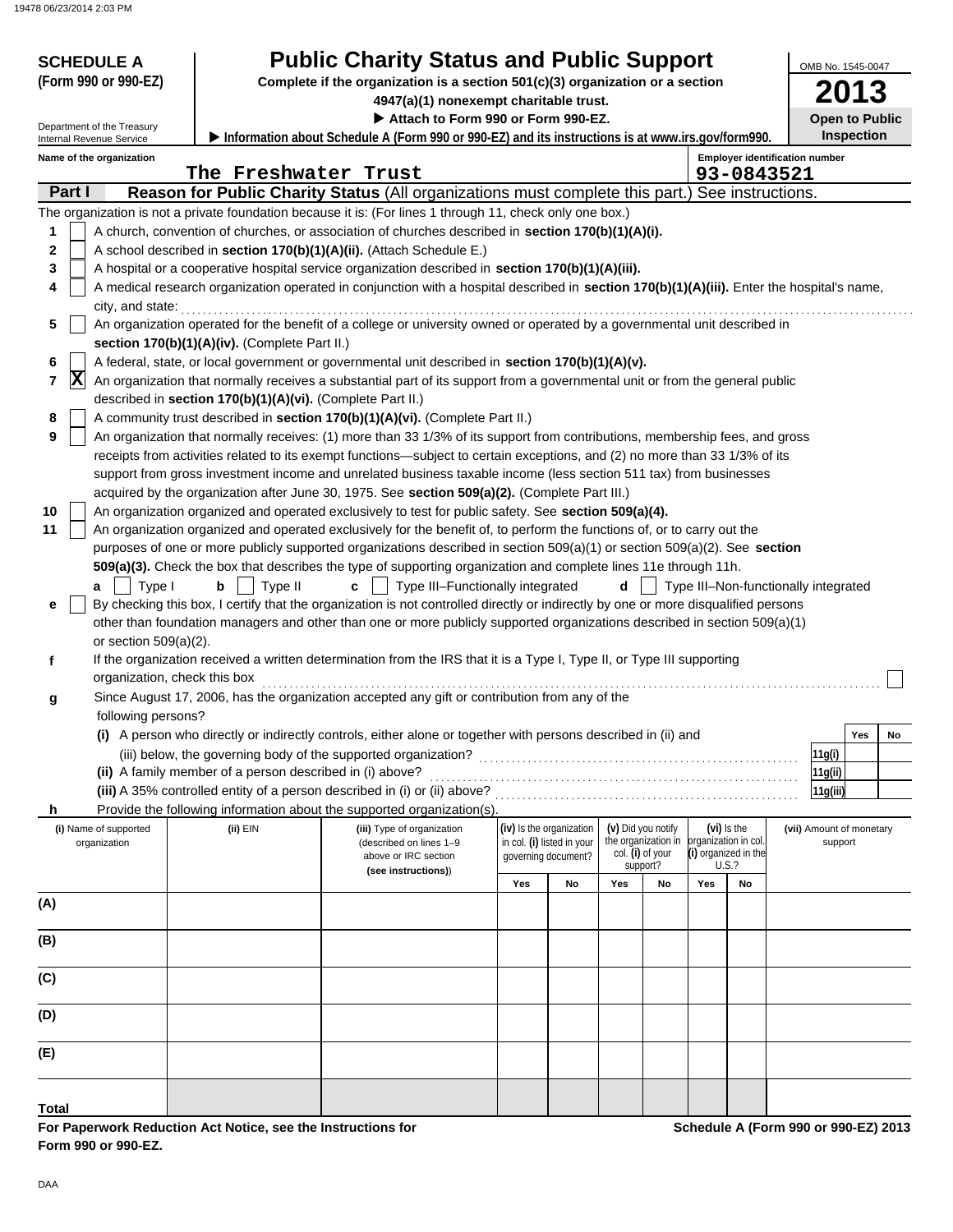| <b>SCHEDULE A</b><br>(Form 990 or 990-EZ)<br>Department of the Treasury<br>Internal Revenue Service |                                                                                                                                                                                                                                                 | <b>Public Charity Status and Public Support</b><br>Complete if the organization is a section 501(c)(3) organization or a section<br>4947(a)(1) nonexempt charitable trust.<br>Attach to Form 990 or Form 990-EZ.<br>Information about Schedule A (Form 990 or 990-EZ) and its instructions is at www.irs.gov/form990. |     |                            |     |                                          |     |                                       |  | OMB No. 1545-0047<br><b>Open to Public</b><br><b>Inspection</b> |    |
|-----------------------------------------------------------------------------------------------------|-------------------------------------------------------------------------------------------------------------------------------------------------------------------------------------------------------------------------------------------------|-----------------------------------------------------------------------------------------------------------------------------------------------------------------------------------------------------------------------------------------------------------------------------------------------------------------------|-----|----------------------------|-----|------------------------------------------|-----|---------------------------------------|--|-----------------------------------------------------------------|----|
| Name of the organization                                                                            |                                                                                                                                                                                                                                                 |                                                                                                                                                                                                                                                                                                                       |     |                            |     |                                          |     | <b>Employer identification number</b> |  |                                                                 |    |
|                                                                                                     | The Freshwater Trust                                                                                                                                                                                                                            |                                                                                                                                                                                                                                                                                                                       |     |                            |     |                                          |     | 93-0843521                            |  |                                                                 |    |
| Part I                                                                                              |                                                                                                                                                                                                                                                 | Reason for Public Charity Status (All organizations must complete this part.) See instructions.                                                                                                                                                                                                                       |     |                            |     |                                          |     |                                       |  |                                                                 |    |
|                                                                                                     |                                                                                                                                                                                                                                                 | The organization is not a private foundation because it is: (For lines 1 through 11, check only one box.)                                                                                                                                                                                                             |     |                            |     |                                          |     |                                       |  |                                                                 |    |
| 1                                                                                                   |                                                                                                                                                                                                                                                 | A church, convention of churches, or association of churches described in section 170(b)(1)(A)(i).                                                                                                                                                                                                                    |     |                            |     |                                          |     |                                       |  |                                                                 |    |
| 2                                                                                                   |                                                                                                                                                                                                                                                 | A school described in section 170(b)(1)(A)(ii). (Attach Schedule E.)                                                                                                                                                                                                                                                  |     |                            |     |                                          |     |                                       |  |                                                                 |    |
| 3                                                                                                   | A hospital or a cooperative hospital service organization described in section 170(b)(1)(A)(iii).<br>A medical research organization operated in conjunction with a hospital described in section 170(b)(1)(A)(iii). Enter the hospital's name, |                                                                                                                                                                                                                                                                                                                       |     |                            |     |                                          |     |                                       |  |                                                                 |    |
| 4<br>city, and state:                                                                               |                                                                                                                                                                                                                                                 |                                                                                                                                                                                                                                                                                                                       |     |                            |     |                                          |     |                                       |  |                                                                 |    |
| 5                                                                                                   |                                                                                                                                                                                                                                                 | An organization operated for the benefit of a college or university owned or operated by a governmental unit described in                                                                                                                                                                                             |     |                            |     |                                          |     |                                       |  |                                                                 |    |
|                                                                                                     | section 170(b)(1)(A)(iv). (Complete Part II.)                                                                                                                                                                                                   |                                                                                                                                                                                                                                                                                                                       |     |                            |     |                                          |     |                                       |  |                                                                 |    |
| 6                                                                                                   |                                                                                                                                                                                                                                                 | A federal, state, or local government or governmental unit described in section 170(b)(1)(A)(v).                                                                                                                                                                                                                      |     |                            |     |                                          |     |                                       |  |                                                                 |    |
| $ \mathbf{X} $<br>7                                                                                 |                                                                                                                                                                                                                                                 | An organization that normally receives a substantial part of its support from a governmental unit or from the general public                                                                                                                                                                                          |     |                            |     |                                          |     |                                       |  |                                                                 |    |
|                                                                                                     | described in section 170(b)(1)(A)(vi). (Complete Part II.)                                                                                                                                                                                      |                                                                                                                                                                                                                                                                                                                       |     |                            |     |                                          |     |                                       |  |                                                                 |    |
| 8                                                                                                   |                                                                                                                                                                                                                                                 | A community trust described in section 170(b)(1)(A)(vi). (Complete Part II.)                                                                                                                                                                                                                                          |     |                            |     |                                          |     |                                       |  |                                                                 |    |
| 9                                                                                                   |                                                                                                                                                                                                                                                 | An organization that normally receives: (1) more than 33 1/3% of its support from contributions, membership fees, and gross                                                                                                                                                                                           |     |                            |     |                                          |     |                                       |  |                                                                 |    |
|                                                                                                     |                                                                                                                                                                                                                                                 | receipts from activities related to its exempt functions—subject to certain exceptions, and (2) no more than 33 1/3% of its                                                                                                                                                                                           |     |                            |     |                                          |     |                                       |  |                                                                 |    |
|                                                                                                     |                                                                                                                                                                                                                                                 | support from gross investment income and unrelated business taxable income (less section 511 tax) from businesses                                                                                                                                                                                                     |     |                            |     |                                          |     |                                       |  |                                                                 |    |
|                                                                                                     |                                                                                                                                                                                                                                                 | acquired by the organization after June 30, 1975. See section 509(a)(2). (Complete Part III.)                                                                                                                                                                                                                         |     |                            |     |                                          |     |                                       |  |                                                                 |    |
| 10<br>11                                                                                            |                                                                                                                                                                                                                                                 | An organization organized and operated exclusively to test for public safety. See section 509(a)(4).                                                                                                                                                                                                                  |     |                            |     |                                          |     |                                       |  |                                                                 |    |
|                                                                                                     |                                                                                                                                                                                                                                                 | An organization organized and operated exclusively for the benefit of, to perform the functions of, or to carry out the<br>purposes of one or more publicly supported organizations described in section $509(a)(1)$ or section $509(a)(2)$ . See section                                                             |     |                            |     |                                          |     |                                       |  |                                                                 |    |
|                                                                                                     |                                                                                                                                                                                                                                                 | 509(a)(3). Check the box that describes the type of supporting organization and complete lines 11e through 11h.                                                                                                                                                                                                       |     |                            |     |                                          |     |                                       |  |                                                                 |    |
| Type I<br>a                                                                                         | b<br>Type II                                                                                                                                                                                                                                    | Type III-Functionally integrated<br>c                                                                                                                                                                                                                                                                                 |     |                            | d   |                                          |     |                                       |  | Type III-Non-functionally integrated                            |    |
| е                                                                                                   |                                                                                                                                                                                                                                                 | By checking this box, I certify that the organization is not controlled directly or indirectly by one or more disqualified persons                                                                                                                                                                                    |     |                            |     |                                          |     |                                       |  |                                                                 |    |
|                                                                                                     |                                                                                                                                                                                                                                                 | other than foundation managers and other than one or more publicly supported organizations described in section 509(a)(1)                                                                                                                                                                                             |     |                            |     |                                          |     |                                       |  |                                                                 |    |
| or section $509(a)(2)$ .                                                                            |                                                                                                                                                                                                                                                 |                                                                                                                                                                                                                                                                                                                       |     |                            |     |                                          |     |                                       |  |                                                                 |    |
| f                                                                                                   |                                                                                                                                                                                                                                                 | If the organization received a written determination from the IRS that it is a Type I, Type II, or Type III supporting                                                                                                                                                                                                |     |                            |     |                                          |     |                                       |  |                                                                 |    |
|                                                                                                     | organization, check this box                                                                                                                                                                                                                    |                                                                                                                                                                                                                                                                                                                       |     |                            |     |                                          |     |                                       |  |                                                                 |    |
| g                                                                                                   |                                                                                                                                                                                                                                                 | Since August 17, 2006, has the organization accepted any gift or contribution from any of the                                                                                                                                                                                                                         |     |                            |     |                                          |     |                                       |  |                                                                 |    |
| following persons?                                                                                  |                                                                                                                                                                                                                                                 |                                                                                                                                                                                                                                                                                                                       |     |                            |     |                                          |     |                                       |  |                                                                 |    |
|                                                                                                     |                                                                                                                                                                                                                                                 | (i) A person who directly or indirectly controls, either alone or together with persons described in (ii) and                                                                                                                                                                                                         |     |                            |     |                                          |     |                                       |  | Yes                                                             | No |
|                                                                                                     |                                                                                                                                                                                                                                                 |                                                                                                                                                                                                                                                                                                                       |     |                            |     |                                          |     |                                       |  | 11g(i)                                                          |    |
|                                                                                                     | (ii) A family member of a person described in (i) above?                                                                                                                                                                                        | (iii) A 35% controlled entity of a person described in (i) or (ii) above?                                                                                                                                                                                                                                             |     |                            |     |                                          |     |                                       |  | 11g(ii)                                                         |    |
| h                                                                                                   |                                                                                                                                                                                                                                                 | Provide the following information about the supported organization(s)                                                                                                                                                                                                                                                 |     |                            |     |                                          |     |                                       |  | 11g(iii)                                                        |    |
| (i) Name of supported                                                                               | (ii) EIN                                                                                                                                                                                                                                        | (iii) Type of organization                                                                                                                                                                                                                                                                                            |     | (iv) Is the organization   |     | (v) Did you notify                       |     | (vi) Is the                           |  | (vii) Amount of monetary                                        |    |
| organization                                                                                        |                                                                                                                                                                                                                                                 | (described on lines 1-9                                                                                                                                                                                                                                                                                               |     | in col. (i) listed in your |     | the organization in organization in col. |     |                                       |  | support                                                         |    |
|                                                                                                     |                                                                                                                                                                                                                                                 | above or IRC section<br>(see instructions))                                                                                                                                                                                                                                                                           |     | governing document?        |     | col. (i) of your<br>support?             |     | (i) organized in the<br>U.S.?         |  |                                                                 |    |
|                                                                                                     |                                                                                                                                                                                                                                                 |                                                                                                                                                                                                                                                                                                                       | Yes | No                         | Yes | No                                       | Yes | No                                    |  |                                                                 |    |
| (A)                                                                                                 |                                                                                                                                                                                                                                                 |                                                                                                                                                                                                                                                                                                                       |     |                            |     |                                          |     |                                       |  |                                                                 |    |
|                                                                                                     |                                                                                                                                                                                                                                                 |                                                                                                                                                                                                                                                                                                                       |     |                            |     |                                          |     |                                       |  |                                                                 |    |
| (B)                                                                                                 |                                                                                                                                                                                                                                                 |                                                                                                                                                                                                                                                                                                                       |     |                            |     |                                          |     |                                       |  |                                                                 |    |
|                                                                                                     |                                                                                                                                                                                                                                                 |                                                                                                                                                                                                                                                                                                                       |     |                            |     |                                          |     |                                       |  |                                                                 |    |
| (C)                                                                                                 |                                                                                                                                                                                                                                                 |                                                                                                                                                                                                                                                                                                                       |     |                            |     |                                          |     |                                       |  |                                                                 |    |
|                                                                                                     |                                                                                                                                                                                                                                                 |                                                                                                                                                                                                                                                                                                                       |     |                            |     |                                          |     |                                       |  |                                                                 |    |
| (D)                                                                                                 |                                                                                                                                                                                                                                                 |                                                                                                                                                                                                                                                                                                                       |     |                            |     |                                          |     |                                       |  |                                                                 |    |
| (E)                                                                                                 |                                                                                                                                                                                                                                                 |                                                                                                                                                                                                                                                                                                                       |     |                            |     |                                          |     |                                       |  |                                                                 |    |
|                                                                                                     |                                                                                                                                                                                                                                                 |                                                                                                                                                                                                                                                                                                                       |     |                            |     |                                          |     |                                       |  |                                                                 |    |
|                                                                                                     |                                                                                                                                                                                                                                                 |                                                                                                                                                                                                                                                                                                                       |     |                            |     |                                          |     |                                       |  |                                                                 |    |
| <b>Total</b>                                                                                        |                                                                                                                                                                                                                                                 |                                                                                                                                                                                                                                                                                                                       |     |                            |     |                                          |     |                                       |  |                                                                 |    |

**For Paperwork Reduction Act Notice, see the Instructions for Form 990 or 990-EZ.**

**Schedule A (Form 990 or 990-EZ) 2013**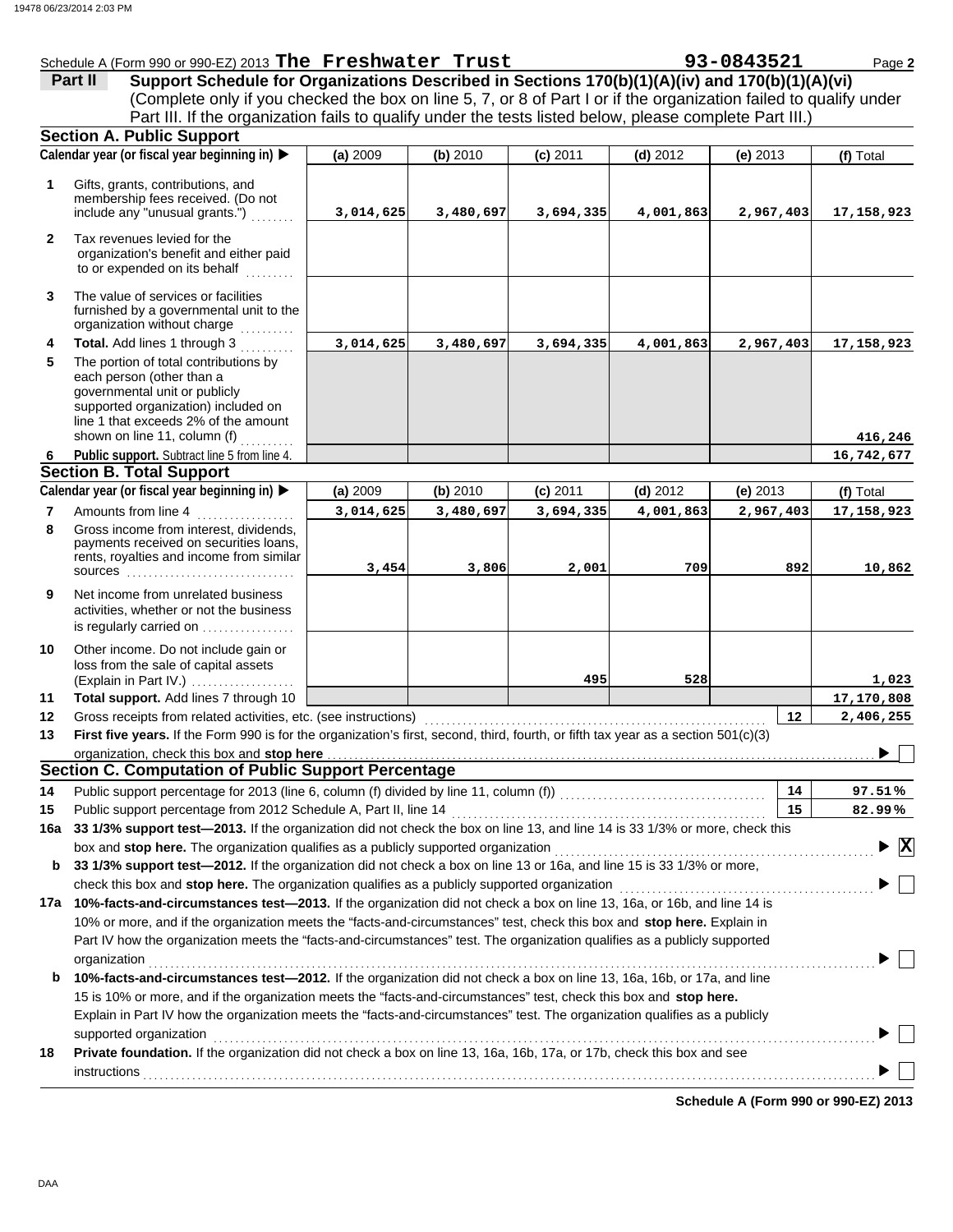|                                                                                                          |            |            |            |                                                           |            | Page 2                                                                                                                                                                                                                                                                                                                                                    |
|----------------------------------------------------------------------------------------------------------|------------|------------|------------|-----------------------------------------------------------|------------|-----------------------------------------------------------------------------------------------------------------------------------------------------------------------------------------------------------------------------------------------------------------------------------------------------------------------------------------------------------|
|                                                                                                          |            |            |            |                                                           |            |                                                                                                                                                                                                                                                                                                                                                           |
|                                                                                                          |            |            |            |                                                           |            |                                                                                                                                                                                                                                                                                                                                                           |
|                                                                                                          |            |            |            |                                                           |            |                                                                                                                                                                                                                                                                                                                                                           |
| <b>Section A. Public Support</b>                                                                         |            |            |            |                                                           |            |                                                                                                                                                                                                                                                                                                                                                           |
| Calendar year (or fiscal year beginning in) ▶                                                            | (a) $2009$ | (b) $2010$ | $(c)$ 2011 | (d) $2012$                                                | (e) $2013$ | (f) Total                                                                                                                                                                                                                                                                                                                                                 |
| Gifts, grants, contributions, and<br>membership fees received. (Do not<br>include any "unusual grants.") | 3,014,625  |            | 3,694,335  |                                                           | 2,967,403  | 17, 158, 923                                                                                                                                                                                                                                                                                                                                              |
| Tax revenues levied for the<br>organization's benefit and either paid<br>to or expended on its behalf    |            |            |            |                                                           |            |                                                                                                                                                                                                                                                                                                                                                           |
|                                                                                                          |            |            | 3,480,697  | Schedule A (Form 990 or 990-EZ) 2013 The Freshwater Trust |            | 93-0843521<br>Support Schedule for Organizations Described in Sections 170(b)(1)(A)(iv) and 170(b)(1)(A)(vi)<br>(Complete only if you checked the box on line 5, 7, or 8 of Part I or if the organization failed to qualify under<br>Part III. If the organization fails to qualify under the tests listed below, please complete Part III.)<br>4,001,863 |

- The value of services or facilities **3** furnished by a governmental unit to the organization without charge
- governmental unit or publicly line 1 that exceeds 2% of the amount supported organization) included on each person (other than a The portion of total contributions by **Total.** Add lines 1 through 3 .......... **4 5** shown on line 11, column  $(f)$  ..........
- **Public support.** Subtract line 5 from line 4. **6**

### **Section B. Total Support**

| Calendar year (or fiscal year beginning in) $\blacktriangleright$ |                                                                                                                                         | (a) 2009  | (b) 2010  | $(c)$ 2011 | $(d)$ 2012 | (e) $2013$ | (f) Total    |  |
|-------------------------------------------------------------------|-----------------------------------------------------------------------------------------------------------------------------------------|-----------|-----------|------------|------------|------------|--------------|--|
|                                                                   | Amounts from line 4                                                                                                                     | 3,014,625 | 3,480,697 | 3,694,335  | 4,001,863  | 2,967,403  | 17, 158, 923 |  |
| 8                                                                 | Gross income from interest, dividends,<br>payments received on securities loans,<br>rents, royalties and income from similar<br>sources | 3,454     | 3,806     | 2,001      | 709        | 892        | 10,862       |  |
| 9                                                                 | Net income from unrelated business<br>activities, whether or not the business                                                           |           |           |            |            |            |              |  |

**3,014,625 3,480,697 3,694,335 4,001,863 2,967,403 17,158,923**

(Explain in Part IV.) . . . . . . . . . . . . . . . . . . . loss from the sale of capital assets Other income. Do not include gain or **10**

is regularly carried on .................

**Total support.** Add lines 7 through 10 **11**

| 12 Gross receipts from related activities, etc. (see instructions)                                                                    | 2,406,255 |
|---------------------------------------------------------------------------------------------------------------------------------------|-----------|
| 13 First five years. If the Form 990 is for the organization's first, second, third, fourth, or fifth tax year as a section 501(c)(3) |           |
|                                                                                                                                       |           |
| <b>Section C. Computation of Public Support Percentage</b>                                                                            |           |

| 14  |                                                                                                                                           | 14 | 97.51%                                        |  |  |  |  |
|-----|-------------------------------------------------------------------------------------------------------------------------------------------|----|-----------------------------------------------|--|--|--|--|
| 15  | Public support percentage from 2012 Schedule A, Part II, line 14                                                                          | 15 | 82.99%                                        |  |  |  |  |
| 16a | 33 1/3% support test-2013. If the organization did not check the box on line 13, and line 14 is 33 1/3% or more, check this               |    |                                               |  |  |  |  |
|     | box and stop here. The organization qualifies as a publicly supported organization <i>[[[[[[[[[[[[[[[[[[]]]]]]</i>                        |    | $\blacktriangleright$ $\overline{\mathbf{X}}$ |  |  |  |  |
| b   | 33 1/3% support test—2012. If the organization did not check a box on line 13 or 16a, and line 15 is 33 1/3% or more,                     |    |                                               |  |  |  |  |
|     | check this box and stop here. The organization qualifies as a publicly supported organization                                             |    |                                               |  |  |  |  |
| 17a | 10%-facts-and-circumstances test-2013. If the organization did not check a box on line 13, 16a, or 16b, and line 14 is                    |    |                                               |  |  |  |  |
|     | 10% or more, and if the organization meets the "facts-and-circumstances" test, check this box and <b>stop here.</b> Explain in            |    |                                               |  |  |  |  |
|     | Part IV how the organization meets the "facts-and-circumstances" test. The organization qualifies as a publicly supported<br>organization |    |                                               |  |  |  |  |
| b   | 10%-facts-and-circumstances test-2012. If the organization did not check a box on line 13, 16a, 16b, or 17a, and line                     |    |                                               |  |  |  |  |
|     | 15 is 10% or more, and if the organization meets the "facts-and-circumstances" test, check this box and stop here.                        |    |                                               |  |  |  |  |
|     | Explain in Part IV how the organization meets the "facts-and-circumstances" test. The organization qualifies as a publicly                |    |                                               |  |  |  |  |
|     | supported organization                                                                                                                    |    |                                               |  |  |  |  |

**18 Private foundation.** If the organization did not check a box on line 13, 16a, 16b, 17a, or 17b, check this box and see instructions with a constructions of the construction of the construction of the constructions of the construction of the construction of the construction of the construction of the construction of the construction of the

**Schedule A (Form 990 or 990-EZ) 2013**

**495 528 1,023**

**416,246 16,742,677**

**17,170,808**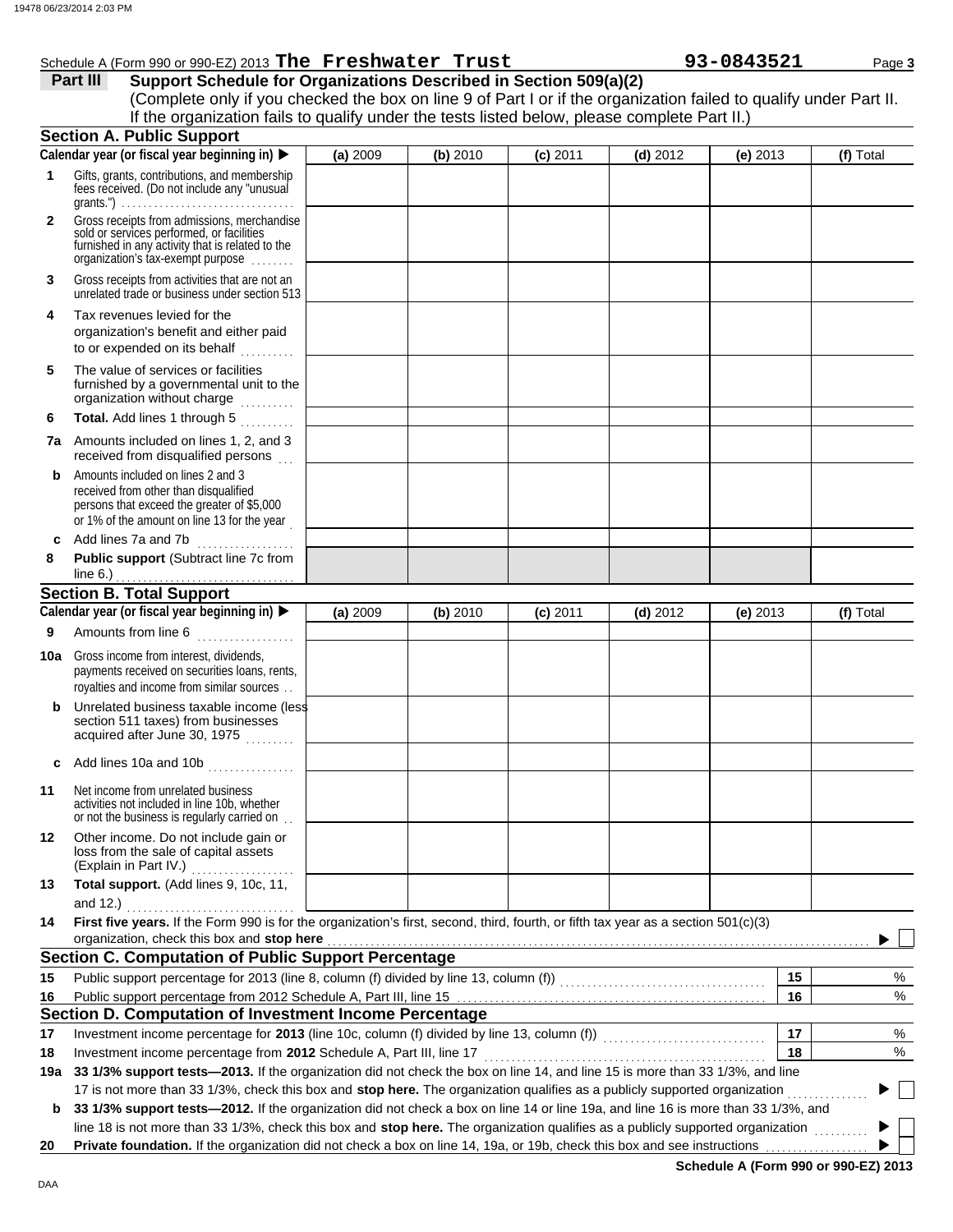|              | 8 06/23/2014 2:03 PM                                                                                                                                                                                                                                                                                                                                            |          |          |            |            |            |           |
|--------------|-----------------------------------------------------------------------------------------------------------------------------------------------------------------------------------------------------------------------------------------------------------------------------------------------------------------------------------------------------------------|----------|----------|------------|------------|------------|-----------|
|              | Schedule A (Form 990 or 990-EZ) 2013 The Freshwater Trust<br>Support Schedule for Organizations Described in Section 509(a)(2)<br>Part III<br>(Complete only if you checked the box on line 9 of Part I or if the organization failed to qualify under Part II.<br>If the organization fails to qualify under the tests listed below, please complete Part II.) |          |          |            |            | 93-0843521 | Page 3    |
|              | <b>Section A. Public Support</b>                                                                                                                                                                                                                                                                                                                                |          |          |            |            |            |           |
|              | Calendar year (or fiscal year beginning in)                                                                                                                                                                                                                                                                                                                     | (a) 2009 | (b) 2010 | $(c)$ 2011 | $(d)$ 2012 | $(e)$ 2013 | (f) Total |
| 1.           | Gifts, grants, contributions, and membership<br>fees received. (Do not include any "unusual                                                                                                                                                                                                                                                                     |          |          |            |            |            |           |
| $\mathbf{2}$ | Gross receipts from admissions, merchandise<br>sold or services performed, or facilities<br>furnished in any activity that is related to the<br>organization's tax-exempt purpose                                                                                                                                                                               |          |          |            |            |            |           |
| 3            | Gross receipts from activities that are not an<br>unrelated trade or business under section 513                                                                                                                                                                                                                                                                 |          |          |            |            |            |           |
| 4            | Tax revenues levied for the<br>organization's benefit and either paid<br>to or expended on its behalf<br>.                                                                                                                                                                                                                                                      |          |          |            |            |            |           |
| 5            | The value of services or facilities<br>furnished by a governmental unit to the<br>organization without charge                                                                                                                                                                                                                                                   |          |          |            |            |            |           |
| 6            | Total. Add lines 1 through 5                                                                                                                                                                                                                                                                                                                                    |          |          |            |            |            |           |
|              | <b>7a</b> Amounts included on lines 1, 2, and 3<br>received from disqualified persons                                                                                                                                                                                                                                                                           |          |          |            |            |            |           |
| b            | Amounts included on lines 2 and 3<br>received from other than disqualified<br>persons that exceed the greater of \$5,000<br>or 1% of the amount on line 13 for the year                                                                                                                                                                                         |          |          |            |            |            |           |
| c            | Add lines 7a and 7b                                                                                                                                                                                                                                                                                                                                             |          |          |            |            |            |           |
| 8            | Public support (Subtract line 7c from                                                                                                                                                                                                                                                                                                                           |          |          |            |            |            |           |
|              | line 6.)                                                                                                                                                                                                                                                                                                                                                        |          |          |            |            |            |           |
|              | <b>Section B. Total Support</b>                                                                                                                                                                                                                                                                                                                                 |          |          |            |            |            |           |
|              | Calendar year (or fiscal year beginning in)                                                                                                                                                                                                                                                                                                                     | (a) 2009 | (b) 2010 | $(c)$ 2011 | $(d)$ 2012 | $(e)$ 2013 | (f) Total |
| 9            | Amounts from line 6                                                                                                                                                                                                                                                                                                                                             |          |          |            |            |            |           |
|              | <b>10a</b> Gross income from interest, dividends,<br>payments received on securities loans, rents,<br>royalties and income from similar sources                                                                                                                                                                                                                 |          |          |            |            |            |           |
| b            | Unrelated business taxable income (less<br>section 511 taxes) from businesses<br>acquired after June 30, 1975                                                                                                                                                                                                                                                   |          |          |            |            |            |           |
| c            |                                                                                                                                                                                                                                                                                                                                                                 |          |          |            |            |            |           |
| 11           | Net income from unrelated business<br>activities not included in line 10b, whether<br>or not the business is regularly carried on                                                                                                                                                                                                                               |          |          |            |            |            |           |
| 12           | Other income. Do not include gain or<br>loss from the sale of capital assets<br>(Explain in Part IV.)                                                                                                                                                                                                                                                           |          |          |            |            |            |           |
| 13           | Total support. (Add lines 9, 10c, 11,<br>and 12.) $\qquad \qquad$                                                                                                                                                                                                                                                                                               |          |          |            |            |            |           |
| 14           | First five years. If the Form 990 is for the organization's first, second, third, fourth, or fifth tax year as a section 501(c)(3)                                                                                                                                                                                                                              |          |          |            |            |            |           |
|              | organization, check this box and stop here <b>contained</b> and set of the contained and a set of the contained and stop here contained a set of the contained and stop here contained a set of the contained and stop here contain                                                                                                                             |          |          |            |            |            |           |
|              | <b>Section C. Computation of Public Support Percentage</b>                                                                                                                                                                                                                                                                                                      |          |          |            |            |            |           |
| 15           |                                                                                                                                                                                                                                                                                                                                                                 |          |          |            |            | 15         | %         |
| 16           |                                                                                                                                                                                                                                                                                                                                                                 |          |          |            |            | 16         | %         |
|              | Section D. Computation of Investment Income Percentage                                                                                                                                                                                                                                                                                                          |          |          |            |            |            |           |
| 17           | Investment income percentage for 2013 (line 10c, column (f) divided by line 13, column (f)) [[[[[[[[[[[[[[[[[                                                                                                                                                                                                                                                   |          |          |            |            | 17         | %         |
| 18           |                                                                                                                                                                                                                                                                                                                                                                 |          |          |            |            | 18         | %         |
| 19a          | 33 1/3% support tests-2013. If the organization did not check the box on line 14, and line 15 is more than 33 1/3%, and line                                                                                                                                                                                                                                    |          |          |            |            |            |           |
|              | 17 is not more than 33 1/3%, check this box and stop here. The organization qualifies as a publicly supported organization                                                                                                                                                                                                                                      |          |          |            |            |            |           |

**b** 33 1/3% support tests-2012. If the organization did not check a box on line 14 or line 19a, and line 16 is more than 33 1/3%, and line 18 is not more than 33 1/3%, check this box and **stop here.** The organization qualifies as a publicly supported organization ..........

**20 Private foundation.** If the organization did not check a box on line 14, 19a, or 19b, check this box and see instructions

**Schedule A (Form 990 or 990-EZ) 2013**

 $\blacktriangleright$ ь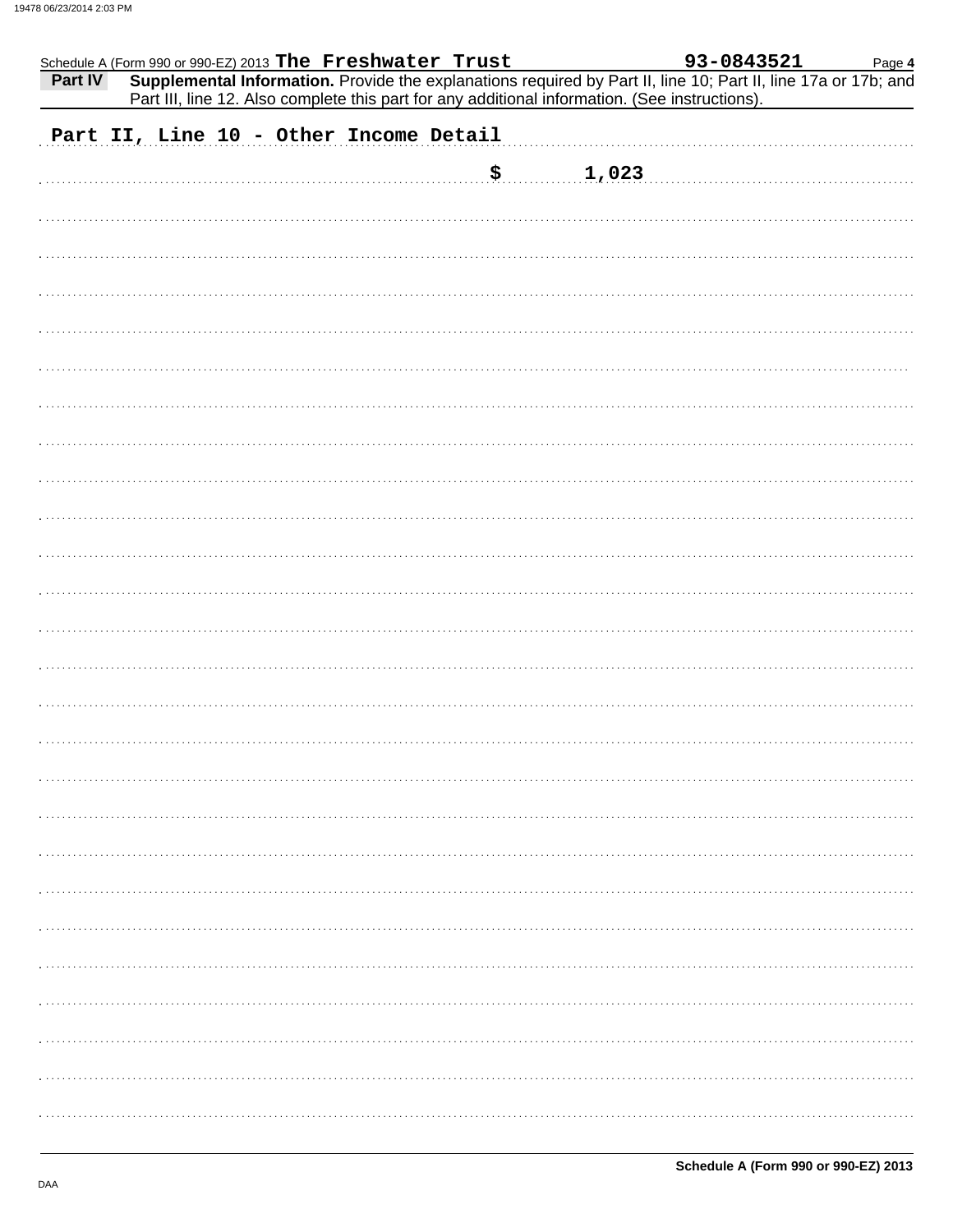| Schedule A (Form 990 or 990-EZ) 2013 The Freshwater Trust                                                                 |                             |       | 93-0843521 | Page 4 |
|---------------------------------------------------------------------------------------------------------------------------|-----------------------------|-------|------------|--------|
| Supplemental Information. Provide the explanations required by Part II, line 10; Part II, line 17a or 17b; and<br>Part IV |                             |       |            |        |
| Part III, line 12. Also complete this part for any additional information. (See instructions).                            |                             |       |            |        |
| Part II, Line 10 - Other Income Detail                                                                                    |                             |       |            |        |
|                                                                                                                           |                             |       |            |        |
|                                                                                                                           | $\boldsymbol{\mathsf{S}}$ . | 1,023 |            |        |
|                                                                                                                           |                             |       |            |        |
|                                                                                                                           |                             |       |            |        |
|                                                                                                                           |                             |       |            |        |
|                                                                                                                           |                             |       |            |        |
|                                                                                                                           |                             |       |            |        |
|                                                                                                                           |                             |       |            |        |
|                                                                                                                           |                             |       |            |        |
|                                                                                                                           |                             |       |            |        |
|                                                                                                                           |                             |       |            |        |
|                                                                                                                           |                             |       |            |        |
|                                                                                                                           |                             |       |            |        |
|                                                                                                                           |                             |       |            |        |
|                                                                                                                           |                             |       |            |        |
|                                                                                                                           |                             |       |            |        |
|                                                                                                                           |                             |       |            |        |
|                                                                                                                           |                             |       |            |        |
|                                                                                                                           |                             |       |            |        |
|                                                                                                                           |                             |       |            |        |
|                                                                                                                           |                             |       |            |        |
|                                                                                                                           |                             |       |            |        |
|                                                                                                                           |                             |       |            |        |
|                                                                                                                           |                             |       |            |        |
|                                                                                                                           |                             |       |            |        |
|                                                                                                                           |                             |       |            |        |
|                                                                                                                           |                             |       |            |        |
|                                                                                                                           |                             |       |            |        |
|                                                                                                                           |                             |       |            |        |
|                                                                                                                           |                             |       |            |        |
|                                                                                                                           |                             |       |            |        |
|                                                                                                                           |                             |       |            |        |
|                                                                                                                           |                             |       |            |        |
|                                                                                                                           |                             |       |            |        |
|                                                                                                                           |                             |       |            |        |
|                                                                                                                           |                             |       |            |        |
|                                                                                                                           |                             |       |            |        |
|                                                                                                                           |                             |       |            |        |
|                                                                                                                           |                             |       |            |        |
|                                                                                                                           |                             |       |            |        |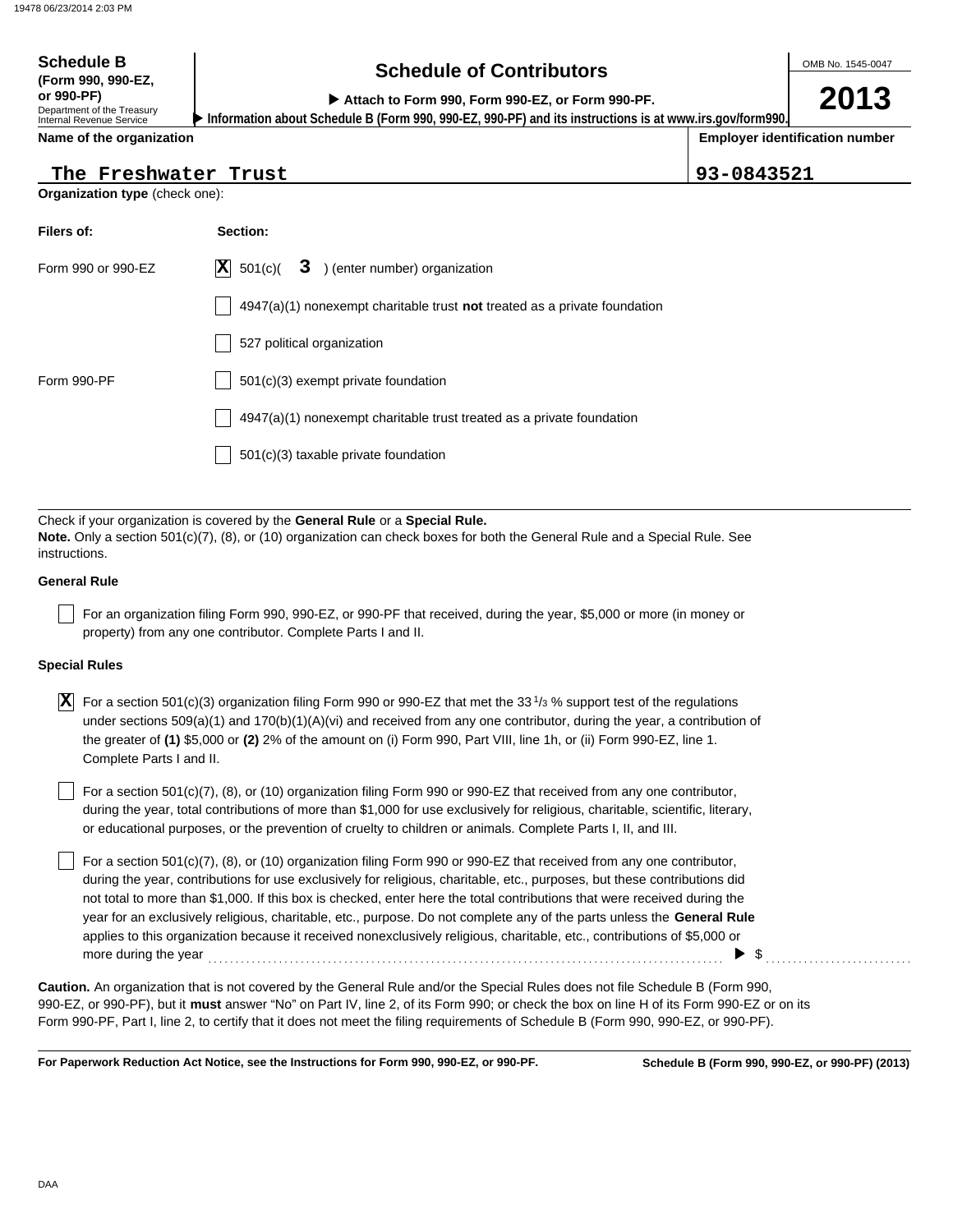## **Schedule of Contributors Schedule B**

**2013**

**or 990-PF) Attach to Form 990, Form 990-EZ, or Form 990-PF.**

Department of the Treasury Internal Revenue Service **Name of the organization**

**(Form 990, 990-EZ,**

**Employer identification number Information about Schedule B (Form 990, 990-EZ, 990-PF) and its instructions is at www.irs.gov/form990.**

**The Freshwater Trust 93-0843521**

|  | The Freshwater Trust |  |
|--|----------------------|--|
|--|----------------------|--|

**Organization type** (check one):

| Filers of:         | Section:                                                                    |
|--------------------|-----------------------------------------------------------------------------|
| Form 990 or 990-EZ | $ \mathbf{X} $ 501(c)(<br>3 ) (enter number) organization                   |
|                    | $4947(a)(1)$ nonexempt charitable trust not treated as a private foundation |
|                    | 527 political organization                                                  |
| Form 990-PF        | 501(c)(3) exempt private foundation                                         |
|                    | 4947(a)(1) nonexempt charitable trust treated as a private foundation       |
|                    | 501(c)(3) taxable private foundation                                        |

Check if your organization is covered by the **General Rule** or a **Special Rule. Note.** Only a section 501(c)(7), (8), or (10) organization can check boxes for both the General Rule and a Special Rule. See instructions.

#### **General Rule**

For an organization filing Form 990, 990-EZ, or 990-PF that received, during the year, \$5,000 or more (in money or property) from any one contributor. Complete Parts I and II.

#### **Special Rules**

 $\overline{\textbf{X}}$  For a section 501(c)(3) organization filing Form 990 or 990-EZ that met the 33<sup>1</sup>/<sub>3</sub> % support test of the regulations under sections 509(a)(1) and 170(b)(1)(A)(vi) and received from any one contributor, during the year, a contribution of the greater of **(1)** \$5,000 or **(2)** 2% of the amount on (i) Form 990, Part VIII, line 1h, or (ii) Form 990-EZ, line 1. Complete Parts I and II.

or educational purposes, or the prevention of cruelty to children or animals. Complete Parts I, II, and III. For a section 501(c)(7), (8), or (10) organization filing Form 990 or 990-EZ that received from any one contributor, during the year, total contributions of more than \$1,000 for use exclusively for religious, charitable, scientific, literary,

For a section  $501(c)(7)$ , (8), or (10) organization filing Form 990 or 990-EZ that received from any one contributor, during the year, contributions for use exclusively for religious, charitable, etc., purposes, but these contributions did not total to more than \$1,000. If this box is checked, enter here the total contributions that were received during the year for an exclusively religious, charitable, etc., purpose. Do not complete any of the parts unless the **General Rule** applies to this organization because it received nonexclusively religious, charitable, etc., contributions of \$5,000 or more during the year . . . . . . . . . . . . . . . . . . . . . . . . . . . . . . . . . . . . . . . . . . . . . . . . . . . . . . . . . . . . . . . . . . . . . . . . . . . . . . . . . . . . . . . . . . . . . . . \$ . . . . . . . . . . . . . . . . . . . . . . . . . . .

990-EZ, or 990-PF), but it **must** answer "No" on Part IV, line 2, of its Form 990; or check the box on line H of its Form 990-EZ or on its Form 990-PF, Part I, line 2, to certify that it does not meet the filing requirements of Schedule B (Form 990, 990-EZ, or 990-PF). **Caution.** An organization that is not covered by the General Rule and/or the Special Rules does not file Schedule B (Form 990,

**For Paperwork Reduction Act Notice, see the Instructions for Form 990, 990-EZ, or 990-PF.**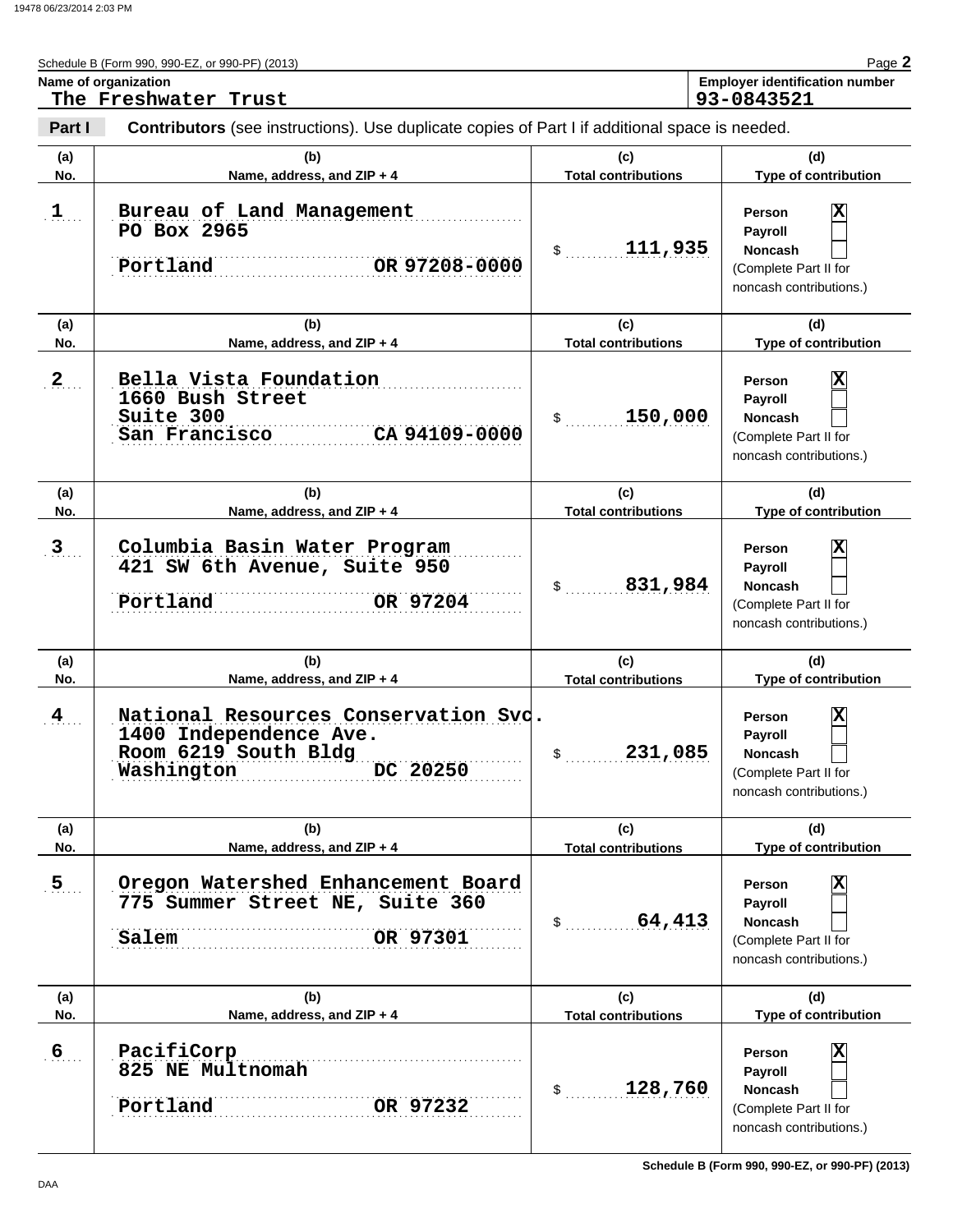| Schedule B (Form 990, 990-EZ, or 990-PF) (2013)                                                                  | Page 2                                |
|------------------------------------------------------------------------------------------------------------------|---------------------------------------|
| Name of organization                                                                                             | <b>Employer identification number</b> |
| The Freshwater Trust                                                                                             | 93-0843521                            |
| Contributors (see instructions) Lles duplicate copies of Part Life additional space is needed<br>$D_{\Omega}r+1$ |                                       |

| Part I                | <b>Contributors</b> (see instructions). Use duplicate copies of Part I if additional space is needed.                                          |                                             |                                                                                                                      |
|-----------------------|------------------------------------------------------------------------------------------------------------------------------------------------|---------------------------------------------|----------------------------------------------------------------------------------------------------------------------|
| (a)<br>No.            | (b)<br>Name, address, and ZIP + 4                                                                                                              | (c)<br><b>Total contributions</b>           | (d)<br>Type of contribution                                                                                          |
| 1                     | Bureau of Land Management<br>PO Box 2965<br>Portland<br>OR 97208-0000                                                                          | 111,935<br>\$                               | Χ<br>Person<br>Payroll<br><b>Noncash</b><br>(Complete Part II for<br>noncash contributions.)                         |
| (a)<br>No.            | (b)<br>Name, address, and ZIP + 4                                                                                                              | (c)<br><b>Total contributions</b>           | (d)<br>Type of contribution                                                                                          |
| $2_{1}$               | Bella Vista Foundation<br>1660 Bush Street<br>Suite 300<br>CA 94109-0000<br>San Francisco                                                      | 150,000<br>\$                               | Χ<br>Person<br>Payroll<br>Noncash<br>(Complete Part II for<br>noncash contributions.)                                |
| (a)                   | (b)                                                                                                                                            | (c)                                         | (d)                                                                                                                  |
| No.                   | Name, address, and ZIP + 4                                                                                                                     | <b>Total contributions</b>                  | Type of contribution                                                                                                 |
| 3                     | Columbia Basin Water Program<br>421 SW 6th Avenue, Suite 950<br>Portland<br>OR 97204                                                           | 831,984<br>\$                               | Χ<br>Person<br>Payroll<br><b>Noncash</b><br>(Complete Part II for<br>noncash contributions.)                         |
| (a)                   | (b)                                                                                                                                            | (c)                                         | (d)                                                                                                                  |
| No.<br>$\overline{4}$ | Name, address, and ZIP + 4<br>National Resources Conservation Svd.<br>1400 Independence Ave.<br>Room 6219 South Bldg<br>DC 20250<br>Washington | <b>Total contributions</b><br>231,085<br>\$ | Type of contribution<br>X<br>Person<br>Payroll<br><b>Noncash</b><br>(Complete Part II for<br>noncash contributions.) |
| (a)<br>No.            | (b)<br>Name, address, and ZIP + 4                                                                                                              | (c)<br><b>Total contributions</b>           | (d)<br>Type of contribution                                                                                          |
| $\overline{5}$ .      | Oregon Watershed Enhancement Board<br>775 Summer Street NE, Suite 360<br>OR 97301<br>Salem                                                     | 64,413<br>\$                                | Χ<br>Person<br>Payroll<br><b>Noncash</b><br>(Complete Part II for<br>noncash contributions.)                         |
| (a)                   | (b)                                                                                                                                            | (c)                                         | (d)                                                                                                                  |
| No.                   | Name, address, and ZIP + 4                                                                                                                     | <b>Total contributions</b>                  | Type of contribution                                                                                                 |
| 6 <sub>1</sub>        | PacifiCorp<br>825 NE Multnomah<br>Portland<br>OR 97232                                                                                         | 128,760<br>\$                               | Χ<br>Person<br>Payroll<br><b>Noncash</b><br>(Complete Part II for<br>noncash contributions.)                         |

**Schedule B (Form 990, 990-EZ, or 990-PF) (2013)**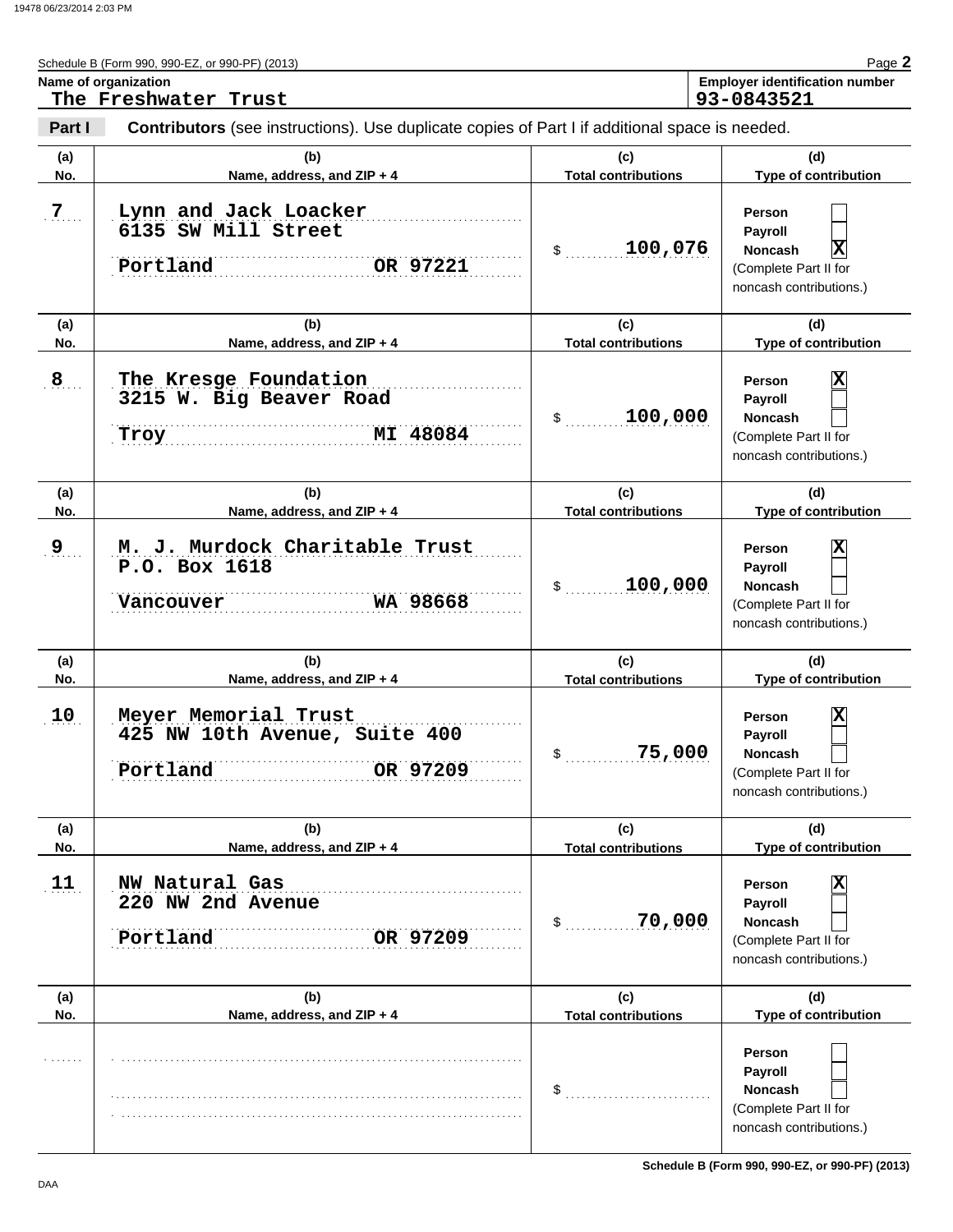**Name of organization** 

Schedule B (Form 990, 990-EZ, or 990-PF) (2013)

|--|--|--|

| Faue 4                                |
|---------------------------------------|
| <b>Employer identification number</b> |
| 02.0012F21                            |

|                | The Freshwater Trust                                                                           |                                   | 93-0843521                                                                                                      |
|----------------|------------------------------------------------------------------------------------------------|-----------------------------------|-----------------------------------------------------------------------------------------------------------------|
| Part I         | Contributors (see instructions). Use duplicate copies of Part I if additional space is needed. |                                   |                                                                                                                 |
| (a)<br>No.     | (b)<br>Name, address, and ZIP + 4                                                              | (c)<br><b>Total contributions</b> | (d)<br>Type of contribution                                                                                     |
| 7 <sub>1</sub> | Lynn and Jack Loacker<br>6135 SW Mill Street<br>Portland<br>OR 97221                           | 100,076<br>\$                     | Person<br>Payroll<br>$ \mathbf{X} $<br>Noncash<br>(Complete Part II for<br>noncash contributions.)              |
| (a)<br>No.     | (b)<br>Name, address, and ZIP + 4                                                              | (c)<br><b>Total contributions</b> | (d)<br>Type of contribution                                                                                     |
| $\overline{8}$ | The Kresge Foundation<br>3215 W. Big Beaver Road<br>MI 48084<br><b>Troy</b>                    | 100,000<br>\$                     | X<br>Person<br>Payroll<br>Noncash<br>(Complete Part II for<br>noncash contributions.)                           |
| (a)<br>No.     | (b)<br>Name, address, and ZIP + 4                                                              | (c)<br><b>Total contributions</b> | (d)<br>Type of contribution                                                                                     |
| 9              | M. J. Murdock Charitable Trust<br>P.O. Box 1618<br>WA 98668<br>Vancouver                       | 100,000<br>\$                     | $\overline{\mathbf{x}}$<br>Person<br>Payroll<br>Noncash<br>(Complete Part II for<br>noncash contributions.)     |
| (a)<br>No.     | (b)<br>Name, address, and ZIP + 4                                                              | (c)<br><b>Total contributions</b> | (d)<br>Type of contribution                                                                                     |
| 10             | Meyer Memorial Trust<br>425 NW 10th Avenue, Suite 400<br>OR 97209<br>Portland                  | 75,000<br>\$                      | X<br>Person<br>Payroll<br>Noncash<br>(Complete Part II for<br>noncash contributions.)                           |
| (a)            | (b)                                                                                            | (c)                               | (d)                                                                                                             |
| No.            | Name, address, and ZIP + 4                                                                     | <b>Total contributions</b>        | Type of contribution                                                                                            |
| 11             | NW Natural Gas<br>220 NW 2nd Avenue<br>Portland<br>OR 97209                                    | 70,000<br>\$                      | X<br>Person<br>Payroll<br><b>Noncash</b><br>(Complete Part II for<br>noncash contributions.)                    |
| (a)            | (b)                                                                                            | (c)                               | (d)                                                                                                             |
| No.            | Name, address, and ZIP + 4                                                                     | <b>Total contributions</b><br>\$  | Type of contribution<br>Person<br>Payroll<br><b>Noncash</b><br>(Complete Part II for<br>noncash contributions.) |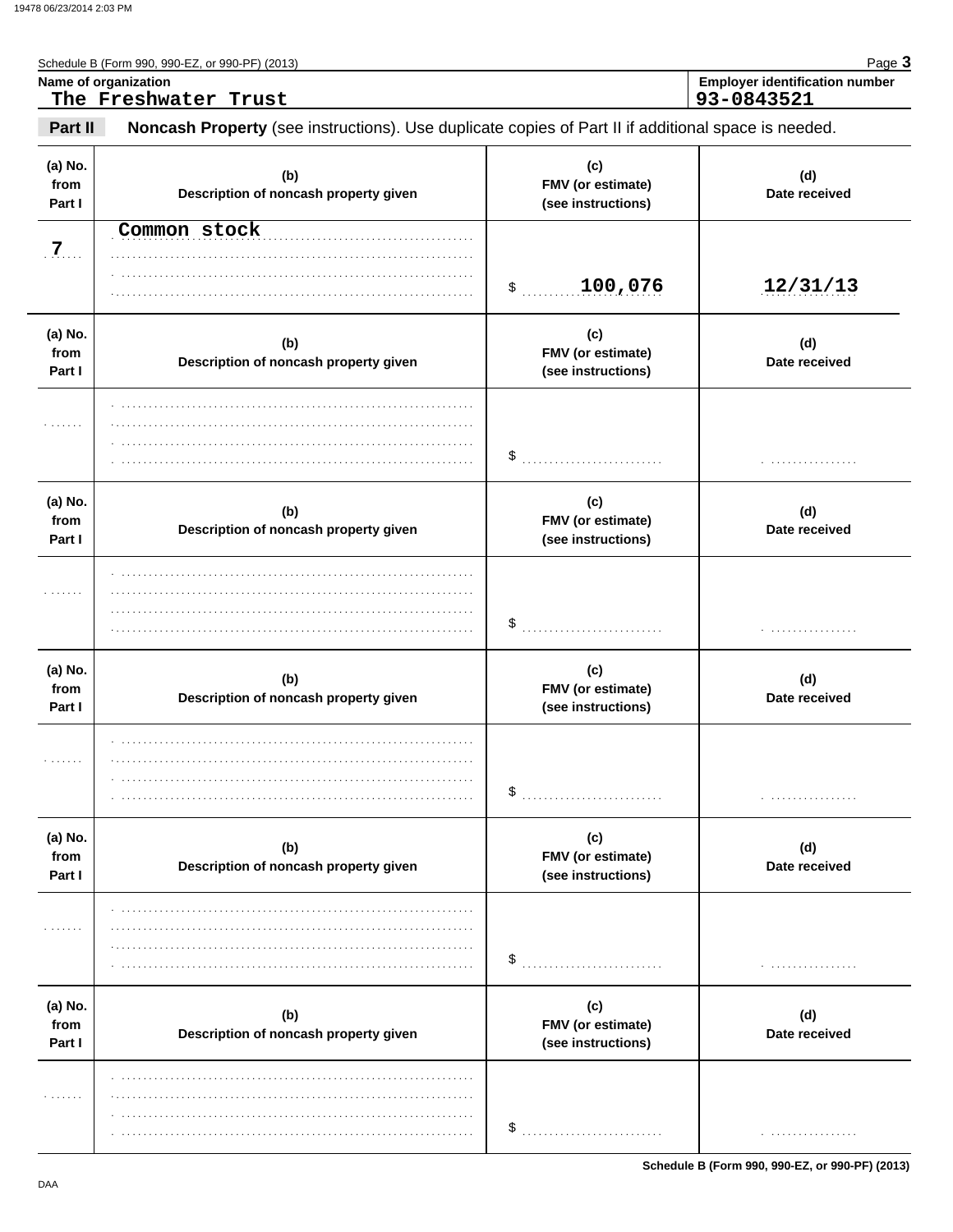| Schedule B (Form 990, 990-EZ, or 990-PF) (2013) | $P$ aqe $\gimel$                      |
|-------------------------------------------------|---------------------------------------|
| Name of organization                            | <b>Employer identification number</b> |
| The Freshwater Trust                            | 93-0843521                            |

| (a) No.<br>from<br>Part I | (b)<br>Description of noncash property given | (c)<br>FMV (or estimate)<br>(see instructions) | (d)<br>Date received |
|---------------------------|----------------------------------------------|------------------------------------------------|----------------------|
| 7.                        | Common stock                                 |                                                |                      |
|                           |                                              | \$100,076                                      | 12/31/13             |
| (a) No.<br>from<br>Part I | (b)<br>Description of noncash property given | (c)<br>FMV (or estimate)<br>(see instructions) | (d)<br>Date received |
| .                         |                                              |                                                | .                    |
| (a) No.<br>from<br>Part I | (b)<br>Description of noncash property given | (c)<br>FMV (or estimate)<br>(see instructions) | (d)<br>Date received |
| .                         |                                              | \$<br>.                                        | .                    |
| (a) No.<br>from<br>Part I | (b)<br>Description of noncash property given | (c)<br>FMV (or estimate)<br>(see instructions) | (d)<br>Date received |
| .                         |                                              |                                                | .                    |
| (a) No.<br>from<br>Part I | (b)<br>Description of noncash property given | (c)<br>FMV (or estimate)<br>(see instructions) | (d)<br>Date received |
|                           |                                              | \$                                             | .                    |
| (a) No.<br>from<br>Part I | (b)<br>Description of noncash property given | (c)<br>FMV (or estimate)<br>(see instructions) | (d)<br>Date received |
|                           |                                              | \$                                             |                      |

Schedule B (Form 990, 990-EZ, or 990-PF) (2013)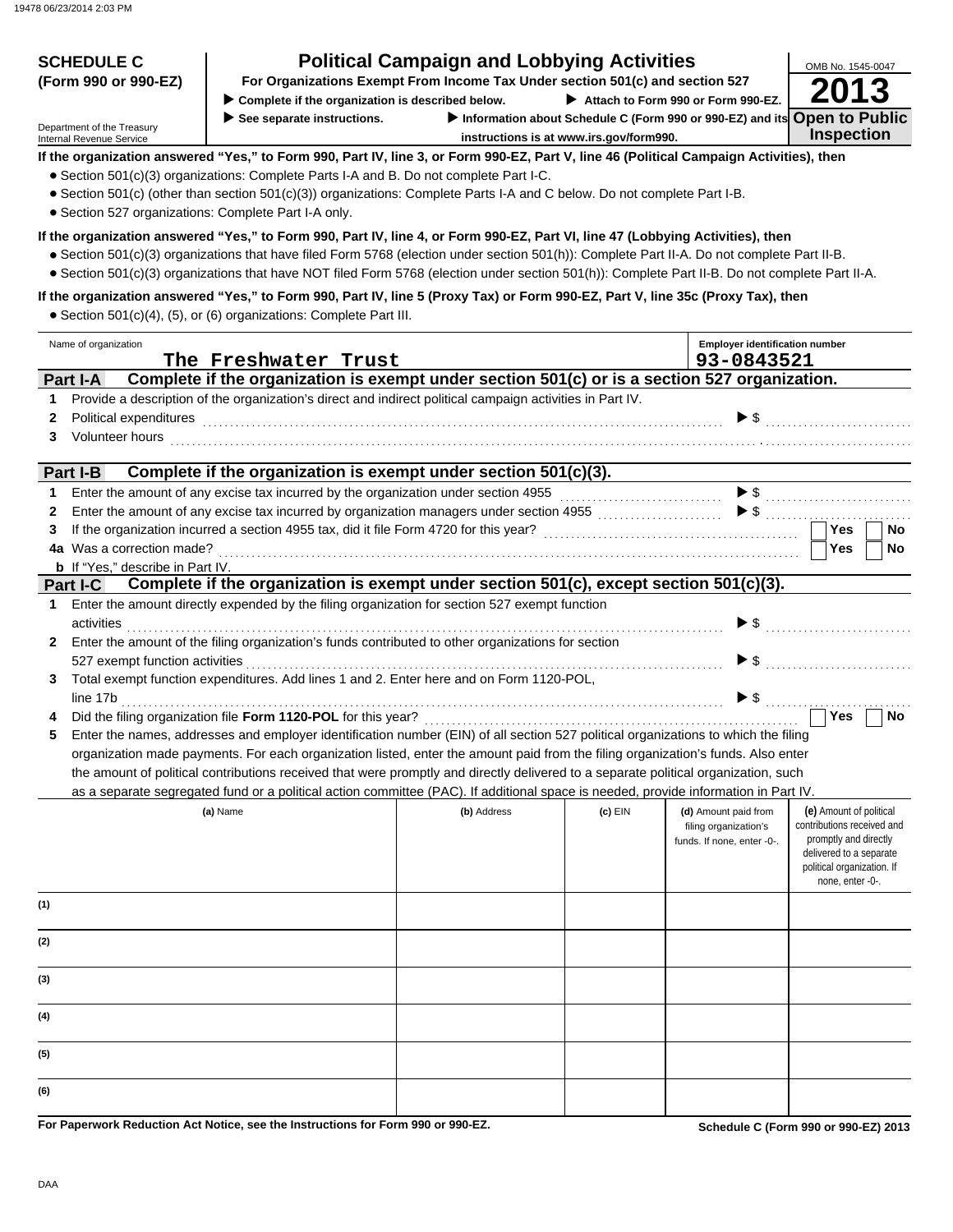| <b>SCHEDULE C</b>                                             |                                                                                                                                                                                                                                                                                                                                                                                                                                                                                                                                                                                                                                                                                                                                                                                                   | <b>Political Campaign and Lobbying Activities</b>                             |         |                                                                             | OMB No. 1545-0047                                                                                                                                           |
|---------------------------------------------------------------|---------------------------------------------------------------------------------------------------------------------------------------------------------------------------------------------------------------------------------------------------------------------------------------------------------------------------------------------------------------------------------------------------------------------------------------------------------------------------------------------------------------------------------------------------------------------------------------------------------------------------------------------------------------------------------------------------------------------------------------------------------------------------------------------------|-------------------------------------------------------------------------------|---------|-----------------------------------------------------------------------------|-------------------------------------------------------------------------------------------------------------------------------------------------------------|
| (Form 990 or 990-EZ)                                          | Complete if the organization is described below.                                                                                                                                                                                                                                                                                                                                                                                                                                                                                                                                                                                                                                                                                                                                                  | For Organizations Exempt From Income Tax Under section 501(c) and section 527 |         | Attach to Form 990 or Form 990-EZ.                                          |                                                                                                                                                             |
|                                                               | See separate instructions.                                                                                                                                                                                                                                                                                                                                                                                                                                                                                                                                                                                                                                                                                                                                                                        |                                                                               |         | Information about Schedule C (Form 990 or 990-EZ) and its Open to Public    |                                                                                                                                                             |
| Department of the Treasury<br><b>Internal Revenue Service</b> |                                                                                                                                                                                                                                                                                                                                                                                                                                                                                                                                                                                                                                                                                                                                                                                                   | instructions is at www.irs.gov/form990.                                       |         |                                                                             | <b>Inspection</b>                                                                                                                                           |
| • Section 527 organizations: Complete Part I-A only.          | If the organization answered "Yes," to Form 990, Part IV, line 3, or Form 990-EZ, Part V, line 46 (Political Campaign Activities), then<br>• Section 501(c)(3) organizations: Complete Parts I-A and B. Do not complete Part I-C.<br>• Section 501(c) (other than section 501(c)(3)) organizations: Complete Parts I-A and C below. Do not complete Part I-B.<br>If the organization answered "Yes," to Form 990, Part IV, line 4, or Form 990-EZ, Part VI, line 47 (Lobbying Activities), then<br>● Section 501(c)(3) organizations that have filed Form 5768 (election under section 501(h)): Complete Part II-A. Do not complete Part II-B.<br>• Section 501(c)(3) organizations that have NOT filed Form 5768 (election under section 501(h)): Complete Part II-B. Do not complete Part II-A. |                                                                               |         |                                                                             |                                                                                                                                                             |
|                                                               | If the organization answered "Yes," to Form 990, Part IV, line 5 (Proxy Tax) or Form 990-EZ, Part V, line 35c (Proxy Tax), then<br>• Section 501(c)(4), (5), or (6) organizations: Complete Part III.                                                                                                                                                                                                                                                                                                                                                                                                                                                                                                                                                                                             |                                                                               |         |                                                                             |                                                                                                                                                             |
| Name of organization                                          | The Freshwater Trust                                                                                                                                                                                                                                                                                                                                                                                                                                                                                                                                                                                                                                                                                                                                                                              |                                                                               |         | <b>Employer identification number</b><br>93-0843521                         |                                                                                                                                                             |
| Part I-A                                                      | Complete if the organization is exempt under section 501(c) or is a section 527 organization.                                                                                                                                                                                                                                                                                                                                                                                                                                                                                                                                                                                                                                                                                                     |                                                                               |         |                                                                             |                                                                                                                                                             |
| 1                                                             | Provide a description of the organization's direct and indirect political campaign activities in Part IV.                                                                                                                                                                                                                                                                                                                                                                                                                                                                                                                                                                                                                                                                                         |                                                                               |         |                                                                             |                                                                                                                                                             |
| Political expenditures<br>2                                   |                                                                                                                                                                                                                                                                                                                                                                                                                                                                                                                                                                                                                                                                                                                                                                                                   |                                                                               |         | $\blacktriangleright$ \$                                                    |                                                                                                                                                             |
| Volunteer hours<br>3                                          |                                                                                                                                                                                                                                                                                                                                                                                                                                                                                                                                                                                                                                                                                                                                                                                                   |                                                                               |         |                                                                             |                                                                                                                                                             |
|                                                               |                                                                                                                                                                                                                                                                                                                                                                                                                                                                                                                                                                                                                                                                                                                                                                                                   |                                                                               |         |                                                                             |                                                                                                                                                             |
| Part I-B                                                      | Complete if the organization is exempt under section 501(c)(3).                                                                                                                                                                                                                                                                                                                                                                                                                                                                                                                                                                                                                                                                                                                                   |                                                                               |         |                                                                             |                                                                                                                                                             |
| 1                                                             | Enter the amount of any excise tax incurred by the organization under section 4955<br>Enter the amount of any excise tax incurred by organization managers under section 4955                                                                                                                                                                                                                                                                                                                                                                                                                                                                                                                                                                                                                     |                                                                               |         | $\blacktriangleright$ \$                                                    |                                                                                                                                                             |
| 2<br>3                                                        | If the organization incurred a section 4955 tax, did it file Form 4720 for this year?                                                                                                                                                                                                                                                                                                                                                                                                                                                                                                                                                                                                                                                                                                             |                                                                               |         |                                                                             | Yes<br>No                                                                                                                                                   |
| 4a Was a correction made?                                     |                                                                                                                                                                                                                                                                                                                                                                                                                                                                                                                                                                                                                                                                                                                                                                                                   |                                                                               |         |                                                                             | Yes<br>No                                                                                                                                                   |
| <b>b</b> If "Yes," describe in Part IV.                       |                                                                                                                                                                                                                                                                                                                                                                                                                                                                                                                                                                                                                                                                                                                                                                                                   |                                                                               |         |                                                                             |                                                                                                                                                             |
| <b>Part I-C</b>                                               | Complete if the organization is exempt under section 501(c), except section 501(c)(3).                                                                                                                                                                                                                                                                                                                                                                                                                                                                                                                                                                                                                                                                                                            |                                                                               |         |                                                                             |                                                                                                                                                             |
| 1.                                                            | Enter the amount directly expended by the filing organization for section 527 exempt function                                                                                                                                                                                                                                                                                                                                                                                                                                                                                                                                                                                                                                                                                                     |                                                                               |         |                                                                             |                                                                                                                                                             |
| activities<br>$\mathbf{2}$                                    | Enter the amount of the filing organization's funds contributed to other organizations for section                                                                                                                                                                                                                                                                                                                                                                                                                                                                                                                                                                                                                                                                                                |                                                                               |         | $\blacktriangleright$ \$                                                    |                                                                                                                                                             |
| 527 exempt function activities                                |                                                                                                                                                                                                                                                                                                                                                                                                                                                                                                                                                                                                                                                                                                                                                                                                   |                                                                               |         | $\blacktriangleright$ s                                                     |                                                                                                                                                             |
| 3<br>line 17b                                                 | Total exempt function expenditures. Add lines 1 and 2. Enter here and on Form 1120-POL,                                                                                                                                                                                                                                                                                                                                                                                                                                                                                                                                                                                                                                                                                                           |                                                                               |         | $\blacktriangleright$ \$                                                    |                                                                                                                                                             |
| 4                                                             | Did the filing organization file Form 1120-POL for this year?                                                                                                                                                                                                                                                                                                                                                                                                                                                                                                                                                                                                                                                                                                                                     |                                                                               |         |                                                                             | Yes<br>No                                                                                                                                                   |
| 5                                                             | Enter the names, addresses and employer identification number (EIN) of all section 527 political organizations to which the filing                                                                                                                                                                                                                                                                                                                                                                                                                                                                                                                                                                                                                                                                |                                                                               |         |                                                                             |                                                                                                                                                             |
|                                                               | organization made payments. For each organization listed, enter the amount paid from the filing organization's funds. Also enter                                                                                                                                                                                                                                                                                                                                                                                                                                                                                                                                                                                                                                                                  |                                                                               |         |                                                                             |                                                                                                                                                             |
|                                                               | the amount of political contributions received that were promptly and directly delivered to a separate political organization, such                                                                                                                                                                                                                                                                                                                                                                                                                                                                                                                                                                                                                                                               |                                                                               |         |                                                                             |                                                                                                                                                             |
|                                                               | as a separate segregated fund or a political action committee (PAC). If additional space is needed, provide information in Part IV.                                                                                                                                                                                                                                                                                                                                                                                                                                                                                                                                                                                                                                                               |                                                                               |         |                                                                             |                                                                                                                                                             |
|                                                               | (a) Name                                                                                                                                                                                                                                                                                                                                                                                                                                                                                                                                                                                                                                                                                                                                                                                          | (b) Address                                                                   | (c) EIN | (d) Amount paid from<br>filing organization's<br>funds. If none, enter -0-. | (e) Amount of political<br>contributions received and<br>promptly and directly<br>delivered to a separate<br>political organization. If<br>none, enter -0-. |
| (1)                                                           |                                                                                                                                                                                                                                                                                                                                                                                                                                                                                                                                                                                                                                                                                                                                                                                                   |                                                                               |         |                                                                             |                                                                                                                                                             |
| (2)                                                           |                                                                                                                                                                                                                                                                                                                                                                                                                                                                                                                                                                                                                                                                                                                                                                                                   |                                                                               |         |                                                                             |                                                                                                                                                             |
| (3)                                                           |                                                                                                                                                                                                                                                                                                                                                                                                                                                                                                                                                                                                                                                                                                                                                                                                   |                                                                               |         |                                                                             |                                                                                                                                                             |
| (4)                                                           |                                                                                                                                                                                                                                                                                                                                                                                                                                                                                                                                                                                                                                                                                                                                                                                                   |                                                                               |         |                                                                             |                                                                                                                                                             |
| (5)                                                           |                                                                                                                                                                                                                                                                                                                                                                                                                                                                                                                                                                                                                                                                                                                                                                                                   |                                                                               |         |                                                                             |                                                                                                                                                             |
| (6)                                                           |                                                                                                                                                                                                                                                                                                                                                                                                                                                                                                                                                                                                                                                                                                                                                                                                   |                                                                               |         |                                                                             |                                                                                                                                                             |

**For Paperwork Reduction Act Notice, see the Instructions for Form 990 or 990-EZ.**

**Schedule C (Form 990 or 990-EZ) 2013**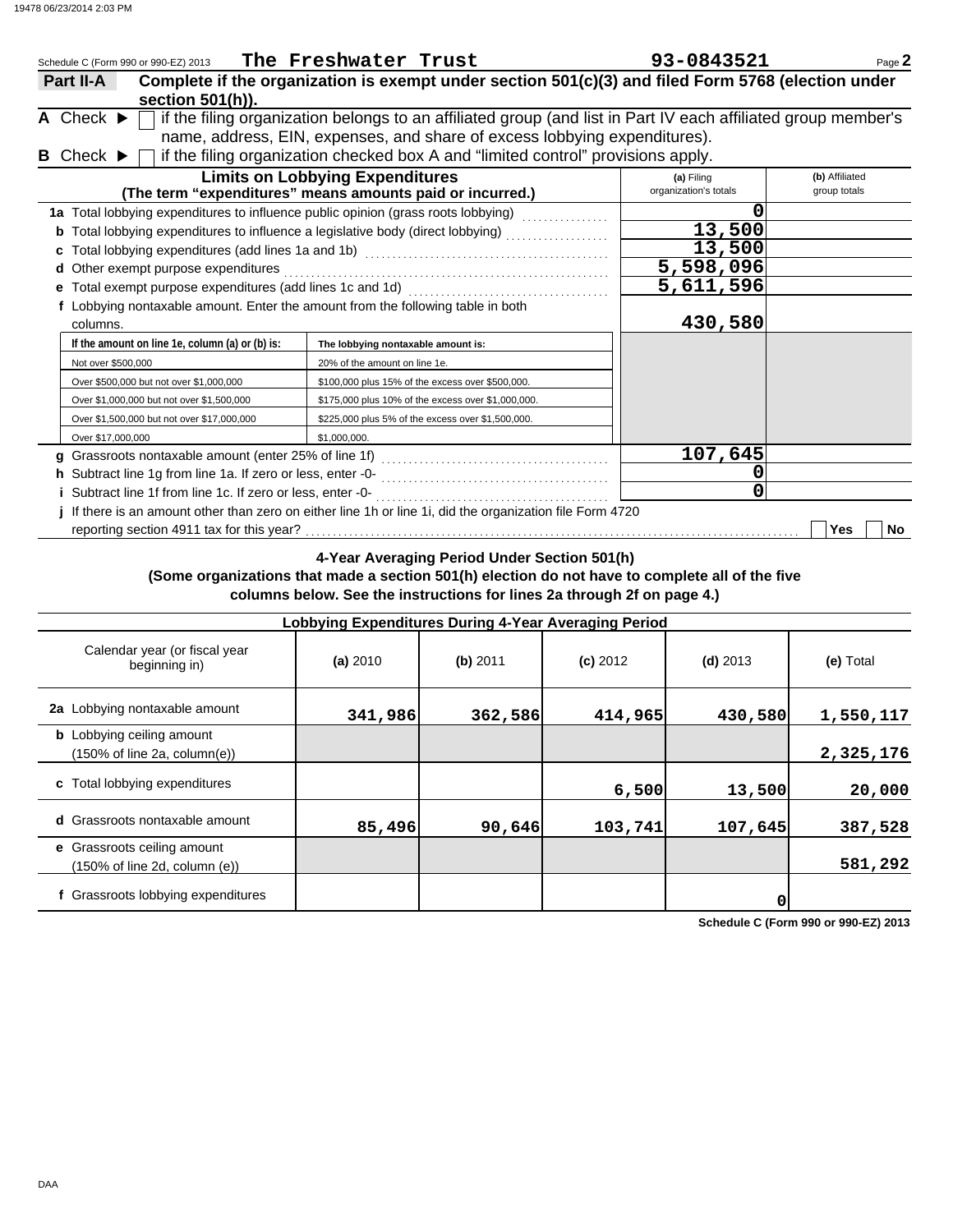|                                      | Schedule C (Form 990 or 990-EZ) 2013                      | The Freshwater Trust                                                                                                                                                                       | 93-0843521                          | Page 2                         |
|--------------------------------------|-----------------------------------------------------------|--------------------------------------------------------------------------------------------------------------------------------------------------------------------------------------------|-------------------------------------|--------------------------------|
| Part II-A                            | section 501(h)).                                          | Complete if the organization is exempt under section 501(c)(3) and filed Form 5768 (election under                                                                                         |                                     |                                |
| A Check $\blacktriangleright$        |                                                           | if the filing organization belongs to an affiliated group (and list in Part IV each affiliated group member's<br>name, address, EIN, expenses, and share of excess lobbying expenditures). |                                     |                                |
| <b>B</b> Check $\blacktriangleright$ |                                                           | if the filing organization checked box A and "limited control" provisions apply.<br><b>Limits on Lobbying Expenditures</b><br>(The term "expenditures" means amounts paid or incurred.)    | (a) Filing<br>organization's totals | (b) Affiliated<br>group totals |
|                                      |                                                           | 1a Total lobbying expenditures to influence public opinion (grass roots lobbying)                                                                                                          |                                     |                                |
|                                      |                                                           |                                                                                                                                                                                            | 13,500                              |                                |
|                                      |                                                           |                                                                                                                                                                                            | 13,500                              |                                |
|                                      | d Other exempt purpose expenditures                       |                                                                                                                                                                                            | 5,598,096                           |                                |
|                                      | e Total exempt purpose expenditures (add lines 1c and 1d) |                                                                                                                                                                                            | 5,611,596                           |                                |
| columns.                             |                                                           | f Lobbying nontaxable amount. Enter the amount from the following table in both                                                                                                            | 430,580                             |                                |
|                                      | If the amount on line 1e, column (a) or (b) is:           | The lobbying nontaxable amount is:                                                                                                                                                         |                                     |                                |
| Not over \$500,000                   |                                                           | 20% of the amount on line 1e.                                                                                                                                                              |                                     |                                |
|                                      | Over \$500,000 but not over \$1,000,000                   | \$100,000 plus 15% of the excess over \$500,000.                                                                                                                                           |                                     |                                |
|                                      | Over \$1,000,000 but not over \$1,500,000                 | \$175,000 plus 10% of the excess over \$1,000,000.                                                                                                                                         |                                     |                                |
|                                      | Over \$1,500,000 but not over \$17,000,000                | \$225,000 plus 5% of the excess over \$1,500,000.                                                                                                                                          |                                     |                                |
| Over \$17,000,000                    |                                                           | \$1,000,000.                                                                                                                                                                               |                                     |                                |
|                                      |                                                           |                                                                                                                                                                                            | 107,645                             |                                |
|                                      |                                                           |                                                                                                                                                                                            |                                     |                                |
|                                      |                                                           |                                                                                                                                                                                            | 0                                   |                                |
|                                      |                                                           | If there is an amount other than zero on either line 1h or line 1i, did the organization file Form 4720                                                                                    |                                     |                                |
|                                      | reporting section 4911 tax for this year?                 |                                                                                                                                                                                            |                                     | Yes<br><b>No</b>               |

**4-Year Averaging Period Under Section 501(h)**

## **(Some organizations that made a section 501(h) election do not have to complete all of the five columns below. See the instructions for lines 2a through 2f on page 4.)**

|                                                                                      | Lobbying Expenditures During 4-Year Averaging Period |            |            |            |           |
|--------------------------------------------------------------------------------------|------------------------------------------------------|------------|------------|------------|-----------|
| Calendar year (or fiscal year<br>beginning in)                                       | (a) 2010                                             | $(b)$ 2011 | $(c)$ 2012 | $(d)$ 2013 | (e) Total |
| 2a Lobbying nontaxable amount                                                        | 341,986                                              | 362,586    | 414,965    | 430,580    | 1,550,117 |
| <b>b</b> Lobbying ceiling amount<br>$(150\% \text{ of line } 2a, \text{ column}(e))$ |                                                      |            |            |            | 2,325,176 |
| c Total lobbying expenditures                                                        |                                                      |            | 6,500      | 13,500     | 20,000    |
| d Grassroots nontaxable amount                                                       | 85,496                                               | 90,646     | 103,741    | 107,645    | 387,528   |
| e Grassroots ceiling amount<br>(150% of line 2d, column (e))                         |                                                      |            |            |            | 581,292   |
| f Grassroots lobbying expenditures                                                   |                                                      |            |            | 0          |           |

**Schedule C (Form 990 or 990-EZ) 2013**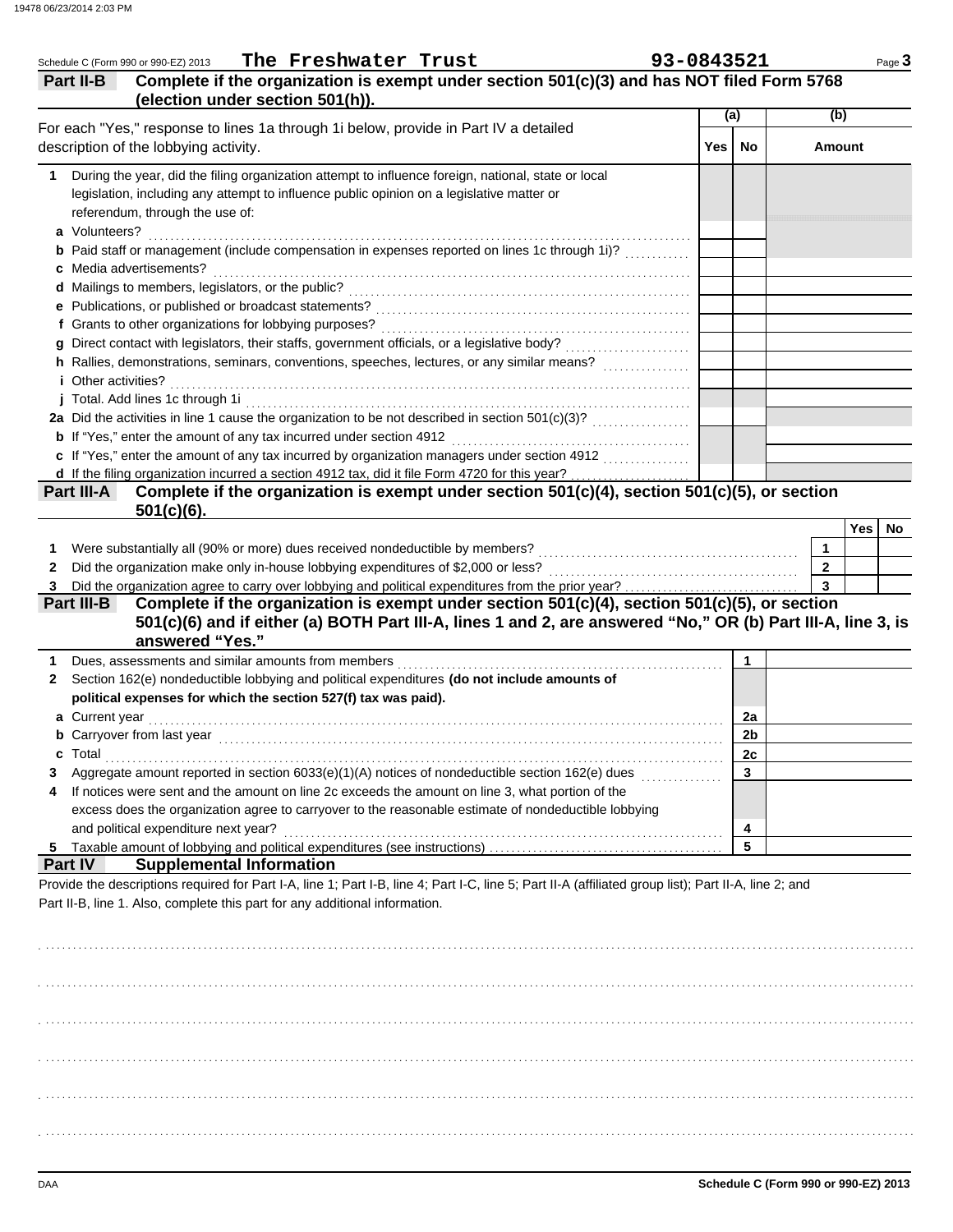| (election under section 501(h)).<br>(a)<br>(b)<br>For each "Yes," response to lines 1a through 1i below, provide in Part IV a detailed<br>Yes  <br>No<br><b>Amount</b><br>During the year, did the filing organization attempt to influence foreign, national, state or local<br>1<br>legislation, including any attempt to influence public opinion on a legislative matter or<br>referendum, through the use of:<br>a Volunteers?<br><b>b</b> Paid staff or management (include compensation in expenses reported on lines 1c through 1i)?<br>c Media advertisements?<br>e Publications, or published or broadcast statements?<br>f Grants to other organizations for lobbying purposes?<br>h Rallies, demonstrations, seminars, conventions, speeches, lectures, or any similar means?<br><i>i</i> Other activities?<br>j Total. Add lines 1c through 1i<br><b>b</b> If "Yes," enter the amount of any tax incurred under section 4912<br>c If "Yes," enter the amount of any tax incurred by organization managers under section 4912<br>d If the filing organization incurred a section 4912 tax, did it file Form 4720 for this year?<br>Complete if the organization is exempt under section 501(c)(4), section 501(c)(5), or section<br>Part III-A<br>$501(c)(6)$ .<br>Yes<br>No<br>Were substantially all (90% or more) dues received nondeductible by members?<br>1<br>1<br>Did the organization make only in-house lobbying expenditures of \$2,000 or less?<br>$\overline{2}$<br>2<br>$\mathbf{3}$<br>3<br>Complete if the organization is exempt under section 501(c)(4), section 501(c)(5), or section<br>Part III-B<br>501(c)(6) and if either (a) BOTH Part III-A, lines 1 and 2, are answered "No," OR (b) Part III-A, line 3, is<br>answered "Yes."<br>Dues, assessments and similar amounts from members<br>$\mathbf 1$<br>1<br>Section 162(e) nondeductible lobbying and political expenditures (do not include amounts of<br>2<br>political expenses for which the section 527(f) tax was paid).<br>a Current year<br>2a<br>2 <sub>b</sub><br>Carryover from last year<br>c Total<br>2c<br>Aggregate amount reported in section 6033(e)(1)(A) notices of nondeductible section 162(e) dues<br>3<br>3<br>If notices were sent and the amount on line 2c exceeds the amount on line 3, what portion of the<br>4<br>excess does the organization agree to carryover to the reasonable estimate of nondeductible lobbying<br>and political expenditure next year?<br>4<br>5<br>Part IV<br><b>Supplemental Information</b><br>Provide the descriptions required for Part I-A, line 1; Part I-B, line 4; Part I-C, line 5; Part II-A (affiliated group list); Part II-A, line 2; and<br>Part II-B, line 1. Also, complete this part for any additional information. | Complete if the organization is exempt under section 501(c)(3) and has NOT filed Form 5768<br>Part II-B |  |  |  |
|------------------------------------------------------------------------------------------------------------------------------------------------------------------------------------------------------------------------------------------------------------------------------------------------------------------------------------------------------------------------------------------------------------------------------------------------------------------------------------------------------------------------------------------------------------------------------------------------------------------------------------------------------------------------------------------------------------------------------------------------------------------------------------------------------------------------------------------------------------------------------------------------------------------------------------------------------------------------------------------------------------------------------------------------------------------------------------------------------------------------------------------------------------------------------------------------------------------------------------------------------------------------------------------------------------------------------------------------------------------------------------------------------------------------------------------------------------------------------------------------------------------------------------------------------------------------------------------------------------------------------------------------------------------------------------------------------------------------------------------------------------------------------------------------------------------------------------------------------------------------------------------------------------------------------------------------------------------------------------------------------------------------------------------------------------------------------------------------------------------------------------------------------------------------------------------------------------------------------------------------------------------------------------------------------------------------------------------------------------------------------------------------------------------------------------------------------------------------------------------------------------------------------------------------------------------------------------------------------------------------------------------------------------------------------------------------------------------------------------------------------------------------------------|---------------------------------------------------------------------------------------------------------|--|--|--|
|                                                                                                                                                                                                                                                                                                                                                                                                                                                                                                                                                                                                                                                                                                                                                                                                                                                                                                                                                                                                                                                                                                                                                                                                                                                                                                                                                                                                                                                                                                                                                                                                                                                                                                                                                                                                                                                                                                                                                                                                                                                                                                                                                                                                                                                                                                                                                                                                                                                                                                                                                                                                                                                                                                                                                                                    |                                                                                                         |  |  |  |
|                                                                                                                                                                                                                                                                                                                                                                                                                                                                                                                                                                                                                                                                                                                                                                                                                                                                                                                                                                                                                                                                                                                                                                                                                                                                                                                                                                                                                                                                                                                                                                                                                                                                                                                                                                                                                                                                                                                                                                                                                                                                                                                                                                                                                                                                                                                                                                                                                                                                                                                                                                                                                                                                                                                                                                                    | description of the lobbying activity.                                                                   |  |  |  |
|                                                                                                                                                                                                                                                                                                                                                                                                                                                                                                                                                                                                                                                                                                                                                                                                                                                                                                                                                                                                                                                                                                                                                                                                                                                                                                                                                                                                                                                                                                                                                                                                                                                                                                                                                                                                                                                                                                                                                                                                                                                                                                                                                                                                                                                                                                                                                                                                                                                                                                                                                                                                                                                                                                                                                                                    |                                                                                                         |  |  |  |
|                                                                                                                                                                                                                                                                                                                                                                                                                                                                                                                                                                                                                                                                                                                                                                                                                                                                                                                                                                                                                                                                                                                                                                                                                                                                                                                                                                                                                                                                                                                                                                                                                                                                                                                                                                                                                                                                                                                                                                                                                                                                                                                                                                                                                                                                                                                                                                                                                                                                                                                                                                                                                                                                                                                                                                                    |                                                                                                         |  |  |  |
|                                                                                                                                                                                                                                                                                                                                                                                                                                                                                                                                                                                                                                                                                                                                                                                                                                                                                                                                                                                                                                                                                                                                                                                                                                                                                                                                                                                                                                                                                                                                                                                                                                                                                                                                                                                                                                                                                                                                                                                                                                                                                                                                                                                                                                                                                                                                                                                                                                                                                                                                                                                                                                                                                                                                                                                    |                                                                                                         |  |  |  |
|                                                                                                                                                                                                                                                                                                                                                                                                                                                                                                                                                                                                                                                                                                                                                                                                                                                                                                                                                                                                                                                                                                                                                                                                                                                                                                                                                                                                                                                                                                                                                                                                                                                                                                                                                                                                                                                                                                                                                                                                                                                                                                                                                                                                                                                                                                                                                                                                                                                                                                                                                                                                                                                                                                                                                                                    |                                                                                                         |  |  |  |
|                                                                                                                                                                                                                                                                                                                                                                                                                                                                                                                                                                                                                                                                                                                                                                                                                                                                                                                                                                                                                                                                                                                                                                                                                                                                                                                                                                                                                                                                                                                                                                                                                                                                                                                                                                                                                                                                                                                                                                                                                                                                                                                                                                                                                                                                                                                                                                                                                                                                                                                                                                                                                                                                                                                                                                                    |                                                                                                         |  |  |  |
|                                                                                                                                                                                                                                                                                                                                                                                                                                                                                                                                                                                                                                                                                                                                                                                                                                                                                                                                                                                                                                                                                                                                                                                                                                                                                                                                                                                                                                                                                                                                                                                                                                                                                                                                                                                                                                                                                                                                                                                                                                                                                                                                                                                                                                                                                                                                                                                                                                                                                                                                                                                                                                                                                                                                                                                    |                                                                                                         |  |  |  |
|                                                                                                                                                                                                                                                                                                                                                                                                                                                                                                                                                                                                                                                                                                                                                                                                                                                                                                                                                                                                                                                                                                                                                                                                                                                                                                                                                                                                                                                                                                                                                                                                                                                                                                                                                                                                                                                                                                                                                                                                                                                                                                                                                                                                                                                                                                                                                                                                                                                                                                                                                                                                                                                                                                                                                                                    |                                                                                                         |  |  |  |
|                                                                                                                                                                                                                                                                                                                                                                                                                                                                                                                                                                                                                                                                                                                                                                                                                                                                                                                                                                                                                                                                                                                                                                                                                                                                                                                                                                                                                                                                                                                                                                                                                                                                                                                                                                                                                                                                                                                                                                                                                                                                                                                                                                                                                                                                                                                                                                                                                                                                                                                                                                                                                                                                                                                                                                                    |                                                                                                         |  |  |  |
|                                                                                                                                                                                                                                                                                                                                                                                                                                                                                                                                                                                                                                                                                                                                                                                                                                                                                                                                                                                                                                                                                                                                                                                                                                                                                                                                                                                                                                                                                                                                                                                                                                                                                                                                                                                                                                                                                                                                                                                                                                                                                                                                                                                                                                                                                                                                                                                                                                                                                                                                                                                                                                                                                                                                                                                    |                                                                                                         |  |  |  |
|                                                                                                                                                                                                                                                                                                                                                                                                                                                                                                                                                                                                                                                                                                                                                                                                                                                                                                                                                                                                                                                                                                                                                                                                                                                                                                                                                                                                                                                                                                                                                                                                                                                                                                                                                                                                                                                                                                                                                                                                                                                                                                                                                                                                                                                                                                                                                                                                                                                                                                                                                                                                                                                                                                                                                                                    |                                                                                                         |  |  |  |
|                                                                                                                                                                                                                                                                                                                                                                                                                                                                                                                                                                                                                                                                                                                                                                                                                                                                                                                                                                                                                                                                                                                                                                                                                                                                                                                                                                                                                                                                                                                                                                                                                                                                                                                                                                                                                                                                                                                                                                                                                                                                                                                                                                                                                                                                                                                                                                                                                                                                                                                                                                                                                                                                                                                                                                                    |                                                                                                         |  |  |  |
|                                                                                                                                                                                                                                                                                                                                                                                                                                                                                                                                                                                                                                                                                                                                                                                                                                                                                                                                                                                                                                                                                                                                                                                                                                                                                                                                                                                                                                                                                                                                                                                                                                                                                                                                                                                                                                                                                                                                                                                                                                                                                                                                                                                                                                                                                                                                                                                                                                                                                                                                                                                                                                                                                                                                                                                    |                                                                                                         |  |  |  |
|                                                                                                                                                                                                                                                                                                                                                                                                                                                                                                                                                                                                                                                                                                                                                                                                                                                                                                                                                                                                                                                                                                                                                                                                                                                                                                                                                                                                                                                                                                                                                                                                                                                                                                                                                                                                                                                                                                                                                                                                                                                                                                                                                                                                                                                                                                                                                                                                                                                                                                                                                                                                                                                                                                                                                                                    |                                                                                                         |  |  |  |
|                                                                                                                                                                                                                                                                                                                                                                                                                                                                                                                                                                                                                                                                                                                                                                                                                                                                                                                                                                                                                                                                                                                                                                                                                                                                                                                                                                                                                                                                                                                                                                                                                                                                                                                                                                                                                                                                                                                                                                                                                                                                                                                                                                                                                                                                                                                                                                                                                                                                                                                                                                                                                                                                                                                                                                                    |                                                                                                         |  |  |  |
|                                                                                                                                                                                                                                                                                                                                                                                                                                                                                                                                                                                                                                                                                                                                                                                                                                                                                                                                                                                                                                                                                                                                                                                                                                                                                                                                                                                                                                                                                                                                                                                                                                                                                                                                                                                                                                                                                                                                                                                                                                                                                                                                                                                                                                                                                                                                                                                                                                                                                                                                                                                                                                                                                                                                                                                    |                                                                                                         |  |  |  |
|                                                                                                                                                                                                                                                                                                                                                                                                                                                                                                                                                                                                                                                                                                                                                                                                                                                                                                                                                                                                                                                                                                                                                                                                                                                                                                                                                                                                                                                                                                                                                                                                                                                                                                                                                                                                                                                                                                                                                                                                                                                                                                                                                                                                                                                                                                                                                                                                                                                                                                                                                                                                                                                                                                                                                                                    |                                                                                                         |  |  |  |
|                                                                                                                                                                                                                                                                                                                                                                                                                                                                                                                                                                                                                                                                                                                                                                                                                                                                                                                                                                                                                                                                                                                                                                                                                                                                                                                                                                                                                                                                                                                                                                                                                                                                                                                                                                                                                                                                                                                                                                                                                                                                                                                                                                                                                                                                                                                                                                                                                                                                                                                                                                                                                                                                                                                                                                                    |                                                                                                         |  |  |  |
|                                                                                                                                                                                                                                                                                                                                                                                                                                                                                                                                                                                                                                                                                                                                                                                                                                                                                                                                                                                                                                                                                                                                                                                                                                                                                                                                                                                                                                                                                                                                                                                                                                                                                                                                                                                                                                                                                                                                                                                                                                                                                                                                                                                                                                                                                                                                                                                                                                                                                                                                                                                                                                                                                                                                                                                    |                                                                                                         |  |  |  |
|                                                                                                                                                                                                                                                                                                                                                                                                                                                                                                                                                                                                                                                                                                                                                                                                                                                                                                                                                                                                                                                                                                                                                                                                                                                                                                                                                                                                                                                                                                                                                                                                                                                                                                                                                                                                                                                                                                                                                                                                                                                                                                                                                                                                                                                                                                                                                                                                                                                                                                                                                                                                                                                                                                                                                                                    |                                                                                                         |  |  |  |
|                                                                                                                                                                                                                                                                                                                                                                                                                                                                                                                                                                                                                                                                                                                                                                                                                                                                                                                                                                                                                                                                                                                                                                                                                                                                                                                                                                                                                                                                                                                                                                                                                                                                                                                                                                                                                                                                                                                                                                                                                                                                                                                                                                                                                                                                                                                                                                                                                                                                                                                                                                                                                                                                                                                                                                                    |                                                                                                         |  |  |  |
|                                                                                                                                                                                                                                                                                                                                                                                                                                                                                                                                                                                                                                                                                                                                                                                                                                                                                                                                                                                                                                                                                                                                                                                                                                                                                                                                                                                                                                                                                                                                                                                                                                                                                                                                                                                                                                                                                                                                                                                                                                                                                                                                                                                                                                                                                                                                                                                                                                                                                                                                                                                                                                                                                                                                                                                    |                                                                                                         |  |  |  |
|                                                                                                                                                                                                                                                                                                                                                                                                                                                                                                                                                                                                                                                                                                                                                                                                                                                                                                                                                                                                                                                                                                                                                                                                                                                                                                                                                                                                                                                                                                                                                                                                                                                                                                                                                                                                                                                                                                                                                                                                                                                                                                                                                                                                                                                                                                                                                                                                                                                                                                                                                                                                                                                                                                                                                                                    |                                                                                                         |  |  |  |
|                                                                                                                                                                                                                                                                                                                                                                                                                                                                                                                                                                                                                                                                                                                                                                                                                                                                                                                                                                                                                                                                                                                                                                                                                                                                                                                                                                                                                                                                                                                                                                                                                                                                                                                                                                                                                                                                                                                                                                                                                                                                                                                                                                                                                                                                                                                                                                                                                                                                                                                                                                                                                                                                                                                                                                                    |                                                                                                         |  |  |  |
|                                                                                                                                                                                                                                                                                                                                                                                                                                                                                                                                                                                                                                                                                                                                                                                                                                                                                                                                                                                                                                                                                                                                                                                                                                                                                                                                                                                                                                                                                                                                                                                                                                                                                                                                                                                                                                                                                                                                                                                                                                                                                                                                                                                                                                                                                                                                                                                                                                                                                                                                                                                                                                                                                                                                                                                    |                                                                                                         |  |  |  |

. . . . . . . . . . . . . . . . . . . . . . . . . . . . . . . . . . . . . . . . . . . . . . . . . . . . . . . . . . . . . . . . . . . . . . . . . . . . . . . . . . . . . . . . . . . . . . . . . . . . . . . . . . . . . . . . . . . . . . . . . . . . . . . . . . . . . . . . . . . . . . . . . . . . . . . . . . . . . . . . .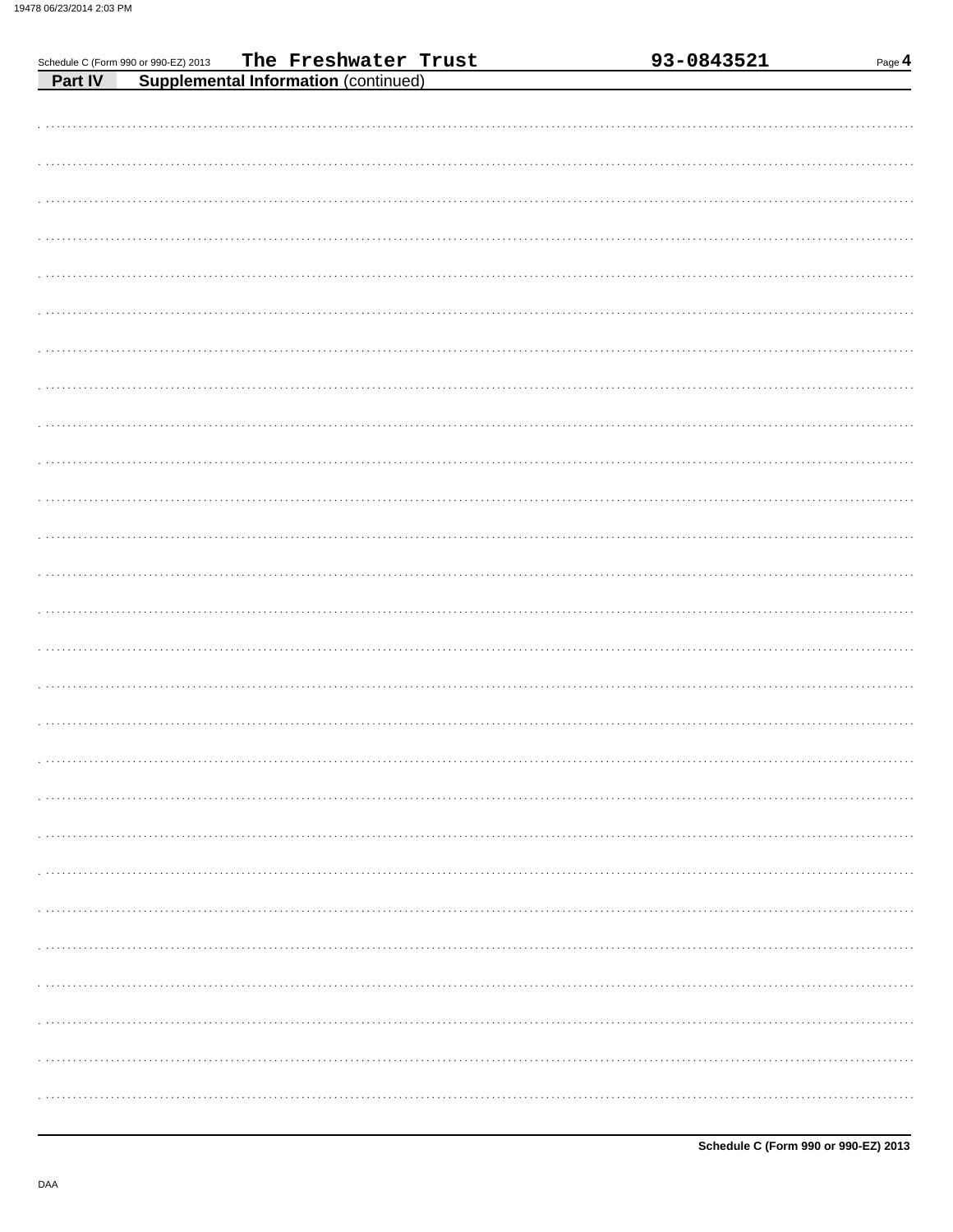|                                                                                                           | 93-0843521 | Page 4 |
|-----------------------------------------------------------------------------------------------------------|------------|--------|
| Schedule C (Form 990 or 990-EZ) 2013 The Freshwater Trust<br>Part IV Supplemental Information (continued) |            |        |
|                                                                                                           |            |        |
|                                                                                                           |            |        |
|                                                                                                           |            |        |
|                                                                                                           |            |        |
|                                                                                                           |            |        |
|                                                                                                           |            |        |
|                                                                                                           |            |        |
|                                                                                                           |            |        |
|                                                                                                           |            |        |
|                                                                                                           |            |        |
|                                                                                                           |            |        |
|                                                                                                           |            |        |
|                                                                                                           |            |        |
|                                                                                                           |            |        |
|                                                                                                           |            |        |
|                                                                                                           |            |        |
|                                                                                                           |            |        |
|                                                                                                           |            |        |
|                                                                                                           |            |        |
|                                                                                                           |            |        |
|                                                                                                           |            |        |
|                                                                                                           |            |        |
|                                                                                                           |            |        |
|                                                                                                           |            |        |
|                                                                                                           |            |        |
|                                                                                                           |            |        |
|                                                                                                           |            |        |
|                                                                                                           |            |        |
|                                                                                                           |            |        |
|                                                                                                           |            |        |
|                                                                                                           |            |        |
|                                                                                                           |            |        |
|                                                                                                           |            |        |
|                                                                                                           |            |        |
|                                                                                                           |            |        |
|                                                                                                           |            |        |
|                                                                                                           |            |        |
|                                                                                                           |            |        |
|                                                                                                           |            |        |
|                                                                                                           |            |        |
|                                                                                                           |            |        |
|                                                                                                           |            |        |
|                                                                                                           |            |        |
|                                                                                                           |            |        |
|                                                                                                           |            |        |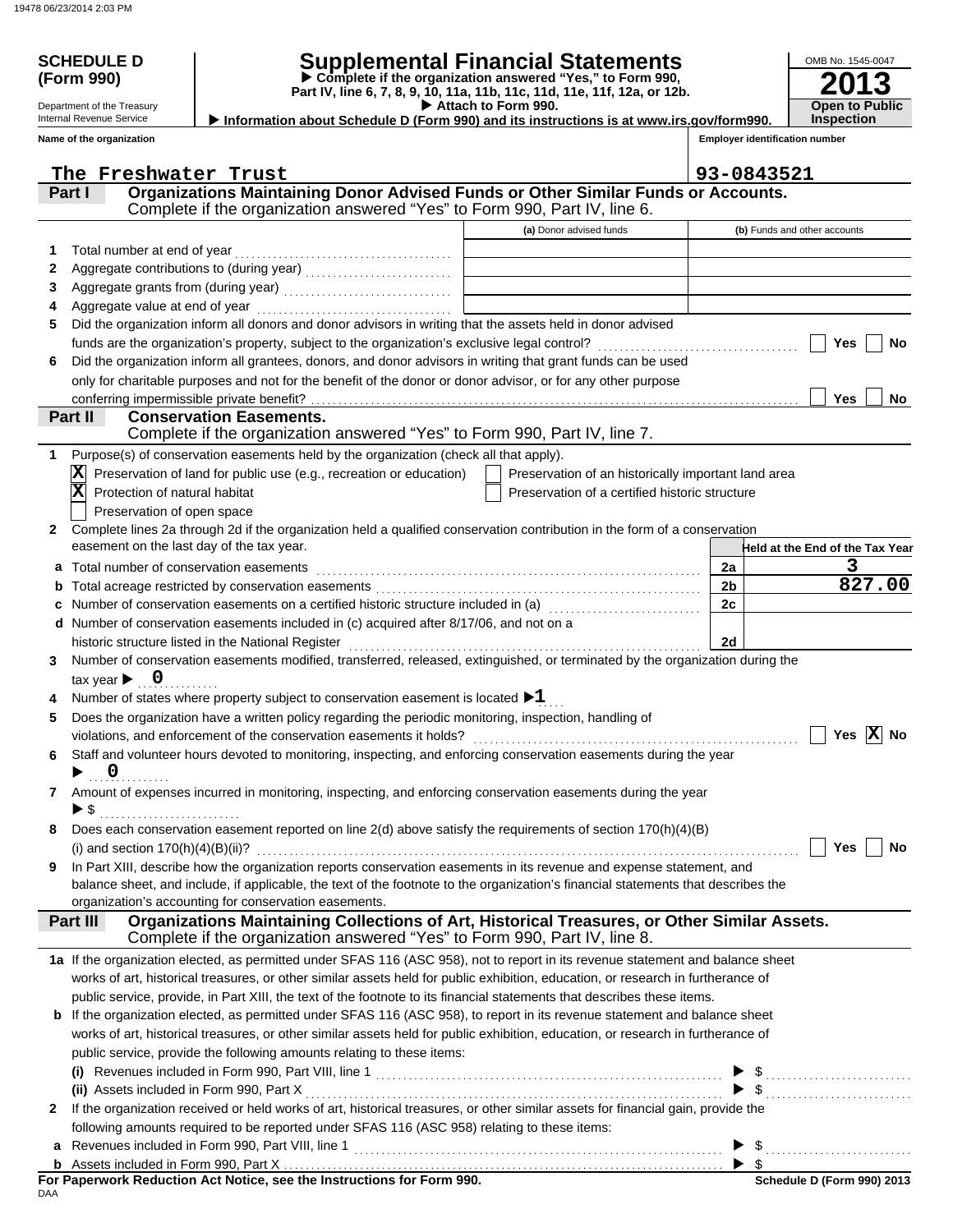Department of the Treasury Internal Revenue Service **Name of the organization**

## **SCHEDULE D Supplemental Financial Statements**

 **Attach to Form 990. (Form 990) Part IV, line 6, 7, 8, 9, 10, 11a, 11b, 11c, 11d, 11e, 11f, 12a, or 12b. Complete if the organization answered "Yes," to Form 990,**

| OMB No. 1545-0047                          |
|--------------------------------------------|
| 2013                                       |
| <b>Open to Public</b><br><b>Inspection</b> |

 **Information about Schedule D (Form 990) and its instructions is at www.irs.gov/form990.**

**Employer identification number**

|              | The Freshwater Trust                                                                                                                                                                                       |                                                                                              | 93-0843521                                                                                                                                                                                                                                                                                                                           |           |
|--------------|------------------------------------------------------------------------------------------------------------------------------------------------------------------------------------------------------------|----------------------------------------------------------------------------------------------|--------------------------------------------------------------------------------------------------------------------------------------------------------------------------------------------------------------------------------------------------------------------------------------------------------------------------------------|-----------|
|              | Part I                                                                                                                                                                                                     | Organizations Maintaining Donor Advised Funds or Other Similar Funds or Accounts.            |                                                                                                                                                                                                                                                                                                                                      |           |
|              |                                                                                                                                                                                                            | Complete if the organization answered "Yes" to Form 990, Part IV, line 6.                    |                                                                                                                                                                                                                                                                                                                                      |           |
|              |                                                                                                                                                                                                            | (a) Donor advised funds                                                                      | (b) Funds and other accounts                                                                                                                                                                                                                                                                                                         |           |
| 1            | Total number at end of year                                                                                                                                                                                |                                                                                              |                                                                                                                                                                                                                                                                                                                                      |           |
| 2            | Aggregate contributions to (during year) [10] Aggregate contributions to (during year)                                                                                                                     | the control of the control of the control of                                                 |                                                                                                                                                                                                                                                                                                                                      |           |
| 3            |                                                                                                                                                                                                            |                                                                                              |                                                                                                                                                                                                                                                                                                                                      |           |
| 4            | Aggregate value at end of year                                                                                                                                                                             |                                                                                              |                                                                                                                                                                                                                                                                                                                                      |           |
| 5            | Did the organization inform all donors and donor advisors in writing that the assets held in donor advised                                                                                                 |                                                                                              |                                                                                                                                                                                                                                                                                                                                      |           |
|              |                                                                                                                                                                                                            |                                                                                              | Yes                                                                                                                                                                                                                                                                                                                                  | <b>No</b> |
| 6            | Did the organization inform all grantees, donors, and donor advisors in writing that grant funds can be used                                                                                               |                                                                                              |                                                                                                                                                                                                                                                                                                                                      |           |
|              | only for charitable purposes and not for the benefit of the donor or donor advisor, or for any other purpose                                                                                               |                                                                                              |                                                                                                                                                                                                                                                                                                                                      |           |
|              |                                                                                                                                                                                                            |                                                                                              | Yes                                                                                                                                                                                                                                                                                                                                  | No        |
|              | Part II<br><b>Conservation Easements.</b>                                                                                                                                                                  |                                                                                              |                                                                                                                                                                                                                                                                                                                                      |           |
|              |                                                                                                                                                                                                            | Complete if the organization answered "Yes" to Form 990, Part IV, line 7.                    |                                                                                                                                                                                                                                                                                                                                      |           |
| 1            | Purpose(s) of conservation easements held by the organization (check all that apply).                                                                                                                      |                                                                                              |                                                                                                                                                                                                                                                                                                                                      |           |
|              | $ \mathbf{X} $ Preservation of land for public use (e.g., recreation or education)                                                                                                                         |                                                                                              | Preservation of an historically important land area                                                                                                                                                                                                                                                                                  |           |
|              | X<br>Protection of natural habitat                                                                                                                                                                         |                                                                                              | Preservation of a certified historic structure                                                                                                                                                                                                                                                                                       |           |
|              | Preservation of open space                                                                                                                                                                                 |                                                                                              |                                                                                                                                                                                                                                                                                                                                      |           |
| $\mathbf{2}$ | Complete lines 2a through 2d if the organization held a qualified conservation contribution in the form of a conservation<br>easement on the last day of the tax year.                                     |                                                                                              |                                                                                                                                                                                                                                                                                                                                      |           |
|              |                                                                                                                                                                                                            |                                                                                              | Held at the End of the Tax Year<br>3                                                                                                                                                                                                                                                                                                 |           |
|              | Total number of conservation easements<br>a                                                                                                                                                                |                                                                                              | 2a<br>827.00<br>2 <sub>b</sub>                                                                                                                                                                                                                                                                                                       |           |
| b            | Number of conservation easements on a certified historic structure included in (a) [11] Number of conservation easements on a certified historic structure included in (a)                                 |                                                                                              | 2c                                                                                                                                                                                                                                                                                                                                   |           |
|              | Number of conservation easements included in (c) acquired after 8/17/06, and not on a<br>d                                                                                                                 |                                                                                              |                                                                                                                                                                                                                                                                                                                                      |           |
|              | historic structure listed in the National Register                                                                                                                                                         |                                                                                              | 2d                                                                                                                                                                                                                                                                                                                                   |           |
| 3            | Number of conservation easements modified, transferred, released, extinguished, or terminated by the organization during the                                                                               |                                                                                              |                                                                                                                                                                                                                                                                                                                                      |           |
|              | tax year $\blacktriangleright$ 0                                                                                                                                                                           |                                                                                              |                                                                                                                                                                                                                                                                                                                                      |           |
| 4            | Number of states where property subject to conservation easement is located $\blacktriangleright 1$                                                                                                        |                                                                                              |                                                                                                                                                                                                                                                                                                                                      |           |
| 5            | Does the organization have a written policy regarding the periodic monitoring, inspection, handling of                                                                                                     |                                                                                              |                                                                                                                                                                                                                                                                                                                                      |           |
|              | violations, and enforcement of the conservation easements it holds?                                                                                                                                        |                                                                                              | Yes $ X $                                                                                                                                                                                                                                                                                                                            | No        |
| 6            | Staff and volunteer hours devoted to monitoring, inspecting, and enforcing conservation easements during the year                                                                                          |                                                                                              |                                                                                                                                                                                                                                                                                                                                      |           |
|              | $\overline{\phantom{0}}$<br>▶                                                                                                                                                                              |                                                                                              |                                                                                                                                                                                                                                                                                                                                      |           |
| 7            | Amount of expenses incurred in monitoring, inspecting, and enforcing conservation easements during the year                                                                                                |                                                                                              |                                                                                                                                                                                                                                                                                                                                      |           |
|              | $\blacktriangleright$ \$                                                                                                                                                                                   |                                                                                              |                                                                                                                                                                                                                                                                                                                                      |           |
|              | Does each conservation easement reported on line 2(d) above satisfy the requirements of section 170(h)(4)(B)                                                                                               |                                                                                              |                                                                                                                                                                                                                                                                                                                                      |           |
|              | (i) and section $170(h)(4)(B)(ii)?$                                                                                                                                                                        |                                                                                              | Yes                                                                                                                                                                                                                                                                                                                                  | No        |
|              | In Part XIII, describe how the organization reports conservation easements in its revenue and expense statement, and                                                                                       |                                                                                              |                                                                                                                                                                                                                                                                                                                                      |           |
|              | balance sheet, and include, if applicable, the text of the footnote to the organization's financial statements that describes the                                                                          |                                                                                              |                                                                                                                                                                                                                                                                                                                                      |           |
|              | organization's accounting for conservation easements.                                                                                                                                                      |                                                                                              |                                                                                                                                                                                                                                                                                                                                      |           |
|              | Part III                                                                                                                                                                                                   | Organizations Maintaining Collections of Art, Historical Treasures, or Other Similar Assets. |                                                                                                                                                                                                                                                                                                                                      |           |
|              |                                                                                                                                                                                                            | Complete if the organization answered "Yes" to Form 990, Part IV, line 8.                    |                                                                                                                                                                                                                                                                                                                                      |           |
|              | 1a If the organization elected, as permitted under SFAS 116 (ASC 958), not to report in its revenue statement and balance sheet                                                                            |                                                                                              |                                                                                                                                                                                                                                                                                                                                      |           |
|              | works of art, historical treasures, or other similar assets held for public exhibition, education, or research in furtherance of                                                                           |                                                                                              |                                                                                                                                                                                                                                                                                                                                      |           |
|              | public service, provide, in Part XIII, the text of the footnote to its financial statements that describes these items.                                                                                    |                                                                                              |                                                                                                                                                                                                                                                                                                                                      |           |
| b            | If the organization elected, as permitted under SFAS 116 (ASC 958), to report in its revenue statement and balance sheet                                                                                   |                                                                                              |                                                                                                                                                                                                                                                                                                                                      |           |
|              | works of art, historical treasures, or other similar assets held for public exhibition, education, or research in furtherance of<br>public service, provide the following amounts relating to these items: |                                                                                              |                                                                                                                                                                                                                                                                                                                                      |           |
|              |                                                                                                                                                                                                            |                                                                                              |                                                                                                                                                                                                                                                                                                                                      |           |
|              | (i) Revenues included in Form 990, Part VIII, line 1 $\ldots$ $\ldots$ $\ldots$ $\ldots$ $\ldots$ $\ldots$ $\ldots$ $\ldots$ $\ldots$ $\ldots$                                                             |                                                                                              | ▶                                                                                                                                                                                                                                                                                                                                    |           |
| $\mathbf{2}$ | If the organization received or held works of art, historical treasures, or other similar assets for financial gain, provide the                                                                           |                                                                                              | $\frac{1}{2}$                                                                                                                                                                                                                                                                                                                        |           |
|              | following amounts required to be reported under SFAS 116 (ASC 958) relating to these items:                                                                                                                |                                                                                              |                                                                                                                                                                                                                                                                                                                                      |           |
|              |                                                                                                                                                                                                            |                                                                                              |                                                                                                                                                                                                                                                                                                                                      |           |
|              |                                                                                                                                                                                                            |                                                                                              | $\frac{1}{2}$ , $\frac{1}{2}$ , $\frac{1}{2}$ , $\frac{1}{2}$ , $\frac{1}{2}$ , $\frac{1}{2}$ , $\frac{1}{2}$ , $\frac{1}{2}$ , $\frac{1}{2}$ , $\frac{1}{2}$ , $\frac{1}{2}$ , $\frac{1}{2}$ , $\frac{1}{2}$ , $\frac{1}{2}$ , $\frac{1}{2}$ , $\frac{1}{2}$ , $\frac{1}{2}$ , $\frac{1}{2}$ , $\frac{1$<br>$\blacktriangleright$ s |           |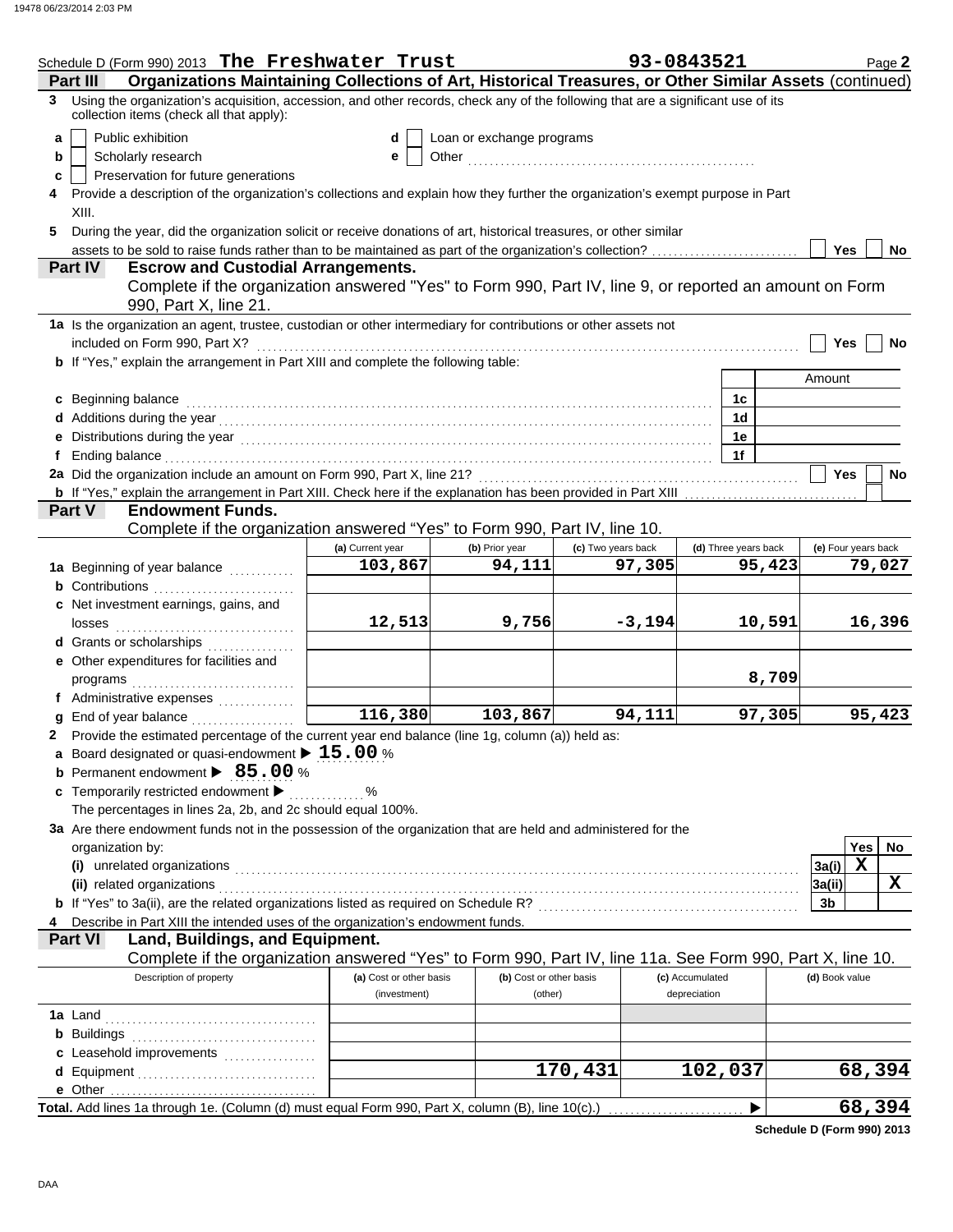|   | Schedule D (Form 990) 2013 The Freshwater Trust                                                                                                                                                                                                                                                                                                      |                                         |                                    |                    | 93-0843521                      |        |                      | Page 2 |  |
|---|------------------------------------------------------------------------------------------------------------------------------------------------------------------------------------------------------------------------------------------------------------------------------------------------------------------------------------------------------|-----------------------------------------|------------------------------------|--------------------|---------------------------------|--------|----------------------|--------|--|
|   | Organizations Maintaining Collections of Art, Historical Treasures, or Other Similar Assets (continued)<br>Part III                                                                                                                                                                                                                                  |                                         |                                    |                    |                                 |        |                      |        |  |
|   | 3 Using the organization's acquisition, accession, and other records, check any of the following that are a significant use of its<br>collection items (check all that apply):                                                                                                                                                                       |                                         |                                    |                    |                                 |        |                      |        |  |
| a | Public exhibition                                                                                                                                                                                                                                                                                                                                    | d                                       | Loan or exchange programs          |                    |                                 |        |                      |        |  |
| b | Scholarly research                                                                                                                                                                                                                                                                                                                                   | е                                       |                                    |                    |                                 |        |                      |        |  |
| c | Preservation for future generations                                                                                                                                                                                                                                                                                                                  |                                         |                                    |                    |                                 |        |                      |        |  |
| 4 | Provide a description of the organization's collections and explain how they further the organization's exempt purpose in Part<br>XIII.                                                                                                                                                                                                              |                                         |                                    |                    |                                 |        |                      |        |  |
| 5 | During the year, did the organization solicit or receive donations of art, historical treasures, or other similar                                                                                                                                                                                                                                    |                                         |                                    |                    |                                 |        |                      |        |  |
|   | assets to be sold to raise funds rather than to be maintained as part of the organization's collection?                                                                                                                                                                                                                                              |                                         |                                    |                    |                                 |        | Yes                  | No.    |  |
|   | <b>Escrow and Custodial Arrangements.</b><br>Part IV                                                                                                                                                                                                                                                                                                 |                                         |                                    |                    |                                 |        |                      |        |  |
|   | Complete if the organization answered "Yes" to Form 990, Part IV, line 9, or reported an amount on Form<br>990, Part X, line 21.                                                                                                                                                                                                                     |                                         |                                    |                    |                                 |        |                      |        |  |
|   | 1a Is the organization an agent, trustee, custodian or other intermediary for contributions or other assets not                                                                                                                                                                                                                                      |                                         |                                    |                    |                                 |        |                      |        |  |
|   | included on Form 990, Part X?                                                                                                                                                                                                                                                                                                                        |                                         |                                    |                    |                                 |        | Yes                  | No     |  |
|   | b If "Yes," explain the arrangement in Part XIII and complete the following table:                                                                                                                                                                                                                                                                   |                                         |                                    |                    |                                 |        |                      |        |  |
|   |                                                                                                                                                                                                                                                                                                                                                      |                                         |                                    |                    |                                 |        | Amount               |        |  |
|   | c Beginning balance                                                                                                                                                                                                                                                                                                                                  |                                         |                                    |                    | 1c                              |        |                      |        |  |
|   | d Additions during the year contact the set of the set of the set of the set of the set of the set of the set of the set of the set of the set of the set of the set of the set of the set of the set of the set of the set of                                                                                                                       |                                         |                                    |                    | 1d                              |        |                      |        |  |
|   |                                                                                                                                                                                                                                                                                                                                                      |                                         |                                    |                    | 1е                              |        |                      |        |  |
| f | Ending balance with an arrangement of the contract of the contract of the contract of the contract of the contract of the contract of the contract of the contract of the contract of the contract of the contract of the cont                                                                                                                       |                                         |                                    |                    | 1f                              |        |                      |        |  |
|   |                                                                                                                                                                                                                                                                                                                                                      |                                         |                                    |                    |                                 |        | Yes                  | No     |  |
|   |                                                                                                                                                                                                                                                                                                                                                      |                                         |                                    |                    |                                 |        |                      |        |  |
|   | <b>Endowment Funds.</b><br>Part V                                                                                                                                                                                                                                                                                                                    |                                         |                                    |                    |                                 |        |                      |        |  |
|   | Complete if the organization answered "Yes" to Form 990, Part IV, line 10.                                                                                                                                                                                                                                                                           |                                         |                                    |                    |                                 |        |                      |        |  |
|   |                                                                                                                                                                                                                                                                                                                                                      | (a) Current year                        | (b) Prior year                     | (c) Two years back | (d) Three years back            |        | (e) Four years back  |        |  |
|   | 1a Beginning of year balance                                                                                                                                                                                                                                                                                                                         | 103,867                                 | 94,111                             | 97,305             |                                 | 95,423 |                      | 79,027 |  |
|   | <b>b</b> Contributions                                                                                                                                                                                                                                                                                                                               |                                         |                                    |                    |                                 |        |                      |        |  |
|   | c Net investment earnings, gains, and                                                                                                                                                                                                                                                                                                                |                                         |                                    |                    |                                 |        |                      |        |  |
|   |                                                                                                                                                                                                                                                                                                                                                      | 12,513                                  | 9,756                              | $-3,194$           |                                 | 10,591 |                      | 16,396 |  |
|   | d Grants or scholarships                                                                                                                                                                                                                                                                                                                             |                                         |                                    |                    |                                 |        |                      |        |  |
|   | e Other expenditures for facilities and                                                                                                                                                                                                                                                                                                              |                                         |                                    |                    |                                 |        |                      |        |  |
|   |                                                                                                                                                                                                                                                                                                                                                      |                                         |                                    |                    |                                 | 8,709  |                      |        |  |
|   | f Administrative expenses                                                                                                                                                                                                                                                                                                                            | 116,380                                 | 103,867                            | 94,111             |                                 |        |                      | 95,423 |  |
|   | g End of year balance <i>[[[[[[[[[[[[[[[[[[[[[[[[[[[[]]]</i> ]]]                                                                                                                                                                                                                                                                                     |                                         |                                    |                    |                                 | 97,305 |                      |        |  |
|   | 2 Provide the estimated percentage of the current year end balance (line 1g, column (a)) held as:<br>a Board designated or quasi-endowment $\blacktriangleright$ 15.00 %                                                                                                                                                                             |                                         |                                    |                    |                                 |        |                      |        |  |
|   | <b>b</b> Permanent endowment > 85.00 %                                                                                                                                                                                                                                                                                                               |                                         |                                    |                    |                                 |        |                      |        |  |
|   | c Temporarily restricted endowment >                                                                                                                                                                                                                                                                                                                 | %                                       |                                    |                    |                                 |        |                      |        |  |
|   | The percentages in lines 2a, 2b, and 2c should equal 100%.                                                                                                                                                                                                                                                                                           |                                         |                                    |                    |                                 |        |                      |        |  |
|   | 3a Are there endowment funds not in the possession of the organization that are held and administered for the                                                                                                                                                                                                                                        |                                         |                                    |                    |                                 |        |                      |        |  |
|   | organization by:                                                                                                                                                                                                                                                                                                                                     |                                         |                                    |                    |                                 |        | Yes                  | No     |  |
|   | $\left( i\right)$                                                                                                                                                                                                                                                                                                                                    |                                         |                                    |                    |                                 |        | $\mathbf X$<br>3a(i) |        |  |
|   | unrelated organizations entertainment and all the contract of the contract of the contract or the contract or<br>(ii) related organizations <b>contracts</b> and contracts are contracted as a contract of the contract of the contract of the contract of the contract of the contract of the contract of the contract of the contract of the contr |                                         |                                    |                    |                                 |        | 3a(ii)               | X      |  |
|   |                                                                                                                                                                                                                                                                                                                                                      |                                         |                                    |                    |                                 |        | 3b                   |        |  |
|   | Describe in Part XIII the intended uses of the organization's endowment funds.                                                                                                                                                                                                                                                                       |                                         |                                    |                    |                                 |        |                      |        |  |
|   | Land, Buildings, and Equipment.<br><b>Part VI</b>                                                                                                                                                                                                                                                                                                    |                                         |                                    |                    |                                 |        |                      |        |  |
|   | Complete if the organization answered "Yes" to Form 990, Part IV, line 11a. See Form 990, Part X, line 10.                                                                                                                                                                                                                                           |                                         |                                    |                    |                                 |        |                      |        |  |
|   | Description of property                                                                                                                                                                                                                                                                                                                              | (a) Cost or other basis<br>(investment) | (b) Cost or other basis<br>(other) |                    | (c) Accumulated<br>depreciation |        | (d) Book value       |        |  |
|   |                                                                                                                                                                                                                                                                                                                                                      |                                         |                                    |                    |                                 |        |                      |        |  |
|   |                                                                                                                                                                                                                                                                                                                                                      |                                         |                                    |                    |                                 |        |                      |        |  |
|   |                                                                                                                                                                                                                                                                                                                                                      |                                         |                                    |                    |                                 |        |                      |        |  |
|   | c Leasehold improvements                                                                                                                                                                                                                                                                                                                             |                                         |                                    | 170,431            | $\overline{1}02,037$            |        |                      | 68,394 |  |
|   |                                                                                                                                                                                                                                                                                                                                                      |                                         |                                    |                    |                                 |        |                      |        |  |
|   | Total. Add lines 1a through 1e. (Column (d) must equal Form 990, Part X, column (B), line 10(c).)                                                                                                                                                                                                                                                    |                                         |                                    |                    | ▶                               |        |                      | 68,394 |  |
|   |                                                                                                                                                                                                                                                                                                                                                      |                                         |                                    |                    |                                 |        |                      |        |  |

**Schedule D (Form 990) 2013**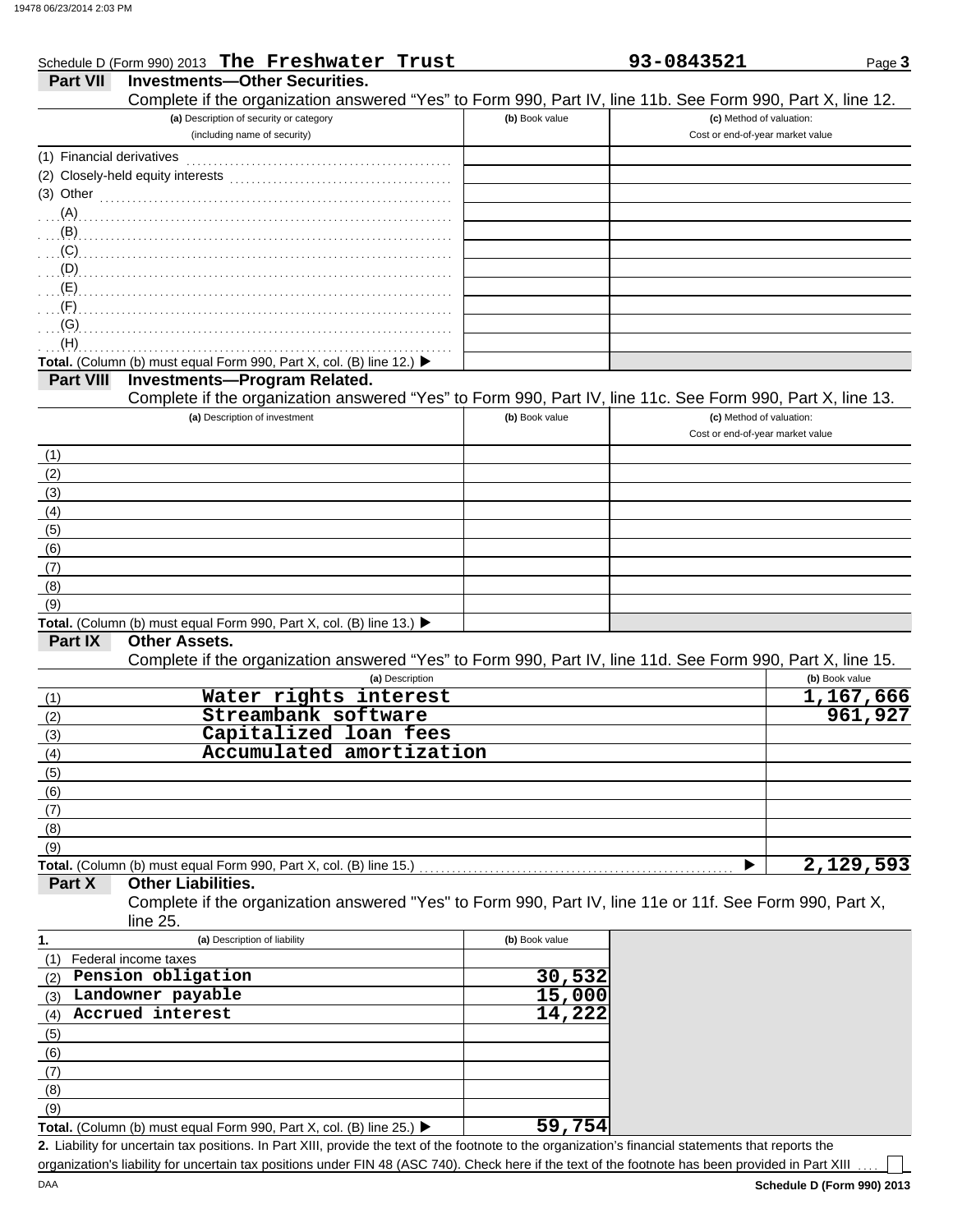|                           | Schedule D (Form 990) 2013 The Freshwater Trust                                                            |                | 93-0843521                       | Page 3         |
|---------------------------|------------------------------------------------------------------------------------------------------------|----------------|----------------------------------|----------------|
| <b>Part VII</b>           | <b>Investments-Other Securities.</b>                                                                       |                |                                  |                |
|                           | Complete if the organization answered "Yes" to Form 990, Part IV, line 11b. See Form 990, Part X, line 12. |                |                                  |                |
|                           | (a) Description of security or category                                                                    | (b) Book value | (c) Method of valuation:         |                |
|                           | (including name of security)                                                                               |                | Cost or end-of-year market value |                |
| (1) Financial derivatives |                                                                                                            |                |                                  |                |
|                           |                                                                                                            |                |                                  |                |
| $(3)$ Other               |                                                                                                            |                |                                  |                |
|                           |                                                                                                            |                |                                  |                |
|                           |                                                                                                            |                |                                  |                |
|                           |                                                                                                            |                |                                  |                |
|                           |                                                                                                            |                |                                  |                |
|                           |                                                                                                            |                |                                  |                |
|                           |                                                                                                            |                |                                  |                |
| $\overline{F}$            |                                                                                                            |                |                                  |                |
| $\Gamma$ (G)              |                                                                                                            |                |                                  |                |
| (H)                       |                                                                                                            |                |                                  |                |
|                           | Total. (Column (b) must equal Form 990, Part X, col. (B) line 12.) ▶                                       |                |                                  |                |
| <b>Part VIII</b>          | <b>Investments-Program Related.</b>                                                                        |                |                                  |                |
|                           | Complete if the organization answered "Yes" to Form 990, Part IV, line 11c. See Form 990, Part X, line 13. |                |                                  |                |
|                           | (a) Description of investment                                                                              | (b) Book value | (c) Method of valuation:         |                |
|                           |                                                                                                            |                | Cost or end-of-year market value |                |
| (1)                       |                                                                                                            |                |                                  |                |
| (2)                       |                                                                                                            |                |                                  |                |
| (3)                       |                                                                                                            |                |                                  |                |
| (4)                       |                                                                                                            |                |                                  |                |
| (5)                       |                                                                                                            |                |                                  |                |
| (6)                       |                                                                                                            |                |                                  |                |
|                           |                                                                                                            |                |                                  |                |
| (7)                       |                                                                                                            |                |                                  |                |
| (8)                       |                                                                                                            |                |                                  |                |
| (9)                       |                                                                                                            |                |                                  |                |
|                           | Total. (Column (b) must equal Form 990, Part X, col. (B) line 13.) ▶                                       |                |                                  |                |
| Part IX                   | <b>Other Assets.</b>                                                                                       |                |                                  |                |
|                           | Complete if the organization answered "Yes" to Form 990, Part IV, line 11d. See Form 990, Part X, line 15. |                |                                  |                |
|                           | (a) Description                                                                                            |                |                                  | (b) Book value |
| (1)                       | Water rights interest                                                                                      |                |                                  | 1,167,666      |
| (2)                       | Streambank software                                                                                        |                |                                  | 961,927        |
| (3)                       | Capitalized loan fees                                                                                      |                |                                  |                |
| (4)                       | Accumulated amortization                                                                                   |                |                                  |                |
| (5)                       |                                                                                                            |                |                                  |                |
| (6)                       |                                                                                                            |                |                                  |                |
| (7)                       |                                                                                                            |                |                                  |                |
| (8)                       |                                                                                                            |                |                                  |                |
| (9)                       |                                                                                                            |                |                                  |                |
|                           | Total. (Column (b) must equal Form 990, Part X, col. (B) line 15.)                                         |                |                                  | 2,129,593      |
| Part X                    | <b>Other Liabilities.</b>                                                                                  |                |                                  |                |
|                           | Complete if the organization answered "Yes" to Form 990, Part IV, line 11e or 11f. See Form 990, Part X,   |                |                                  |                |
|                           | line 25.                                                                                                   |                |                                  |                |
|                           | (a) Description of liability                                                                               | (b) Book value |                                  |                |
| 1.                        |                                                                                                            |                |                                  |                |
|                           | (1) Federal income taxes                                                                                   |                |                                  |                |
|                           | (2) Pension obligation                                                                                     | 30,532         |                                  |                |
|                           | (3) Landowner payable                                                                                      | 15,000         |                                  |                |
| (4)                       | Accrued interest                                                                                           | 14,222         |                                  |                |
| (5)                       |                                                                                                            |                |                                  |                |
| (6)                       |                                                                                                            |                |                                  |                |
| (7)                       |                                                                                                            |                |                                  |                |
| (8)                       |                                                                                                            |                |                                  |                |
| (9)                       |                                                                                                            |                |                                  |                |
|                           | Total. (Column (b) must equal Form 990, Part X, col. (B) line 25.) ▶                                       | 59,754         |                                  |                |

Liability for uncertain tax positions. In Part XIII, provide the text of the footnote to the organization's financial statements that reports the **2.** organization's liability for uncertain tax positions under FIN 48 (ASC 740). Check here if the text of the footnote has been provided in Part XIII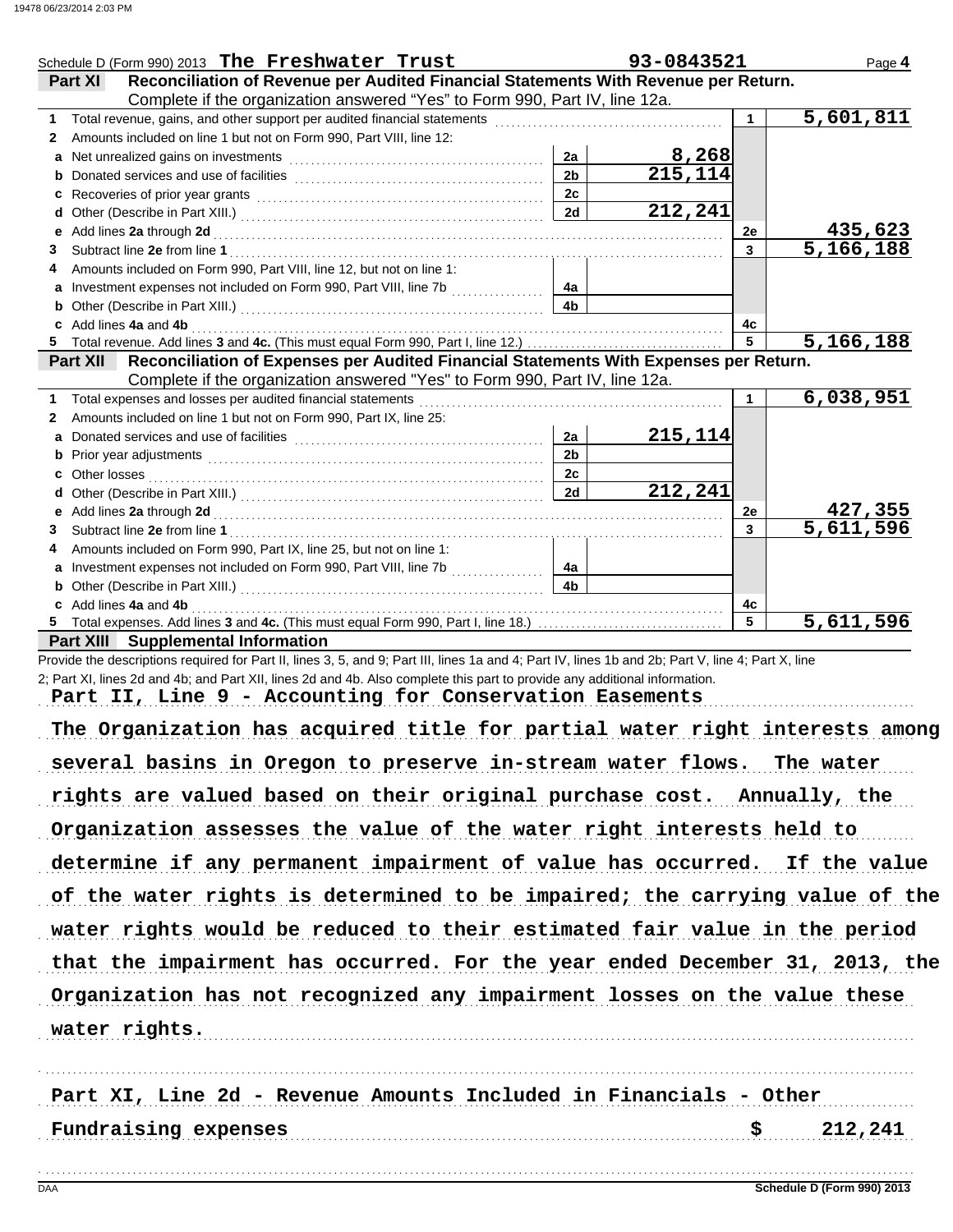| Schedule D (Form 990) 2013 The Freshwater Trust                                                                                                                                                                                    |                | 93-0843521           |    | Page 4                 |
|------------------------------------------------------------------------------------------------------------------------------------------------------------------------------------------------------------------------------------|----------------|----------------------|----|------------------------|
| Reconciliation of Revenue per Audited Financial Statements With Revenue per Return.<br>Part XI                                                                                                                                     |                |                      |    |                        |
| Complete if the organization answered "Yes" to Form 990, Part IV, line 12a.                                                                                                                                                        |                |                      |    |                        |
|                                                                                                                                                                                                                                    |                |                      |    | $\overline{5,601,811}$ |
| Amounts included on line 1 but not on Form 990, Part VIII, line 12:<br>$\mathbf{2}$                                                                                                                                                |                |                      |    |                        |
| a Net unrealized gains on investments [111] [11] Martin Martin Martin Martin Martin Martin Martin Martin Marti                                                                                                                     | 2a             | 8,268                |    |                        |
|                                                                                                                                                                                                                                    | 2 <sub>b</sub> | $\overline{215,114}$ |    |                        |
|                                                                                                                                                                                                                                    | 2c             |                      |    |                        |
|                                                                                                                                                                                                                                    | 2d             | 212,241              |    |                        |
|                                                                                                                                                                                                                                    |                |                      | 2е | 435,623                |
| 3                                                                                                                                                                                                                                  |                |                      | 3  | $\overline{5,166,188}$ |
| Amounts included on Form 990, Part VIII, line 12, but not on line 1:<br>4                                                                                                                                                          |                |                      |    |                        |
| a Investment expenses not included on Form 990, Part VIII, line 7b [                                                                                                                                                               | 4a             |                      |    |                        |
| <b>b</b> Other (Describe in Part XIII.) <b>CONSIDENT DESCRIPTION DESCRIPTION DESCRIPTION DESCRIPTION DESCRIPTION DESCRIPTION DESCRIPTION DESCRIPTION DESCRIPTION DESCRIPTION DESCRIPTION DESCRIPTION DESCRI</b>                    | 4 <sub>b</sub> |                      |    |                        |
| c Add lines 4a and 4b                                                                                                                                                                                                              |                |                      | 4c |                        |
| 5.                                                                                                                                                                                                                                 |                |                      | 5  | 5,166,188              |
| Reconciliation of Expenses per Audited Financial Statements With Expenses per Return.<br>Part XII                                                                                                                                  |                |                      |    |                        |
| Complete if the organization answered "Yes" to Form 990, Part IV, line 12a.                                                                                                                                                        |                |                      |    |                        |
| 1.                                                                                                                                                                                                                                 |                |                      | 1  | 6,038,951              |
| Amounts included on line 1 but not on Form 990, Part IX, line 25:<br>2                                                                                                                                                             |                |                      |    |                        |
| a                                                                                                                                                                                                                                  | 2a             | 215,114              |    |                        |
| b Prior year adjustments <b>constructs</b> and the construction of the construction of the construction of the construction of the construction of the construction of the construction of the construction of the construction of | 2 <sub>b</sub> |                      |    |                        |
| c Other losses                                                                                                                                                                                                                     | 2c             |                      |    |                        |
| d                                                                                                                                                                                                                                  | 2d             | 212,241              |    |                        |
|                                                                                                                                                                                                                                    |                |                      | 2е | 427,355                |
| 3                                                                                                                                                                                                                                  |                |                      | 3  | 5,611,596              |
| Amounts included on Form 990, Part IX, line 25, but not on line 1:<br>4                                                                                                                                                            |                |                      |    |                        |
| a Investment expenses not included on Form 990, Part VIII, line 7b                                                                                                                                                                 | 4a             |                      |    |                        |
|                                                                                                                                                                                                                                    | 4 <sub>b</sub> |                      |    |                        |
| c Add lines 4a and 4b                                                                                                                                                                                                              |                |                      | 4c |                        |
|                                                                                                                                                                                                                                    |                |                      | 5  | 5,611,596              |
| <b>Part XIII</b> Supplemental Information                                                                                                                                                                                          |                |                      |    |                        |
| Provide the descriptions required for Part II, lines 3, 5, and 9; Part III, lines 1a and 4; Part IV, lines 1b and 2b; Part V, line 4; Part X, line                                                                                 |                |                      |    |                        |
| 2; Part XI, lines 2d and 4b; and Part XII, lines 2d and 4b. Also complete this part to provide any additional information.                                                                                                         |                |                      |    |                        |
| Part II, Line 9 - Accounting for Conservation Easements                                                                                                                                                                            |                |                      |    |                        |
|                                                                                                                                                                                                                                    |                |                      |    |                        |

The Organization has acquired title for partial water right interests among several basins in Oregon to preserve in-stream water flows. The water rights are valued based on their original purchase cost. Annually, the Organization assesses the value of the water right interests held to determine if any permanent impairment of value has occurred. If the value of the water rights is determined to be impaired; the carrying value of the Organization has not recognized any impairment losses on the value these water rights would be reduced to their estimated fair value in the period that the impairment has occurred. For the year ended December 31, 2013, the water rights.

Fundraising expenses  $$$  212,241 Part XI, Line 2d - Revenue Amounts Included in Financials - Other

. . . . . . . . . . . . . . . . . . . . . . . . . . . . . . . . . . . . . . . . . . . . . . . . . . . . . . . . . . . . . . . . . . . . . . . . . . . . . . . . . . . . . . . . . . . . . . . . . . . . . . . . . . . . . . . . . . . . . . . . . . . . . . . . . . . . . . . . . . . . . . . . . . . . . . . . . . . . . . . . .

. . . . . . . . . . . . . . . . . . . . . . . . . . . . . . . . . . . . . . . . . . . . . . . . . . . . . . . . . . . . . . . . . . . . . . . . . . . . . . . . . . . . . . . . . . . . . . . . . . . . . . . . . . . . . . . . . . . . . . . . . . . . . . . . . . . . . . . . . . . . . . . . . . . . . . . . . . . . . . . . .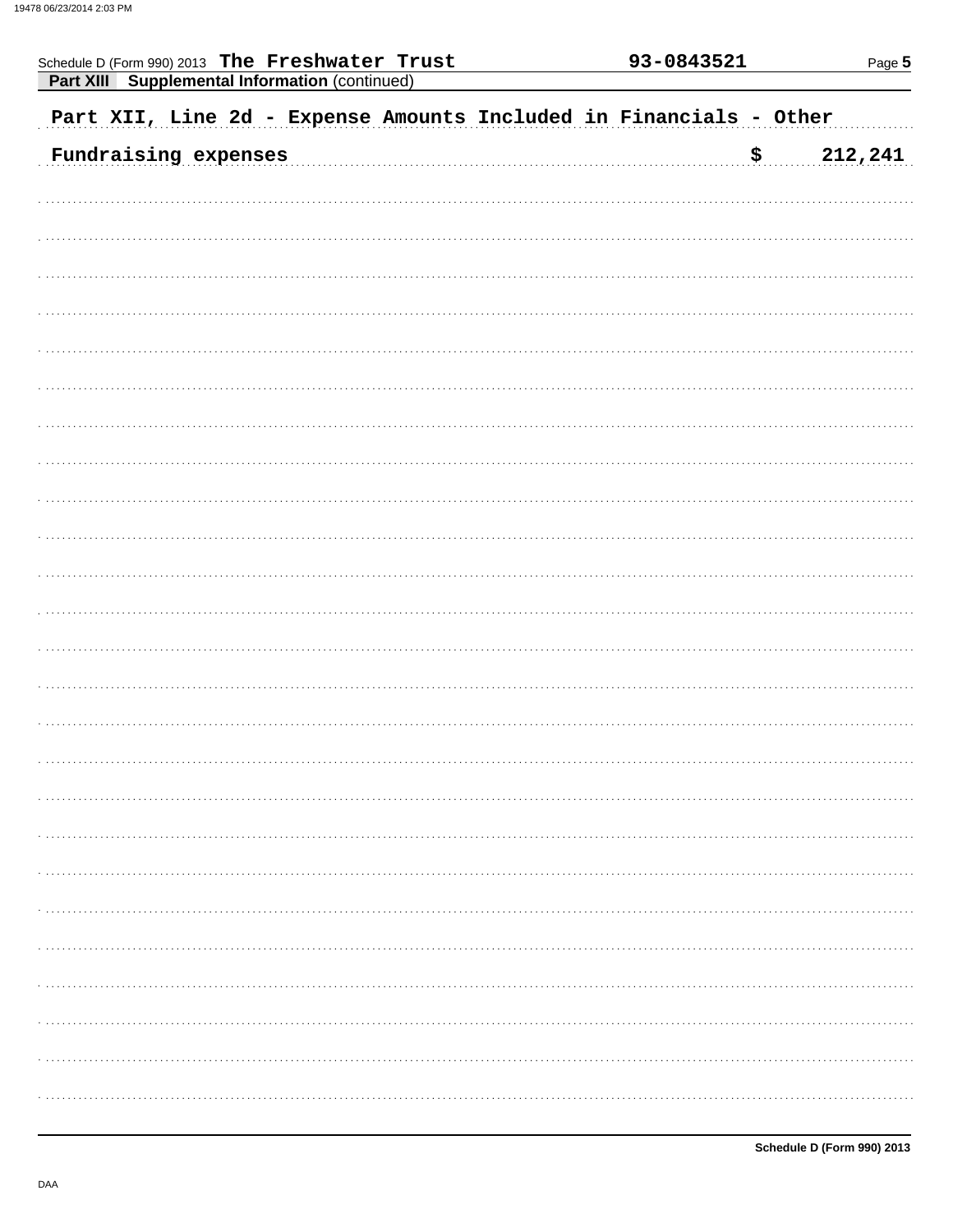| Schedule D (Form 990) 2013 The Freshwater Trust<br><b>Part XIII</b> Supplemental Information (continued) | 93-0843521 |         |  |  |  |
|----------------------------------------------------------------------------------------------------------|------------|---------|--|--|--|
| Part XII, Line 2d - Expense Amounts Included in Financials - Other                                       |            |         |  |  |  |
| Fundraising expenses                                                                                     | ₿          | 212,241 |  |  |  |
|                                                                                                          |            |         |  |  |  |
|                                                                                                          |            |         |  |  |  |
|                                                                                                          |            |         |  |  |  |
|                                                                                                          |            |         |  |  |  |
|                                                                                                          |            |         |  |  |  |
|                                                                                                          |            |         |  |  |  |
|                                                                                                          |            |         |  |  |  |
|                                                                                                          |            |         |  |  |  |
|                                                                                                          |            |         |  |  |  |
|                                                                                                          |            |         |  |  |  |
|                                                                                                          |            |         |  |  |  |
|                                                                                                          |            |         |  |  |  |
|                                                                                                          |            |         |  |  |  |
|                                                                                                          |            |         |  |  |  |
|                                                                                                          |            |         |  |  |  |
|                                                                                                          |            |         |  |  |  |
|                                                                                                          |            |         |  |  |  |
|                                                                                                          |            |         |  |  |  |
|                                                                                                          |            |         |  |  |  |
|                                                                                                          |            |         |  |  |  |
|                                                                                                          |            |         |  |  |  |
|                                                                                                          |            |         |  |  |  |
|                                                                                                          |            |         |  |  |  |
|                                                                                                          |            |         |  |  |  |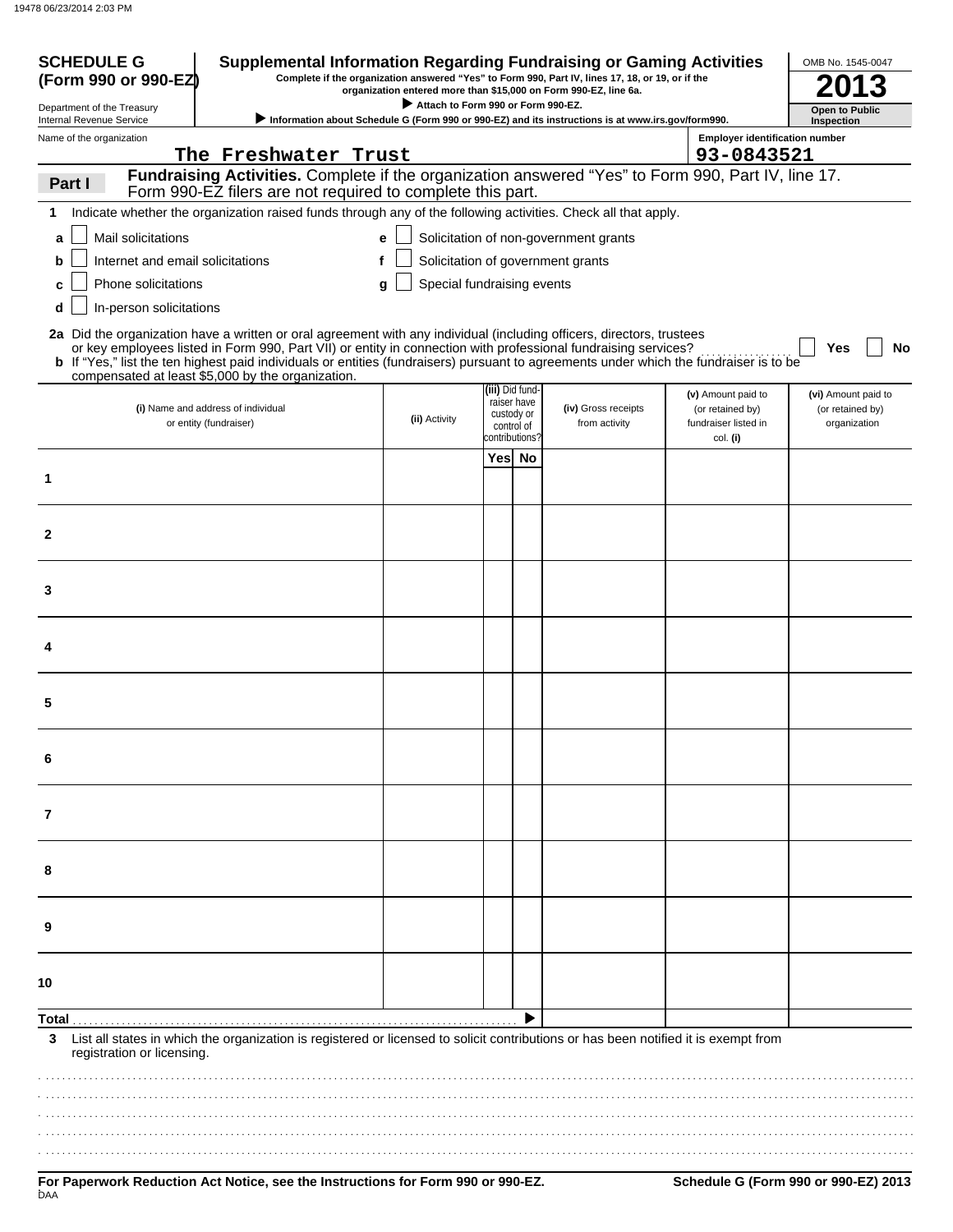| <b>SCHEDULE G</b><br><b>Supplemental Information Regarding Fundraising or Gaming Activities</b><br>Complete if the organization answered "Yes" to Form 990, Part IV, lines 17, 18, or 19, or if the<br>(Form 990 or 990-EZ)<br>organization entered more than \$15,000 on Form 990-EZ, line 6a. |                                                                                                                                                                                                                                         |                                    |                 |                           | OMB No. 1545-0047                                                                                   |                                       |                                     |
|-------------------------------------------------------------------------------------------------------------------------------------------------------------------------------------------------------------------------------------------------------------------------------------------------|-----------------------------------------------------------------------------------------------------------------------------------------------------------------------------------------------------------------------------------------|------------------------------------|-----------------|---------------------------|-----------------------------------------------------------------------------------------------------|---------------------------------------|-------------------------------------|
| Department of the Treasury<br>Internal Revenue Service                                                                                                                                                                                                                                          |                                                                                                                                                                                                                                         | Attach to Form 990 or Form 990-EZ. |                 |                           | > Information about Schedule G (Form 990 or 990-EZ) and its instructions is at www.irs.gov/form990. |                                       | <b>Open to Public</b><br>Inspection |
| Name of the organization                                                                                                                                                                                                                                                                        |                                                                                                                                                                                                                                         |                                    |                 |                           |                                                                                                     | <b>Employer identification number</b> |                                     |
|                                                                                                                                                                                                                                                                                                 | The Freshwater Trust                                                                                                                                                                                                                    |                                    |                 |                           |                                                                                                     | 93-0843521                            |                                     |
| Part I                                                                                                                                                                                                                                                                                          | Fundraising Activities. Complete if the organization answered "Yes" to Form 990, Part IV, line 17.                                                                                                                                      |                                    |                 |                           |                                                                                                     |                                       |                                     |
|                                                                                                                                                                                                                                                                                                 | Form 990-EZ filers are not required to complete this part.                                                                                                                                                                              |                                    |                 |                           |                                                                                                     |                                       |                                     |
| 1                                                                                                                                                                                                                                                                                               | Indicate whether the organization raised funds through any of the following activities. Check all that apply.                                                                                                                           |                                    |                 |                           |                                                                                                     |                                       |                                     |
| Mail solicitations<br>a                                                                                                                                                                                                                                                                         |                                                                                                                                                                                                                                         | e                                  |                 |                           | Solicitation of non-government grants                                                               |                                       |                                     |
| Internet and email solicitations<br>b                                                                                                                                                                                                                                                           |                                                                                                                                                                                                                                         | f                                  |                 |                           | Solicitation of government grants                                                                   |                                       |                                     |
| Phone solicitations                                                                                                                                                                                                                                                                             |                                                                                                                                                                                                                                         | Special fundraising events<br>q    |                 |                           |                                                                                                     |                                       |                                     |
| In-person solicitations<br>d                                                                                                                                                                                                                                                                    |                                                                                                                                                                                                                                         |                                    |                 |                           |                                                                                                     |                                       |                                     |
|                                                                                                                                                                                                                                                                                                 |                                                                                                                                                                                                                                         |                                    |                 |                           |                                                                                                     |                                       |                                     |
|                                                                                                                                                                                                                                                                                                 | 2a Did the organization have a written or oral agreement with any individual (including officers, directors, trustees<br>or key employees listed in Form 990, Part VII) or entity in connection with professional fundraising services? |                                    |                 |                           |                                                                                                     |                                       | No<br>Yes                           |
|                                                                                                                                                                                                                                                                                                 | b If "Yes," list the ten highest paid individuals or entities (fundraisers) pursuant to agreements under which the fundraiser is to be                                                                                                  |                                    |                 |                           |                                                                                                     |                                       |                                     |
|                                                                                                                                                                                                                                                                                                 | compensated at least \$5,000 by the organization.                                                                                                                                                                                       |                                    | (iii) Did fund- |                           |                                                                                                     | (v) Amount paid to                    | (vi) Amount paid to                 |
|                                                                                                                                                                                                                                                                                                 | (i) Name and address of individual                                                                                                                                                                                                      |                                    |                 | raiser have<br>custody or | (iv) Gross receipts                                                                                 | (or retained by)                      | (or retained by)                    |
|                                                                                                                                                                                                                                                                                                 | or entity (fundraiser)                                                                                                                                                                                                                  | (ii) Activity                      | contributions?  | control of                | from activity                                                                                       | fundraiser listed in                  | organization                        |
|                                                                                                                                                                                                                                                                                                 |                                                                                                                                                                                                                                         |                                    | Yes No          |                           |                                                                                                     | col. (i)                              |                                     |
| 1                                                                                                                                                                                                                                                                                               |                                                                                                                                                                                                                                         |                                    |                 |                           |                                                                                                     |                                       |                                     |
|                                                                                                                                                                                                                                                                                                 |                                                                                                                                                                                                                                         |                                    |                 |                           |                                                                                                     |                                       |                                     |
|                                                                                                                                                                                                                                                                                                 |                                                                                                                                                                                                                                         |                                    |                 |                           |                                                                                                     |                                       |                                     |
| $\mathbf{2}$                                                                                                                                                                                                                                                                                    |                                                                                                                                                                                                                                         |                                    |                 |                           |                                                                                                     |                                       |                                     |
|                                                                                                                                                                                                                                                                                                 |                                                                                                                                                                                                                                         |                                    |                 |                           |                                                                                                     |                                       |                                     |
|                                                                                                                                                                                                                                                                                                 |                                                                                                                                                                                                                                         |                                    |                 |                           |                                                                                                     |                                       |                                     |
| 3                                                                                                                                                                                                                                                                                               |                                                                                                                                                                                                                                         |                                    |                 |                           |                                                                                                     |                                       |                                     |
|                                                                                                                                                                                                                                                                                                 |                                                                                                                                                                                                                                         |                                    |                 |                           |                                                                                                     |                                       |                                     |
|                                                                                                                                                                                                                                                                                                 |                                                                                                                                                                                                                                         |                                    |                 |                           |                                                                                                     |                                       |                                     |
|                                                                                                                                                                                                                                                                                                 |                                                                                                                                                                                                                                         |                                    |                 |                           |                                                                                                     |                                       |                                     |
|                                                                                                                                                                                                                                                                                                 |                                                                                                                                                                                                                                         |                                    |                 |                           |                                                                                                     |                                       |                                     |
| 5                                                                                                                                                                                                                                                                                               |                                                                                                                                                                                                                                         |                                    |                 |                           |                                                                                                     |                                       |                                     |
|                                                                                                                                                                                                                                                                                                 |                                                                                                                                                                                                                                         |                                    |                 |                           |                                                                                                     |                                       |                                     |
| 6                                                                                                                                                                                                                                                                                               |                                                                                                                                                                                                                                         |                                    |                 |                           |                                                                                                     |                                       |                                     |
|                                                                                                                                                                                                                                                                                                 |                                                                                                                                                                                                                                         |                                    |                 |                           |                                                                                                     |                                       |                                     |
|                                                                                                                                                                                                                                                                                                 |                                                                                                                                                                                                                                         |                                    |                 |                           |                                                                                                     |                                       |                                     |
| 7                                                                                                                                                                                                                                                                                               |                                                                                                                                                                                                                                         |                                    |                 |                           |                                                                                                     |                                       |                                     |
|                                                                                                                                                                                                                                                                                                 |                                                                                                                                                                                                                                         |                                    |                 |                           |                                                                                                     |                                       |                                     |
|                                                                                                                                                                                                                                                                                                 |                                                                                                                                                                                                                                         |                                    |                 |                           |                                                                                                     |                                       |                                     |
| 8                                                                                                                                                                                                                                                                                               |                                                                                                                                                                                                                                         |                                    |                 |                           |                                                                                                     |                                       |                                     |
|                                                                                                                                                                                                                                                                                                 |                                                                                                                                                                                                                                         |                                    |                 |                           |                                                                                                     |                                       |                                     |
| 9                                                                                                                                                                                                                                                                                               |                                                                                                                                                                                                                                         |                                    |                 |                           |                                                                                                     |                                       |                                     |
|                                                                                                                                                                                                                                                                                                 |                                                                                                                                                                                                                                         |                                    |                 |                           |                                                                                                     |                                       |                                     |
|                                                                                                                                                                                                                                                                                                 |                                                                                                                                                                                                                                         |                                    |                 |                           |                                                                                                     |                                       |                                     |
| 10                                                                                                                                                                                                                                                                                              |                                                                                                                                                                                                                                         |                                    |                 |                           |                                                                                                     |                                       |                                     |
| Total .                                                                                                                                                                                                                                                                                         |                                                                                                                                                                                                                                         |                                    |                 |                           |                                                                                                     |                                       |                                     |
| 3                                                                                                                                                                                                                                                                                               | List all states in which the organization is registered or licensed to solicit contributions or has been notified it is exempt from                                                                                                     |                                    |                 |                           |                                                                                                     |                                       |                                     |
| registration or licensing.                                                                                                                                                                                                                                                                      |                                                                                                                                                                                                                                         |                                    |                 |                           |                                                                                                     |                                       |                                     |
|                                                                                                                                                                                                                                                                                                 |                                                                                                                                                                                                                                         |                                    |                 |                           |                                                                                                     |                                       |                                     |
|                                                                                                                                                                                                                                                                                                 |                                                                                                                                                                                                                                         |                                    |                 |                           |                                                                                                     |                                       |                                     |
|                                                                                                                                                                                                                                                                                                 |                                                                                                                                                                                                                                         |                                    |                 |                           |                                                                                                     |                                       |                                     |
|                                                                                                                                                                                                                                                                                                 |                                                                                                                                                                                                                                         |                                    |                 |                           |                                                                                                     |                                       |                                     |
|                                                                                                                                                                                                                                                                                                 |                                                                                                                                                                                                                                         |                                    |                 |                           |                                                                                                     |                                       |                                     |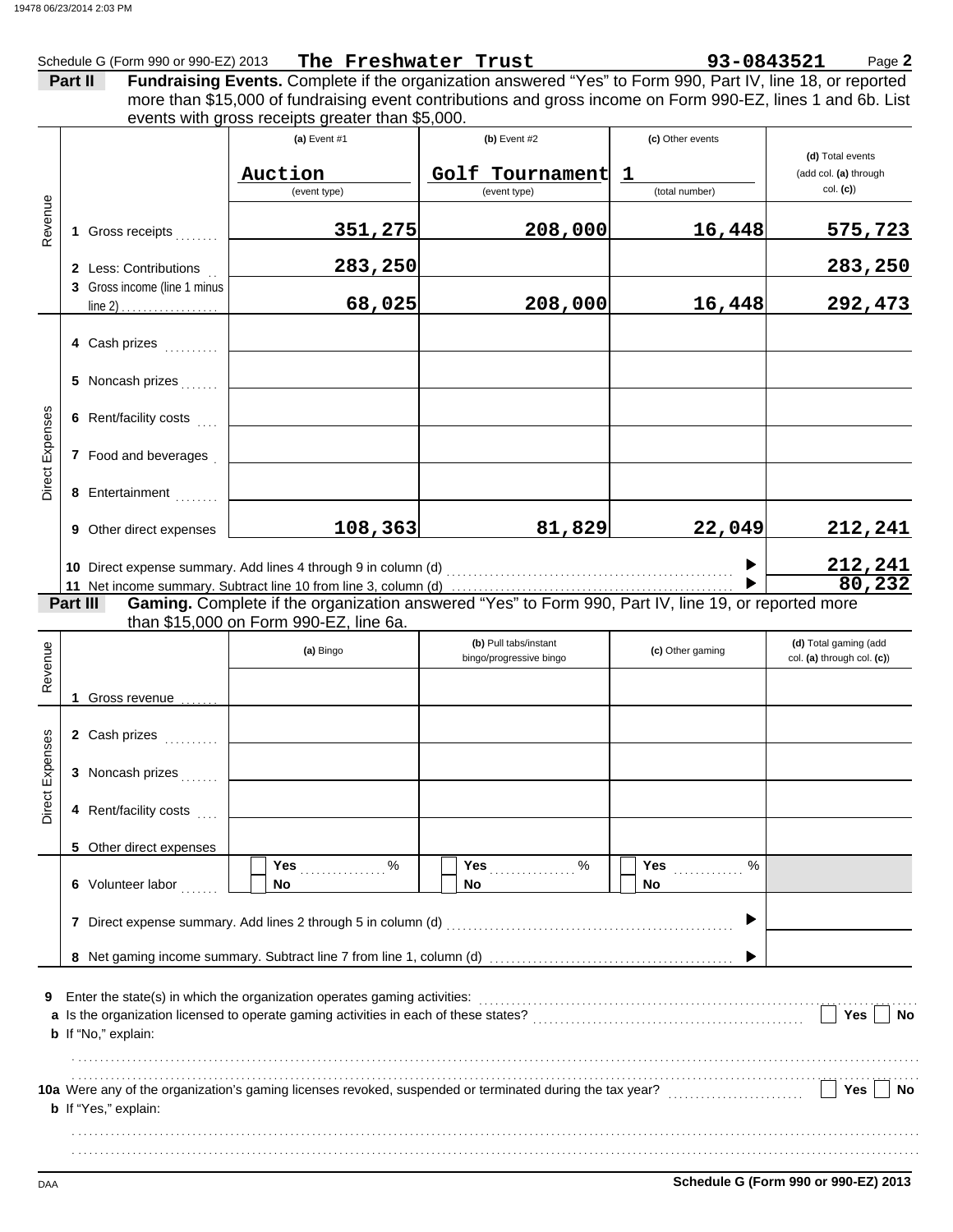|                        |                                                                                                                                                                 | Schedule G (Form 990 or 990-EZ) 2013 | The Freshwater Trust                                                                                                                          |                         | 93-0843521       | Page 2                     |  |  |  |  |
|------------------------|-----------------------------------------------------------------------------------------------------------------------------------------------------------------|--------------------------------------|-----------------------------------------------------------------------------------------------------------------------------------------------|-------------------------|------------------|----------------------------|--|--|--|--|
|                        |                                                                                                                                                                 | Part II                              | Fundraising Events. Complete if the organization answered "Yes" to Form 990, Part IV, line 18, or reported                                    |                         |                  |                            |  |  |  |  |
|                        | more than \$15,000 of fundraising event contributions and gross income on Form 990-EZ, lines 1 and 6b. List<br>events with gross receipts greater than \$5,000. |                                      |                                                                                                                                               |                         |                  |                            |  |  |  |  |
|                        |                                                                                                                                                                 |                                      | (a) Event #1                                                                                                                                  | $(b)$ Event #2          | (c) Other events | (d) Total events           |  |  |  |  |
|                        |                                                                                                                                                                 |                                      | Auction                                                                                                                                       | Golf Tournament         | $\mathbf 1$      | (add col. (a) through      |  |  |  |  |
|                        |                                                                                                                                                                 |                                      | (event type)                                                                                                                                  | (event type)            | (total number)   | col. (c)                   |  |  |  |  |
| Revenue                |                                                                                                                                                                 | 1 Gross receipts                     | 351,275                                                                                                                                       | 208,000                 | 16,448           | 575,723                    |  |  |  |  |
|                        |                                                                                                                                                                 | 2 Less: Contributions                | 283,250                                                                                                                                       |                         |                  | 283, 250                   |  |  |  |  |
|                        |                                                                                                                                                                 | 3 Gross income (line 1 minus         | 68,025                                                                                                                                        | 208,000                 | 16,448           | 292,473                    |  |  |  |  |
|                        |                                                                                                                                                                 | 4 Cash prizes                        |                                                                                                                                               |                         |                  |                            |  |  |  |  |
|                        |                                                                                                                                                                 |                                      |                                                                                                                                               |                         |                  |                            |  |  |  |  |
|                        |                                                                                                                                                                 | 6 Rent/facility costs                |                                                                                                                                               |                         |                  |                            |  |  |  |  |
| <b>Direct Expenses</b> |                                                                                                                                                                 | 7 Food and beverages                 |                                                                                                                                               |                         |                  |                            |  |  |  |  |
|                        |                                                                                                                                                                 | 8 Entertainment                      |                                                                                                                                               |                         |                  |                            |  |  |  |  |
|                        |                                                                                                                                                                 | 9 Other direct expenses              | 108, 363                                                                                                                                      | 81,829                  | 22,049           | 212,241                    |  |  |  |  |
|                        |                                                                                                                                                                 |                                      |                                                                                                                                               |                         |                  | 212,241                    |  |  |  |  |
|                        |                                                                                                                                                                 |                                      |                                                                                                                                               |                         |                  | 80, 232                    |  |  |  |  |
|                        |                                                                                                                                                                 | Part III                             | Gaming. Complete if the organization answered "Yes" to Form 990, Part IV, line 19, or reported more<br>than \$15,000 on Form 990-EZ, line 6a. |                         |                  |                            |  |  |  |  |
|                        |                                                                                                                                                                 |                                      |                                                                                                                                               | (b) Pull tabs/instant   |                  | (d) Total gaming (add      |  |  |  |  |
| Revenue                |                                                                                                                                                                 |                                      | (a) Bingo                                                                                                                                     | bingo/progressive bingo | (c) Other gaming | col. (a) through col. (c)) |  |  |  |  |
|                        |                                                                                                                                                                 | Gross revenue <i>comme</i>           |                                                                                                                                               |                         |                  |                            |  |  |  |  |
| ses                    |                                                                                                                                                                 | 2 Cash prizes                        |                                                                                                                                               |                         |                  |                            |  |  |  |  |
| Direct Exper           |                                                                                                                                                                 | 3 Noncash prizes                     |                                                                                                                                               |                         |                  |                            |  |  |  |  |
|                        |                                                                                                                                                                 | 4 Rent/facility costs                |                                                                                                                                               |                         |                  |                            |  |  |  |  |
|                        |                                                                                                                                                                 | 5 Other direct expenses              |                                                                                                                                               |                         |                  |                            |  |  |  |  |
|                        |                                                                                                                                                                 | 6 Volunteer labor                    | $\%$<br>Yes<br><b>No</b>                                                                                                                      | $\%$<br>Yes<br>No.      | Yes<br>%<br>No   |                            |  |  |  |  |
|                        |                                                                                                                                                                 |                                      | 7 Direct expense summary. Add lines 2 through 5 in column (d)                                                                                 |                         |                  |                            |  |  |  |  |
|                        |                                                                                                                                                                 |                                      |                                                                                                                                               |                         |                  |                            |  |  |  |  |
| 9                      |                                                                                                                                                                 |                                      | Enter the state(s) in which the organization operates gaming activities:                                                                      |                         |                  |                            |  |  |  |  |
|                        |                                                                                                                                                                 |                                      |                                                                                                                                               |                         |                  | Yes<br>No                  |  |  |  |  |
|                        |                                                                                                                                                                 | b If "No," explain:                  |                                                                                                                                               |                         |                  |                            |  |  |  |  |
|                        |                                                                                                                                                                 |                                      | 10a Were any of the organization's gaming licenses revoked, suspended or terminated during the tax year?                                      |                         |                  | Yes<br>No                  |  |  |  |  |
|                        |                                                                                                                                                                 | <b>b</b> If "Yes," explain:          |                                                                                                                                               |                         |                  |                            |  |  |  |  |
|                        |                                                                                                                                                                 |                                      |                                                                                                                                               |                         |                  |                            |  |  |  |  |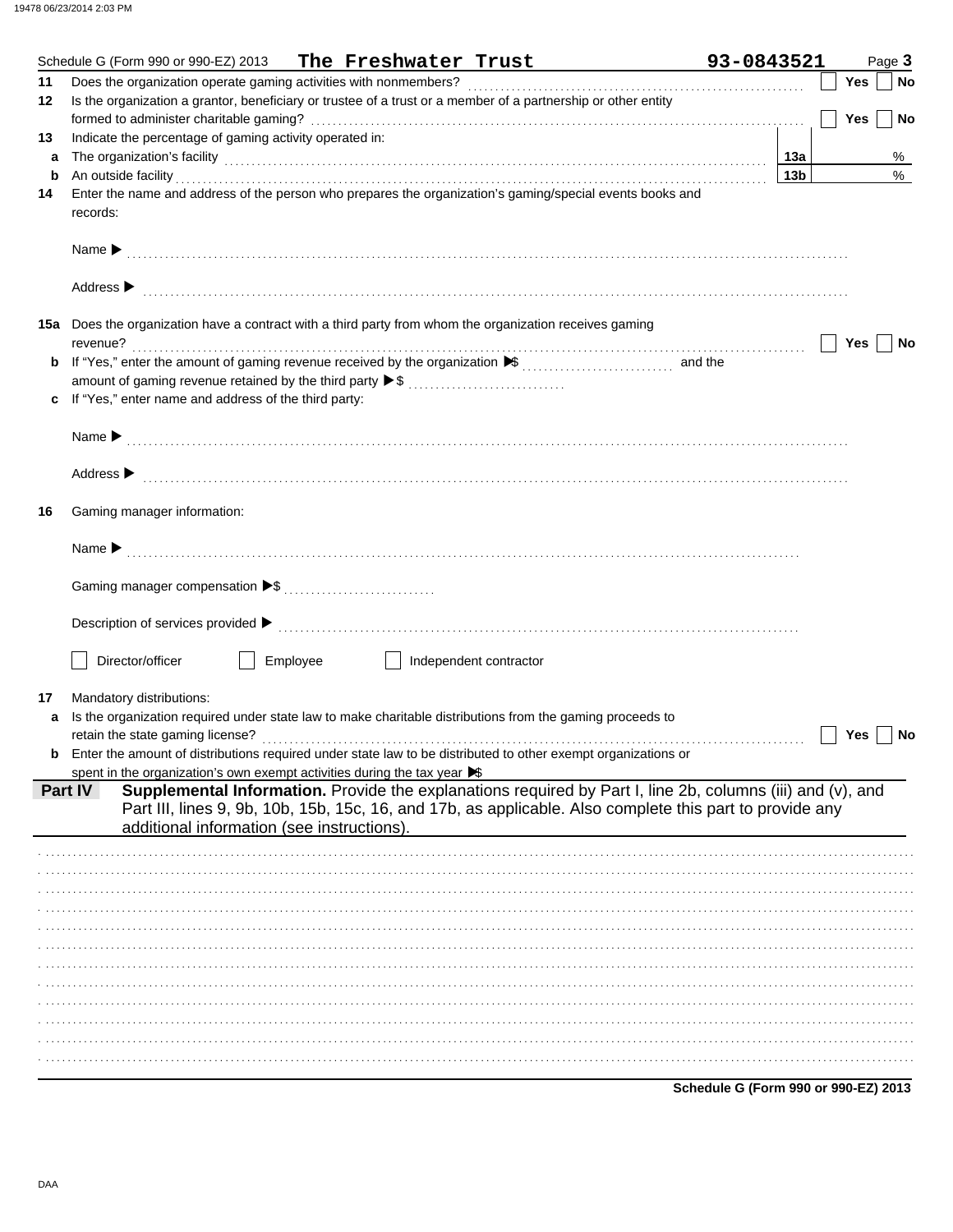|    | Schedule G (Form 990 or 990-EZ) 2013<br>The Freshwater Trust                                                                                                                                                                   | 93-0843521      |            | Page 3 |
|----|--------------------------------------------------------------------------------------------------------------------------------------------------------------------------------------------------------------------------------|-----------------|------------|--------|
| 11 |                                                                                                                                                                                                                                |                 | Yes        | No     |
| 12 | Is the organization a grantor, beneficiary or trustee of a trust or a member of a partnership or other entity                                                                                                                  |                 |            |        |
|    |                                                                                                                                                                                                                                |                 | <b>Yes</b> | No     |
| 13 | Indicate the percentage of gaming activity operated in:                                                                                                                                                                        |                 |            |        |
| a  |                                                                                                                                                                                                                                | 13а             |            | %      |
| b  | An outside facility                                                                                                                                                                                                            | 13 <sub>b</sub> |            | $\%$   |
| 14 | Enter the name and address of the person who prepares the organization's gaming/special events books and                                                                                                                       |                 |            |        |
|    | records:                                                                                                                                                                                                                       |                 |            |        |
|    |                                                                                                                                                                                                                                |                 |            |        |
|    |                                                                                                                                                                                                                                |                 |            |        |
|    |                                                                                                                                                                                                                                |                 |            |        |
|    | Address > continuous contract of the contract of the contract of the contract of the contract of the contract of the contract of the contract of the contract of the contract of the contract of the contract of the contract  |                 |            |        |
|    |                                                                                                                                                                                                                                |                 |            |        |
|    | 15a Does the organization have a contract with a third party from whom the organization receives gaming                                                                                                                        |                 |            |        |
|    | revenue?                                                                                                                                                                                                                       |                 | Yes        | No     |
|    |                                                                                                                                                                                                                                |                 |            |        |
|    | amount of gaming revenue retained by the third party ▶ \$                                                                                                                                                                      |                 |            |        |
| c  | If "Yes," enter name and address of the third party:                                                                                                                                                                           |                 |            |        |
|    |                                                                                                                                                                                                                                |                 |            |        |
|    |                                                                                                                                                                                                                                |                 |            |        |
|    |                                                                                                                                                                                                                                |                 |            |        |
|    | Address > the communication of the contract of the contract of the contract of the contract of the contract of the contract of the contract of the contract of the contract of the contract of the contract of the contract of |                 |            |        |
|    |                                                                                                                                                                                                                                |                 |            |        |
| 16 | Gaming manager information:                                                                                                                                                                                                    |                 |            |        |
|    |                                                                                                                                                                                                                                |                 |            |        |
|    |                                                                                                                                                                                                                                |                 |            |        |
|    |                                                                                                                                                                                                                                |                 |            |        |
|    |                                                                                                                                                                                                                                |                 |            |        |
|    |                                                                                                                                                                                                                                |                 |            |        |
|    |                                                                                                                                                                                                                                |                 |            |        |
|    |                                                                                                                                                                                                                                |                 |            |        |
|    | Employee<br>Director/officer<br>Independent contractor                                                                                                                                                                         |                 |            |        |
|    |                                                                                                                                                                                                                                |                 |            |        |
| 17 | Mandatory distributions:                                                                                                                                                                                                       |                 |            |        |
| a  | Is the organization required under state law to make charitable distributions from the gaming proceeds to                                                                                                                      |                 |            |        |
|    |                                                                                                                                                                                                                                |                 | Yes        | No     |
|    | Enter the amount of distributions required under state law to be distributed to other exempt organizations or                                                                                                                  |                 |            |        |
|    | spent in the organization's own exempt activities during the tax year $\blacktriangleright$                                                                                                                                    |                 |            |        |
|    | Supplemental Information. Provide the explanations required by Part I, line 2b, columns (iii) and (v), and<br>Part IV                                                                                                          |                 |            |        |
|    | Part III, lines 9, 9b, 10b, 15b, 15c, 16, and 17b, as applicable. Also complete this part to provide any                                                                                                                       |                 |            |        |
|    | additional information (see instructions).                                                                                                                                                                                     |                 |            |        |
|    |                                                                                                                                                                                                                                |                 |            |        |
|    |                                                                                                                                                                                                                                |                 |            |        |
|    |                                                                                                                                                                                                                                |                 |            |        |
|    |                                                                                                                                                                                                                                |                 |            |        |
|    |                                                                                                                                                                                                                                |                 |            |        |
|    |                                                                                                                                                                                                                                |                 |            |        |
|    |                                                                                                                                                                                                                                |                 |            |        |
|    |                                                                                                                                                                                                                                |                 |            |        |
|    |                                                                                                                                                                                                                                |                 |            |        |
|    |                                                                                                                                                                                                                                |                 |            |        |
|    |                                                                                                                                                                                                                                |                 |            |        |
|    |                                                                                                                                                                                                                                |                 |            |        |
|    |                                                                                                                                                                                                                                |                 |            |        |

Schedule G (Form 990 or 990-EZ) 2013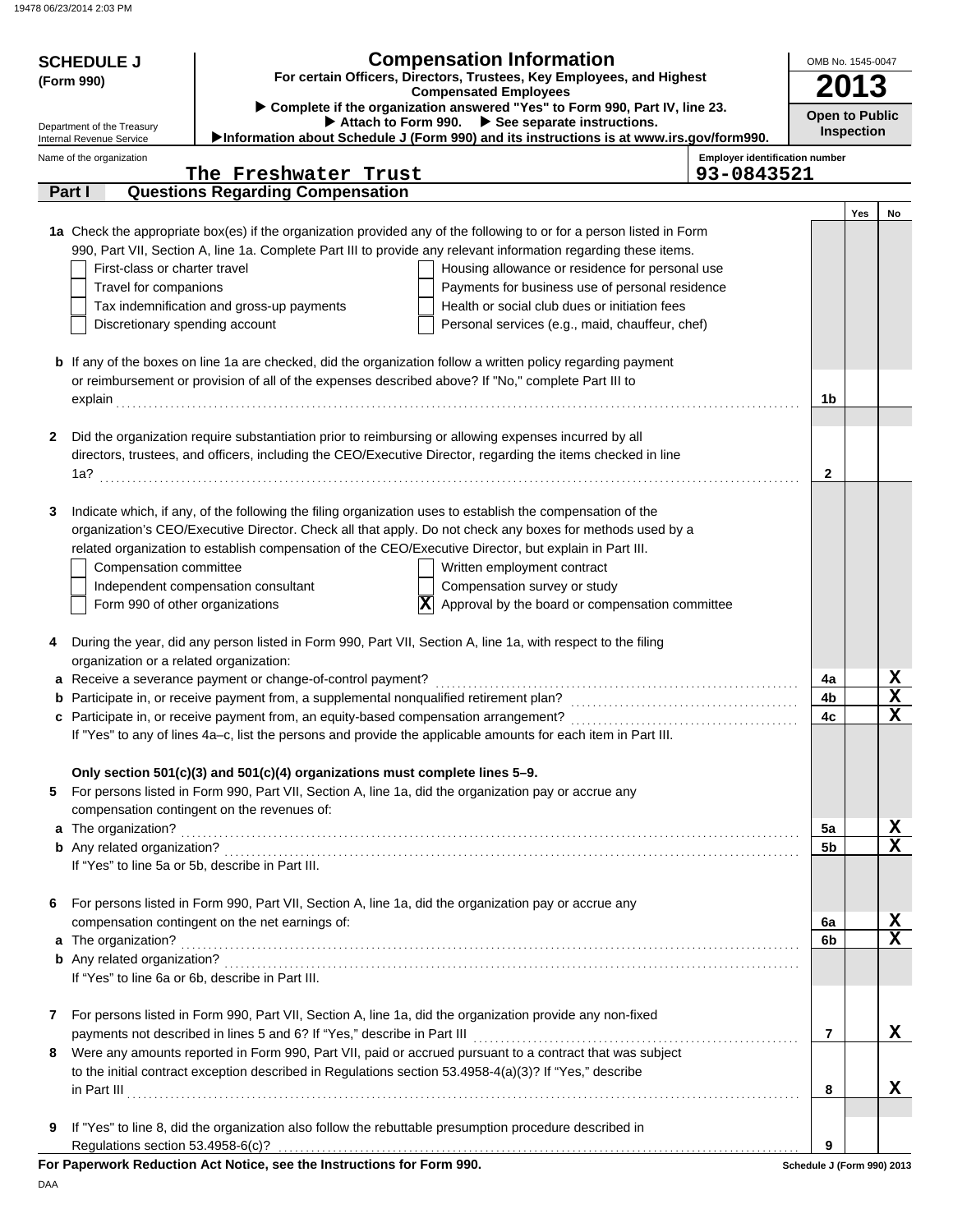|   | <b>Compensation Information</b><br><b>SCHEDULE J</b><br>For certain Officers, Directors, Trustees, Key Employees, and Highest<br>(Form 990)<br><b>Compensated Employees</b>                                                                                                         |                                                                             |                                                                                                                                                                                                                            |                                                     |                            | OMB No. 1545-0047<br>2013 |                                         |  |  |
|---|-------------------------------------------------------------------------------------------------------------------------------------------------------------------------------------------------------------------------------------------------------------------------------------|-----------------------------------------------------------------------------|----------------------------------------------------------------------------------------------------------------------------------------------------------------------------------------------------------------------------|-----------------------------------------------------|----------------------------|---------------------------|-----------------------------------------|--|--|
|   | Complete if the organization answered "Yes" to Form 990, Part IV, line 23.<br>Attach to Form 990. > See separate instructions.<br>Department of the Treasury<br>Information about Schedule J (Form 990) and its instructions is at www.irs.gov/form990.<br>Internal Revenue Service |                                                                             |                                                                                                                                                                                                                            |                                                     |                            |                           |                                         |  |  |
|   | Name of the organization                                                                                                                                                                                                                                                            | The Freshwater Trust                                                        |                                                                                                                                                                                                                            | <b>Employer identification number</b><br>93-0843521 |                            |                           |                                         |  |  |
|   | Part I                                                                                                                                                                                                                                                                              | <b>Questions Regarding Compensation</b>                                     |                                                                                                                                                                                                                            |                                                     |                            |                           |                                         |  |  |
|   |                                                                                                                                                                                                                                                                                     |                                                                             |                                                                                                                                                                                                                            |                                                     |                            | Yes                       | No                                      |  |  |
|   |                                                                                                                                                                                                                                                                                     |                                                                             | 1a Check the appropriate box(es) if the organization provided any of the following to or for a person listed in Form                                                                                                       |                                                     |                            |                           |                                         |  |  |
|   | First-class or charter travel                                                                                                                                                                                                                                                       |                                                                             | 990, Part VII, Section A, line 1a. Complete Part III to provide any relevant information regarding these items.<br>Housing allowance or residence for personal use                                                         |                                                     |                            |                           |                                         |  |  |
|   | Travel for companions                                                                                                                                                                                                                                                               |                                                                             | Payments for business use of personal residence                                                                                                                                                                            |                                                     |                            |                           |                                         |  |  |
|   |                                                                                                                                                                                                                                                                                     | Tax indemnification and gross-up payments                                   | Health or social club dues or initiation fees                                                                                                                                                                              |                                                     |                            |                           |                                         |  |  |
|   | Discretionary spending account                                                                                                                                                                                                                                                      |                                                                             | Personal services (e.g., maid, chauffeur, chef)                                                                                                                                                                            |                                                     |                            |                           |                                         |  |  |
|   |                                                                                                                                                                                                                                                                                     |                                                                             |                                                                                                                                                                                                                            |                                                     |                            |                           |                                         |  |  |
|   |                                                                                                                                                                                                                                                                                     |                                                                             | <b>b</b> If any of the boxes on line 1a are checked, did the organization follow a written policy regarding payment<br>or reimbursement or provision of all of the expenses described above? If "No," complete Part III to |                                                     |                            |                           |                                         |  |  |
|   |                                                                                                                                                                                                                                                                                     |                                                                             |                                                                                                                                                                                                                            |                                                     | 1b                         |                           |                                         |  |  |
|   |                                                                                                                                                                                                                                                                                     |                                                                             | Did the organization require substantiation prior to reimbursing or allowing expenses incurred by all                                                                                                                      |                                                     |                            |                           |                                         |  |  |
| 2 |                                                                                                                                                                                                                                                                                     |                                                                             | directors, trustees, and officers, including the CEO/Executive Director, regarding the items checked in line                                                                                                               |                                                     |                            |                           |                                         |  |  |
|   |                                                                                                                                                                                                                                                                                     |                                                                             |                                                                                                                                                                                                                            |                                                     | 2                          |                           |                                         |  |  |
| 3 |                                                                                                                                                                                                                                                                                     |                                                                             | Indicate which, if any, of the following the filing organization uses to establish the compensation of the                                                                                                                 |                                                     |                            |                           |                                         |  |  |
|   |                                                                                                                                                                                                                                                                                     |                                                                             | organization's CEO/Executive Director. Check all that apply. Do not check any boxes for methods used by a                                                                                                                  |                                                     |                            |                           |                                         |  |  |
|   |                                                                                                                                                                                                                                                                                     |                                                                             | related organization to establish compensation of the CEO/Executive Director, but explain in Part III.                                                                                                                     |                                                     |                            |                           |                                         |  |  |
|   | Compensation committee                                                                                                                                                                                                                                                              |                                                                             | Written employment contract                                                                                                                                                                                                |                                                     |                            |                           |                                         |  |  |
|   |                                                                                                                                                                                                                                                                                     | Independent compensation consultant                                         | Compensation survey or study                                                                                                                                                                                               |                                                     |                            |                           |                                         |  |  |
|   | Form 990 of other organizations                                                                                                                                                                                                                                                     |                                                                             | $ \mathbf{x} $<br>Approval by the board or compensation committee                                                                                                                                                          |                                                     |                            |                           |                                         |  |  |
| 4 |                                                                                                                                                                                                                                                                                     |                                                                             | During the year, did any person listed in Form 990, Part VII, Section A, line 1a, with respect to the filing                                                                                                               |                                                     |                            |                           |                                         |  |  |
|   | organization or a related organization:                                                                                                                                                                                                                                             |                                                                             |                                                                                                                                                                                                                            |                                                     |                            |                           |                                         |  |  |
|   |                                                                                                                                                                                                                                                                                     | a Receive a severance payment or change-of-control payment?                 |                                                                                                                                                                                                                            |                                                     | 4a                         |                           | <u>x</u>                                |  |  |
|   |                                                                                                                                                                                                                                                                                     |                                                                             |                                                                                                                                                                                                                            |                                                     | 4b                         |                           | $\overline{\mathbf{X}}$                 |  |  |
|   |                                                                                                                                                                                                                                                                                     |                                                                             |                                                                                                                                                                                                                            |                                                     | 4c                         |                           | $\mathbf x$                             |  |  |
|   |                                                                                                                                                                                                                                                                                     |                                                                             | If "Yes" to any of lines 4a-c, list the persons and provide the applicable amounts for each item in Part III.                                                                                                              |                                                     |                            |                           |                                         |  |  |
|   |                                                                                                                                                                                                                                                                                     | Only section 501(c)(3) and 501(c)(4) organizations must complete lines 5-9. |                                                                                                                                                                                                                            |                                                     |                            |                           |                                         |  |  |
| 5 |                                                                                                                                                                                                                                                                                     |                                                                             | For persons listed in Form 990, Part VII, Section A, line 1a, did the organization pay or accrue any                                                                                                                       |                                                     |                            |                           |                                         |  |  |
|   |                                                                                                                                                                                                                                                                                     | compensation contingent on the revenues of:                                 |                                                                                                                                                                                                                            |                                                     |                            |                           |                                         |  |  |
|   |                                                                                                                                                                                                                                                                                     |                                                                             | a The organization? encourance and a set of the original contract of the organization?                                                                                                                                     |                                                     | 5a                         |                           | $\mathbf{x}$<br>$\overline{\mathbf{x}}$ |  |  |
|   |                                                                                                                                                                                                                                                                                     | If "Yes" to line 5a or 5b, describe in Part III.                            |                                                                                                                                                                                                                            |                                                     | 5b                         |                           |                                         |  |  |
|   |                                                                                                                                                                                                                                                                                     |                                                                             |                                                                                                                                                                                                                            |                                                     |                            |                           |                                         |  |  |
| 6 |                                                                                                                                                                                                                                                                                     |                                                                             | For persons listed in Form 990, Part VII, Section A, line 1a, did the organization pay or accrue any                                                                                                                       |                                                     |                            |                           |                                         |  |  |
|   |                                                                                                                                                                                                                                                                                     | compensation contingent on the net earnings of:                             |                                                                                                                                                                                                                            |                                                     | 6a                         |                           | Х<br>$\mathbf x$                        |  |  |
|   |                                                                                                                                                                                                                                                                                     |                                                                             |                                                                                                                                                                                                                            |                                                     | 6b                         |                           |                                         |  |  |
|   |                                                                                                                                                                                                                                                                                     | If "Yes" to line 6a or 6b, describe in Part III.                            |                                                                                                                                                                                                                            |                                                     |                            |                           |                                         |  |  |
|   |                                                                                                                                                                                                                                                                                     |                                                                             |                                                                                                                                                                                                                            |                                                     |                            |                           |                                         |  |  |
| 7 |                                                                                                                                                                                                                                                                                     |                                                                             | For persons listed in Form 990, Part VII, Section A, line 1a, did the organization provide any non-fixed                                                                                                                   |                                                     | 7                          |                           | X                                       |  |  |
| 8 |                                                                                                                                                                                                                                                                                     |                                                                             | Were any amounts reported in Form 990, Part VII, paid or accrued pursuant to a contract that was subject                                                                                                                   |                                                     |                            |                           |                                         |  |  |
|   |                                                                                                                                                                                                                                                                                     |                                                                             | to the initial contract exception described in Regulations section 53.4958-4(a)(3)? If "Yes," describe                                                                                                                     |                                                     |                            |                           |                                         |  |  |
|   |                                                                                                                                                                                                                                                                                     |                                                                             |                                                                                                                                                                                                                            |                                                     | 8                          |                           | х                                       |  |  |
| 9 |                                                                                                                                                                                                                                                                                     |                                                                             | If "Yes" to line 8, did the organization also follow the rebuttable presumption procedure described in                                                                                                                     |                                                     |                            |                           |                                         |  |  |
|   | Regulations section 53.4958-6(c)?                                                                                                                                                                                                                                                   |                                                                             |                                                                                                                                                                                                                            |                                                     | 9                          |                           |                                         |  |  |
|   |                                                                                                                                                                                                                                                                                     | For Paperwork Reduction Act Notice, see the Instructions for Form 990.      |                                                                                                                                                                                                                            |                                                     | Schedule J (Form 990) 2013 |                           |                                         |  |  |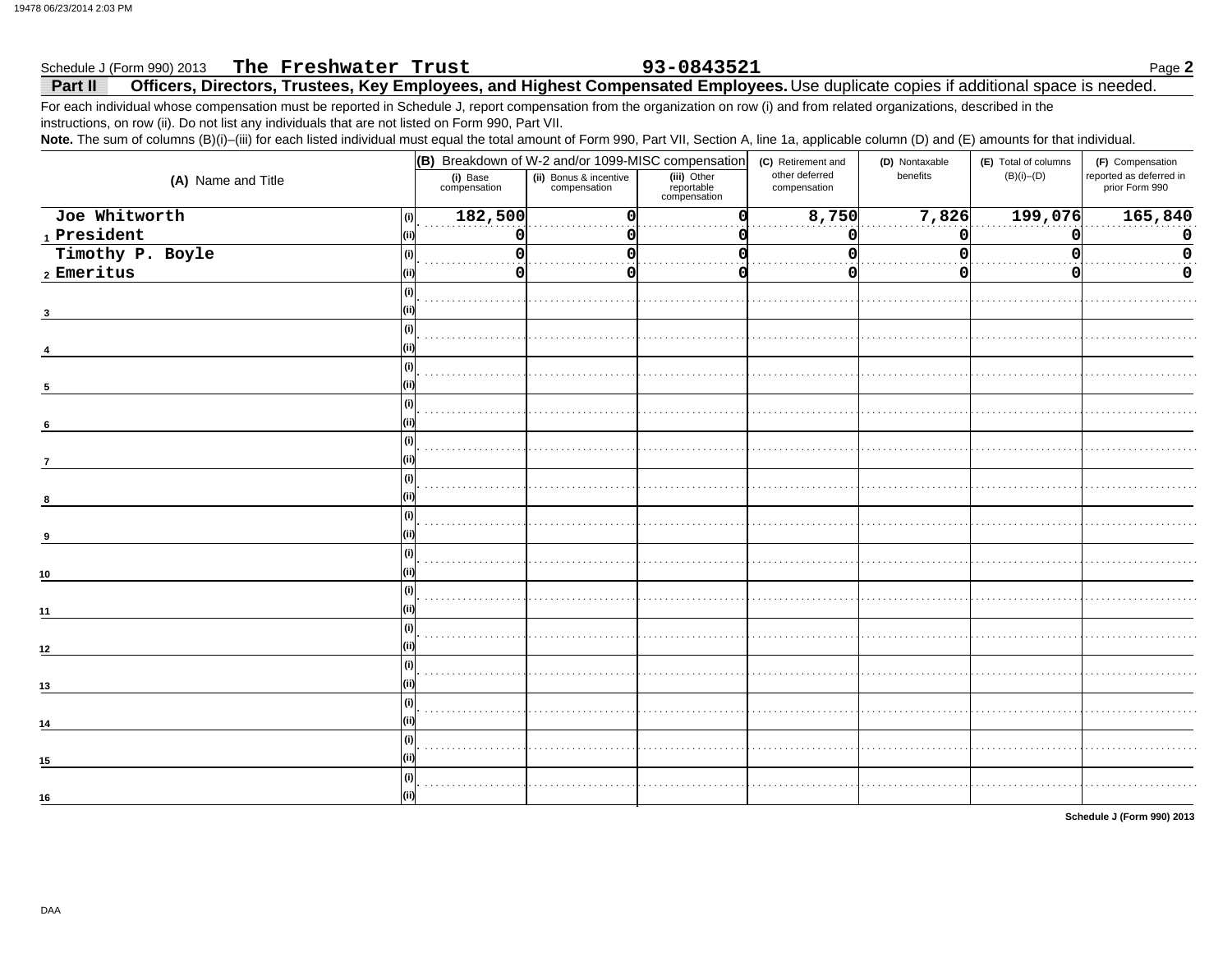#### 93-0843521 The Freshwater Trust Schedule J (Form 990) 2013 Page 2 Officers, Directors, Trustees, Key Employees, and Highest Compensated Employees. Use duplicate copies if additional space is needed. Part II

For each individual whose compensation must be reported in Schedule J, report compensation from the organization on row (i) and from related organizations, described in the instructions, on row (ii). Do not list any individuals that are not listed on Form 990, Part VII.

Note. The sum of columns (B)(i)-(iii) for each listed individual must equal the total amount of Form 990, Part VII, Section A, line 1a, applicable column (D) and (E) amounts for that individual.

|                                                              | (B) Breakdown of W-2 and/or 1099-MISC compensation                 |          |                                           | (C) Retirement and             | (D) Nontaxable | (E) Total of columns | (F) Compensation                          |
|--------------------------------------------------------------|--------------------------------------------------------------------|----------|-------------------------------------------|--------------------------------|----------------|----------------------|-------------------------------------------|
| (A) Name and Title                                           | (ii) Bonus & incentive<br>compensation<br>(i) Base<br>compensation |          | (iii) Other<br>reportable<br>compensation | other deferred<br>compensation | benefits       | $(B)(i)$ - $(D)$     | reported as deferred in<br>prior Form 990 |
| Joe Whitworth<br>(i)                                         | 182,500                                                            | $\Omega$ |                                           | 8,750                          | 7,826          | 199,076              | 165,840                                   |
| $\footnotesize\substack{\textnormal{\texttt{1}}$}$ President | O                                                                  |          |                                           | O                              | O              |                      | $\mathbf 0$                               |
| Timothy P. Boyle<br>(i)                                      |                                                                    |          |                                           |                                |                |                      | $\Omega$                                  |
| $2$ Emeritus                                                 | O                                                                  |          |                                           |                                |                |                      | 0                                         |
|                                                              |                                                                    |          |                                           |                                |                |                      |                                           |
|                                                              |                                                                    |          |                                           |                                |                |                      |                                           |
|                                                              |                                                                    |          |                                           |                                |                |                      |                                           |
| (i)                                                          |                                                                    |          |                                           |                                |                |                      |                                           |
| 5                                                            |                                                                    |          |                                           |                                |                |                      |                                           |
| (i)                                                          |                                                                    |          |                                           |                                |                |                      |                                           |
| 6                                                            |                                                                    |          |                                           |                                |                |                      |                                           |
| (i)<br>$\overline{7}$                                        |                                                                    |          |                                           |                                |                |                      |                                           |
| (i)                                                          |                                                                    |          |                                           |                                |                |                      |                                           |
| 8                                                            |                                                                    |          |                                           |                                |                |                      |                                           |
|                                                              |                                                                    |          |                                           |                                |                |                      |                                           |
|                                                              |                                                                    |          |                                           |                                |                |                      |                                           |
| (i)<br>10                                                    |                                                                    |          |                                           |                                |                |                      |                                           |
| (i)                                                          |                                                                    |          |                                           |                                |                |                      |                                           |
| 11                                                           |                                                                    |          |                                           |                                |                |                      |                                           |
|                                                              |                                                                    |          |                                           |                                |                |                      |                                           |
| 12                                                           |                                                                    |          |                                           |                                |                |                      |                                           |
| (i)                                                          |                                                                    |          |                                           |                                |                |                      |                                           |
| 13                                                           |                                                                    |          |                                           |                                |                |                      |                                           |
| (i)<br>14                                                    |                                                                    |          |                                           |                                |                |                      |                                           |
| (i)                                                          |                                                                    |          |                                           |                                |                |                      |                                           |
| 15                                                           |                                                                    |          |                                           |                                |                |                      |                                           |
|                                                              |                                                                    |          |                                           |                                |                |                      |                                           |
| 16                                                           |                                                                    |          |                                           |                                |                |                      |                                           |

Schedule J (Form 990) 2013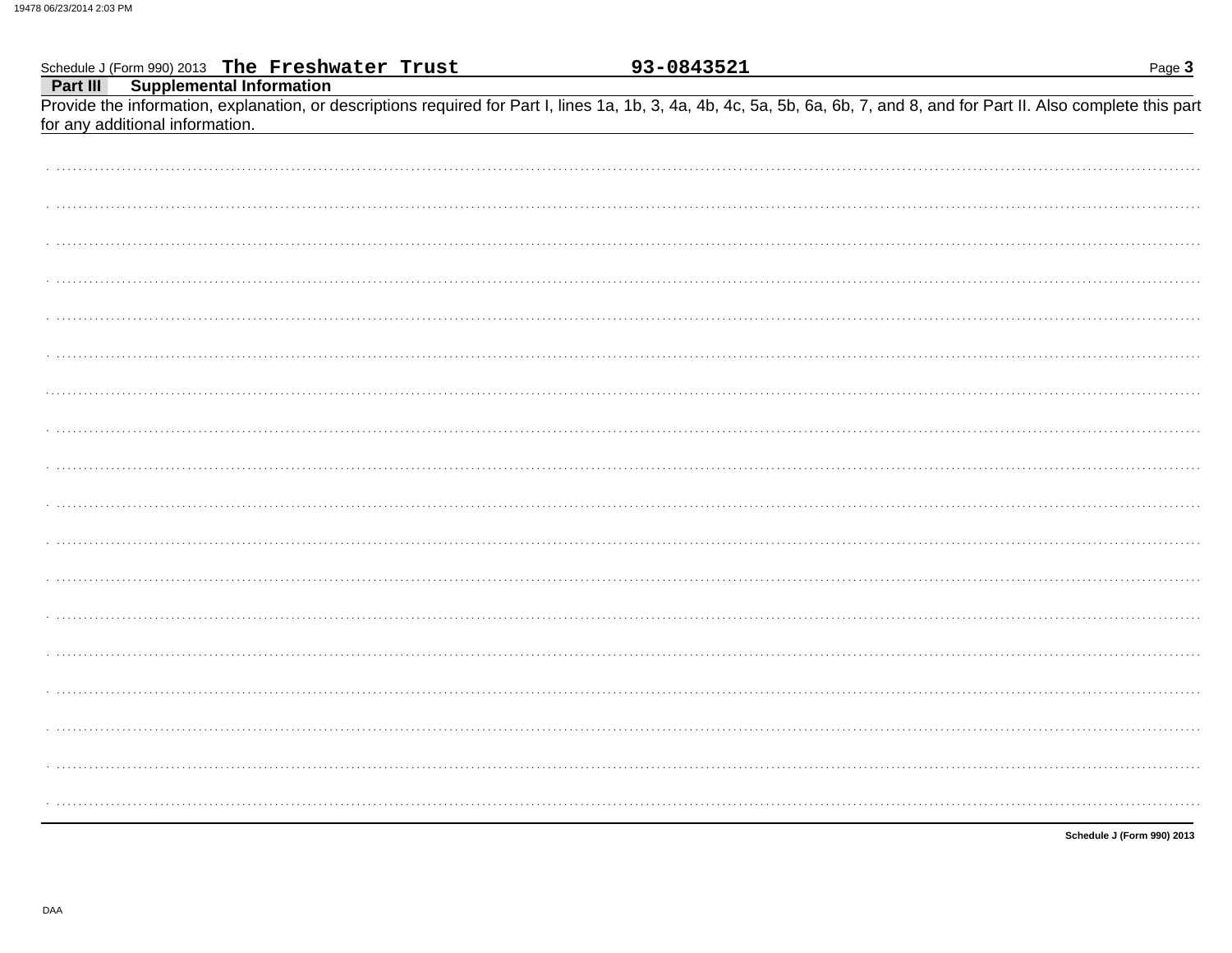| Schedule J (Form 990) 2013 The Freshwater Trust                                                                                                                                                               | 93-0843521 | Page 3                     |
|---------------------------------------------------------------------------------------------------------------------------------------------------------------------------------------------------------------|------------|----------------------------|
| <b>Part III</b> Supplemental Information                                                                                                                                                                      |            |                            |
| Provide the information, explanation, or descriptions required for Part I, lines 1a, 1b, 3, 4a, 4b, 4c, 5a, 5b, 6a, 6b, 7, and 8, and for Part II. Also complete this part<br>for any additional information. |            |                            |
|                                                                                                                                                                                                               |            |                            |
|                                                                                                                                                                                                               |            |                            |
|                                                                                                                                                                                                               |            |                            |
|                                                                                                                                                                                                               |            |                            |
|                                                                                                                                                                                                               |            |                            |
|                                                                                                                                                                                                               |            |                            |
|                                                                                                                                                                                                               |            |                            |
|                                                                                                                                                                                                               |            |                            |
|                                                                                                                                                                                                               |            |                            |
|                                                                                                                                                                                                               |            |                            |
|                                                                                                                                                                                                               |            |                            |
|                                                                                                                                                                                                               |            |                            |
|                                                                                                                                                                                                               |            |                            |
|                                                                                                                                                                                                               |            |                            |
|                                                                                                                                                                                                               |            |                            |
|                                                                                                                                                                                                               |            |                            |
|                                                                                                                                                                                                               |            |                            |
|                                                                                                                                                                                                               |            |                            |
|                                                                                                                                                                                                               |            |                            |
|                                                                                                                                                                                                               |            |                            |
|                                                                                                                                                                                                               |            |                            |
|                                                                                                                                                                                                               |            | Schedule J (Form 990) 2013 |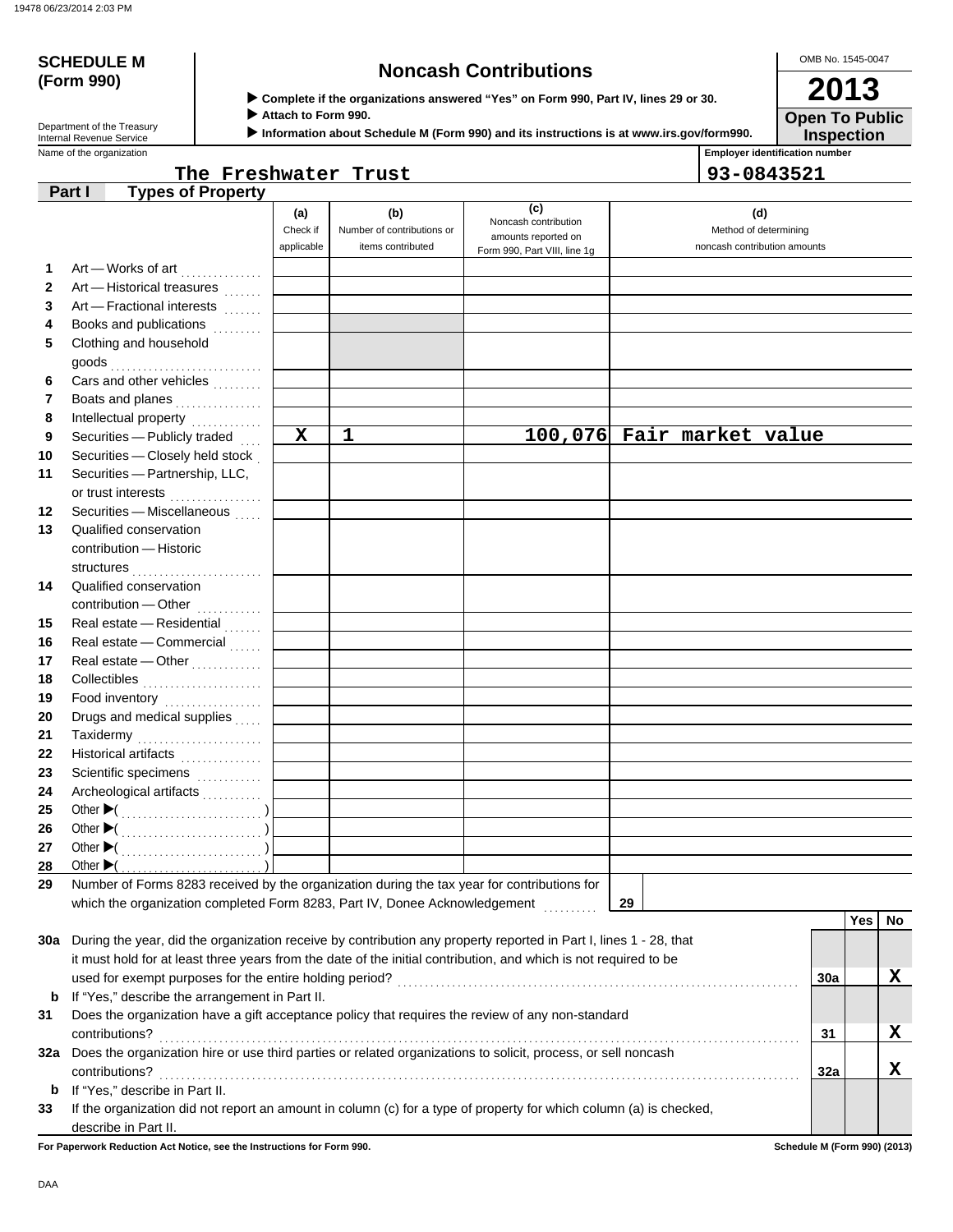# **(Form 990)**

# **SCHEDULE M Noncash Contributions**

OMB No. 1545-0047 **2013**

 **Complete if the organizations answered "Yes" on Form 990, Part IV, lines 29 or 30.**

 **Attach to Form 990.**

 **Information about Schedule M (Form 990) and its instructions is at www.irs.gov/form990.**

**Inspection Open To Public**

| Department of the Treasury |
|----------------------------|
| Internal Revenue Service   |
| Name of the organization   |

# **The Freshwater Trust 93-0843521**

**Employer identification number** 

|    | <b>Types of Property</b><br>Part I                                                                                           |             |                            |                                             |                              |     |     |     |
|----|------------------------------------------------------------------------------------------------------------------------------|-------------|----------------------------|---------------------------------------------|------------------------------|-----|-----|-----|
|    |                                                                                                                              | (a)         | (b)                        | (c)                                         | (d)                          |     |     |     |
|    |                                                                                                                              | Check if    | Number of contributions or | Noncash contribution<br>amounts reported on | Method of determining        |     |     |     |
|    |                                                                                                                              | applicable  | items contributed          | Form 990, Part VIII, line 1g                | noncash contribution amounts |     |     |     |
| 1  | Art - Works of art                                                                                                           |             |                            |                                             |                              |     |     |     |
| 2  | Art - Historical treasures                                                                                                   |             |                            |                                             |                              |     |     |     |
| 3  | Art - Fractional interests                                                                                                   |             |                            |                                             |                              |     |     |     |
| 4  | Books and publications                                                                                                       |             |                            |                                             |                              |     |     |     |
| 5  | Clothing and household                                                                                                       |             |                            |                                             |                              |     |     |     |
|    |                                                                                                                              |             |                            |                                             |                              |     |     |     |
| 6  | Cars and other vehicles                                                                                                      |             |                            |                                             |                              |     |     |     |
| 7  | Boats and planes                                                                                                             |             |                            |                                             |                              |     |     |     |
| 8  |                                                                                                                              |             |                            |                                             |                              |     |     |     |
| 9  | Securities - Publicly traded                                                                                                 | $\mathbf x$ | 1                          |                                             | 100,076 Fair market value    |     |     |     |
| 10 | Securities - Closely held stock                                                                                              |             |                            |                                             |                              |     |     |     |
| 11 | Securities - Partnership, LLC,                                                                                               |             |                            |                                             |                              |     |     |     |
|    | or trust interests                                                                                                           |             |                            |                                             |                              |     |     |     |
| 12 | Securities - Miscellaneous                                                                                                   |             |                            |                                             |                              |     |     |     |
| 13 | Qualified conservation                                                                                                       |             |                            |                                             |                              |     |     |     |
|    | contribution - Historic                                                                                                      |             |                            |                                             |                              |     |     |     |
|    |                                                                                                                              |             |                            |                                             |                              |     |     |     |
| 14 | Qualified conservation                                                                                                       |             |                            |                                             |                              |     |     |     |
|    | contribution - Other                                                                                                         |             |                            |                                             |                              |     |     |     |
| 15 | Real estate - Residential                                                                                                    |             |                            |                                             |                              |     |     |     |
| 16 | Real estate - Commercial                                                                                                     |             |                            |                                             |                              |     |     |     |
| 17 | Real estate - Other<br>                                                                                                      |             |                            |                                             |                              |     |     |     |
| 18 |                                                                                                                              |             |                            |                                             |                              |     |     |     |
| 19 | Food inventory<br>                                                                                                           |             |                            |                                             |                              |     |     |     |
| 20 | Drugs and medical supplies                                                                                                   |             |                            |                                             |                              |     |     |     |
| 21 | Taxidermy                                                                                                                    |             |                            |                                             |                              |     |     |     |
| 22 | Historical artifacts                                                                                                         |             |                            |                                             |                              |     |     |     |
| 23 | Scientific specimens                                                                                                         |             |                            |                                             |                              |     |     |     |
| 24 | Archeological artifacts                                                                                                      |             |                            |                                             |                              |     |     |     |
| 25 |                                                                                                                              |             |                            |                                             |                              |     |     |     |
| 26 |                                                                                                                              |             |                            |                                             |                              |     |     |     |
| 27 |                                                                                                                              |             |                            |                                             |                              |     |     |     |
| 28 | Other $\blacktriangleright$ (<br>Number of Forms 8283 received by the organization during the tax year for contributions for |             |                            |                                             |                              |     |     |     |
| 29 | which the organization completed Form 8283, Part IV, Donee Acknowledgement                                                   |             |                            |                                             | 29                           |     |     |     |
|    |                                                                                                                              |             |                            |                                             |                              |     | Yes | No. |
|    | 30a During the year, did the organization receive by contribution any property reported in Part I, lines 1 - 28, that        |             |                            |                                             |                              |     |     |     |
|    | it must hold for at least three years from the date of the initial contribution, and which is not required to be             |             |                            |                                             |                              |     |     |     |
|    |                                                                                                                              |             |                            |                                             |                              | 30a |     | x   |
| b  | If "Yes," describe the arrangement in Part II.                                                                               |             |                            |                                             |                              |     |     |     |
| 31 | Does the organization have a gift acceptance policy that requires the review of any non-standard                             |             |                            |                                             |                              |     |     |     |
|    | contributions?                                                                                                               |             |                            |                                             |                              | 31  |     | X   |
|    | 32a Does the organization hire or use third parties or related organizations to solicit, process, or sell noncash            |             |                            |                                             |                              |     |     |     |
|    | contributions?                                                                                                               |             |                            |                                             |                              | 32a |     | X   |
| b  | If "Yes," describe in Part II.                                                                                               |             |                            |                                             |                              |     |     |     |
| 33 | If the organization did not report an amount in column (c) for a type of property for which column (a) is checked,           |             |                            |                                             |                              |     |     |     |
|    | describe in Part II.                                                                                                         |             |                            |                                             |                              |     |     |     |

**For Paperwork Reduction Act Notice, see the Instructions for Form 990. Schedule M (Form 990) (2013)**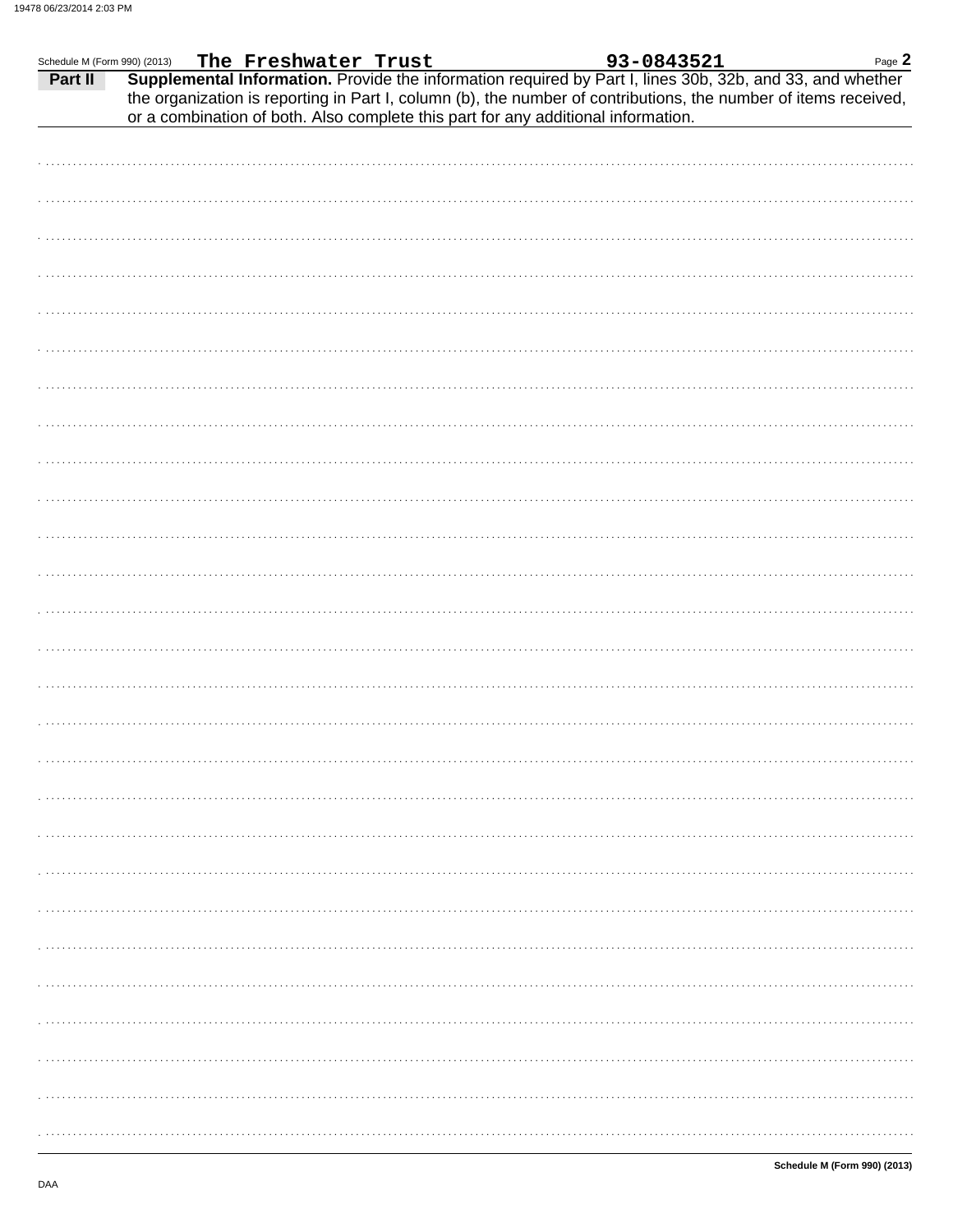| Schedule M (Form 990) (2013) | The Freshwater Trust |  | 93-0843521                                                                        | Page 2                                                                                                                                                                                                                       |
|------------------------------|----------------------|--|-----------------------------------------------------------------------------------|------------------------------------------------------------------------------------------------------------------------------------------------------------------------------------------------------------------------------|
| Part II                      |                      |  | or a combination of both. Also complete this part for any additional information. | Supplemental Information. Provide the information required by Part I, lines 30b, 32b, and 33, and whether<br>the organization is reporting in Part I, column (b), the number of contributions, the number of items received, |
|                              |                      |  |                                                                                   |                                                                                                                                                                                                                              |
|                              |                      |  |                                                                                   |                                                                                                                                                                                                                              |
|                              |                      |  |                                                                                   |                                                                                                                                                                                                                              |
|                              |                      |  |                                                                                   |                                                                                                                                                                                                                              |
|                              |                      |  |                                                                                   |                                                                                                                                                                                                                              |
|                              |                      |  |                                                                                   |                                                                                                                                                                                                                              |
|                              |                      |  |                                                                                   |                                                                                                                                                                                                                              |
|                              |                      |  |                                                                                   |                                                                                                                                                                                                                              |
|                              |                      |  |                                                                                   |                                                                                                                                                                                                                              |
|                              |                      |  |                                                                                   |                                                                                                                                                                                                                              |
|                              |                      |  |                                                                                   |                                                                                                                                                                                                                              |
|                              |                      |  |                                                                                   |                                                                                                                                                                                                                              |
|                              |                      |  |                                                                                   |                                                                                                                                                                                                                              |
|                              |                      |  |                                                                                   |                                                                                                                                                                                                                              |
|                              |                      |  |                                                                                   |                                                                                                                                                                                                                              |
|                              |                      |  |                                                                                   |                                                                                                                                                                                                                              |
|                              |                      |  |                                                                                   |                                                                                                                                                                                                                              |
|                              |                      |  |                                                                                   |                                                                                                                                                                                                                              |
|                              |                      |  |                                                                                   |                                                                                                                                                                                                                              |
|                              |                      |  |                                                                                   |                                                                                                                                                                                                                              |
|                              |                      |  |                                                                                   |                                                                                                                                                                                                                              |
|                              |                      |  |                                                                                   |                                                                                                                                                                                                                              |
|                              |                      |  |                                                                                   |                                                                                                                                                                                                                              |
|                              |                      |  |                                                                                   |                                                                                                                                                                                                                              |
|                              |                      |  |                                                                                   |                                                                                                                                                                                                                              |
|                              |                      |  |                                                                                   |                                                                                                                                                                                                                              |
|                              |                      |  |                                                                                   |                                                                                                                                                                                                                              |
|                              |                      |  |                                                                                   |                                                                                                                                                                                                                              |
|                              |                      |  |                                                                                   |                                                                                                                                                                                                                              |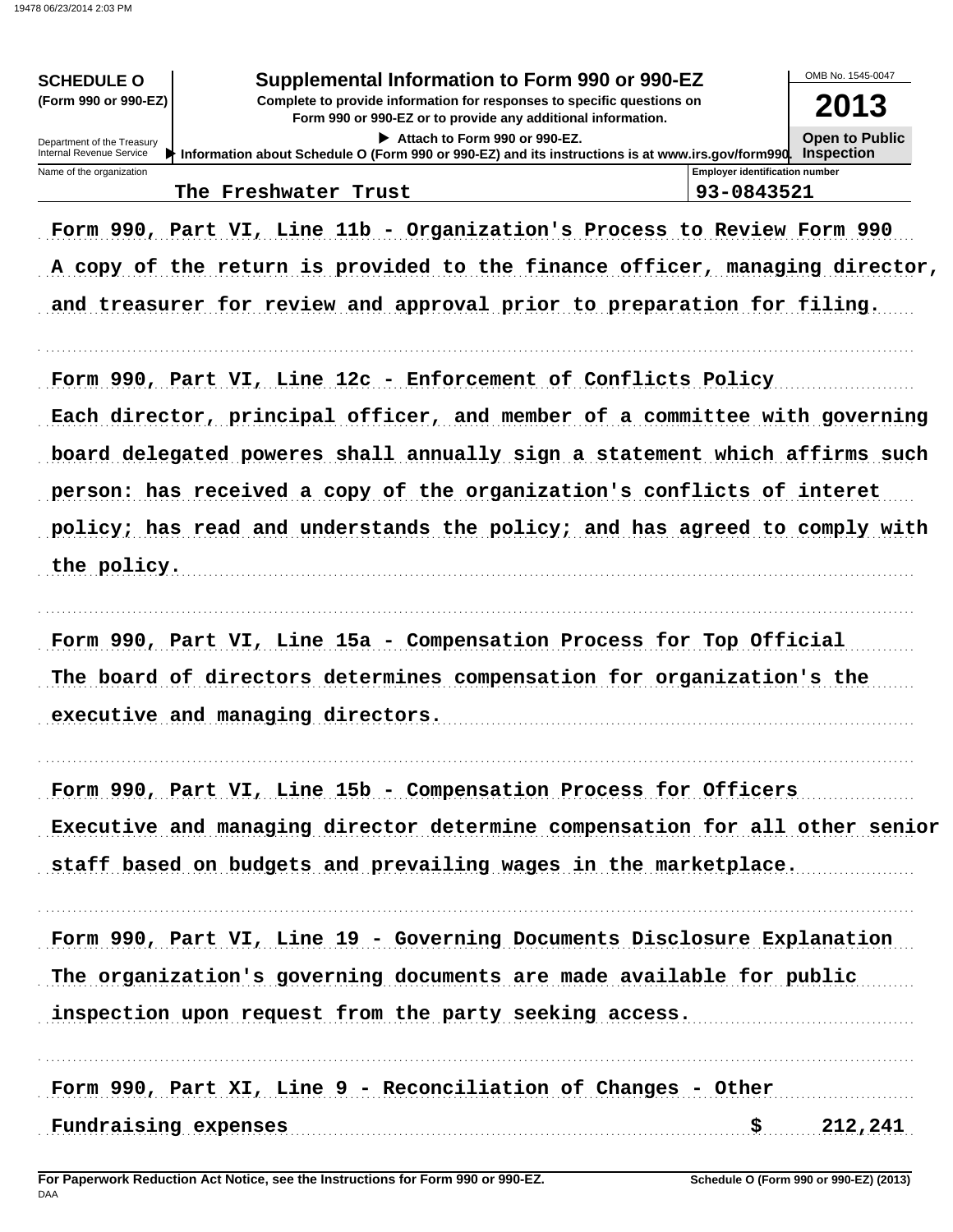| Supplemental Information to Form 990 or 990-EZ<br><b>SCHEDULE O</b><br>(Form 990 or 990-EZ)<br>Complete to provide information for responses to specific questions on<br>Form 990 or 990-EZ or to provide any additional information.<br>Attach to Form 990 or 990-EZ.<br>Department of the Treasury<br>Internal Revenue Service<br>Information about Schedule O (Form 990 or 990-EZ) and its instructions is at www.irs.gov/form990. Inspection | OMB No. 1545-0047<br>2013<br><b>Open to Public</b>  |
|--------------------------------------------------------------------------------------------------------------------------------------------------------------------------------------------------------------------------------------------------------------------------------------------------------------------------------------------------------------------------------------------------------------------------------------------------|-----------------------------------------------------|
| Name of the organization<br>The Freshwater Trust                                                                                                                                                                                                                                                                                                                                                                                                 | <b>Emplover identification number</b><br>93-0843521 |
|                                                                                                                                                                                                                                                                                                                                                                                                                                                  |                                                     |
| Form 990, Part VI, Line 11b - Organization's Process to Review Form 990                                                                                                                                                                                                                                                                                                                                                                          |                                                     |
| A copy of the return is provided to the finance officer, managing director,                                                                                                                                                                                                                                                                                                                                                                      |                                                     |
| and treasurer for review and approval prior to preparation for filing.                                                                                                                                                                                                                                                                                                                                                                           |                                                     |
| Form 990, Part VI, Line 12c - Enforcement of Conflicts Policy                                                                                                                                                                                                                                                                                                                                                                                    |                                                     |
| Each director, principal officer, and member of a committee with governing                                                                                                                                                                                                                                                                                                                                                                       |                                                     |
| board delegated poweres shall annually sign a statement which affirms such                                                                                                                                                                                                                                                                                                                                                                       |                                                     |
| person: has received a copy of the organization's conflicts of interet                                                                                                                                                                                                                                                                                                                                                                           |                                                     |
| policy; has read and understands the policy; and has agreed to comply with                                                                                                                                                                                                                                                                                                                                                                       |                                                     |
|                                                                                                                                                                                                                                                                                                                                                                                                                                                  |                                                     |
| the policy.                                                                                                                                                                                                                                                                                                                                                                                                                                      |                                                     |
| Form 990, Part VI, Line 15a - Compensation Process for Top Official                                                                                                                                                                                                                                                                                                                                                                              |                                                     |
| The board of directors determines compensation for organization's the                                                                                                                                                                                                                                                                                                                                                                            |                                                     |
| executive and managing directors.                                                                                                                                                                                                                                                                                                                                                                                                                |                                                     |
| Form 990, Part VI, Line 15b - Compensation Process for Officers                                                                                                                                                                                                                                                                                                                                                                                  |                                                     |
| Executive and managing director determine compensation for all other senior                                                                                                                                                                                                                                                                                                                                                                      |                                                     |
| staff based on budgets and prevailing wages in the marketplace.                                                                                                                                                                                                                                                                                                                                                                                  |                                                     |
|                                                                                                                                                                                                                                                                                                                                                                                                                                                  |                                                     |
| Form 990, Part VI, Line 19 - Governing Documents Disclosure Explanation                                                                                                                                                                                                                                                                                                                                                                          |                                                     |
| The organization's governing documents are made available for public                                                                                                                                                                                                                                                                                                                                                                             |                                                     |
| inspection upon request from the party seeking access.                                                                                                                                                                                                                                                                                                                                                                                           |                                                     |
| Form 990, Part XI, Line 9 - Reconciliation of Changes - Other                                                                                                                                                                                                                                                                                                                                                                                    |                                                     |
| Fundraising expenses                                                                                                                                                                                                                                                                                                                                                                                                                             | 212,241                                             |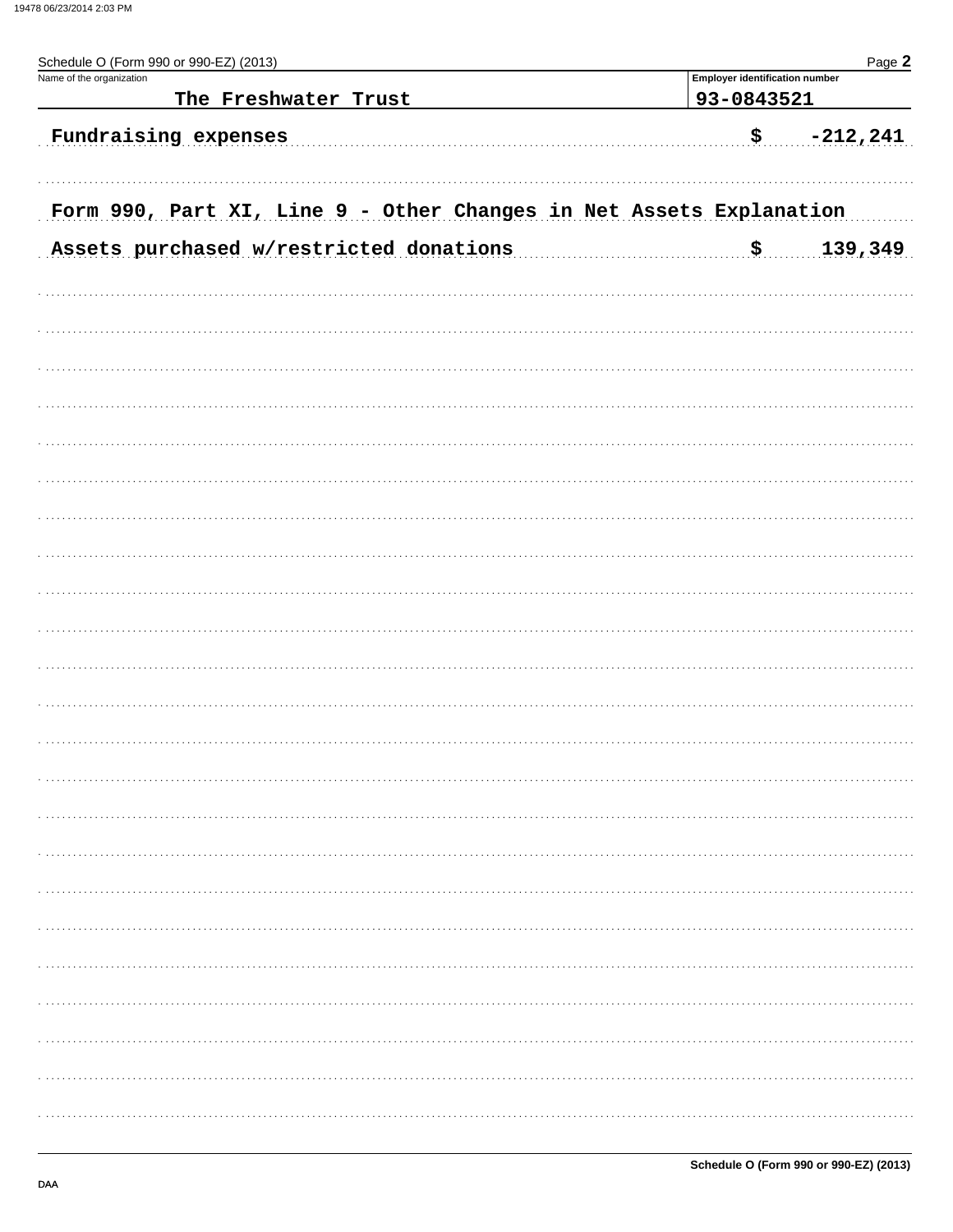| Page 2<br>Schedule O (Form 990 or 990-EZ) (2013)                    |                                       |             |  |  |  |  |
|---------------------------------------------------------------------|---------------------------------------|-------------|--|--|--|--|
| Name of the organization                                            | <b>Employer identification number</b> |             |  |  |  |  |
| The Freshwater Trust                                                | 93-0843521                            |             |  |  |  |  |
| Fundraising expenses                                                | \$.                                   | $-212, 241$ |  |  |  |  |
|                                                                     |                                       |             |  |  |  |  |
| Form 990, Part XI, Line 9 - Other Changes in Net Assets Explanation |                                       |             |  |  |  |  |
| Assets purchased w/restricted donations                             | \$                                    | 139,349     |  |  |  |  |
|                                                                     |                                       |             |  |  |  |  |
|                                                                     |                                       |             |  |  |  |  |
|                                                                     |                                       |             |  |  |  |  |
|                                                                     |                                       |             |  |  |  |  |
|                                                                     |                                       |             |  |  |  |  |
|                                                                     |                                       |             |  |  |  |  |
|                                                                     |                                       |             |  |  |  |  |
|                                                                     |                                       |             |  |  |  |  |
|                                                                     |                                       |             |  |  |  |  |
|                                                                     |                                       |             |  |  |  |  |
|                                                                     |                                       |             |  |  |  |  |
|                                                                     |                                       |             |  |  |  |  |
|                                                                     |                                       |             |  |  |  |  |
|                                                                     |                                       |             |  |  |  |  |
|                                                                     |                                       |             |  |  |  |  |
|                                                                     |                                       |             |  |  |  |  |
|                                                                     |                                       |             |  |  |  |  |
|                                                                     |                                       |             |  |  |  |  |
|                                                                     |                                       |             |  |  |  |  |
|                                                                     |                                       |             |  |  |  |  |
|                                                                     |                                       |             |  |  |  |  |
|                                                                     |                                       |             |  |  |  |  |
|                                                                     |                                       |             |  |  |  |  |
|                                                                     |                                       |             |  |  |  |  |
|                                                                     |                                       |             |  |  |  |  |
|                                                                     |                                       |             |  |  |  |  |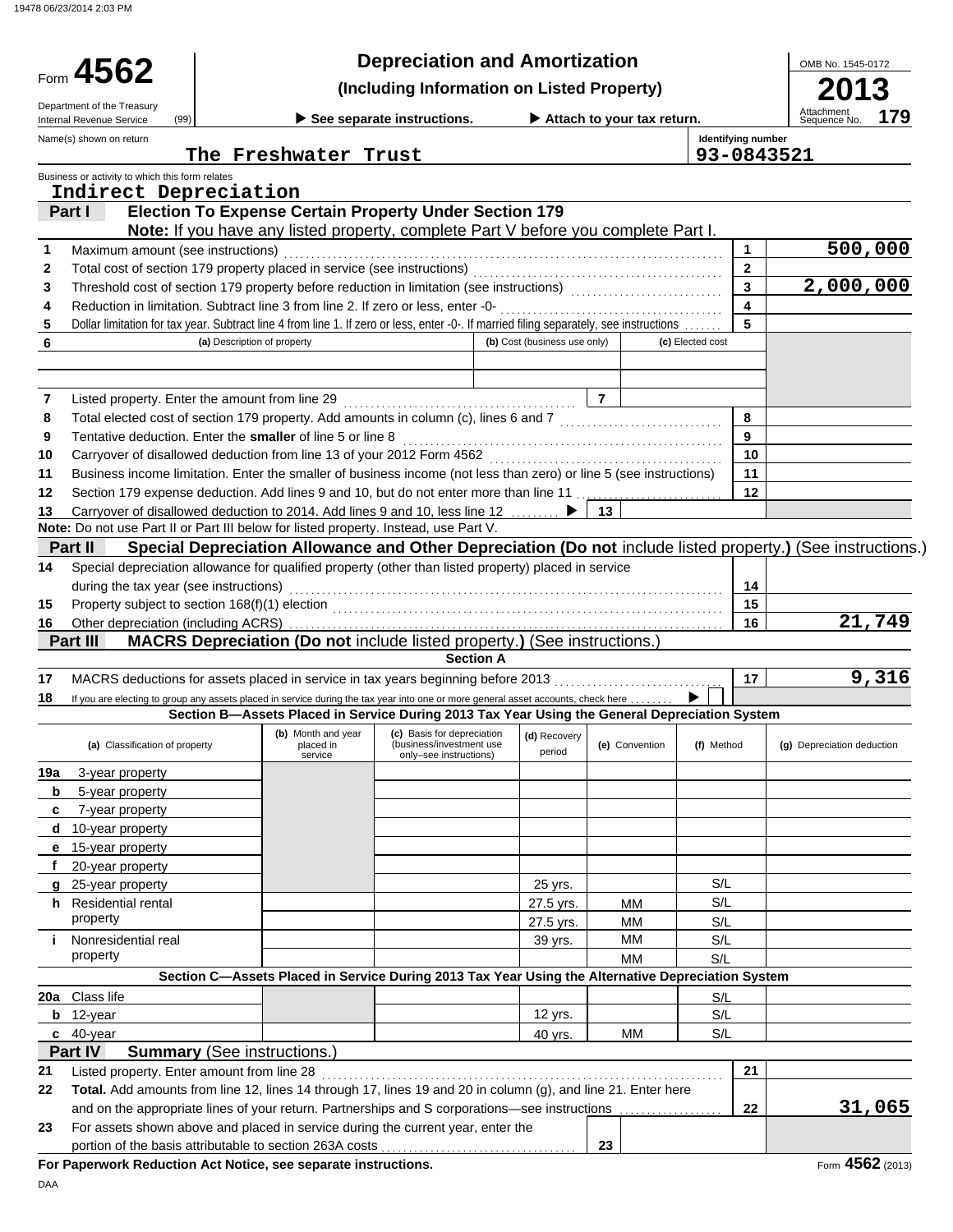19478 06/23/2014 2:03 PM

| <b>Depreciation and Amortization</b><br>Form 4562<br>(Including Information on Listed Property)                                                                                                                      |                            |
|----------------------------------------------------------------------------------------------------------------------------------------------------------------------------------------------------------------------|----------------------------|
|                                                                                                                                                                                                                      | 3                          |
| Department of the Treasury<br>Attachment<br>Sequence No.<br>See separate instructions.<br>Attach to your tax return.<br>(99)<br>Internal Revenue Service                                                             | 179                        |
| Identifying number<br>Name(s) shown on return<br>The Freshwater Trust<br>93-0843521                                                                                                                                  |                            |
| Business or activity to which this form relates                                                                                                                                                                      |                            |
| Indirect Depreciation                                                                                                                                                                                                |                            |
| <b>Election To Expense Certain Property Under Section 179</b><br>Part I                                                                                                                                              |                            |
| Note: If you have any listed property, complete Part V before you complete Part I.                                                                                                                                   |                            |
| Maximum amount (see instructions)<br>1<br>1                                                                                                                                                                          | 500,000                    |
| $\mathbf{2}$<br>2<br>$\overline{3}$                                                                                                                                                                                  | 2,000,000                  |
| Threshold cost of section 179 property before reduction in limitation (see instructions) [[[[[[[[[[[[[[[[[[[[<br>3<br>$\blacktriangle$<br>4                                                                          |                            |
| 5<br>Dollar limitation for tax year. Subtract line 4 from line 1. If zero or less, enter -0-. If married filing separately, see instructions<br>5                                                                    |                            |
| 6<br>(b) Cost (business use only)<br>(c) Elected cost<br>(a) Description of property                                                                                                                                 |                            |
|                                                                                                                                                                                                                      |                            |
|                                                                                                                                                                                                                      |                            |
| $\overline{7}$<br>7                                                                                                                                                                                                  |                            |
| 8<br>Total elected cost of section 179 property. Add amounts in column (c), lines 6 and 7 [[[[[[[[[[[[[[[[[[[[[[[[<br>8                                                                                              |                            |
| Tentative deduction. Enter the smaller of line 5 or line 8<br>9<br>9                                                                                                                                                 |                            |
| 10 <sup>1</sup><br>10                                                                                                                                                                                                |                            |
| Business income limitation. Enter the smaller of business income (not less than zero) or line 5 (see instructions)<br>11<br>11                                                                                       |                            |
| Section 179 expense deduction. Add lines 9 and 10, but do not enter more than line 11<br>$12 \,$<br>12                                                                                                               |                            |
| Carryover of disallowed deduction to 2014. Add lines 9 and 10, less line 12<br>13<br>13<br>Note: Do not use Part II or Part III below for listed property. Instead, use Part V.                                      |                            |
| Part II<br>Special Depreciation Allowance and Other Depreciation (Do not include listed property.) (See instructions.)                                                                                               |                            |
| Special depreciation allowance for qualified property (other than listed property) placed in service<br>14                                                                                                           |                            |
| during the tax year (see instructions)<br>14                                                                                                                                                                         |                            |
| 15<br>15                                                                                                                                                                                                             |                            |
| 16<br>16                                                                                                                                                                                                             | 21,749                     |
| MACRS Depreciation (Do not include listed property.) (See instructions.)<br>Part III                                                                                                                                 |                            |
| <b>Section A</b>                                                                                                                                                                                                     |                            |
| 17 <sup>2</sup><br>MACRS deductions for assets placed in service in tax years beginning before 2013<br>17                                                                                                            | 9,316                      |
| If you are electing to group any assets placed in service during the tax year into one or more general asset accounts, check here<br>18                                                                              |                            |
| Section B-Assets Placed in Service During 2013 Tax Year Using the General Depreciation System                                                                                                                        |                            |
| (b) Month and year (c) Basis for depreciation (d) Recovery<br>(a) Classification of property<br>(business/investment use<br>placed in<br>(e) Convention<br>(f) Method<br>period<br>service<br>only-see instructions) | (g) Depreciation deduction |
| 19a<br>3-year property                                                                                                                                                                                               |                            |
| 5-year property<br>b                                                                                                                                                                                                 |                            |
| 7-year property<br>c                                                                                                                                                                                                 |                            |
| d<br>10-year property                                                                                                                                                                                                |                            |
| 15-year property<br>е<br>20-year property                                                                                                                                                                            |                            |
| S/L<br>25-year property<br>25 yrs.                                                                                                                                                                                   |                            |
| g<br>S/L<br><b>Residential rental</b><br>27.5 yrs.<br>h.<br>MМ                                                                                                                                                       |                            |
| property<br>MМ<br>S/L<br>27.5 yrs.                                                                                                                                                                                   |                            |
| <b>MM</b><br>S/L<br>Nonresidential real<br>j.<br>39 yrs.                                                                                                                                                             |                            |
| property<br>S/L<br>MМ                                                                                                                                                                                                |                            |
| Section C-Assets Placed in Service During 2013 Tax Year Using the Alternative Depreciation System                                                                                                                    |                            |
| Class life<br>20a<br>S/L                                                                                                                                                                                             |                            |
| 12 yrs.<br>S/L<br>12-year<br>b                                                                                                                                                                                       |                            |
| S/L<br>$c$ 40-year<br>МM<br>40 yrs.                                                                                                                                                                                  |                            |
| <b>Summary (See instructions.)</b><br>Part IV                                                                                                                                                                        |                            |
| Listed property. Enter amount from line 28<br>21<br>21                                                                                                                                                               |                            |
| Total. Add amounts from line 12, lines 14 through 17, lines 19 and 20 in column (g), and line 21. Enter here<br>22                                                                                                   |                            |
| and on the appropriate lines of your return. Partnerships and S corporations-see instructions<br>22                                                                                                                  | 31,065                     |
| For assets shown above and placed in service during the current year, enter the<br>23<br>portion of the basis attributable to section 263A costs<br>23                                                               |                            |
| For Paperwork Reduction Act Notice, see separate instructions.                                                                                                                                                       | Form 4562 (2013)           |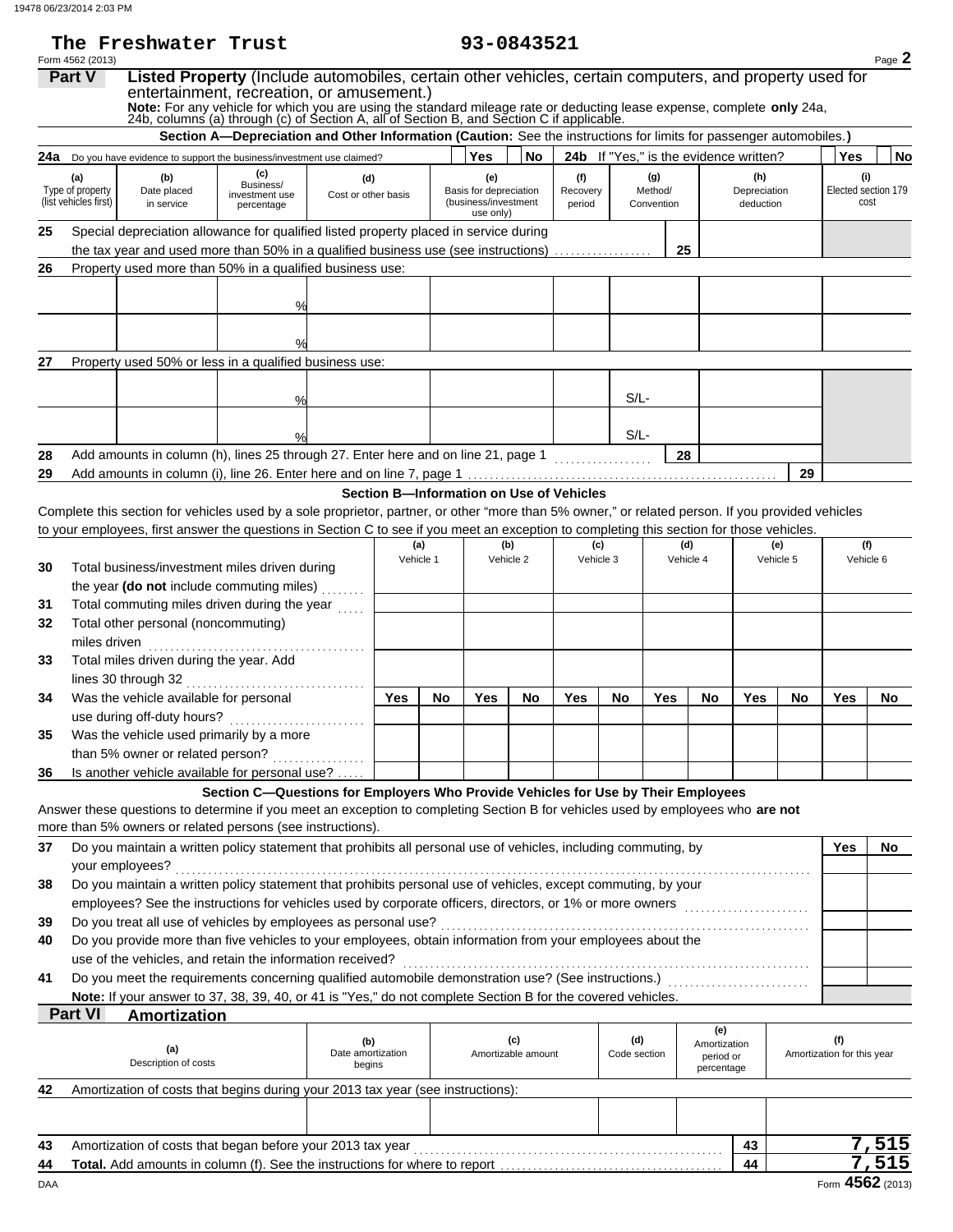The Freshwater Trust

| 93-0843521 |  |
|------------|--|
|------------|--|

|          | Form 4562 (2013)                                 |                                                                                                                                                   |                                                                                                                                                                                                                                                                                                                                                                         |                                    |     |           |                                                       |                           |                           |                     |                              |                                               |                                  |           |                                   | Page 2                             |
|----------|--------------------------------------------------|---------------------------------------------------------------------------------------------------------------------------------------------------|-------------------------------------------------------------------------------------------------------------------------------------------------------------------------------------------------------------------------------------------------------------------------------------------------------------------------------------------------------------------------|------------------------------------|-----|-----------|-------------------------------------------------------|---------------------------|---------------------------|---------------------|------------------------------|-----------------------------------------------|----------------------------------|-----------|-----------------------------------|------------------------------------|
|          | <b>Part V</b>                                    |                                                                                                                                                   | Listed Property (Include automobiles, certain other vehicles, certain computers, and property used for<br>entertainment, recreation, or amusement.)<br>Note: For any vehicle for which you are using the standard mileage rate or deducting lease expense, complete only 24a, 24b, columns (a) through (c) of Section A, all of Section B, and Section C if applicable. |                                    |     |           |                                                       |                           |                           |                     |                              |                                               |                                  |           |                                   |                                    |
|          |                                                  |                                                                                                                                                   | Section A-Depreciation and Other Information (Caution: See the instructions for limits for passenger automobiles.)                                                                                                                                                                                                                                                      |                                    |     |           |                                                       |                           |                           |                     |                              |                                               |                                  |           |                                   |                                    |
|          |                                                  | 24a Do you have evidence to support the business/investment use claimed?                                                                          |                                                                                                                                                                                                                                                                                                                                                                         |                                    |     |           | Yes                                                   | No                        |                           |                     |                              | <b>24b</b> If "Yes," is the evidence written? |                                  |           | <b>Yes</b>                        | No                                 |
|          | (a)<br>Type of property<br>(list vehicles first) | (b)<br>Date placed<br>in service                                                                                                                  | (c)<br>Business/<br>investment use<br>percentage                                                                                                                                                                                                                                                                                                                        | (d)<br>Cost or other basis         |     |           | (e)<br>Basis for depreciation<br>(business/investment |                           | (f)<br>Recovery<br>period |                     | (g)<br>Method/<br>Convention |                                               | (h)<br>Depreciation<br>deduction |           |                                   | (i)<br>Elected section 179<br>cost |
| 25       |                                                  | Special depreciation allowance for qualified listed property placed in service during                                                             |                                                                                                                                                                                                                                                                                                                                                                         |                                    |     |           | use only)                                             |                           |                           |                     |                              |                                               |                                  |           |                                   |                                    |
|          |                                                  | the tax year and used more than 50% in a qualified business use (see instructions)                                                                |                                                                                                                                                                                                                                                                                                                                                                         |                                    |     |           |                                                       |                           |                           |                     |                              | 25                                            |                                  |           |                                   |                                    |
| 26       |                                                  | Property used more than 50% in a qualified business use:                                                                                          |                                                                                                                                                                                                                                                                                                                                                                         |                                    |     |           |                                                       |                           |                           |                     |                              |                                               |                                  |           |                                   |                                    |
|          |                                                  |                                                                                                                                                   | %                                                                                                                                                                                                                                                                                                                                                                       |                                    |     |           |                                                       |                           |                           |                     |                              |                                               |                                  |           |                                   |                                    |
|          |                                                  |                                                                                                                                                   |                                                                                                                                                                                                                                                                                                                                                                         |                                    |     |           |                                                       |                           |                           |                     |                              |                                               |                                  |           |                                   |                                    |
|          |                                                  |                                                                                                                                                   |                                                                                                                                                                                                                                                                                                                                                                         |                                    |     |           |                                                       |                           |                           |                     |                              |                                               |                                  |           |                                   |                                    |
| 27       |                                                  | Property used 50% or less in a qualified business use:                                                                                            |                                                                                                                                                                                                                                                                                                                                                                         |                                    |     |           |                                                       |                           |                           |                     |                              |                                               |                                  |           |                                   |                                    |
|          |                                                  |                                                                                                                                                   |                                                                                                                                                                                                                                                                                                                                                                         |                                    |     |           |                                                       |                           |                           |                     |                              |                                               |                                  |           |                                   |                                    |
|          |                                                  |                                                                                                                                                   | %                                                                                                                                                                                                                                                                                                                                                                       |                                    |     |           |                                                       |                           |                           | $S/L$ -             |                              |                                               |                                  |           |                                   |                                    |
|          |                                                  |                                                                                                                                                   |                                                                                                                                                                                                                                                                                                                                                                         |                                    |     |           |                                                       |                           |                           |                     |                              |                                               |                                  |           |                                   |                                    |
|          |                                                  | Add amounts in column (h), lines 25 through 27. Enter here and on line 21, page 1                                                                 |                                                                                                                                                                                                                                                                                                                                                                         |                                    |     |           |                                                       |                           |                           | $S/L$ -             |                              | 28                                            |                                  |           |                                   |                                    |
| 28<br>29 |                                                  |                                                                                                                                                   |                                                                                                                                                                                                                                                                                                                                                                         |                                    |     |           |                                                       |                           |                           |                     |                              |                                               |                                  | 29        |                                   |                                    |
|          |                                                  |                                                                                                                                                   |                                                                                                                                                                                                                                                                                                                                                                         |                                    |     |           | Section B-Information on Use of Vehicles              |                           |                           |                     |                              |                                               |                                  |           |                                   |                                    |
|          |                                                  | Complete this section for vehicles used by a sole proprietor, partner, or other "more than 5% owner," or related person. If you provided vehicles |                                                                                                                                                                                                                                                                                                                                                                         |                                    |     |           |                                                       |                           |                           |                     |                              |                                               |                                  |           |                                   |                                    |
|          |                                                  | to your employees, first answer the questions in Section C to see if you meet an exception to completing this section for those vehicles.         |                                                                                                                                                                                                                                                                                                                                                                         |                                    |     |           |                                                       |                           |                           |                     |                              |                                               |                                  |           |                                   |                                    |
|          |                                                  |                                                                                                                                                   |                                                                                                                                                                                                                                                                                                                                                                         |                                    |     | (a)       |                                                       | (b)                       |                           | (c)                 |                              | (d)                                           |                                  | (e)       |                                   | (f)                                |
| 30       |                                                  | Total business/investment miles driven during                                                                                                     |                                                                                                                                                                                                                                                                                                                                                                         |                                    |     | Vehicle 1 |                                                       | Vehicle 2                 |                           | Vehicle 3           |                              | Vehicle 4                                     |                                  | Vehicle 5 |                                   | Vehicle 6                          |
|          |                                                  | the year (do not include commuting miles)                                                                                                         |                                                                                                                                                                                                                                                                                                                                                                         |                                    |     |           |                                                       |                           |                           |                     |                              |                                               |                                  |           |                                   |                                    |
| 31       |                                                  | Total commuting miles driven during the year                                                                                                      |                                                                                                                                                                                                                                                                                                                                                                         |                                    |     |           |                                                       |                           |                           |                     |                              |                                               |                                  |           |                                   |                                    |
| 32       |                                                  | Total other personal (noncommuting)                                                                                                               |                                                                                                                                                                                                                                                                                                                                                                         |                                    |     |           |                                                       |                           |                           |                     |                              |                                               |                                  |           |                                   |                                    |
|          | miles driven                                     |                                                                                                                                                   |                                                                                                                                                                                                                                                                                                                                                                         |                                    |     |           |                                                       |                           |                           |                     |                              |                                               |                                  |           |                                   |                                    |
| 33       |                                                  | Total miles driven during the year. Add                                                                                                           |                                                                                                                                                                                                                                                                                                                                                                         |                                    |     |           |                                                       |                           |                           |                     |                              |                                               |                                  |           |                                   |                                    |
| 34       |                                                  | Was the vehicle available for personal                                                                                                            |                                                                                                                                                                                                                                                                                                                                                                         |                                    | Yes | No        | Yes                                                   | No.                       | Yes                       | No                  | Yes                          | No                                            | Yes                              | No        | Yes                               | <b>No</b>                          |
|          |                                                  |                                                                                                                                                   |                                                                                                                                                                                                                                                                                                                                                                         |                                    |     |           |                                                       |                           |                           |                     |                              |                                               |                                  |           |                                   |                                    |
| 35       |                                                  | Was the vehicle used primarily by a more                                                                                                          |                                                                                                                                                                                                                                                                                                                                                                         |                                    |     |           |                                                       |                           |                           |                     |                              |                                               |                                  |           |                                   |                                    |
|          |                                                  | than 5% owner or related person?                                                                                                                  |                                                                                                                                                                                                                                                                                                                                                                         |                                    |     |           |                                                       |                           |                           |                     |                              |                                               |                                  |           |                                   |                                    |
| 36       |                                                  | Is another vehicle available for personal use?                                                                                                    |                                                                                                                                                                                                                                                                                                                                                                         |                                    |     |           |                                                       |                           |                           |                     |                              |                                               |                                  |           |                                   |                                    |
|          |                                                  |                                                                                                                                                   | Section C-Questions for Employers Who Provide Vehicles for Use by Their Employees                                                                                                                                                                                                                                                                                       |                                    |     |           |                                                       |                           |                           |                     |                              |                                               |                                  |           |                                   |                                    |
|          |                                                  | Answer these questions to determine if you meet an exception to completing Section B for vehicles used by employees who are not                   |                                                                                                                                                                                                                                                                                                                                                                         |                                    |     |           |                                                       |                           |                           |                     |                              |                                               |                                  |           |                                   |                                    |
|          |                                                  | more than 5% owners or related persons (see instructions).                                                                                        |                                                                                                                                                                                                                                                                                                                                                                         |                                    |     |           |                                                       |                           |                           |                     |                              |                                               |                                  |           |                                   |                                    |
| 37       |                                                  | Do you maintain a written policy statement that prohibits all personal use of vehicles, including commuting, by                                   |                                                                                                                                                                                                                                                                                                                                                                         |                                    |     |           |                                                       |                           |                           |                     |                              |                                               |                                  |           | Yes                               | <b>No</b>                          |
|          |                                                  | your employees?                                                                                                                                   |                                                                                                                                                                                                                                                                                                                                                                         |                                    |     |           |                                                       |                           |                           |                     |                              |                                               |                                  |           |                                   |                                    |
| 38       |                                                  | Do you maintain a written policy statement that prohibits personal use of vehicles, except commuting, by your                                     |                                                                                                                                                                                                                                                                                                                                                                         |                                    |     |           |                                                       |                           |                           |                     |                              |                                               |                                  |           |                                   |                                    |
| 39       |                                                  | Do you treat all use of vehicles by employees as personal use?                                                                                    |                                                                                                                                                                                                                                                                                                                                                                         |                                    |     |           |                                                       |                           |                           |                     |                              |                                               |                                  |           |                                   |                                    |
| 40       |                                                  | Do you provide more than five vehicles to your employees, obtain information from your employees about the                                        |                                                                                                                                                                                                                                                                                                                                                                         |                                    |     |           |                                                       |                           |                           |                     |                              |                                               |                                  |           |                                   |                                    |
|          |                                                  | use of the vehicles, and retain the information received?                                                                                         |                                                                                                                                                                                                                                                                                                                                                                         |                                    |     |           |                                                       |                           |                           |                     |                              |                                               |                                  |           |                                   |                                    |
| 41       |                                                  | Do you meet the requirements concerning qualified automobile demonstration use? (See instructions.) [[[[[[[[[[                                    |                                                                                                                                                                                                                                                                                                                                                                         |                                    |     |           |                                                       |                           |                           |                     |                              |                                               |                                  |           |                                   |                                    |
|          |                                                  | Note: If your answer to 37, 38, 39, 40, or 41 is "Yes," do not complete Section B for the covered vehicles.                                       |                                                                                                                                                                                                                                                                                                                                                                         |                                    |     |           |                                                       |                           |                           |                     |                              |                                               |                                  |           |                                   |                                    |
|          | <b>Part VI</b>                                   | <b>Amortization</b>                                                                                                                               |                                                                                                                                                                                                                                                                                                                                                                         |                                    |     |           |                                                       |                           |                           |                     |                              |                                               |                                  |           |                                   |                                    |
|          |                                                  | (a)<br>Description of costs                                                                                                                       |                                                                                                                                                                                                                                                                                                                                                                         | (b)<br>Date amortization<br>begins |     |           |                                                       | (c)<br>Amortizable amount |                           | (d)<br>Code section |                              | (e)<br>Amortization<br>period or              |                                  |           | (f)<br>Amortization for this year |                                    |
|          |                                                  |                                                                                                                                                   |                                                                                                                                                                                                                                                                                                                                                                         |                                    |     |           |                                                       |                           |                           |                     |                              | percentage                                    |                                  |           |                                   |                                    |
| 42       |                                                  | Amortization of costs that begins during your 2013 tax year (see instructions):                                                                   |                                                                                                                                                                                                                                                                                                                                                                         |                                    |     |           |                                                       |                           |                           |                     |                              |                                               |                                  |           |                                   |                                    |
|          |                                                  |                                                                                                                                                   |                                                                                                                                                                                                                                                                                                                                                                         |                                    |     |           |                                                       |                           |                           |                     |                              |                                               |                                  |           |                                   |                                    |
| 43       |                                                  |                                                                                                                                                   |                                                                                                                                                                                                                                                                                                                                                                         |                                    |     |           |                                                       |                           |                           |                     |                              |                                               | 43                               |           |                                   | 7,515                              |
| 44       |                                                  | <b>Total.</b> Add amounts in column (f). See the instructions for where to report                                                                 |                                                                                                                                                                                                                                                                                                                                                                         |                                    |     |           |                                                       |                           |                           |                     |                              |                                               | 44                               |           |                                   | 7,515                              |

DAA Form **4562** (2013)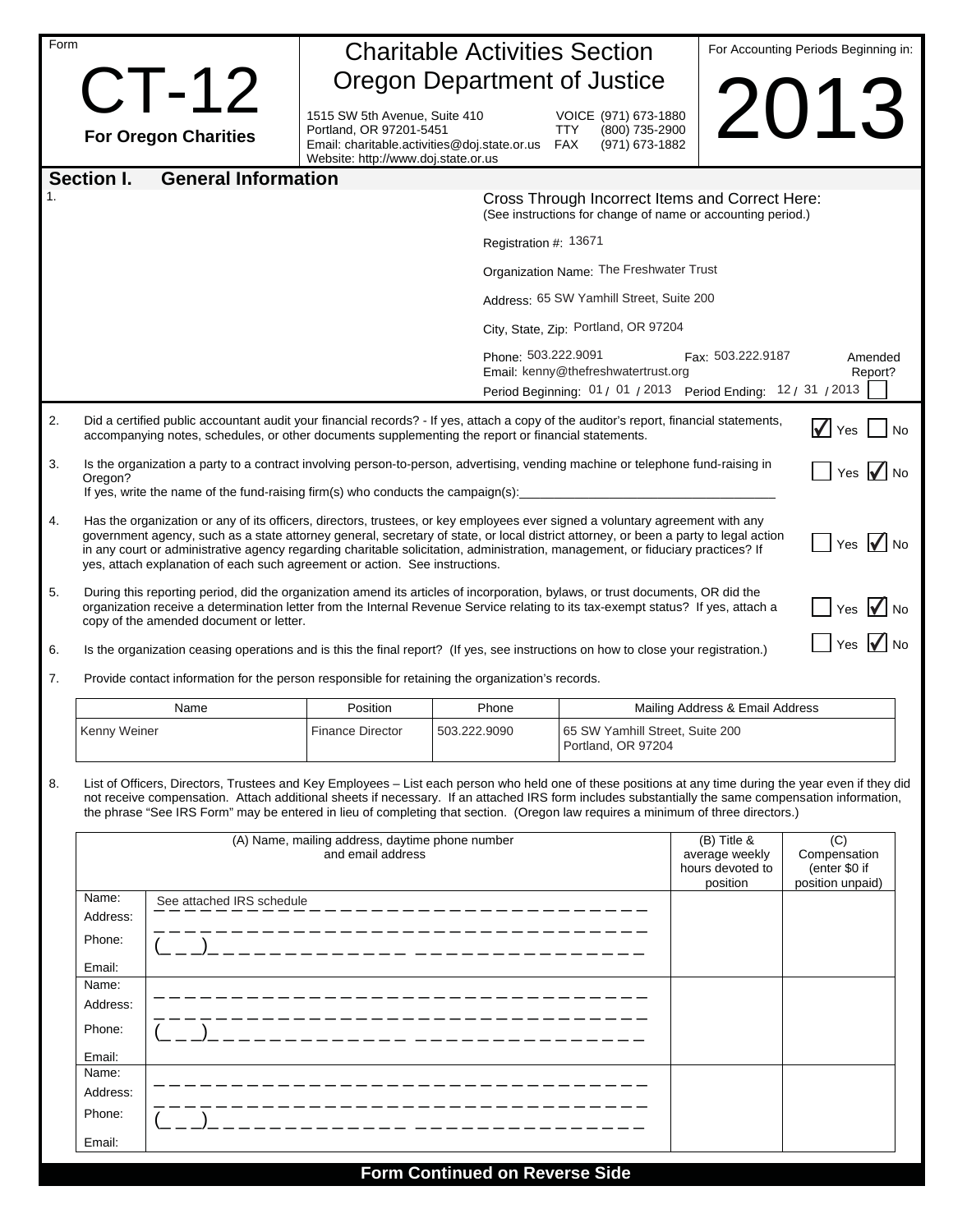| Form |                                                                                                                                                                                                                                                                                                                                                                                                                                                                                         |                                                                                                                                                     | <b>Charitable Activities Section</b> |                                                                 | For Accounting Periods Beginning in:                                                                           |                                                  |
|------|-----------------------------------------------------------------------------------------------------------------------------------------------------------------------------------------------------------------------------------------------------------------------------------------------------------------------------------------------------------------------------------------------------------------------------------------------------------------------------------------|-----------------------------------------------------------------------------------------------------------------------------------------------------|--------------------------------------|-----------------------------------------------------------------|----------------------------------------------------------------------------------------------------------------|--------------------------------------------------|
|      | CT-12                                                                                                                                                                                                                                                                                                                                                                                                                                                                                   |                                                                                                                                                     | Oregon Department of Justice         |                                                                 |                                                                                                                |                                                  |
|      | <b>For Oregon Charities</b>                                                                                                                                                                                                                                                                                                                                                                                                                                                             | 1515 SW 5th Avenue, Suite 410<br>Portland, OR 97201-5451<br>Email: charitable.activities@doj.state.or.us FAX<br>Website: http://www.doj.state.or.us |                                      | VOICE (971) 673-1880<br>TTY<br>(800) 735-2900<br>(971) 673-1882 |                                                                                                                | 2013                                             |
|      | <b>General Information</b><br>Section I.                                                                                                                                                                                                                                                                                                                                                                                                                                                |                                                                                                                                                     |                                      |                                                                 |                                                                                                                |                                                  |
| 1.   |                                                                                                                                                                                                                                                                                                                                                                                                                                                                                         |                                                                                                                                                     |                                      |                                                                 | Cross Through Incorrect Items and Correct Here:<br>(See instructions for change of name or accounting period.) |                                                  |
|      |                                                                                                                                                                                                                                                                                                                                                                                                                                                                                         |                                                                                                                                                     | Registration #: 13671                |                                                                 |                                                                                                                |                                                  |
|      |                                                                                                                                                                                                                                                                                                                                                                                                                                                                                         |                                                                                                                                                     |                                      | Organization Name: The Freshwater Trust                         |                                                                                                                |                                                  |
|      |                                                                                                                                                                                                                                                                                                                                                                                                                                                                                         |                                                                                                                                                     |                                      | Address: 65 SW Yamhill Street, Suite 200                        |                                                                                                                |                                                  |
|      |                                                                                                                                                                                                                                                                                                                                                                                                                                                                                         |                                                                                                                                                     |                                      | City, State, Zip: Portland, OR 97204                            |                                                                                                                |                                                  |
|      |                                                                                                                                                                                                                                                                                                                                                                                                                                                                                         |                                                                                                                                                     | Phone: 503.222.9091                  | Email: kenny@thefreshwatertrust.org                             | Fax: 503.222.9187<br>Period Beginning: 01 / 01 / 2013  Period Ending: 12 / 31 / 2013                           | Amended<br>Report?                               |
| 2.   | Did a certified public accountant audit your financial records? - If yes, attach a copy of the auditor's report, financial statements,<br>accompanying notes, schedules, or other documents supplementing the report or financial statements.                                                                                                                                                                                                                                           |                                                                                                                                                     |                                      |                                                                 |                                                                                                                | $\sqrt{\frac{1}{1}}$ Yes $\sqrt{\frac{1}{1}}$ No |
| 3.   | Is the organization a party to a contract involving person-to-person, advertising, vending machine or telephone fund-raising in<br>Oregon?                                                                                                                                                                                                                                                                                                                                              |                                                                                                                                                     |                                      |                                                                 |                                                                                                                | Yes $\sqrt{\phantom{a}}$ No                      |
|      | If yes, write the name of the fund-raising firm(s) who conducts the campaign(s):                                                                                                                                                                                                                                                                                                                                                                                                        |                                                                                                                                                     |                                      |                                                                 |                                                                                                                |                                                  |
| 4.   | Has the organization or any of its officers, directors, trustees, or key employees ever signed a voluntary agreement with any<br>government agency, such as a state attorney general, secretary of state, or local district attorney, or been a party to legal action<br>in any court or administrative agency regarding charitable solicitation, administration, management, or fiduciary practices? If<br>yes, attach explanation of each such agreement or action. See instructions. |                                                                                                                                                     |                                      |                                                                 |                                                                                                                | $\sqrt{}$ Yes $\sqrt{}$ No                       |
| 5.   | During this reporting period, did the organization amend its articles of incorporation, bylaws, or trust documents, OR did the<br>organization receive a determination letter from the Internal Revenue Service relating to its tax-exempt status? If yes, attach a<br>copy of the amended document or letter.                                                                                                                                                                          |                                                                                                                                                     |                                      |                                                                 |                                                                                                                | $\sqrt{}$ Yes $\sqrt{}$ No                       |
| 6.   | Is the organization ceasing operations and is this the final report? (If yes, see instructions on how to close your registration.)                                                                                                                                                                                                                                                                                                                                                      |                                                                                                                                                     |                                      |                                                                 |                                                                                                                | $\bigcap$ Yes $\bigtriangledown$ No              |
| 7.   | Provide contact information for the person responsible for retaining the organization's records.                                                                                                                                                                                                                                                                                                                                                                                        |                                                                                                                                                     |                                      |                                                                 |                                                                                                                |                                                  |
|      | Name                                                                                                                                                                                                                                                                                                                                                                                                                                                                                    | Position                                                                                                                                            | Phone                                |                                                                 | Mailing Address & Email Address                                                                                |                                                  |
|      | Kenny Weiner                                                                                                                                                                                                                                                                                                                                                                                                                                                                            | <b>Finance Director</b>                                                                                                                             | 503.222.9090                         | 65 SW Yamhill Street, Suite 200<br>Portland, OR 97204           |                                                                                                                |                                                  |
| 8.   | List of Officers, Directors, Trustees and Key Employees - List each person who held one of these positions at any time during the year even if they did<br>not receive compensation. Attach additional sheets if necessary. If an attached IRS form includes substantially the same compensation information,<br>the phrase "See IRS Form" may be entered in lieu of completing that section. (Oregon law requires a minimum of three directors.)                                       |                                                                                                                                                     |                                      |                                                                 |                                                                                                                |                                                  |
|      | (A) Name, mailing address, daytime phone number<br>$(B)$ Title &<br>and email address<br>average weekly<br>hours devoted to<br>position                                                                                                                                                                                                                                                                                                                                                 |                                                                                                                                                     |                                      |                                                                 |                                                                                                                |                                                  |
|      | Name:<br>See attached IRS schedule<br>Address:                                                                                                                                                                                                                                                                                                                                                                                                                                          |                                                                                                                                                     |                                      |                                                                 |                                                                                                                |                                                  |
|      | Phone:                                                                                                                                                                                                                                                                                                                                                                                                                                                                                  |                                                                                                                                                     |                                      |                                                                 |                                                                                                                |                                                  |
|      | Email:                                                                                                                                                                                                                                                                                                                                                                                                                                                                                  |                                                                                                                                                     |                                      |                                                                 |                                                                                                                |                                                  |
|      | Name:<br>Address:                                                                                                                                                                                                                                                                                                                                                                                                                                                                       |                                                                                                                                                     |                                      |                                                                 |                                                                                                                |                                                  |
|      | Phone:                                                                                                                                                                                                                                                                                                                                                                                                                                                                                  |                                                                                                                                                     |                                      |                                                                 |                                                                                                                |                                                  |
|      | Email:                                                                                                                                                                                                                                                                                                                                                                                                                                                                                  |                                                                                                                                                     |                                      |                                                                 |                                                                                                                |                                                  |
|      | Name:<br>Address:                                                                                                                                                                                                                                                                                                                                                                                                                                                                       |                                                                                                                                                     |                                      |                                                                 |                                                                                                                |                                                  |
|      | Phone:                                                                                                                                                                                                                                                                                                                                                                                                                                                                                  |                                                                                                                                                     |                                      |                                                                 |                                                                                                                |                                                  |
|      | Email:                                                                                                                                                                                                                                                                                                                                                                                                                                                                                  |                                                                                                                                                     |                                      |                                                                 |                                                                                                                |                                                  |
|      |                                                                                                                                                                                                                                                                                                                                                                                                                                                                                         |                                                                                                                                                     |                                      |                                                                 |                                                                                                                |                                                  |